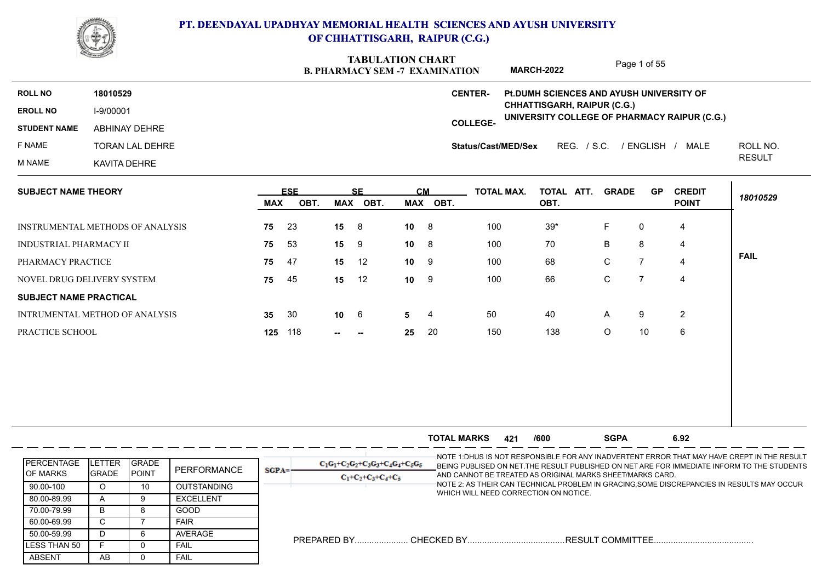

### **PT. DEENDAYAL UPADHYAY MEMORIAL HEALTH SCIENCES AND AYUSH UNIVERSITY OF CHHATTISGARH, RAIPUR (C.G.)**

## **TABULATION CHART**

|                               |                                         |            |            |                 | TABULATION CHART<br><b>B. PHARMACY SEM -7 EXAMINATION</b> |               |           |                     | <b>MARCH-2022</b>                        |              | Page 1 of 55   |                                              |               |
|-------------------------------|-----------------------------------------|------------|------------|-----------------|-----------------------------------------------------------|---------------|-----------|---------------------|------------------------------------------|--------------|----------------|----------------------------------------------|---------------|
| <b>ROLL NO</b>                | 18010529                                |            |            |                 |                                                           |               |           | <b>CENTER-</b>      | Pt.DUMH SCIENCES AND AYUSH UNIVERSITY OF |              |                |                                              |               |
| <b>EROLL NO</b>               | I-9/00001                               |            |            |                 |                                                           |               |           |                     | <b>CHHATTISGARH, RAIPUR (C.G.)</b>       |              |                | UNIVERSITY COLLEGE OF PHARMACY RAIPUR (C.G.) |               |
| <b>STUDENT NAME</b>           | ABHINAY DEHRE                           |            |            |                 |                                                           |               |           | <b>COLLEGE-</b>     |                                          |              |                |                                              |               |
| F NAME                        | <b>TORAN LAL DEHRE</b>                  |            |            |                 |                                                           |               |           | Status/Cast/MED/Sex |                                          | REG. / S.C.  | / ENGLISH /    | MALE                                         | ROLL NO.      |
| M NAME                        | KAVITA DEHRE                            |            |            |                 |                                                           |               |           |                     |                                          |              |                |                                              | <b>RESULT</b> |
| <b>SUBJECT NAME THEORY</b>    |                                         |            | <b>ESE</b> |                 | SE.                                                       |               | <b>CM</b> | TOTAL MAX.          | TOTAL ATT.                               | <b>GRADE</b> | <b>GP</b>      | <b>CREDIT</b>                                |               |
|                               |                                         | <b>MAX</b> | OBT.       | MAX             | OBT.                                                      |               | MAX OBT.  |                     | OBT.                                     |              |                | <b>POINT</b>                                 | 18010529      |
|                               | <b>INSTRUMENTAL METHODS OF ANALYSIS</b> | 75         | 23         | 15 <sub>1</sub> | 8                                                         | $10 \t 8$     |           | 100                 | $39*$                                    | F            | 0              | 4                                            |               |
| <b>INDUSTRIAL PHARMACY II</b> |                                         | 75         | 53         | 15              | - 9                                                       | $10 \t 8$     |           | 100                 | 70                                       | B            | 8              | 4                                            |               |
| PHARMACY PRACTICE             |                                         | 75         | 47         | 15 <sub>1</sub> | 12                                                        | 10            | - 9       | 100                 | 68                                       | C.           | $\overline{7}$ | 4                                            | <b>FAIL</b>   |
|                               | NOVEL DRUG DELIVERY SYSTEM              | 75         | 45         | 15              | 12                                                        | $10 \qquad 9$ |           | 100                 | 66                                       | C            | $\overline{7}$ | 4                                            |               |
| <b>SUBJECT NAME PRACTICAL</b> |                                         |            |            |                 |                                                           |               |           |                     |                                          |              |                |                                              |               |
|                               | INTRUMENTAL METHOD OF ANALYSIS          | 35         | 30         | $10 \t 6$       |                                                           | 5             | 4         | 50                  | 40                                       | A            | 9              | $\overline{c}$                               |               |
| PRACTICE SCHOOL               |                                         | 125        | 118        | --              | $\overline{\phantom{a}}$                                  | 25            | 20        | 150                 | 138                                      | O            | 10             | 6                                            |               |

|                                        |                                 |                               |                    |         |                                                               | <b>TOTAL MARKS</b>                    | 421 | /600 | <b>SGPA</b>                                               | 6.92 |                                                                                                                                                                                            |
|----------------------------------------|---------------------------------|-------------------------------|--------------------|---------|---------------------------------------------------------------|---------------------------------------|-----|------|-----------------------------------------------------------|------|--------------------------------------------------------------------------------------------------------------------------------------------------------------------------------------------|
| <b>IPERCENTAGE</b><br><b>IOF MARKS</b> | <b>ILETTER</b><br><b>IGRADE</b> | <b>IGRADE</b><br><b>POINT</b> | PERFORMANCE        | $SGPA=$ | $C_1C_1+C_2C_2+C_3C_3+C_4C_4+C_5C_5$<br>$C_1+C_2+C_3+C_4+C_5$ |                                       |     |      | AND CANNOT BE TREATED AS ORIGINAL MARKS SHEET/MARKS CARD. |      | -NOTE 1:DHUS IS NOT RESPONSIBLE FOR ANY INADVERTENT ERROR THAT MAY HAVE CREPT IN THE RESULT<br>BEING PUBLISED ON NET. THE RESULT PUBLISHED ON NET ARE FOR IMMEDIATE INFORM TO THE STUDENTS |
| 90.00-100                              |                                 | ΙUΓ                           | <b>OUTSTANDING</b> |         |                                                               |                                       |     |      |                                                           |      | -NOTE 2: AS THEIR CAN TECHNICAL PROBLEM IN GRACING.SOME DISCREPANCIES IN RESULTS MAY OCCUR                                                                                                 |
| 80.00-89.99                            |                                 |                               | <b>EXCELLENT</b>   |         |                                                               | WHICH WILL NEED CORRECTION ON NOTICE. |     |      |                                                           |      |                                                                                                                                                                                            |
| 70.00-79.99                            | B                               |                               | GOOD               |         |                                                               |                                       |     |      |                                                           |      |                                                                                                                                                                                            |
| 60.00-69.99                            |                                 |                               | <b>FAIR</b>        |         |                                                               |                                       |     |      |                                                           |      |                                                                                                                                                                                            |
| 50.00-59.99                            |                                 |                               | AVERAGE            |         |                                                               |                                       |     |      |                                                           |      |                                                                                                                                                                                            |
| ILESS THAN 50                          |                                 |                               | FAIL               |         |                                                               |                                       |     |      |                                                           |      |                                                                                                                                                                                            |
| <b>ABSENT</b>                          | AB                              |                               | FAIL               |         |                                                               |                                       |     |      |                                                           |      |                                                                                                                                                                                            |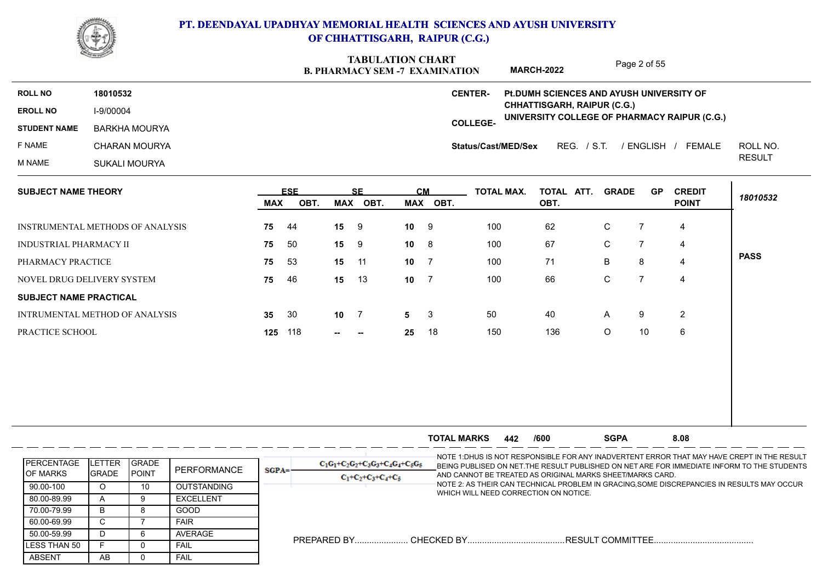

### **B. PHARMACY SEM -7 EXAMINATION TABULATION CHART**

Page 2 of 55

|                            |                      | <b>B. PHARMACY SEM -7 EXAMINATION</b>                          | <b>MARCH-2022</b> | Page 2 01 33                                                                |               |
|----------------------------|----------------------|----------------------------------------------------------------|-------------------|-----------------------------------------------------------------------------|---------------|
| <b>ROLL NO</b>             | 18010532             | <b>CENTER-</b>                                                 |                   | Pt.DUMH SCIENCES AND AYUSH UNIVERSITY OF                                    |               |
| <b>EROLL NO</b>            | I-9/00004            |                                                                |                   | CHHATTISGARH, RAIPUR (C.G.)<br>UNIVERSITY COLLEGE OF PHARMACY RAIPUR (C.G.) |               |
| <b>STUDENT NAME</b>        | BARKHA MOURYA        | <b>COLLEGE-</b>                                                |                   |                                                                             |               |
| F NAME                     | <b>CHARAN MOURYA</b> | Status/Cast/MED/Sex                                            | REG.              | $/$ S.T.<br>/ ENGLISH<br>FEMALE                                             | ROLL NO.      |
| M NAME                     | SUKALI MOURYA        |                                                                |                   |                                                                             | <b>RESULT</b> |
| <b>SUBJECT NAME THEORY</b> |                      | <b>ESE</b><br>CМ<br><b>TOTAL MAX.</b>                          | <b>TOTAL</b>      | <b>GP</b><br><b>CREDIT</b><br><b>GRADE</b><br>ATT.                          |               |
|                            |                      | <br>$\cdots$<br>$\mathbf{A} = \mathbf{A}$<br><br>$\sim$ $\sim$ | $\sim$ $\sim$     | <b>DOILIT</b>                                                               | 18010532      |

|                                  | <b>MAX</b>      | OBT. | <b>MAX</b>      | OBT.   |                 | MAX OBT. |     | OBT. |              |    | <b>POINT</b>   | 78070532    |
|----------------------------------|-----------------|------|-----------------|--------|-----------------|----------|-----|------|--------------|----|----------------|-------------|
| INSTRUMENTAL METHODS OF ANALYSIS | 75              | 44   | 15 <sup>1</sup> | -9     | 10 <sup>°</sup> | 9        | 100 | 62   | C.           |    | 4              |             |
| INDUSTRIAL PHARMACY II           | 75              | -50  | 15 <sub>1</sub> | - 9    | 10 <sub>1</sub> | - 8      | 100 | 67   | $\mathsf{C}$ |    | 4              |             |
| PHARMACY PRACTICE                | 75              | -53  | 15              | - 11   | 10              | -7       | 100 | 71   | B            | 8  | 4              | <b>PASS</b> |
| NOVEL DRUG DELIVERY SYSTEM       | 75              | -46  | 15              | 13     | 10 <sup>°</sup> | -7       | 100 | 66   | C.           |    | 4              |             |
| <b>SUBJECT NAME PRACTICAL</b>    |                 |      |                 |        |                 |          |     |      |              |    |                |             |
| INTRUMENTAL METHOD OF ANALYSIS   | 35 <sub>o</sub> | -30  | 10 <sub>7</sub> |        | $5 \quad 3$     |          | 50  | 40   | A            | 9  | $\overline{2}$ |             |
| PRACTICE SCHOOL                  | 125             | 118  | $-$             | $\sim$ | 25              | - 18     | 150 | 136  | $\circ$      | 10 | -6             |             |
|                                  |                 |      |                 |        |                 |          |     |      |              |    |                |             |

|                                        |                        |                                |                    | 8.08<br><b>SGPA</b><br><b>TOTAL MARKS</b><br>/600<br>442                                                                                                                                                                                                                                                                            |
|----------------------------------------|------------------------|--------------------------------|--------------------|-------------------------------------------------------------------------------------------------------------------------------------------------------------------------------------------------------------------------------------------------------------------------------------------------------------------------------------|
| <b>IPERCENTAGE</b><br><b>IOF MARKS</b> | ETTER-<br><b>GRADE</b> | <b>IGRADE</b><br><b>IPOINT</b> | PERFORMANCE        | -NOTE 1:DHUS IS NOT RESPONSIBLE FOR ANY INADVERTENT ERROR THAT MAY HAVE CREPT IN THE RESULT<br>$C_1C_1+C_2C_2+C_3C_3+C_4C_4+C_5C_5$<br>BEING PUBLISED ON NET. THE RESULT PUBLISHED ON NET ARE FOR IMMEDIATE INFORM TO THE STUDENTS<br>$SGPA=$<br>AND CANNOT BE TREATED AS ORIGINAL MARKS SHEET/MARKS CARD.<br>$C_1+C_2+C_3+C_4+C_5$ |
| 90.00-100                              |                        | 10                             | <b>OUTSTANDING</b> | NOTE 2: AS THEIR CAN TECHNICAL PROBLEM IN GRACING,SOME DISCREPANCIES IN RESULTS MAY OCCUR                                                                                                                                                                                                                                           |
| 80.00-89.99                            |                        |                                | <b>EXCELLENT</b>   | WHICH WILL NEED CORRECTION ON NOTICE.                                                                                                                                                                                                                                                                                               |
| 70.00-79.99                            | B                      |                                | GOOD               |                                                                                                                                                                                                                                                                                                                                     |
| 60.00-69.99                            |                        |                                | <b>FAIR</b>        |                                                                                                                                                                                                                                                                                                                                     |
| 50.00-59.99                            |                        |                                | <b>AVERAGE</b>     |                                                                                                                                                                                                                                                                                                                                     |
| <b>ILESS THAN 50</b>                   |                        |                                | <b>FAIL</b>        |                                                                                                                                                                                                                                                                                                                                     |
| ABSENT                                 | AB.                    |                                | FAIL               |                                                                                                                                                                                                                                                                                                                                     |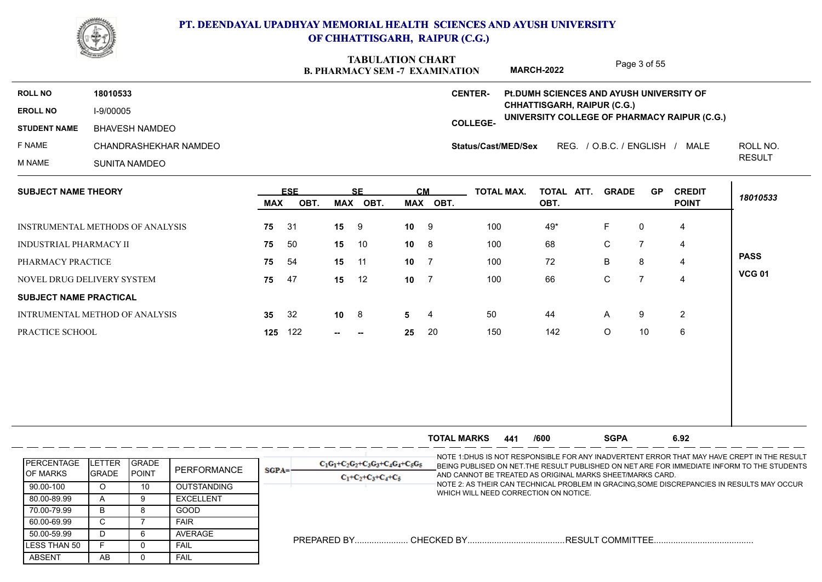

|                               | <b>CONFIDENTIAL</b>                     |     |            |              | <b>TABULATION CHART</b><br><b>B. PHARMACY SEM -7 EXAMINATION</b> |                 |                |                     | <b>MARCH-2022</b>                         |              | Page 3 of 55              |                                              |               |
|-------------------------------|-----------------------------------------|-----|------------|--------------|------------------------------------------------------------------|-----------------|----------------|---------------------|-------------------------------------------|--------------|---------------------------|----------------------------------------------|---------------|
| <b>ROLL NO</b>                | 18010533                                |     |            |              |                                                                  |                 |                | <b>CENTER-</b>      | Pt. DUMH SCIENCES AND AYUSH UNIVERSITY OF |              |                           |                                              |               |
| <b>EROLL NO</b>               | I-9/00005                               |     |            |              |                                                                  |                 |                |                     | CHHATTISGARH, RAIPUR (C.G.)               |              |                           | UNIVERSITY COLLEGE OF PHARMACY RAIPUR (C.G.) |               |
| <b>STUDENT NAME</b>           | <b>BHAVESH NAMDEO</b>                   |     |            |              |                                                                  |                 |                | <b>COLLEGE-</b>     |                                           |              |                           |                                              |               |
| F NAME                        | CHANDRASHEKHAR NAMDEO                   |     |            |              |                                                                  |                 |                | Status/Cast/MED/Sex |                                           |              | REG. / O.B.C. / ENGLISH / | MALE                                         | ROLL NO.      |
| <b>M NAME</b>                 | <b>SUNITA NAMDEO</b>                    |     |            |              |                                                                  |                 |                |                     |                                           |              |                           |                                              | <b>RESULT</b> |
| <b>SUBJECT NAME THEORY</b>    |                                         |     | <b>ESE</b> |              | <b>SF</b>                                                        | CM              |                | <b>TOTAL MAX.</b>   | TOTAL ATT.                                | <b>GRADE</b> | <b>GP</b>                 | <b>CREDIT</b>                                |               |
|                               |                                         | MAX | OBT.       |              | MAX OBT.                                                         |                 | MAX OBT.       |                     | OBT.                                      |              |                           | <b>POINT</b>                                 | 18010533      |
|                               | <b>INSTRUMENTAL METHODS OF ANALYSIS</b> | 75  | 31         | 15           | 9                                                                | 10              | 9              | 100                 | 49*                                       | F            | 0                         | 4                                            |               |
| <b>INDUSTRIAL PHARMACY II</b> |                                         | 75  | 50         | 15           | 10                                                               | $10 \t 8$       |                | 100                 | 68                                        | $\mathsf C$  | $\overline{7}$            | 4                                            |               |
| PHARMACY PRACTICE             |                                         | 75  | 54         | 15           | 11                                                               | 10 <sub>1</sub> | $\overline{7}$ | 100                 | 72                                        | B            | 8                         | 4                                            | <b>PASS</b>   |
|                               | NOVEL DRUG DELIVERY SYSTEM              | 75  | 47         | 15           | 12                                                               | 10              | 7              | 100                 | 66                                        | ${\bf C}$    | $\overline{7}$            | $\overline{\mathbf{4}}$                      | <b>VCG 01</b> |
| <b>SUBJECT NAME PRACTICAL</b> |                                         |     |            |              |                                                                  |                 |                |                     |                                           |              |                           |                                              |               |
|                               | INTRUMENTAL METHOD OF ANALYSIS          | 35  | 32         | $10 \quad 8$ |                                                                  | 5               | 4              | 50                  | 44                                        | A            | 9                         | $\overline{2}$                               |               |
|                               | PRACTICE SCHOOL                         | 125 | 122        | −−           | $-$                                                              | 25              | 20             | 150                 | 142                                       | O            | 10                        | $\,6\,$                                      |               |

|                                        |                                 |                                |                  |            |                                                               | <b>TOTAL MARKS</b>                    | 441 | /600 | <b>SGPA</b>                                               | 6.92                                                                                                                                                                                       |  |
|----------------------------------------|---------------------------------|--------------------------------|------------------|------------|---------------------------------------------------------------|---------------------------------------|-----|------|-----------------------------------------------------------|--------------------------------------------------------------------------------------------------------------------------------------------------------------------------------------------|--|
| <b>IPERCENTAGE</b><br><b>IOF MARKS</b> | <b>ILETTER</b><br><b>IGRADE</b> | <b>IGRADE</b><br><b>IPOINT</b> | PERFORMANCE      | $SGPA = -$ | $C_1G_1+C_2G_2+C_3G_3+C_4G_4+C_5G_5$<br>$C_1+C_2+C_3+C_4+C_5$ |                                       |     |      | AND CANNOT BE TREATED AS ORIGINAL MARKS SHEET/MARKS CARD. | -NOTE 1:DHUS IS NOT RESPONSIBLE FOR ANY INADVERTENT ERROR THAT MAY HAVE CREPT IN THE RESULT<br>BEING PUBLISED ON NET. THE RESULT PUBLISHED ON NET ARE FOR IMMEDIATE INFORM TO THE STUDENTS |  |
| 90.00-100                              |                                 | 10                             | OUTSTANDING      |            |                                                               |                                       |     |      |                                                           | -NOTE 2: AS THEIR CAN TECHNICAL PROBLEM IN GRACING.SOME DISCREPANCIES IN RESULTS MAY OCCUR                                                                                                 |  |
| 80.00-89.99                            |                                 |                                | <b>EXCELLENT</b> |            |                                                               | WHICH WILL NEED CORRECTION ON NOTICE. |     |      |                                                           |                                                                                                                                                                                            |  |
| 70.00-79.99                            | B                               |                                | GOOD             |            |                                                               |                                       |     |      |                                                           |                                                                                                                                                                                            |  |
| 60.00-69.99                            |                                 |                                | <b>FAIR</b>      |            |                                                               |                                       |     |      |                                                           |                                                                                                                                                                                            |  |
| 50.00-59.99                            |                                 |                                | AVERAGE          |            |                                                               |                                       |     |      |                                                           |                                                                                                                                                                                            |  |
| ILESS THAN 50                          |                                 |                                | <b>FAIL</b>      |            |                                                               |                                       |     |      |                                                           |                                                                                                                                                                                            |  |
| <b>ABSENT</b>                          | AB                              |                                | <b>FAIL</b>      |            |                                                               |                                       |     |      |                                                           |                                                                                                                                                                                            |  |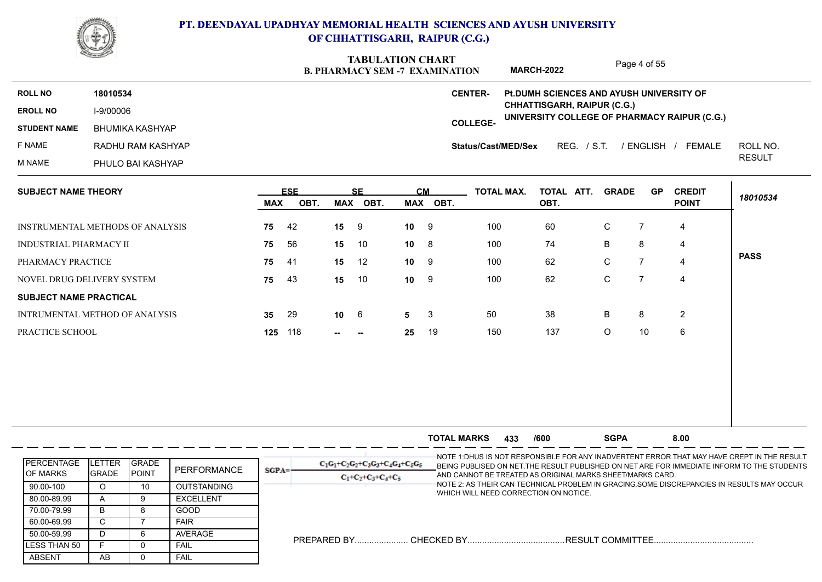

### **PT. DEENDAYAL UPADHYAY MEMORIAL HEALTH SCIENCES AND AYUSH UNIVERSITY OF CHHATTISGARH, RAIPUR (C.G.)**

# **TABULATION CHART**

|                               |                                  |            |            |                 | TABULATION CHART<br><b>B. PHARMACY SEM -7 EXAMINATION</b> |                 |          |                     | <b>MARCH-2022</b> |             |                             | Page 4 of 55   |                                              |               |
|-------------------------------|----------------------------------|------------|------------|-----------------|-----------------------------------------------------------|-----------------|----------|---------------------|-------------------|-------------|-----------------------------|----------------|----------------------------------------------|---------------|
| <b>ROLL NO</b>                | 18010534                         |            |            |                 |                                                           |                 |          | <b>CENTER-</b>      |                   |             |                             |                | Pt.DUMH SCIENCES AND AYUSH UNIVERSITY OF     |               |
| <b>EROLL NO</b>               | I-9/00006                        |            |            |                 |                                                           |                 |          |                     |                   |             | CHHATTISGARH, RAIPUR (C.G.) |                | UNIVERSITY COLLEGE OF PHARMACY RAIPUR (C.G.) |               |
| <b>STUDENT NAME</b>           | <b>BHUMIKA KASHYAP</b>           |            |            |                 |                                                           |                 |          | <b>COLLEGE-</b>     |                   |             |                             |                |                                              |               |
| F NAME                        | RADHU RAM KASHYAP                |            |            |                 |                                                           |                 |          | Status/Cast/MED/Sex |                   | REG. / S.T. |                             | / ENGLISH /    | FEMALE                                       | ROLL NO.      |
| M NAME                        | PHULO BAI KASHYAP                |            |            |                 |                                                           |                 |          |                     |                   |             |                             |                |                                              | <b>RESULT</b> |
| <b>SUBJECT NAME THEORY</b>    |                                  |            | <b>ESE</b> |                 | SE.                                                       |                 | CМ       | <b>TOTAL MAX.</b>   |                   | TOTAL ATT.  | <b>GRADE</b>                | <b>GP</b>      | <b>CREDIT</b>                                | 18010534      |
|                               |                                  | <b>MAX</b> | OBT.       | MAX             | OBT.                                                      |                 | MAX OBT. |                     | OBT.              |             |                             |                | <b>POINT</b>                                 |               |
|                               | INSTRUMENTAL METHODS OF ANALYSIS | 75         | 42         | 15 <sub>1</sub> | - 9                                                       | 10              | 9        | 100                 | 60                |             | $\mathsf{C}$                | $\overline{7}$ | 4                                            |               |
| <b>INDUSTRIAL PHARMACY II</b> |                                  | 75         | 56         | 15 <sub>1</sub> | 10                                                        | $10 \t 8$       |          | 100                 | 74                |             | B                           | 8              | 4                                            |               |
| PHARMACY PRACTICE             |                                  | 75         | -41        | 15 <sub>1</sub> | 12                                                        | 10 <sup>1</sup> | 9        | 100                 | 62                |             | $\mathsf{C}$                | $\overline{7}$ | 4                                            | <b>PASS</b>   |
|                               | NOVEL DRUG DELIVERY SYSTEM       | 75         | 43         | 15              | 10                                                        | 10              | 9        | 100                 | 62                |             | C                           | $\overline{7}$ | 4                                            |               |
| <b>SUBJECT NAME PRACTICAL</b> |                                  |            |            |                 |                                                           |                 |          |                     |                   |             |                             |                |                                              |               |
|                               | INTRUMENTAL METHOD OF ANALYSIS   | 35         | 29         | $10 \t 6$       |                                                           | 5               | 3        | 50                  | 38                |             | B                           | 8              | $\overline{2}$                               |               |
| PRACTICE SCHOOL               |                                  | 125        | 118        | --              | $\overline{\phantom{a}}$                                  | 25              | 19       | 150                 | 137               |             | O                           | 10             | 6                                            |               |

|                                        |                                 |                               |                    |          |                                                               | <b>TOTAL MARKS</b>                    | 433 | /600 | <b>SGPA</b>                                               | 8.00                                                                                                                                                                                       |
|----------------------------------------|---------------------------------|-------------------------------|--------------------|----------|---------------------------------------------------------------|---------------------------------------|-----|------|-----------------------------------------------------------|--------------------------------------------------------------------------------------------------------------------------------------------------------------------------------------------|
| <b>IPERCENTAGE</b><br><b>IOF MARKS</b> | <b>ILETTER</b><br><b>IGRADE</b> | <b>IGRADE</b><br><b>POINT</b> | PERFORMANCE        | $SGPA =$ | $C_1C_1+C_2C_2+C_3C_3+C_4C_4+C_5C_5$<br>$C_1+C_2+C_3+C_4+C_5$ |                                       |     |      | AND CANNOT BE TREATED AS ORIGINAL MARKS SHEET/MARKS CARD. | -NOTE 1:DHUS IS NOT RESPONSIBLE FOR ANY INADVERTENT ERROR THAT MAY HAVE CREPT IN THE RESULT<br>BEING PUBLISED ON NET. THE RESULT PUBLISHED ON NET ARE FOR IMMEDIATE INFORM TO THE STUDENTS |
| 90.00-100                              |                                 |                               | <b>OUTSTANDING</b> |          |                                                               | WHICH WILL NEED CORRECTION ON NOTICE. |     |      |                                                           | NOTE 2: AS THEIR CAN TECHNICAL PROBLEM IN GRACING,SOME DISCREPANCIES IN RESULTS MAY OCCUR                                                                                                  |
| 80.00-89.99                            |                                 |                               | <b>EXCELLENT</b>   |          |                                                               |                                       |     |      |                                                           |                                                                                                                                                                                            |
| 70.00-79.99                            | B                               |                               | GOOD               |          |                                                               |                                       |     |      |                                                           |                                                                                                                                                                                            |
| 60.00-69.99                            |                                 |                               | <b>FAIR</b>        |          |                                                               |                                       |     |      |                                                           |                                                                                                                                                                                            |
| 50.00-59.99                            |                                 |                               | AVERAGE            |          |                                                               |                                       |     |      |                                                           |                                                                                                                                                                                            |
| ILESS THAN 50                          |                                 |                               | FAIL               |          |                                                               |                                       |     |      |                                                           |                                                                                                                                                                                            |
| <b>ABSENT</b>                          | AB                              |                               | FAIL               |          |                                                               |                                       |     |      |                                                           |                                                                                                                                                                                            |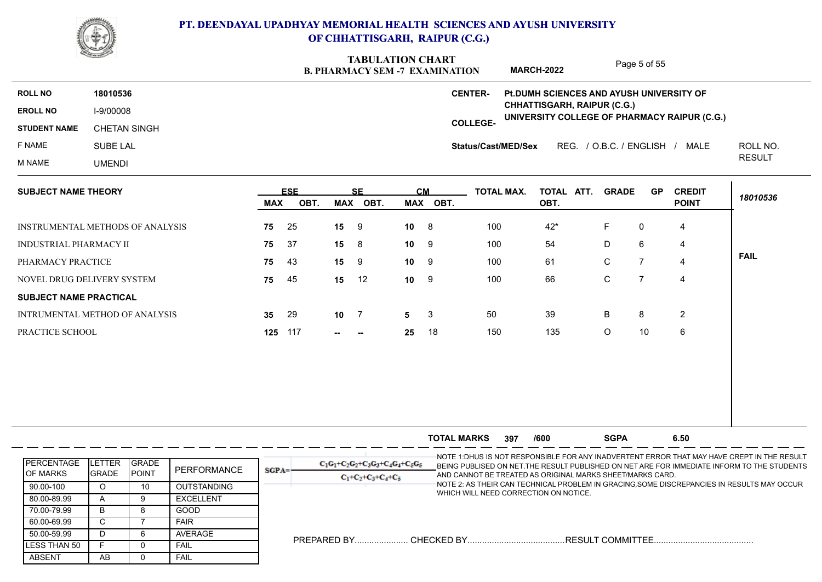

ABSENT | AB | 0 LESS THAN 50 F 0 50.00-59.99 D 6

C | 7 | FAIR | |

F 0 FAIL

AB 0 FAIL

### **PT. DEENDAYAL UPADHYAY MEMORIAL HEALTH SCIENCES AND AYUSH UNIVERSITY OF CHHATTISGARH, RAIPUR (C.G.)**

# **TABULATION CHART**

|                                         |                         |                |                                        |            |            |               | IADULAHUN UHANI<br><b>B. PHARMACY SEM -7 EXAMINATION</b> |               |          |                                                                                                                                                                                           | <b>MARCH-2022</b>                            |              | Page 5 of 55   |                                |               |
|-----------------------------------------|-------------------------|----------------|----------------------------------------|------------|------------|---------------|----------------------------------------------------------|---------------|----------|-------------------------------------------------------------------------------------------------------------------------------------------------------------------------------------------|----------------------------------------------|--------------|----------------|--------------------------------|---------------|
| <b>ROLL NO</b>                          | 18010536                |                |                                        |            |            |               |                                                          |               |          | <b>CENTER-</b>                                                                                                                                                                            | Pt.DUMH SCIENCES AND AYUSH UNIVERSITY OF     |              |                |                                |               |
| <b>EROLL NO</b>                         | I-9/00008               |                |                                        |            |            |               |                                                          |               |          |                                                                                                                                                                                           | CHHATTISGARH, RAIPUR (C.G.)                  |              |                |                                |               |
| <b>STUDENT NAME</b>                     | <b>CHETAN SINGH</b>     |                |                                        |            |            |               |                                                          |               |          | <b>COLLEGE-</b>                                                                                                                                                                           | UNIVERSITY COLLEGE OF PHARMACY RAIPUR (C.G.) |              |                |                                |               |
| F NAME                                  | <b>SUBE LAL</b>         |                |                                        |            |            |               |                                                          |               |          | Status/Cast/MED/Sex                                                                                                                                                                       |                                              |              |                | REG. / O.B.C. / ENGLISH / MALE | ROLL NO.      |
| M NAME                                  | <b>UMENDI</b>           |                |                                        |            |            |               |                                                          |               |          |                                                                                                                                                                                           |                                              |              |                |                                | <b>RESULT</b> |
| <b>SUBJECT NAME THEORY</b>              |                         |                |                                        |            | <b>ESE</b> |               | <b>SE</b>                                                |               | CM       | <b>TOTAL MAX.</b>                                                                                                                                                                         | TOTAL ATT.                                   | <b>GRADE</b> | <b>GP</b>      | <b>CREDIT</b>                  | 18010536      |
|                                         |                         |                |                                        | <b>MAX</b> | OBT.       |               | MAX OBT.                                                 |               | MAX OBT. |                                                                                                                                                                                           | OBT.                                         |              |                | <b>POINT</b>                   |               |
| <b>INSTRUMENTAL METHODS OF ANALYSIS</b> |                         |                |                                        | 75         | 25         | 15 9          |                                                          | $10 \t 8$     |          | 100                                                                                                                                                                                       | 42*                                          | F            | 0              | 4                              |               |
| <b>INDUSTRIAL PHARMACY II</b>           |                         |                |                                        | 75         | 37         | $15 \t 8$     |                                                          | 10            | 9        | 100                                                                                                                                                                                       | 54                                           | D            | 6              | 4                              |               |
| PHARMACY PRACTICE                       |                         |                |                                        | 75         | 43         | $15 \qquad 9$ |                                                          | 10            | 9        | 100                                                                                                                                                                                       | 61                                           | C            | $\overline{7}$ | 4                              | <b>FAIL</b>   |
| NOVEL DRUG DELIVERY SYSTEM              |                         |                |                                        | 75         | 45         | 15 12         |                                                          | $10 \qquad 9$ |          | 100                                                                                                                                                                                       | 66                                           | C            | $\overline{7}$ | 4                              |               |
| <b>SUBJECT NAME PRACTICAL</b>           |                         |                |                                        |            |            |               |                                                          |               |          |                                                                                                                                                                                           |                                              |              |                |                                |               |
| INTRUMENTAL METHOD OF ANALYSIS          |                         |                |                                        | 35         | 29         | $10 \quad 7$  |                                                          | 5             | 3        | 50                                                                                                                                                                                        | 39                                           | B            | 8              | 2                              |               |
| PRACTICE SCHOOL                         |                         |                |                                        |            | 125 117    |               |                                                          | 25            | 18       | 150                                                                                                                                                                                       | 135                                          | $\circ$      | 10             | 6                              |               |
|                                         |                         |                |                                        |            |            |               |                                                          |               |          |                                                                                                                                                                                           |                                              |              |                |                                |               |
|                                         |                         |                |                                        |            |            |               |                                                          |               |          |                                                                                                                                                                                           |                                              |              |                |                                |               |
|                                         |                         |                |                                        |            |            |               |                                                          |               |          |                                                                                                                                                                                           |                                              |              |                |                                |               |
|                                         |                         |                |                                        |            |            |               |                                                          |               |          |                                                                                                                                                                                           |                                              |              |                |                                |               |
|                                         |                         |                |                                        |            |            |               |                                                          |               |          |                                                                                                                                                                                           |                                              |              |                |                                |               |
|                                         |                         |                |                                        |            |            |               |                                                          |               |          | <b>TOTAL MARKS</b><br>397                                                                                                                                                                 | /600                                         | <b>SGPA</b>  |                | 6.50                           |               |
| <b>PERCENTAGE</b>                       | <b>LETTER</b>           | GRADE          | PERFORMANCE                            | $SGPA =$   |            |               | $C_1C_1+C_2C_2+C_3C_3+C_4C_4+C_5C_5$                     |               |          | NOTE 1:DHUS IS NOT RESPONSIBLE FOR ANY INADVERTENT ERROR THAT MAY HAVE CREPT IN THE RESULT<br>BEING PUBLISED ON NET. THE RESULT PUBLISHED ON NET ARE FOR IMMEDIATE INFORM TO THE STUDENTS |                                              |              |                |                                |               |
| OF MARKS                                | GRADE                   | POINT          |                                        |            |            |               | $C_1 + C_2 + C_3 + C_4 + C_5$                            |               |          | AND CANNOT BE TREATED AS ORIGINAL MARKS SHEET/MARKS CARD.<br>NOTE 2: AS THEIR CAN TECHNICAL PROBLEM IN GRACING, SOME DISCREPANCIES IN RESULTS MAY OCCUR                                   |                                              |              |                |                                |               |
| 90.00-100<br>80.00-89.99                | $\circ$<br>$\mathsf{A}$ | 10<br>9        | <b>OUTSTANDING</b><br><b>EXCELLENT</b> |            |            |               |                                                          |               |          | WHICH WILL NEED CORRECTION ON NOTICE.                                                                                                                                                     |                                              |              |                |                                |               |
| 70.00-79.99                             | B.                      | 8              | GOOD                                   |            |            |               |                                                          |               |          |                                                                                                                                                                                           |                                              |              |                |                                |               |
| 60.00-69.99                             | $\overline{C}$          | $\overline{7}$ | FAIR                                   |            |            |               |                                                          |               |          |                                                                                                                                                                                           |                                              |              |                |                                |               |

PREPARED BY...................... CHECKED BY........................................RESULT COMMITTEE......................................... D | 6 | AVERAGE | \_ \_ \_ \_ \_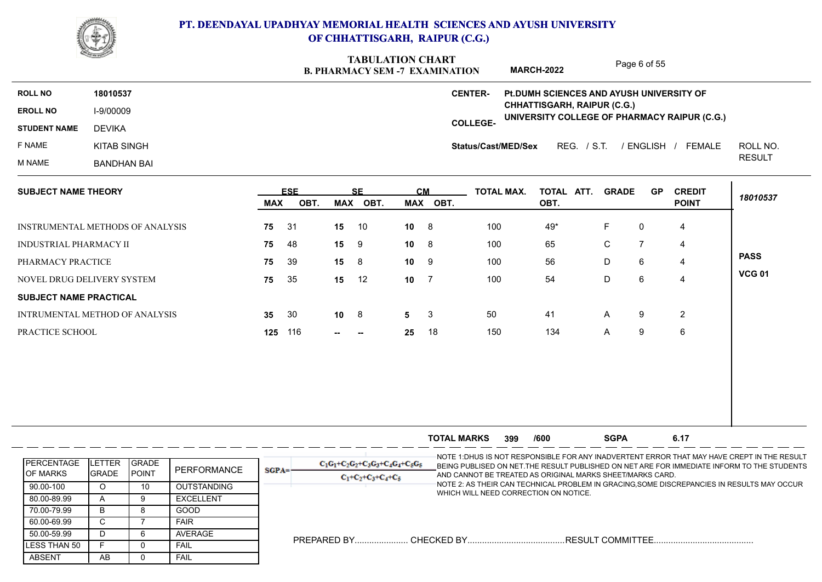

### **B. PHARMACY SEM -7 EXAMINATION TABULATION CHART**

Page 6 of 55

|                            |                    | Paye o or po<br><b>MARCH-2022</b><br><b>B. PHARMACY SEM -7 EXAMINATION</b>                                                                                                                           |
|----------------------------|--------------------|------------------------------------------------------------------------------------------------------------------------------------------------------------------------------------------------------|
| <b>ROLL NO</b>             | 18010537           | Pt.DUMH SCIENCES AND AYUSH UNIVERSITY OF<br><b>CENTER-</b>                                                                                                                                           |
| <b>EROLL NO</b>            | I-9/00009          | <b>CHHATTISGARH, RAIPUR (C.G.)</b><br>UNIVERSITY COLLEGE OF PHARMACY RAIPUR (C.G.)                                                                                                                   |
| <b>STUDENT NAME</b>        | <b>DEVIKA</b>      | <b>COLLEGE-</b>                                                                                                                                                                                      |
| F NAME                     | <b>KITAB SINGH</b> | / S.T.<br>/ ENGLISH<br>FEMALE<br>ROLL NO.<br>REG.<br>Status/Cast/MED/Sex                                                                                                                             |
| M NAME                     | <b>BANDHAN BAI</b> | <b>RESULT</b>                                                                                                                                                                                        |
| <b>SUBJECT NAME THEORY</b> |                    | <b>ESE</b><br><b>CM</b><br><b>TOTAL MAX.</b><br><b>GRADE</b><br><b>CREDIT</b><br>TOTAL ATT.<br>GP.<br><b>SF</b><br>18010537<br><b>POINT</b><br>OBT.<br>OBT.<br>MAX<br>OBT.<br>MAX OBT.<br><b>MAX</b> |
|                            |                    |                                                                                                                                                                                                      |

| INSTRUMENTAL METHODS OF ANALYSIS | 75  | - 31 | 15           | 10     | 10 <sup>°</sup> | - 8 | 100 | 49* | ь. | 0 | 4 |               |
|----------------------------------|-----|------|--------------|--------|-----------------|-----|-----|-----|----|---|---|---------------|
| <b>INDUSTRIAL PHARMACY II</b>    | 75  | -48  | 15           | -9     | 10              | -8  | 100 | 65  | C. |   | 4 |               |
| PHARMACY PRACTICE                | 75  | - 39 | 15           | 8      | 10 <sup>°</sup> | -9  | 100 | 56  | D  | 6 | 4 | <b>PASS</b>   |
| NOVEL DRUG DELIVERY SYSTEM       | 75  | - 35 | 15           | 12     | 10              |     | 100 | 54  | D  | 6 | 4 | <b>VCG 01</b> |
| <b>SUBJECT NAME PRACTICAL</b>    |     |      |              |        |                 |     |     |     |    |   |   |               |
| INTRUMENTAL METHOD OF ANALYSIS   | 35  | - 30 | $10 \quad 8$ |        | 5               | -3  | 50  | 41  | A  | 9 | 2 |               |
| PRACTICE SCHOOL                  | 125 | 116  | $ -$         | $\sim$ | 25              | 18  | 150 | 134 | A  | 9 | 6 |               |
|                                  |     |      |              |        |                 |     |     |     |    |   |   |               |

|                                        |                                 |                               |                    |         |                                                               | <b>TOTAL MARKS</b>                    | 399 | /600 | <b>SGPA</b>                                                                                                                                                                                                                                             | 6.17 |  |
|----------------------------------------|---------------------------------|-------------------------------|--------------------|---------|---------------------------------------------------------------|---------------------------------------|-----|------|---------------------------------------------------------------------------------------------------------------------------------------------------------------------------------------------------------------------------------------------------------|------|--|
| <b>IPERCENTAGE</b><br><b>IOF MARKS</b> | <b>ILETTER</b><br><b>IGRADE</b> | <b>IGRADE</b><br><b>POINT</b> | PERFORMANCE        | $SGPA=$ | $C_1C_1+C_2C_2+C_3C_3+C_4C_4+C_5C_5$<br>$C_1+C_2+C_3+C_4+C_5$ |                                       |     |      | -NOTE 1:DHUS IS NOT RESPONSIBLE FOR ANY INADVERTENT ERROR THAT MAY HAVE CREPT IN THE RESULT<br>BEING PUBLISED ON NET. THE RESULT PUBLISHED ON NET ARE FOR IMMEDIATE INFORM TO THE STUDENTS<br>AND CANNOT BE TREATED AS ORIGINAL MARKS SHEET/MARKS CARD. |      |  |
| 90.00-100                              |                                 | ΙU                            | <b>OUTSTANDING</b> |         |                                                               |                                       |     |      | NOTE 2: AS THEIR CAN TECHNICAL PROBLEM IN GRACING,SOME DISCREPANCIES IN RESULTS MAY OCCUR                                                                                                                                                               |      |  |
| 80.00-89.99                            |                                 |                               | <b>EXCELLENT</b>   |         |                                                               | WHICH WILL NEED CORRECTION ON NOTICE. |     |      |                                                                                                                                                                                                                                                         |      |  |
| 70.00-79.99                            | B                               |                               | GOOD               |         |                                                               |                                       |     |      |                                                                                                                                                                                                                                                         |      |  |
| 60.00-69.99                            |                                 |                               | FAIR               |         |                                                               |                                       |     |      |                                                                                                                                                                                                                                                         |      |  |
| 50.00-59.99                            |                                 |                               | AVERAGE            |         |                                                               |                                       |     |      |                                                                                                                                                                                                                                                         |      |  |
| ILESS THAN 50                          |                                 |                               | FAIL               |         |                                                               |                                       |     |      |                                                                                                                                                                                                                                                         |      |  |
| <b>ABSENT</b>                          | AB                              |                               | FAIL               |         |                                                               |                                       |     |      |                                                                                                                                                                                                                                                         |      |  |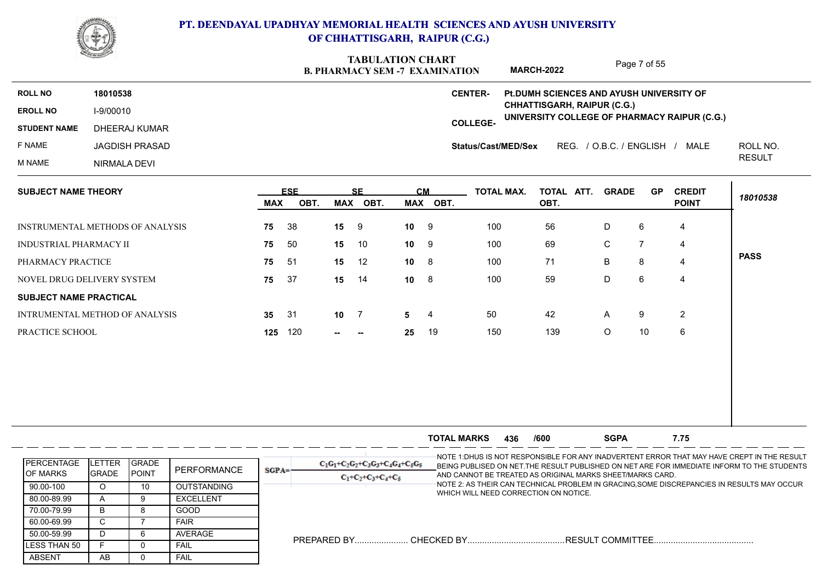

 $\overline{\phantom{a}}$ 

### **PT. DEENDAYAL UPADHYAY MEMORIAL HEALTH SCIENCES AND AYUSH UNIVERSITY OF CHHATTISGARH, RAIPUR (C.G.)**

## **TABULATION CHART**

Page 7 of 55

|                               |                                         |            |                    |                 | <b>B. PHARMACY SEM -7 EXAMINATION</b> |                     | <b>MARCH-2022</b>                                                           |                         | $\sim$ $\sim$ $\sim$ $\sim$ $\sim$ |                               |               |
|-------------------------------|-----------------------------------------|------------|--------------------|-----------------|---------------------------------------|---------------------|-----------------------------------------------------------------------------|-------------------------|------------------------------------|-------------------------------|---------------|
| <b>ROLL NO</b>                | 18010538                                |            |                    |                 |                                       | <b>CENTER-</b>      | Pt.DUMH SCIENCES AND AYUSH UNIVERSITY OF                                    |                         |                                    |                               |               |
| <b>EROLL NO</b>               | I-9/00010                               |            |                    |                 |                                       |                     | CHHATTISGARH, RAIPUR (C.G.)<br>UNIVERSITY COLLEGE OF PHARMACY RAIPUR (C.G.) |                         |                                    |                               |               |
| <b>STUDENT NAME</b>           | DHEERAJ KUMAR                           |            |                    |                 |                                       | <b>COLLEGE-</b>     |                                                                             |                         |                                    |                               |               |
| F NAME                        | JAGDISH PRASAD                          |            |                    |                 |                                       | Status/Cast/MED/Sex |                                                                             | REG. / O.B.C. / ENGLISH |                                    | MALE                          | ROLL NO.      |
| M NAME                        | NIRMALA DEVI                            |            |                    |                 |                                       |                     |                                                                             |                         |                                    |                               | <b>RESULT</b> |
| <b>SUBJECT NAME THEORY</b>    |                                         | <b>MAX</b> | <b>ESE</b><br>OBT. | SF.<br>MAX OBT. | CM.<br><b>MAX</b><br>OBT.             | <b>TOTAL MAX.</b>   | TOTAL ATT.<br>OBT.                                                          | <b>GRADE</b>            | <b>GP</b>                          | <b>CREDIT</b><br><b>POINT</b> | 18010538      |
|                               | <b>INSTRUMENTAL METHODS OF ANALYSIS</b> | 75         | -38                | $15 \quad 9$    | $10 \quad 9$                          | 100                 | 56                                                                          | D                       | 6                                  | 4                             |               |
| <b>INDUSTRIAL PHARMACY II</b> |                                         | 75         | 50                 | 10<br>15        | $10 \quad 9$                          | 100                 | 69                                                                          | C                       |                                    | 4                             |               |

| INSTRUMENTAL METHODS OF ANALYSIS |                |                |                    |            |     |              |                                      |    |                    |     |                                                           |             |                |                |                                                                                                                                                                                           |
|----------------------------------|----------------|----------------|--------------------|------------|-----|--------------|--------------------------------------|----|--------------------|-----|-----------------------------------------------------------|-------------|----------------|----------------|-------------------------------------------------------------------------------------------------------------------------------------------------------------------------------------------|
| <b>INDUSTRIAL PHARMACY II</b>    |                |                |                    | 75         | 50  | 15           | 10                                   | 10 | 9                  | 100 | 69                                                        | $\mathsf C$ | $\overline{7}$ | 4              |                                                                                                                                                                                           |
| PHARMACY PRACTICE                |                |                |                    | 75         | 51  | 15           | 12                                   | 10 | - 8                | 100 | 71                                                        | B           | 8              | 4              | <b>PASS</b>                                                                                                                                                                               |
| NOVEL DRUG DELIVERY SYSTEM       |                |                |                    | 75         | 37  | 15           | 14                                   | 10 | -8                 | 100 | 59                                                        | D           | $\,6\,$        | 4              |                                                                                                                                                                                           |
| <b>SUBJECT NAME PRACTICAL</b>    |                |                |                    |            |     |              |                                      |    |                    |     |                                                           |             |                |                |                                                                                                                                                                                           |
| INTRUMENTAL METHOD OF ANALYSIS   |                |                |                    | 35 31      |     | $10 \quad 7$ |                                      | 5  | 4                  | 50  | 42                                                        | A           | 9              | $\overline{2}$ |                                                                                                                                                                                           |
| PRACTICE SCHOOL                  |                |                |                    | 125        | 120 | $\sim$       |                                      | 25 | 19                 | 150 | 139                                                       | $\circ$     | 10             | 6              |                                                                                                                                                                                           |
|                                  |                |                |                    |            |     |              |                                      |    |                    |     |                                                           |             |                |                |                                                                                                                                                                                           |
|                                  |                |                |                    |            |     |              |                                      |    |                    |     |                                                           |             |                |                |                                                                                                                                                                                           |
|                                  |                |                |                    |            |     |              |                                      |    |                    |     |                                                           |             |                |                |                                                                                                                                                                                           |
|                                  |                |                |                    |            |     |              |                                      |    |                    |     |                                                           |             |                |                |                                                                                                                                                                                           |
|                                  |                |                |                    |            |     |              |                                      |    |                    |     |                                                           |             |                |                |                                                                                                                                                                                           |
|                                  |                |                |                    |            |     |              |                                      |    |                    |     |                                                           |             |                |                |                                                                                                                                                                                           |
|                                  |                |                |                    |            |     |              |                                      |    |                    |     |                                                           |             |                |                |                                                                                                                                                                                           |
|                                  |                |                |                    |            |     |              |                                      |    |                    |     |                                                           |             |                |                |                                                                                                                                                                                           |
|                                  |                |                |                    |            |     |              |                                      |    | <b>TOTAL MARKS</b> | 436 | /600                                                      | <b>SGPA</b> |                | 7.75           |                                                                                                                                                                                           |
| PERCENTAGE                       | LETTER         | GRADE          |                    |            |     |              | $C_1C_1+C_2C_2+C_3C_3+C_4C_4+C_5C_5$ |    |                    |     |                                                           |             |                |                | NOTE 1:DHUS IS NOT RESPONSIBLE FOR ANY INADVERTENT ERROR THAT MAY HAVE CREPT IN THE RESULT<br>BEING PUBLISED ON NET. THE RESULT PUBLISHED ON NET ARE FOR IMMEDIATE INFORM TO THE STUDENTS |
| <b>OF MARKS</b>                  | <b>I</b> GRADE | POINT          | PERFORMANCE        | $SGPA = -$ |     |              |                                      |    |                    |     | AND CANNOT BE TREATED AS ORIGINAL MARKS SHEET/MARKS CARD. |             |                |                |                                                                                                                                                                                           |
| 90.00-100                        | $\circ$        | 10             | <b>OUTSTANDING</b> |            |     |              | $C_1 + C_2 + C_3 + C_4 + C_5$        |    |                    |     |                                                           |             |                |                | NOTE 2: AS THEIR CAN TECHNICAL PROBLEM IN GRACING,SOME DISCREPANCIES IN RESULTS MAY OCCUR                                                                                                 |
| 80.00-89.99                      | $\mathsf{A}$   | 9              | <b>EXCELLENT</b>   |            |     |              |                                      |    |                    |     | WHICH WILL NEED CORRECTION ON NOTICE.                     |             |                |                |                                                                                                                                                                                           |
| 70.00-79.99                      | <sub>B</sub>   | 8              | GOOD               |            |     |              |                                      |    |                    |     |                                                           |             |                |                |                                                                                                                                                                                           |
| 60.00-69.99                      | C              | $\overline{7}$ | <b>FAIR</b>        |            |     |              |                                      |    |                    |     |                                                           |             |                |                |                                                                                                                                                                                           |
| 50.00-59.99                      | D              | 6              | AVERAGE            |            |     |              |                                      |    |                    |     |                                                           |             |                |                |                                                                                                                                                                                           |
| <b>LESS THAN 50</b>              | F.             | $\Omega$       | <b>FAIL</b>        |            |     |              |                                      |    |                    |     |                                                           |             |                |                |                                                                                                                                                                                           |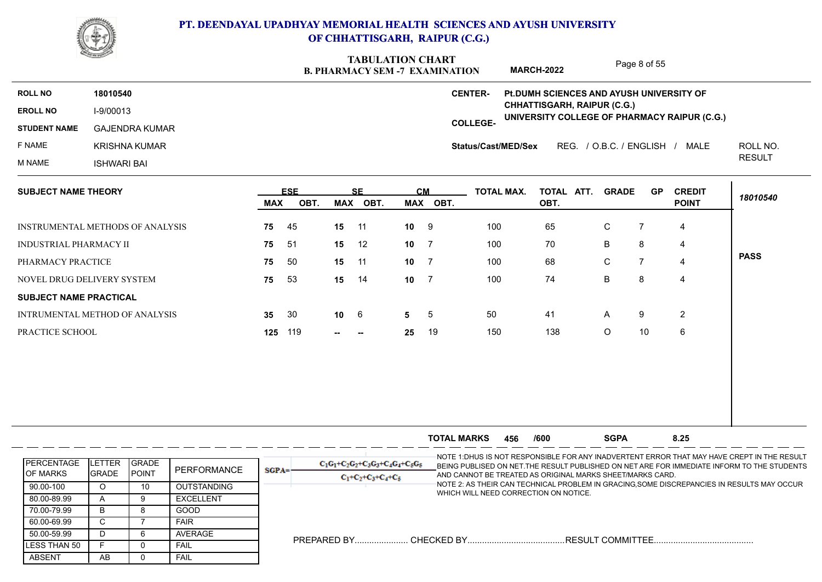

### **B. PHARMACY SEM -7 EXAMINATION TABULATION CHART**

Page 8 of 55

|                               |                                  |     |            |    |          |    | <b>B. PHARMACY SEM -7 EXAMINATION</b> |                     | <b>MARCH-2022</b>                         |                           |              | .         |                                              |               |
|-------------------------------|----------------------------------|-----|------------|----|----------|----|---------------------------------------|---------------------|-------------------------------------------|---------------------------|--------------|-----------|----------------------------------------------|---------------|
| <b>ROLL NO</b>                | 18010540                         |     |            |    |          |    |                                       | <b>CENTER-</b>      | Pt. DUMH SCIENCES AND AYUSH UNIVERSITY OF |                           |              |           |                                              |               |
| <b>EROLL NO</b>               | I-9/00013                        |     |            |    |          |    |                                       |                     | CHHATTISGARH, RAIPUR (C.G.)               |                           |              |           | UNIVERSITY COLLEGE OF PHARMACY RAIPUR (C.G.) |               |
| <b>STUDENT NAME</b>           | <b>GAJENDRA KUMAR</b>            |     |            |    |          |    |                                       | <b>COLLEGE-</b>     |                                           |                           |              |           |                                              |               |
| F NAME                        | <b>KRISHNA KUMAR</b>             |     |            |    |          |    |                                       | Status/Cast/MED/Sex |                                           | REG. / O.B.C. / ENGLISH / |              |           | MALE                                         | ROLL NO.      |
| M NAME                        | <b>ISHWARI BAI</b>               |     |            |    |          |    |                                       |                     |                                           |                           |              |           |                                              | <b>RESULT</b> |
| <b>SUBJECT NAME THEORY</b>    |                                  |     | <b>ESE</b> |    | SE.      |    | CМ                                    | <b>TOTAL MAX.</b>   | TOTAL ATT.                                |                           | <b>GRADE</b> | <b>GP</b> | <b>CREDIT</b>                                |               |
|                               |                                  | MAX | OBT.       |    | MAX OBT. |    | MAX OBT.                              |                     | OBT.                                      |                           |              |           | <b>POINT</b>                                 | 18010540      |
|                               | INSTRUMENTAL METHODS OF ANALYSIS | 75  | -45        | 15 | 11       | 10 | -9                                    | 100                 | 65                                        | C                         |              |           | 4                                            |               |
| <b>INDUSTRIAL PHARMACY II</b> |                                  | 75  | 51         | 15 | 12       | 10 |                                       | 100                 | 70                                        | B                         |              | 8         | $\overline{4}$                               |               |
| PHARMACY PRACTICE             |                                  |     | 50         | 15 | 11       | 10 |                                       | 100                 | 68                                        | C                         |              |           | 4                                            | <b>PASS</b>   |

|                                       | INSTRUMENTAL METHODS OF ANALYSIS |                      |                            |          |     |           |                                      |    |                    |     |                                                           |              |                |                |                                                                                             |
|---------------------------------------|----------------------------------|----------------------|----------------------------|----------|-----|-----------|--------------------------------------|----|--------------------|-----|-----------------------------------------------------------|--------------|----------------|----------------|---------------------------------------------------------------------------------------------|
| <b>INDUSTRIAL PHARMACY II</b>         |                                  |                      |                            | 75       | 51  | 15        | 12                                   | 10 | - 7                | 100 | 70                                                        | B            | 8              | 4              |                                                                                             |
| PHARMACY PRACTICE                     |                                  |                      |                            | 75       | 50  | 15        | 11                                   | 10 | -7                 | 100 | 68                                                        | $\mathsf{C}$ | $\overline{7}$ | 4              | <b>PASS</b>                                                                                 |
|                                       |                                  |                      |                            |          |     |           |                                      |    |                    |     |                                                           |              |                |                |                                                                                             |
| NOVEL DRUG DELIVERY SYSTEM            |                                  |                      |                            | 75       | 53  | 15        | 14                                   | 10 | -7                 | 100 | 74                                                        | B            | 8              | $\overline{4}$ |                                                                                             |
| <b>SUBJECT NAME PRACTICAL</b>         |                                  |                      |                            |          |     |           |                                      |    |                    |     |                                                           |              |                |                |                                                                                             |
| <b>INTRUMENTAL METHOD OF ANALYSIS</b> |                                  |                      |                            | 35       | 30  | $10 \t 6$ |                                      | 5  | 5                  | 50  | 41                                                        | $\mathsf{A}$ | 9              | 2              |                                                                                             |
| PRACTICE SCHOOL                       |                                  |                      |                            | 125      | 119 |           |                                      | 25 | 19                 | 150 | 138                                                       | $\circ$      | 10             | 6              |                                                                                             |
|                                       |                                  |                      |                            |          |     |           |                                      |    |                    |     |                                                           |              |                |                |                                                                                             |
|                                       |                                  |                      |                            |          |     |           |                                      |    |                    |     |                                                           |              |                |                |                                                                                             |
| PERCENTAGE                            | <b>LETTER</b>                    | <b>GRADE</b>         |                            |          |     |           | $C_1G_1+C_2G_2+C_3G_3+C_4G_4+C_5G_5$ |    | <b>TOTAL MARKS</b> | 456 | /600                                                      | <b>SGPA</b>  |                | 8.25           | -NOTE 1:DHUS IS NOT RESPONSIBLE FOR ANY INADVERTENT ERROR THAT MAY HAVE CREPT IN THE RESULT |
| <b>OF MARKS</b>                       | <b>I</b> GRADE                   | POINT                | PERFORMANCE                | $SGPA =$ |     |           |                                      |    |                    |     | AND CANNOT BE TREATED AS ORIGINAL MARKS SHEET/MARKS CARD. |              |                |                | BEING PUBLISED ON NET. THE RESULT PUBLISHED ON NET ARE FOR IMMEDIATE INFORM TO THE STUDENTS |
| 90.00-100                             | $\circ$                          | 10                   | <b>OUTSTANDING</b>         |          |     |           | $C_1+C_2+C_3+C_4+C_5$                |    |                    |     |                                                           |              |                |                | NOTE 2: AS THEIR CAN TECHNICAL PROBLEM IN GRACING,SOME DISCREPANCIES IN RESULTS MAY OCCUR   |
| 80.00-89.99                           | $\mathsf{A}$                     | 9                    | <b>EXCELLENT</b>           |          |     |           |                                      |    |                    |     | WHICH WILL NEED CORRECTION ON NOTICE.                     |              |                |                |                                                                                             |
| 70.00-79.99                           | B                                | 8                    | GOOD                       |          |     |           |                                      |    |                    |     |                                                           |              |                |                |                                                                                             |
| 60.00-69.99                           | $\mathsf{C}$                     | $\overline{7}$       | <b>FAIR</b>                |          |     |           |                                      |    |                    |     |                                                           |              |                |                |                                                                                             |
| 50.00-59.99                           | D                                | 6                    | AVERAGE                    |          |     |           |                                      |    |                    |     |                                                           |              |                |                |                                                                                             |
| <b>LESS THAN 50</b><br><b>ABSENT</b>  | F<br>AB                          | $\Omega$<br>$\Omega$ | <b>FAIL</b><br><b>FAIL</b> |          |     |           |                                      |    |                    |     |                                                           |              |                |                |                                                                                             |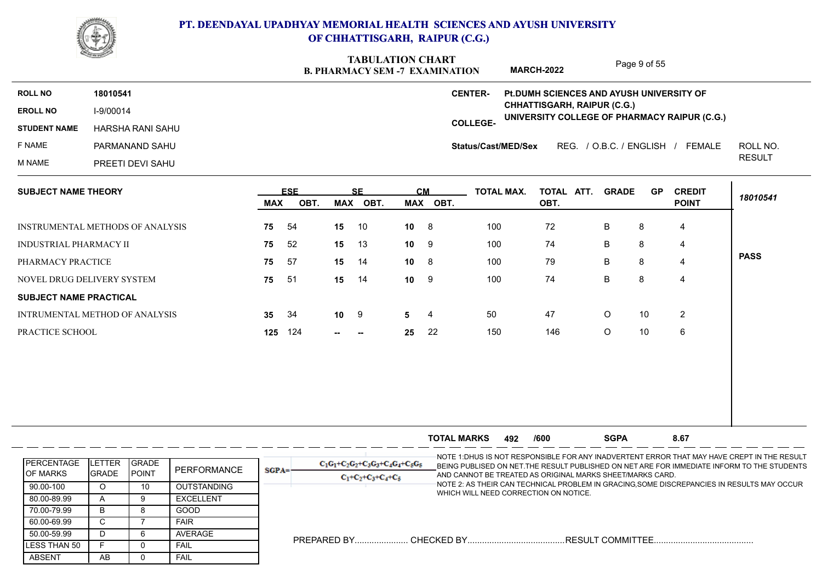

 $\sim$ 

### **PT. DEENDAYAL UPADHYAY MEMORIAL HEALTH SCIENCES AND AYUSH UNIVERSITY OF CHHATTISGARH, RAIPUR (C.G.)**

### **B. PHARMACY SEM -7 EXAMINATION TABULATION CHART**

Page 9 of 55

|                      |                  |     |     | <b>B. PHARMACY SEM -7 EXAMINATION</b> | <b>MARCH-2022</b>   |       |                                                                             | ιαμεσυινο |           |               |
|----------------------|------------------|-----|-----|---------------------------------------|---------------------|-------|-----------------------------------------------------------------------------|-----------|-----------|---------------|
| <b>ROLL NO</b>       | 18010541         |     |     | <b>CENTER-</b>                        |                     |       | Pt.DUMH SCIENCES AND AYUSH UNIVERSITY OF                                    |           |           |               |
| <b>EROLL NO</b>      | I-9/00014        |     |     |                                       |                     |       | CHHATTISGARH, RAIPUR (C.G.)<br>UNIVERSITY COLLEGE OF PHARMACY RAIPUR (C.G.) |           |           |               |
| <b>STUDENT NAME</b>  | HARSHA RANI SAHU |     |     | COLLEGE-                              |                     |       |                                                                             |           |           |               |
| F NAME               | PARMANAND SAHU   |     |     |                                       | Status/Cast/MED/Sex |       | REG. / O.B.C. / ENGLISH                                                     |           | FEMALE    | ROLL NO.      |
| M NAME               | PREETI DEVI SAHU |     |     |                                       |                     |       |                                                                             |           |           | <b>RESULT</b> |
| SHR IFCT NAME THEORY |                  | ESE | SF. | <b>CM</b>                             | TOTAL MAY           | ΤΩΤΔΙ | <b>GRADE</b><br>ATT                                                         |           | GP CREDIT |               |

| <b>SUBJECT NAME THEORY</b>       |            | <b>ESE</b> |                 | <b>SF</b> | <b>CM</b>       |          | <b>TOTAL MAX.</b> | TOTAL ATT. | <b>GRADE</b> | <b>GP</b> | <b>CREDIT</b>  |             |
|----------------------------------|------------|------------|-----------------|-----------|-----------------|----------|-------------------|------------|--------------|-----------|----------------|-------------|
|                                  | <b>MAX</b> | OBT.       | MAX             | OBT.      |                 | MAX OBT. |                   | OBT.       |              |           | <b>POINT</b>   | 18010541    |
| INSTRUMENTAL METHODS OF ANALYSIS | 75         | - 54       | 15              | 10        | 10 <sup>1</sup> | - 8      | 100               | 72         | B            | 8         | 4              |             |
| <b>INDUSTRIAL PHARMACY II</b>    | 75         | 52         | 15              | 13        | 10 <sup>1</sup> | - 9      | 100               | 74         | B            | 8         | 4              |             |
| PHARMACY PRACTICE                | 75         | -57        | 15              | 14        | 10 <sup>1</sup> | - 8      | 100               | 79         | B            | 8         | 4              | <b>PASS</b> |
| NOVEL DRUG DELIVERY SYSTEM       | 75         | -51        | 15              | 14        | 10 <sup>1</sup> | - 9      | 100               | 74         | B            | 8         | 4              |             |
| <b>SUBJECT NAME PRACTICAL</b>    |            |            |                 |           |                 |          |                   |            |              |           |                |             |
| INTRUMENTAL METHOD OF ANALYSIS   | 35         | - 34       | 10 <sup>1</sup> | 9         | $5 -$           | -4       | 50                | 47         | $\circ$      | 10        | $\overline{2}$ |             |
| PRACTICE SCHOOL                  | 125        | 124        | --              |           | 25              | 22       | 150               | 146        | $\circ$      | 10        | 6              |             |
|                                  |            |            |                 |           |                 |          |                   |            |              |           |                |             |

|                                        |                         |                               |                    | <b>SGPA</b><br>8.67<br><b>TOTAL MARKS</b><br>/600<br>492                                                                                                                                                                                                                                                                             |
|----------------------------------------|-------------------------|-------------------------------|--------------------|--------------------------------------------------------------------------------------------------------------------------------------------------------------------------------------------------------------------------------------------------------------------------------------------------------------------------------------|
| <b>IPERCENTAGE</b><br><b>IOF MARKS</b> | LETTER<br><b>IGRADE</b> | <b>IGRADE</b><br><b>POINT</b> | PERFORMANCE        | -NOTE 1:DHUS IS NOT RESPONSIBLE FOR ANY INADVERTENT ERROR THAT MAY HAVE CREPT IN THE RESULT<br>$C_1G_1+C_2G_2+C_3G_3+C_4G_4+C_5G_5$<br>BEING PUBLISED ON NET. THE RESULT PUBLISHED ON NET ARE FOR IMMEDIATE INFORM TO THE STUDENTS<br>$SGPA =$<br>AND CANNOT BE TREATED AS ORIGINAL MARKS SHEET/MARKS CARD.<br>$C_1+C_2+C_3+C_4+C_5$ |
| 90.00-100                              |                         | 10                            | <b>OUTSTANDING</b> | -NOTE 2: AS THEIR CAN TECHNICAL PROBLEM IN GRACING.SOME DISCREPANCIES IN RESULTS MAY OCCUR                                                                                                                                                                                                                                           |
| 80.00-89.99                            |                         |                               | <b>EXCELLENT</b>   | WHICH WILL NEED CORRECTION ON NOTICE.                                                                                                                                                                                                                                                                                                |
| 70.00-79.99                            | B.                      |                               | GOOD               |                                                                                                                                                                                                                                                                                                                                      |
| 60.00-69.99                            |                         |                               | <b>FAIR</b>        |                                                                                                                                                                                                                                                                                                                                      |
| 50.00-59.99                            |                         |                               | AVERAGE            |                                                                                                                                                                                                                                                                                                                                      |
| LESS THAN 50                           |                         |                               | <b>FAIL</b>        | RESULT        COMMITTEE                                                                                                                                                                                                                                                                                                              |
| ABSENT                                 | AB.                     |                               | <b>FAIL</b>        |                                                                                                                                                                                                                                                                                                                                      |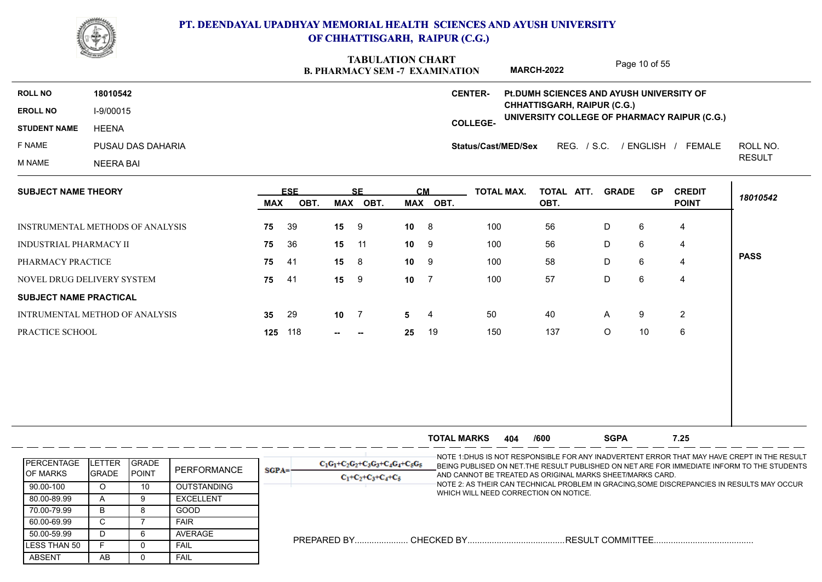

### **B. PHARMACY SEM -7 EXAMINATION TABULATION CHART ROLL NO CENTER-**Page 10 of 55 **Pt.DUMH SCIENCES AND AYUSH UNIVERSITY OF CHHATTISGARH, RAIPUR (C.G.) MARCH-2022**

**EROLL NO**

**STUDENT NAME** HEENA

ABSENT | AB | 0 LESS THAN 50 F 0 50.00-59.99 | D | 6 60.00-69.99 | C | 7 70.00-79.99 B B 8 80.00-89.99 | A | 9

O 10 OUTSTANDING

A 9 EXCELLENT B 8 GOOD C | 7 | FAIR | |

F 0 FAIL

AB 0 FAIL

F NAME PUSAU DAS DAHARIA

**18010542**

M NAME NEERA BAI

**COLLEGE-Status/Cast/MED/Sex** REG. / S.C. / ENGLISH / FEMALE ROLL NO. ROLL NO. **UNIVERSITY COLLEGE OF PHARMACY RAIPUR (C.G.)**

RESULT

|                                       | <b>SUBJECT NAME THEORY</b> |       |                    | <b>ESE</b> |         | <b>SE</b>       |                                      | <b>CM</b>       | <b>TOTAL MAX.</b>  | TOTAL ATT. | <b>GRADE</b>                                                                                                                                                                               | <b>GP</b>   | <b>CREDIT</b> | 18010542       |             |
|---------------------------------------|----------------------------|-------|--------------------|------------|---------|-----------------|--------------------------------------|-----------------|--------------------|------------|--------------------------------------------------------------------------------------------------------------------------------------------------------------------------------------------|-------------|---------------|----------------|-------------|
|                                       |                            |       |                    | <b>MAX</b> | OBT.    |                 | MAX OBT.                             |                 | MAX OBT.           |            | OBT.                                                                                                                                                                                       |             |               | <b>POINT</b>   |             |
| INSTRUMENTAL METHODS OF ANALYSIS      |                            |       |                    | 75         | 39      | 15              | -9                                   | 10 <sub>1</sub> | - 8                | 100        | 56                                                                                                                                                                                         | D           | 6             | 4              |             |
| <b>INDUSTRIAL PHARMACY II</b>         |                            |       |                    | 75         | 36      | 15              | $-11$                                | $10 \qquad 9$   |                    | 100        | 56                                                                                                                                                                                         | D           | 6             | 4              |             |
| PHARMACY PRACTICE                     |                            |       |                    | 75         | 41      | 15              | - 8                                  | $10 \qquad 9$   |                    | 100        | 58                                                                                                                                                                                         | D           | 6             | $\overline{a}$ | <b>PASS</b> |
| NOVEL DRUG DELIVERY SYSTEM            |                            |       |                    | 75         | 41      | 15 <sub>1</sub> | -9                                   | 10 <sup>1</sup> | $\overline{7}$     | 100        | 57                                                                                                                                                                                         | D           | 6             | $\overline{4}$ |             |
| <b>SUBJECT NAME PRACTICAL</b>         |                            |       |                    |            |         |                 |                                      |                 |                    |            |                                                                                                                                                                                            |             |               |                |             |
| <b>INTRUMENTAL METHOD OF ANALYSIS</b> |                            |       |                    | 35         | 29      | 10              | -7                                   | 5.              | -4                 | 50         | 40                                                                                                                                                                                         | A           | 9             | $\overline{2}$ |             |
| PRACTICE SCHOOL                       |                            |       |                    |            | 125 118 |                 |                                      | 25              | 19                 | 150        | 137                                                                                                                                                                                        | $\circ$     | 10            | 6              |             |
|                                       |                            |       |                    |            |         |                 |                                      |                 |                    |            |                                                                                                                                                                                            |             |               |                |             |
|                                       |                            |       |                    |            |         |                 |                                      |                 |                    |            |                                                                                                                                                                                            |             |               |                |             |
|                                       |                            |       |                    |            |         |                 |                                      |                 |                    |            |                                                                                                                                                                                            |             |               |                |             |
|                                       |                            |       |                    |            |         |                 |                                      |                 |                    |            |                                                                                                                                                                                            |             |               |                |             |
|                                       |                            |       |                    |            |         |                 |                                      |                 |                    |            |                                                                                                                                                                                            |             |               |                |             |
|                                       |                            |       |                    |            |         |                 |                                      |                 | <b>TOTAL MARKS</b> | 404        | /600                                                                                                                                                                                       | <b>SGPA</b> |               | 7.25           |             |
| PERCENTAGE                            | <b>LETTER</b>              | GRADE |                    |            |         |                 | $C_1C_1+C_2C_2+C_3C_3+C_4C_4+C_5C_5$ |                 |                    |            | NOTE 1:DHUS IS NOT RESPONSIBLE FOR ANY INADVERTENT ERROR THAT MAY HAVE CREPT IN THE RESULT-<br>BEING PUBLISED ON NET. THE RESULT PUBLISHED ON NET ARE FOR IMMEDIATE INFORM TO THE STUDENTS |             |               |                |             |
| <b>IOF MARKS</b>                      | <b>GRADE</b>               | POINT | PERFORMANCE        | $SGPA =$   |         |                 | $C_1 + C_2 + C_3 + C_4 + C_5$        |                 |                    |            | AND CANNOT BE TREATED AS ORIGINAL MARKS SHEET/MARKS CARD.                                                                                                                                  |             |               |                |             |
| 90.00-100                             | $\circ$                    | 10    | <b>OUTSTANDING</b> |            |         |                 |                                      |                 |                    |            | NOTE 2: AS THEIR CAN TECHNICAL PROBLEM IN GRACING, SOME DISCREPANCIES IN RESULTS MAY OCCUR                                                                                                 |             |               |                |             |

NOTE 2: AS THEIR CAN TECHNICAL PROBLEM IN GRACING,SOME DISCREPANCIES IN RESULTS MAY OCCUR WHICH WILL NEED CORRECTION ON NOTICE.

PREPARED BY...................... CHECKED BY........................................RESULT COMMITTEE......................................... D | 6 | AVERAGE | \_ \_ \_ \_ \_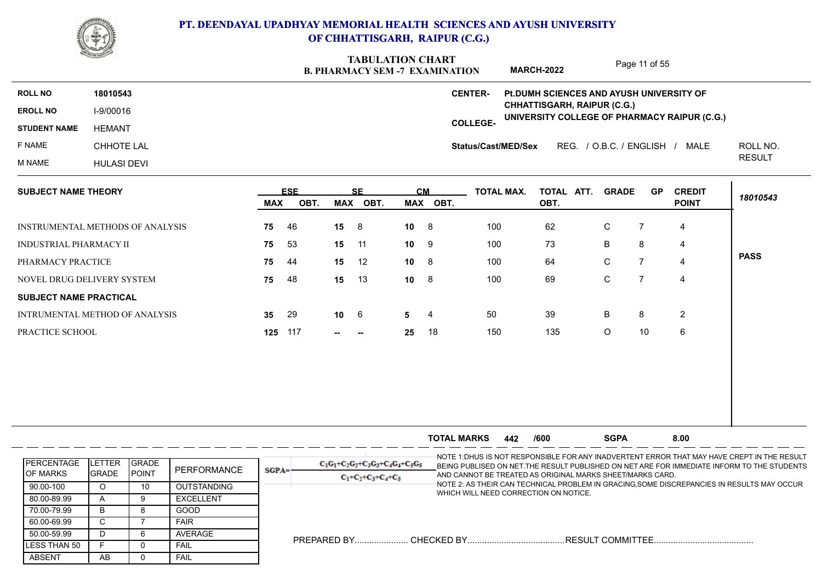

### **B. PHARMACY SEM -7 EXAMINATION TABULATION CHART MARCH-2022**

Page 11 of 55

| <b>ROLL NO</b>      | 18010543           | <b>CENTER-</b>      | Pt.DUMH SCIENCES AND AYUSH UNIVERSITY OF                                    |               |
|---------------------|--------------------|---------------------|-----------------------------------------------------------------------------|---------------|
| <b>EROLL NO</b>     | I-9/00016          |                     | CHHATTISGARH, RAIPUR (C.G.)<br>UNIVERSITY COLLEGE OF PHARMACY RAIPUR (C.G.) |               |
| <b>STUDENT NAME</b> | HEMANT             | <b>COLLEGE-</b>     |                                                                             |               |
| F NAME              | CHHOTE LAL         | Status/Cast/MED/Sex | REG. / O.B.C. / ENGLISH /<br>MALE                                           | ROLL NO.      |
| M NAME              | <b>HULASI DEVI</b> |                     |                                                                             | <b>RESULT</b> |
|                     |                    |                     |                                                                             |               |

| <b>SUBJECT NAME THEORY</b>       |                 | <b>ESE</b> |               | <b>SF</b> | <b>CM</b>      |          | <b>TOTAL MAX.</b> | TOTAL ATT. | <b>GRADE</b> | <b>GP</b> | <b>CREDIT</b>  |             |
|----------------------------------|-----------------|------------|---------------|-----------|----------------|----------|-------------------|------------|--------------|-----------|----------------|-------------|
|                                  | MAX             | OBT.       |               | MAX OBT.  |                | MAX OBT. |                   | OBT.       |              |           | <b>POINT</b>   | 18010543    |
| INSTRUMENTAL METHODS OF ANALYSIS | 75              | 46         | 15            | 8         | 10             | - 8      | 100               | 62         | $\mathsf{C}$ |           | 4              |             |
| <b>INDUSTRIAL PHARMACY II</b>    | 75              | 53         | 15            | - 11      | 10             | - 9      | 100               | 73         | B            | 8         | 4              |             |
| PHARMACY PRACTICE                | 75              | 44         | 15            | 12        | $10 \t 8$      |          | 100               | 64         | $\mathsf{C}$ |           | 4              | <b>PASS</b> |
| NOVEL DRUG DELIVERY SYSTEM       | 75              | 48         | 15            | -13       | $10 \t 8$      |          | 100               | 69         | C.           |           | 4              |             |
| <b>SUBJECT NAME PRACTICAL</b>    |                 |            |               |           |                |          |                   |            |              |           |                |             |
| INTRUMENTAL METHOD OF ANALYSIS   | 35 <sub>5</sub> | -29        | 10            | -6        | 5 <sub>1</sub> | -4       | 50                | 39         | B            | 8         | $\overline{2}$ |             |
| PRACTICE SCHOOL                  | 125             | 117        | $\sim$ $\sim$ | $-$       | 25             | 18       | 150               | 135        | $\circ$      | 10        | 6              |             |
|                                  |                 |            |               |           |                |          |                   |            |              |           |                |             |
|                                  |                 |            |               |           |                |          |                   |            |              |           |                |             |

|                                 |                              |                                |                    | <b>SGPA</b><br>8.00<br><b>TOTAL MARKS</b><br>/600<br>442                                                                                                                                                                                                                                                                             |
|---------------------------------|------------------------------|--------------------------------|--------------------|--------------------------------------------------------------------------------------------------------------------------------------------------------------------------------------------------------------------------------------------------------------------------------------------------------------------------------------|
| <b>IPERCENTAGE</b><br>IOF MARKS | <b>ETTER</b><br><b>GRADE</b> | <b>IGRADE</b><br><b>IPOINT</b> | PERFORMANCE        | -NOTE 1:DHUS IS NOT RESPONSIBLE FOR ANY INADVERTENT ERROR THAT MAY HAVE CREPT IN THE RESULT<br>$C_1G_1+C_2G_2+C_3G_3+C_4G_4+C_5G_5$<br>BEING PUBLISED ON NET. THE RESULT PUBLISHED ON NET ARE FOR IMMEDIATE INFORM TO THE STUDENTS<br>$SGPA =$<br>AND CANNOT BE TREATED AS ORIGINAL MARKS SHEET/MARKS CARD.<br>$C_1+C_2+C_3+C_4+C_5$ |
| 90.00-100                       |                              | 10                             | <b>OUTSTANDING</b> | NOTE 2: AS THEIR CAN TECHNICAL PROBLEM IN GRACING,SOME DISCREPANCIES IN RESULTS MAY OCCUR                                                                                                                                                                                                                                            |
| 80.00-89.99                     | $\sqrt{ }$                   |                                | <b>EXCELLENT</b>   | WHICH WILL NEED CORRECTION ON NOTICE.                                                                                                                                                                                                                                                                                                |
| 70.00-79.99                     | B                            |                                | GOOD               |                                                                                                                                                                                                                                                                                                                                      |
| 60.00-69.99                     | ◡                            |                                | <b>FAIR</b>        |                                                                                                                                                                                                                                                                                                                                      |
| 50.00-59.99                     |                              |                                | AVERAGE            | PREPARED BYCHECKED BY<br>RESULT COMMITTEE                                                                                                                                                                                                                                                                                            |
| LESS THAN 50                    |                              |                                | FAIL               |                                                                                                                                                                                                                                                                                                                                      |
| <b>ABSENT</b>                   | AB                           |                                | <b>FAIL</b>        |                                                                                                                                                                                                                                                                                                                                      |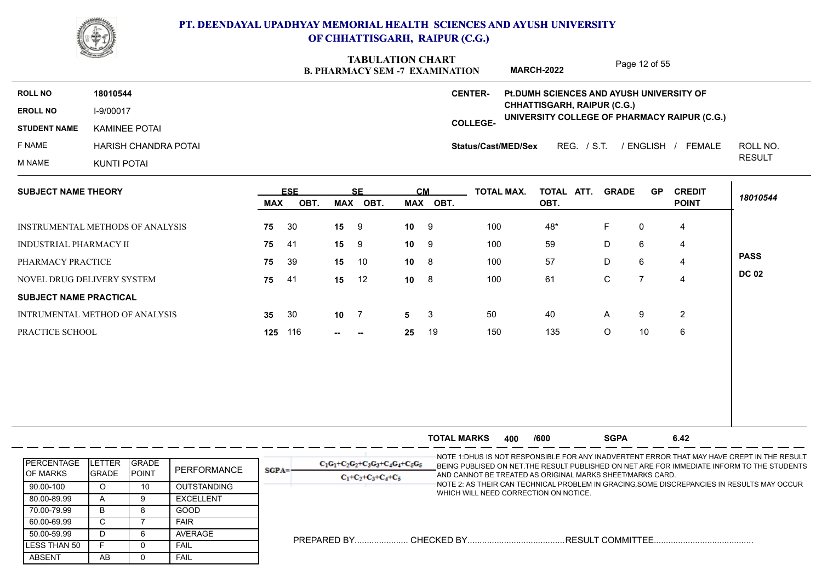

### **B. PHARMACY SEM -7 EXAMINATION TABULATION CHART COLLEGE-EROLL NO ROLL NO CENTER-**Page 12 of 55 **STUDENT NAME** KAMINEE POTAI F NAME HARISH CHANDRA POTAI M NAME KUNTI POTAI **Status/Cast/MED/Sex** REG. / S.T. / ENGLISH / FEMALE ROLL NO. RESULT ROLL NO. **18010544 UNIVERSITY COLLEGE OF PHARMACY RAIPUR (C.G.) Pt.DUMH SCIENCES AND AYUSH UNIVERSITY OF CHHATTISGARH, RAIPUR (C.G.) MARCH-2022 SUBJECT NAME THEORY ESE SE CM MAX OBT. MAX OBT. MAX OBT. TOTAL MAX. TOTAL ATT. OBT. GRADE GP CREDIT POINT** *18010544*

| INSTRUMENTAL METHODS OF ANALYSIS | 75              | -30  | 15              | -9     | 10 <sub>1</sub> | 9   | 100 | 48* | ь.      | 0  | 4 |
|----------------------------------|-----------------|------|-----------------|--------|-----------------|-----|-----|-----|---------|----|---|
| INDUSTRIAL PHARMACY II           | 75 41           |      | 15              | - 9    | 10 <sub>1</sub> | - 9 | 100 | 59  | D       | 6  | 4 |
| PHARMACY PRACTICE                | 75              | -39  | 15              | 10     | 10 <sub>1</sub> | 8   | 100 | 57  | D       | 6  | 4 |
| NOVEL DRUG DELIVERY SYSTEM       | 75 41           |      | 15              | 12     | 10 <sub>1</sub> | - 8 | 100 | 61  | C.      |    | 4 |
| <b>SUBJECT NAME PRACTICAL</b>    |                 |      |                 |        |                 |     |     |     |         |    |   |
| INTRUMENTAL METHOD OF ANALYSIS   | 35 <sub>o</sub> | - 30 | 10 <sub>7</sub> |        | 5               | - 3 | 50  | 40  | A       | 9  | 2 |
| PRACTICE SCHOOL                  | 125             | 116  | --              | $\sim$ | 25              | 19  | 150 | 135 | $\circ$ | 10 | 6 |
|                                  |                 |      |                 |        |                 |     |     |     |         |    |   |

|                                        |                         |                                |                    | 6.42<br><b>TOTAL MARKS</b><br><b>SGPA</b><br>/600<br>400                                                                                                                                                                                                                                                                             |
|----------------------------------------|-------------------------|--------------------------------|--------------------|--------------------------------------------------------------------------------------------------------------------------------------------------------------------------------------------------------------------------------------------------------------------------------------------------------------------------------------|
| <b>IPERCENTAGE</b><br><b>IOF MARKS</b> | LETTER<br><b>IGRADE</b> | <b>IGRADE</b><br><b>IPOINT</b> | PERFORMANCE        | -NOTE 1:DHUS IS NOT RESPONSIBLE FOR ANY INADVERTENT ERROR THAT MAY HAVE CREPT IN THE RESULT<br>$C_1G_1+C_2G_2+C_3G_3+C_4G_4+C_5G_5$<br>BEING PUBLISED ON NET. THE RESULT PUBLISHED ON NET ARE FOR IMMEDIATE INFORM TO THE STUDENTS<br>$SGPA =$<br>AND CANNOT BE TREATED AS ORIGINAL MARKS SHEET/MARKS CARD.<br>$C_1+C_2+C_3+C_4+C_5$ |
| 90.00-100                              |                         | 10                             | <b>OUTSTANDING</b> | NOTE 2: AS THEIR CAN TECHNICAL PROBLEM IN GRACING,SOME DISCREPANCIES IN RESULTS MAY OCCUR                                                                                                                                                                                                                                            |
| 80.00-89.99                            |                         |                                | <b>EXCELLENT</b>   | WHICH WILL NEED CORRECTION ON NOTICE.                                                                                                                                                                                                                                                                                                |
| 70.00-79.99                            |                         |                                | <b>GOOD</b>        |                                                                                                                                                                                                                                                                                                                                      |
| 60.00-69.99                            |                         |                                | <b>FAIR</b>        |                                                                                                                                                                                                                                                                                                                                      |
| 50.00-59.99                            |                         |                                | AVERAGE            |                                                                                                                                                                                                                                                                                                                                      |
| ILESS THAN 50                          |                         |                                | FAIL               |                                                                                                                                                                                                                                                                                                                                      |
| <b>ABSENT</b>                          | AB                      |                                | <b>FAIL</b>        |                                                                                                                                                                                                                                                                                                                                      |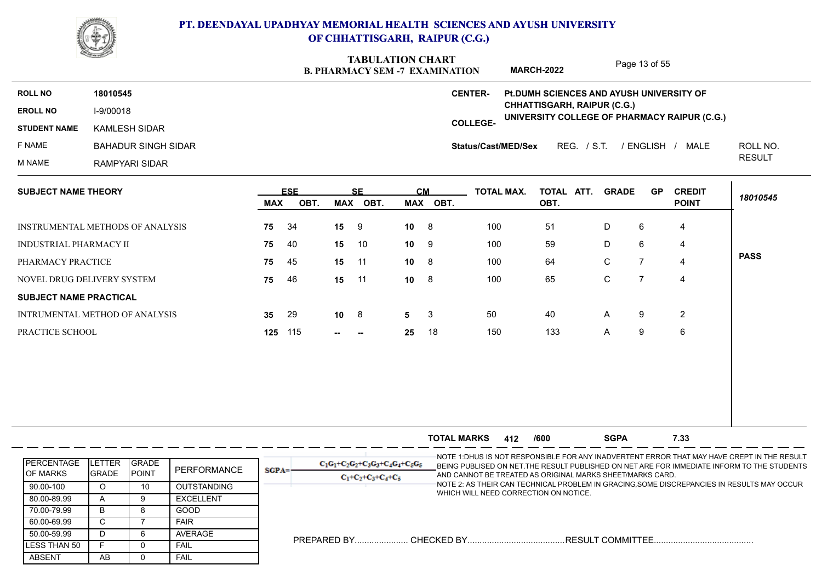

|                               | <b>CONFIDENTIAL</b>                     |            |                    |            | <b>TABULATION CHART</b><br><b>B. PHARMACY SEM -7 EXAMINATION</b> |               |                       |                     | <b>MARCH-2022</b>                                                                  |              | Page 13 of 55  |                               |               |
|-------------------------------|-----------------------------------------|------------|--------------------|------------|------------------------------------------------------------------|---------------|-----------------------|---------------------|------------------------------------------------------------------------------------|--------------|----------------|-------------------------------|---------------|
| <b>ROLL NO</b>                | 18010545                                |            |                    |            |                                                                  |               |                       | <b>CENTER-</b>      | Pt.DUMH SCIENCES AND AYUSH UNIVERSITY OF                                           |              |                |                               |               |
| <b>EROLL NO</b>               | I-9/00018                               |            |                    |            |                                                                  |               |                       |                     | <b>CHHATTISGARH, RAIPUR (C.G.)</b><br>UNIVERSITY COLLEGE OF PHARMACY RAIPUR (C.G.) |              |                |                               |               |
| <b>STUDENT NAME</b>           | <b>KAMLESH SIDAR</b>                    |            |                    |            |                                                                  |               |                       | <b>COLLEGE-</b>     |                                                                                    |              |                |                               |               |
| F NAME                        | <b>BAHADUR SINGH SIDAR</b>              |            |                    |            |                                                                  |               |                       | Status/Cast/MED/Sex | REG. / S.T.                                                                        |              | / ENGLISH /    | MALE                          | ROLL NO.      |
| <b>M NAME</b>                 | <b>RAMPYARI SIDAR</b>                   |            |                    |            |                                                                  |               |                       |                     |                                                                                    |              |                |                               | <b>RESULT</b> |
| <b>SUBJECT NAME THEORY</b>    |                                         | <b>MAX</b> | <b>ESE</b><br>OBT. | <b>MAX</b> | <b>SF</b><br>OBT.                                                |               | <b>CM</b><br>MAX OBT. | TOTAL MAX.          | TOTAL ATT.<br>OBT.                                                                 | <b>GRADE</b> | <b>GP</b>      | <b>CREDIT</b><br><b>POINT</b> | 18010545      |
|                               |                                         |            |                    |            |                                                                  |               |                       |                     |                                                                                    |              |                |                               |               |
|                               | <b>INSTRUMENTAL METHODS OF ANALYSIS</b> | 75         | -34                | 15         | - 9                                                              | 10            | -8                    | 100                 | 51                                                                                 | D            | 6              | 4                             |               |
| <b>INDUSTRIAL PHARMACY II</b> |                                         | 75         | 40                 | 15         | 10                                                               | $10 \qquad 9$ |                       | 100                 | 59                                                                                 | D            | 6              | 4                             |               |
| PHARMACY PRACTICE             |                                         | 75         | 45                 | 15         | 11                                                               | $10 \t 8$     |                       | 100                 | 64                                                                                 | $\mathsf{C}$ | $\overline{7}$ | 4                             | <b>PASS</b>   |
|                               | NOVEL DRUG DELIVERY SYSTEM              | 75         | 46                 | 15         | 11                                                               | 10            | 8                     | 100                 | 65                                                                                 | $\mathbf C$  | $\overline{7}$ | 4                             |               |
| <b>SUBJECT NAME PRACTICAL</b> |                                         |            |                    |            |                                                                  |               |                       |                     |                                                                                    |              |                |                               |               |
|                               |                                         |            |                    |            |                                                                  |               |                       |                     |                                                                                    |              |                |                               |               |
|                               | <b>INTRUMENTAL METHOD OF ANALYSIS</b>   | 35         | 29                 | $10 \t 8$  |                                                                  | 5             | 3                     | 50                  | 40                                                                                 | A            | 9              | $\overline{2}$                |               |

|                                        |                          |                                |                    |         |                                                               | <b>TOTAL MARKS</b>                    | 412 | /600 | <b>SGPA</b>                                               | 7.33                                                                                                                                                                                       |
|----------------------------------------|--------------------------|--------------------------------|--------------------|---------|---------------------------------------------------------------|---------------------------------------|-----|------|-----------------------------------------------------------|--------------------------------------------------------------------------------------------------------------------------------------------------------------------------------------------|
| <b>IPERCENTAGE</b><br><b>IOF MARKS</b> | ETTER.<br><b>I</b> GRADE | <b>IGRADE</b><br><b>IPOINT</b> | PERFORMANCE        | $SGPA=$ | $C_1G_1+C_2G_2+C_3G_3+C_4G_4+C_5G_5$<br>$C_1+C_2+C_3+C_4+C_5$ |                                       |     |      | AND CANNOT BE TREATED AS ORIGINAL MARKS SHEET/MARKS CARD. | -NOTE 1:DHUS IS NOT RESPONSIBLE FOR ANY INADVERTENT ERROR THAT MAY HAVE CREPT IN THE RESULT<br>BEING PUBLISED ON NET. THE RESULT PUBLISHED ON NET ARE FOR IMMEDIATE INFORM TO THE STUDENTS |
| 90.00-100                              |                          | 10                             | <b>OUTSTANDING</b> |         |                                                               | WHICH WILL NEED CORRECTION ON NOTICE. |     |      |                                                           | -NOTE 2: AS THEIR CAN TECHNICAL PROBLEM IN GRACING.SOME DISCREPANCIES IN RESULTS MAY OCCUR                                                                                                 |
| 80.00-89.99                            |                          |                                | <b>EXCELLENT</b>   |         |                                                               |                                       |     |      |                                                           |                                                                                                                                                                                            |
| 70.00-79.99                            | B.                       |                                | GOOD               |         |                                                               |                                       |     |      |                                                           |                                                                                                                                                                                            |
| 60.00-69.99                            | U                        |                                | <b>FAIR</b>        |         |                                                               |                                       |     |      |                                                           |                                                                                                                                                                                            |
| 50.00-59.99                            |                          |                                | AVERAGE            |         |                                                               |                                       |     |      |                                                           |                                                                                                                                                                                            |
| LESS THAN 50                           |                          |                                | <b>FAIL</b>        |         |                                                               |                                       |     |      |                                                           |                                                                                                                                                                                            |
| ABSENT                                 | AB.                      |                                | <b>FAIL</b>        |         |                                                               |                                       |     |      |                                                           |                                                                                                                                                                                            |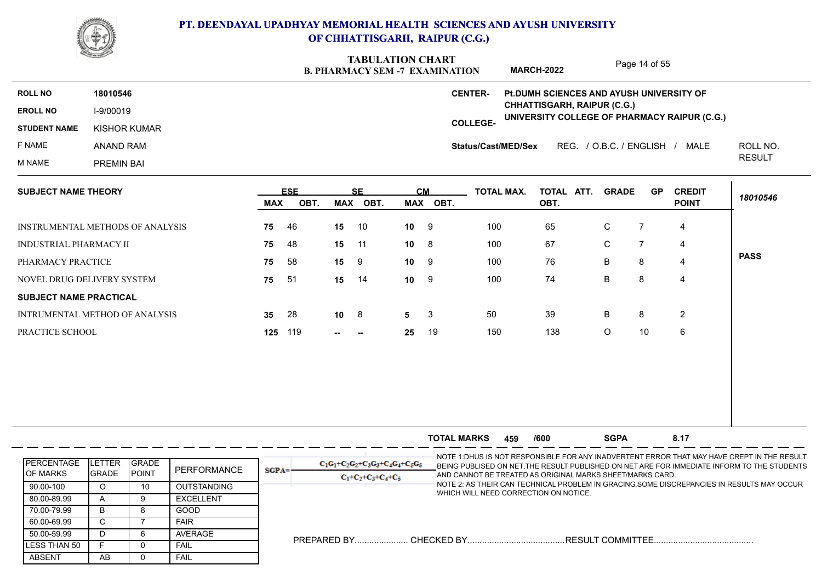

### **PT. DEENDAYAL UPADHYAY MEMORIAL HEALTH SCIENCES AND AYUSH UNIVERSITY OF CHHATTISGARH, RAIPUR (C.G.)**

# **TABULATION CHART**

|                               |                                  | TABULATION CHART<br><b>B. PHARMACY SEM -7 EXAMINATION</b> |            |     |           |                | <b>MARCH-2022</b> |                     | Page 14 of 55                            |                           |                |                                              |               |
|-------------------------------|----------------------------------|-----------------------------------------------------------|------------|-----|-----------|----------------|-------------------|---------------------|------------------------------------------|---------------------------|----------------|----------------------------------------------|---------------|
| <b>ROLL NO</b>                | 18010546                         |                                                           |            |     |           |                |                   | <b>CENTER-</b>      | Pt.DUMH SCIENCES AND AYUSH UNIVERSITY OF |                           |                |                                              |               |
| <b>EROLL NO</b>               | I-9/00019                        |                                                           |            |     |           |                |                   |                     | <b>CHHATTISGARH, RAIPUR (C.G.)</b>       |                           |                | UNIVERSITY COLLEGE OF PHARMACY RAIPUR (C.G.) |               |
| <b>STUDENT NAME</b>           | <b>KISHOR KUMAR</b>              | <b>COLLEGE-</b>                                           |            |     |           |                |                   |                     |                                          |                           |                |                                              |               |
| F NAME                        | ANAND RAM                        |                                                           |            |     |           |                |                   | Status/Cast/MED/Sex |                                          | REG. / O.B.C. / ENGLISH / |                | MALE                                         | ROLL NO.      |
| M NAME                        | PREMIN BAI                       |                                                           |            |     |           |                |                   |                     |                                          |                           |                |                                              | <b>RESULT</b> |
| <b>SUBJECT NAME THEORY</b>    |                                  |                                                           | <b>ESE</b> |     | <b>SF</b> |                | <b>CM</b>         | TOTAL MAX.          | TOTAL ATT.                               | <b>GRADE</b>              | <b>GP</b>      | <b>CREDIT</b>                                | 18010546      |
|                               |                                  | MAX                                                       | OBT.       |     | MAX OBT.  |                | MAX OBT.          |                     | OBT.                                     |                           |                | <b>POINT</b>                                 |               |
|                               | INSTRUMENTAL METHODS OF ANALYSIS | 75                                                        | 46         | 15  | 10        | 10             | -9                | 100                 | 65                                       | $\mathsf{C}$              | $\overline{7}$ | $\overline{4}$                               |               |
| <b>INDUSTRIAL PHARMACY II</b> |                                  | 75                                                        | 48         | 15  | 11        | 10             | 8                 | 100                 | 67                                       | $\mathsf{C}$              | -7             | 4                                            |               |
| PHARMACY PRACTICE             |                                  | 75                                                        | 58         | 15  | 9         | 10             | 9                 | 100                 | 76                                       | B                         | 8              | $\overline{4}$                               | <b>PASS</b>   |
|                               | NOVEL DRUG DELIVERY SYSTEM       | 75                                                        | 51         | 15  | 14        | 10             | -9                | 100                 | 74                                       | B                         | 8              | $\overline{4}$                               |               |
| <b>SUBJECT NAME PRACTICAL</b> |                                  |                                                           |            |     |           |                |                   |                     |                                          |                           |                |                                              |               |
|                               | INTRUMENTAL METHOD OF ANALYSIS   | 35                                                        | 28         | 10  | 8         | 5 <sup>5</sup> | 3                 | 50                  | 39                                       | B                         | 8              | 2                                            |               |
| PRACTICE SCHOOL               |                                  | 125                                                       | 119        | $-$ |           | 25             | 19                | 150                 | 138                                      | O                         | 10             | 6                                            |               |

| INTRUMENTAL METHOD OF ANALYSIS |                |                |                    | 35         | 28  | 10 | - 8                                  | 5  | 3                  | 50       | 39                                                        | B           | 8  | 2    |                                                                                                                                                                                            |
|--------------------------------|----------------|----------------|--------------------|------------|-----|----|--------------------------------------|----|--------------------|----------|-----------------------------------------------------------|-------------|----|------|--------------------------------------------------------------------------------------------------------------------------------------------------------------------------------------------|
| PRACTICE SCHOOL                |                |                |                    | 125        | 119 | -- | $\sim$                               | 25 | 19                 | 150      | 138                                                       | $\circ$     | 10 | 6    |                                                                                                                                                                                            |
|                                |                |                |                    |            |     |    |                                      |    |                    |          |                                                           |             |    |      |                                                                                                                                                                                            |
|                                |                |                |                    |            |     |    |                                      |    |                    |          |                                                           |             |    |      |                                                                                                                                                                                            |
|                                |                |                |                    |            |     |    |                                      |    |                    |          |                                                           |             |    |      |                                                                                                                                                                                            |
|                                |                |                |                    |            |     |    |                                      |    |                    |          |                                                           |             |    |      |                                                                                                                                                                                            |
|                                |                |                |                    |            |     |    |                                      |    |                    |          |                                                           |             |    |      |                                                                                                                                                                                            |
|                                |                |                |                    |            |     |    |                                      |    |                    |          |                                                           |             |    |      |                                                                                                                                                                                            |
|                                |                |                |                    |            |     |    |                                      |    | <b>TOTAL MARKS</b> |          |                                                           | <b>SGPA</b> |    |      |                                                                                                                                                                                            |
|                                |                |                |                    |            |     |    |                                      |    |                    | 459 /600 |                                                           |             |    | 8.17 |                                                                                                                                                                                            |
| PERCENTAGE                     | <b>LETTER</b>  | GRADE          |                    |            |     |    | $C_1C_1+C_2C_2+C_3C_3+C_4C_4+C_5C_5$ |    |                    |          |                                                           |             |    |      | -NOTE 1:DHUS IS NOT RESPONSIBLE FOR ANY INADVERTENT ERROR THAT MAY HAVE CREPT IN THE RESULT<br>BEING PUBLISED ON NET. THE RESULT PUBLISHED ON NET ARE FOR IMMEDIATE INFORM TO THE STUDENTS |
| <b>OF MARKS</b>                | <b>I</b> GRADE | <b>POINT</b>   | PERFORMANCE        | $SGPA = -$ |     |    | $C_1 + C_2 + C_3 + C_4 + C_5$        |    |                    |          | AND CANNOT BE TREATED AS ORIGINAL MARKS SHEET/MARKS CARD. |             |    |      |                                                                                                                                                                                            |
| 90.00-100                      | $\circ$        | 10             | <b>OUTSTANDING</b> |            |     |    |                                      |    |                    |          | WHICH WILL NEED CORRECTION ON NOTICE.                     |             |    |      | NOTE 2: AS THEIR CAN TECHNICAL PROBLEM IN GRACING,SOME DISCREPANCIES IN RESULTS MAY OCCUR                                                                                                  |
| 80.00-89.99                    | A              | 9              | <b>EXCELLENT</b>   |            |     |    |                                      |    |                    |          |                                                           |             |    |      |                                                                                                                                                                                            |
| 70.00-79.99                    | B              | 8              | GOOD               |            |     |    |                                      |    |                    |          |                                                           |             |    |      |                                                                                                                                                                                            |
| 60.00-69.99                    | C.             | $\overline{7}$ | <b>FAIR</b>        |            |     |    |                                      |    |                    |          |                                                           |             |    |      |                                                                                                                                                                                            |
| 50.00-59.99                    | D.             | 6              | AVERAGE            |            |     |    |                                      |    |                    |          |                                                           |             |    |      |                                                                                                                                                                                            |
| <b>LESS THAN 50</b>            | F.             | $\Omega$       | <b>FAIL</b>        |            |     |    |                                      |    |                    |          |                                                           |             |    |      |                                                                                                                                                                                            |
| <b>ABSENT</b>                  | AB.            | $\Omega$       | <b>FAIL</b>        |            |     |    |                                      |    |                    |          |                                                           |             |    |      |                                                                                                                                                                                            |
|                                |                |                |                    |            |     |    |                                      |    |                    |          |                                                           |             |    |      |                                                                                                                                                                                            |
|                                |                |                |                    |            |     |    |                                      |    |                    |          |                                                           |             |    |      |                                                                                                                                                                                            |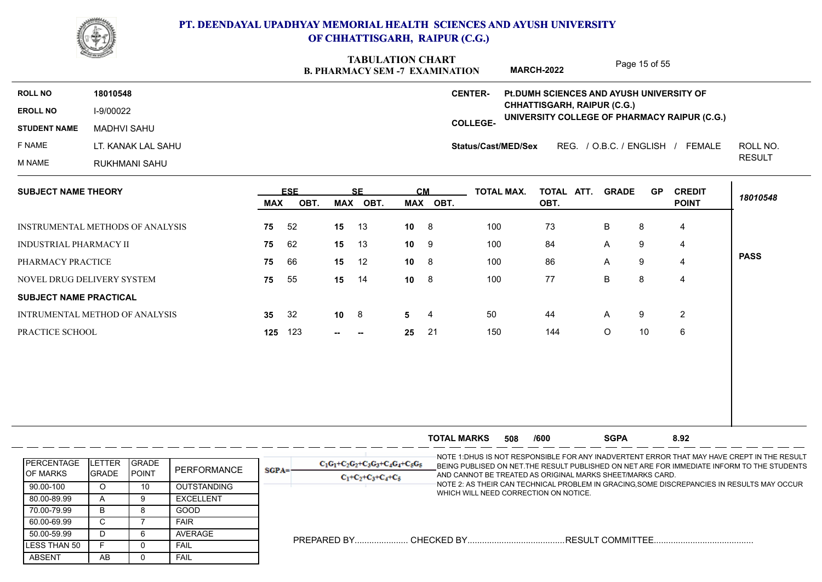

### **B. PHARMACY SEM -7 EXAMINATION TABULATION CHART COLLEGE-EROLL NO ROLL NO CENTER-**Page 15 of 55 **STUDENT NAME** MADHVI SAHU F NAME LT. KANAK LAL SAHU M NAME RUKHMANI SAHU **Status/Cast/MED/Sex** REG. / O.B.C. / ENGLISH / FEMALE ROLL NO. RESULT ROLL NO. **18010548 UNIVERSITY COLLEGE OF PHARMACY RAIPUR (C.G.) Pt.DUMH SCIENCES AND AYUSH UNIVERSITY OF CHHATTISGARH, RAIPUR (C.G.) MARCH-2022 SUBJECT NAME THEORY ESE SE CM TOTAL MAX. TOTAL GRADE GP CREDIT ATT.**

| SUBJECT NAME INEURY              |     | вэв  |           |        | υM              |          | TUTAL MAX. | TUIAL ATT. | GRADE        | 9P. | <b>UKEDII</b> |             |
|----------------------------------|-----|------|-----------|--------|-----------------|----------|------------|------------|--------------|-----|---------------|-------------|
|                                  | MAX | OBT. | MAX       | OBT.   |                 | MAX OBT. |            | OBT.       |              |     | <b>POINT</b>  | 18010548    |
| INSTRUMENTAL METHODS OF ANALYSIS | 75  | 52   | 15        | 13     | 10 <sup>1</sup> | - 8      | 100        | 73         | B            | 8   | 4             |             |
| <b>INDUSTRIAL PHARMACY II</b>    | 75  | 62   | 15        | 13     | 10              | -9       | 100        | 84         | A.           | 9   | 4             |             |
| PHARMACY PRACTICE                | 75  | 66   | 15        | 12     | 10 <sub>1</sub> | 8        | 100        | 86         | $\mathsf{A}$ | 9   | 4             | <b>PASS</b> |
| NOVEL DRUG DELIVERY SYSTEM       | 75  | 55   | 15        | 14     | 10              | 8        | 100        | 77         | B            | 8   | 4             |             |
| <b>SUBJECT NAME PRACTICAL</b>    |     |      |           |        |                 |          |            |            |              |     |               |             |
| INTRUMENTAL METHOD OF ANALYSIS   | 35  | -32  | $10 \t 8$ |        | 5               | -4       | 50         | 44         | A            | 9   | 2             |             |
| PRACTICE SCHOOL                  | 125 | 123  | --        | $\sim$ | 25              | 21       | 150        | 144        | $\circ$      | 10  | 6             |             |
|                                  |     |      |           |        |                 |          |            |            |              |     |               |             |

|                                        |                                 |                                |                    |          |                                                               | <b>TOTAL MARKS</b>                    | 508 | /600 | <b>SGPA</b>                                               | 8.92                                                                                                                                                                                       |  |
|----------------------------------------|---------------------------------|--------------------------------|--------------------|----------|---------------------------------------------------------------|---------------------------------------|-----|------|-----------------------------------------------------------|--------------------------------------------------------------------------------------------------------------------------------------------------------------------------------------------|--|
| <b>IPERCENTAGE</b><br><b>IOF MARKS</b> | <b>LETTER</b><br><b>I</b> GRADE | <b>IGRADE</b><br><b>IPOINT</b> | PERFORMANCE        | $SGPA =$ | $C_1G_1+C_2G_2+C_3G_3+C_4G_4+C_5G_5$<br>$C_1+C_2+C_3+C_4+C_5$ |                                       |     |      | AND CANNOT BE TREATED AS ORIGINAL MARKS SHEET/MARKS CARD. | -NOTE 1:DHUS IS NOT RESPONSIBLE FOR ANY INADVERTENT ERROR THAT MAY HAVE CREPT IN THE RESULT<br>BEING PUBLISED ON NET. THE RESULT PUBLISHED ON NET ARE FOR IMMEDIATE INFORM TO THE STUDENTS |  |
| 90.00-100                              |                                 |                                | <b>OUTSTANDING</b> |          |                                                               |                                       |     |      |                                                           | NOTE 2: AS THEIR CAN TECHNICAL PROBLEM IN GRACING,SOME DISCREPANCIES IN RESULTS MAY OCCUR                                                                                                  |  |
| 80.00-89.99                            |                                 |                                | <b>EXCELLENT</b>   |          |                                                               | WHICH WILL NEED CORRECTION ON NOTICE. |     |      |                                                           |                                                                                                                                                                                            |  |
| 70.00-79.99                            | B                               |                                | GOOD               |          |                                                               |                                       |     |      |                                                           |                                                                                                                                                                                            |  |
| 60.00-69.99                            | U                               |                                | <b>FAIR</b>        |          |                                                               |                                       |     |      |                                                           |                                                                                                                                                                                            |  |
| 50.00-59.99                            |                                 |                                | AVERAGE            |          |                                                               |                                       |     |      |                                                           |                                                                                                                                                                                            |  |
| <b>ILESS THAN 50</b>                   |                                 |                                | <b>FAIL</b>        |          |                                                               |                                       |     |      |                                                           |                                                                                                                                                                                            |  |
| ABSENT                                 | AB.                             |                                | <b>FAIL</b>        |          |                                                               |                                       |     |      |                                                           |                                                                                                                                                                                            |  |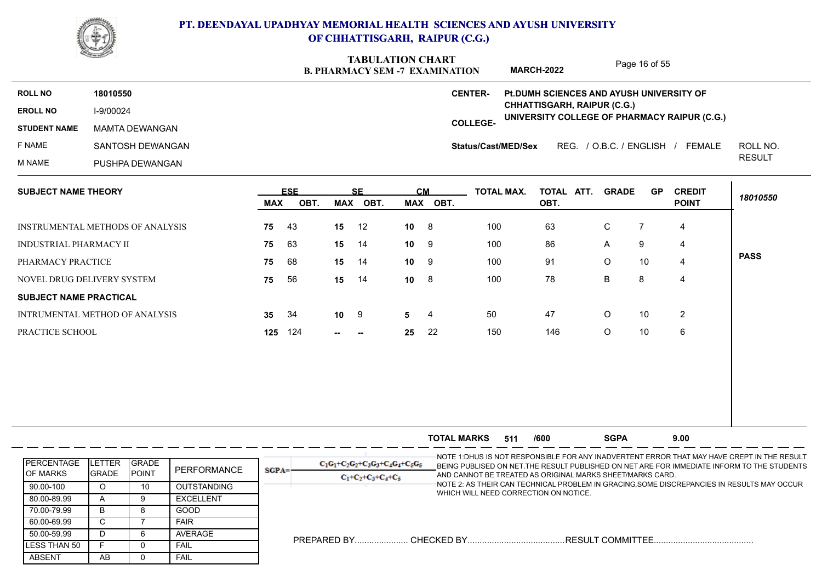

### **B. PHARMACY SEM -7 EXAMINATION TABULATION CHART COLLEGE-EROLL NO ROLL NO CENTER-**Page 16 of 55 **STUDENT NAME** MAMTA DEWANGAN F NAME SANTOSH DEWANGAN M NAME PUSHPA DEWANGAN **Status/Cast/MED/Sex** REG. / O.B.C. / ENGLISH / FEMALE ROLL NO. **RESULT** ROLL NO. **18010550 UNIVERSITY COLLEGE OF PHARMACY RAIPUR (C.G.) Pt.DUMH SCIENCES AND AYUSH UNIVERSITY OF CHHATTISGARH, RAIPUR (C.G.) MARCH-2022 SUBJECT NAME THEORY** INSTRUMENTAL METHODS OF ANALYSIS INDUSTRIAL PHARMACY II PHARMACY PRACTICE NOVEL DRUG DELIVERY SYSTEM PRACTICE SCHOOL **ESE SE CM MAX OBT. MAX OBT. MAX OBT.**  $\begin{bmatrix} 0 & 0 \end{bmatrix}$  **TOTAL ATT. GRADE** GP CREDIT  $\begin{bmatrix} 0 & 0 \end{bmatrix}$ **OBT. POINT 75 75 75** 68 **75 35** 34 **10** 9 **5** 4 **125 10** 8 **15** 14 **15** 14 **15** 14 **-- 10** 8 100 63 **10** 9 100 86 **10** 9 100 91 **10** 8 **100** 78 **5** 4 **25** 22 47 150 146 4 4 4 |  $100$ 4 2 6 INTRUMENTAL METHOD OF ANALYSIS **SUBJECT NAME PRACTICAL** 43 15 15 43 15 12 10 8<br>63 15 14 10 9<br>68 15 14 10 9<br>56 15 14 10 8<br>34 10 9 5 4<br>124 - - 25 22 9 5 4 63 C 7 86 A 9 91 78 47 O 10 C 7 4 A 9 4 O 10 4 | B 8 4 10 4 | 9 8 O 10 O 10 6 | 7 4 | **PASS 25** *18010550*

|                                         |                                |                                |                    |         |                                                               | <b>TOTAL MARKS</b>                    | 511 | /600 | <b>SGPA</b>                                               | 9.00                                                                                       |                                                                                                                                                                                            |
|-----------------------------------------|--------------------------------|--------------------------------|--------------------|---------|---------------------------------------------------------------|---------------------------------------|-----|------|-----------------------------------------------------------|--------------------------------------------------------------------------------------------|--------------------------------------------------------------------------------------------------------------------------------------------------------------------------------------------|
| <b>I PERCENTAGE</b><br><b>IOF MARKS</b> | <b>ETTER</b><br><b>I</b> GRADE | <b>IGRADE</b><br><b>IPOINT</b> | PERFORMANCE        | $SGPA=$ | $C_1G_1+C_2G_2+C_3G_3+C_4G_4+C_5G_5$<br>$C_1+C_2+C_3+C_4+C_5$ |                                       |     |      | AND CANNOT BE TREATED AS ORIGINAL MARKS SHEET/MARKS CARD. |                                                                                            | -NOTE 1:DHUS IS NOT RESPONSIBLE FOR ANY INADVERTENT ERROR THAT MAY HAVE CREPT IN THE RESULT<br>BEING PUBLISED ON NET. THE RESULT PUBLISHED ON NET ARE FOR IMMEDIATE INFORM TO THE STUDENTS |
| 90.00-100                               |                                | 10                             | <b>OUTSTANDING</b> |         |                                                               |                                       |     |      |                                                           | NOTE 2: AS THEIR CAN TECHNICAL PROBLEM IN GRACING, SOME DISCREPANCIES IN RESULTS MAY OCCUR |                                                                                                                                                                                            |
| 80.00-89.99                             |                                |                                | <b>EXCELLENT</b>   |         |                                                               | WHICH WILL NEED CORRECTION ON NOTICE. |     |      |                                                           |                                                                                            |                                                                                                                                                                                            |
| 70.00-79.99                             | B                              |                                | GOOD               |         |                                                               |                                       |     |      |                                                           |                                                                                            |                                                                                                                                                                                            |
| 60.00-69.99                             | ι.                             |                                | <b>FAIR</b>        |         |                                                               |                                       |     |      |                                                           |                                                                                            |                                                                                                                                                                                            |
| 50.00-59.99                             |                                |                                | AVERAGE            |         |                                                               |                                       |     |      |                                                           |                                                                                            |                                                                                                                                                                                            |
| LESS THAN 50                            |                                |                                | <b>FAIL</b>        |         |                                                               |                                       |     |      |                                                           |                                                                                            |                                                                                                                                                                                            |
| <b>ABSENT</b>                           | AB.                            |                                | <b>FAIL</b>        |         |                                                               |                                       |     |      |                                                           |                                                                                            |                                                                                                                                                                                            |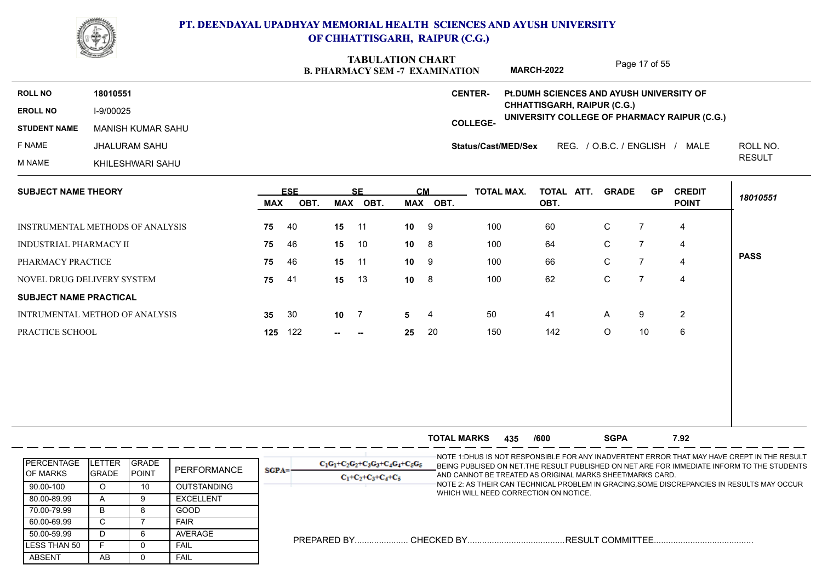

### **PT. DEENDAYAL UPADHYAY MEMORIAL HEALTH SCIENCES AND AYUSH UNIVERSITY OF CHHATTISGARH, RAIPUR (C.G.)**

### **B. BILADMACY SEM -7 EVAMINATION TABULATION CHART MARCH-2022**

Page 17 of 55

|                            |                                  |     |                     |     |                           |                 | D. FITANNIAU 1 SENI -/ EAANIINATIUN |                   | <b>IVIANYII-4944</b>                     |                             |     |                                              |               |
|----------------------------|----------------------------------|-----|---------------------|-----|---------------------------|-----------------|-------------------------------------|-------------------|------------------------------------------|-----------------------------|-----|----------------------------------------------|---------------|
| <b>ROLL NO</b>             | 18010551                         |     |                     |     |                           |                 |                                     | <b>CENTER-</b>    | Pt.DUMH SCIENCES AND AYUSH UNIVERSITY OF |                             |     |                                              |               |
| <b>EROLL NO</b>            | I-9/00025                        |     | <b>COLLEGE-</b>     |     |                           |                 |                                     |                   |                                          | CHHATTISGARH, RAIPUR (C.G.) |     | UNIVERSITY COLLEGE OF PHARMACY RAIPUR (C.G.) |               |
| <b>STUDENT NAME</b>        | <b>MANISH KUMAR SAHU</b>         |     |                     |     |                           |                 |                                     |                   |                                          |                             |     |                                              |               |
| F NAME                     | JHALURAM SAHU                    |     | Status/Cast/MED/Sex |     | REG. / O.B.C. / ENGLISH / |                 | MALE                                | ROLL NO.          |                                          |                             |     |                                              |               |
| M NAME                     | KHILESHWARI SAHU                 |     |                     |     |                           |                 |                                     |                   |                                          |                             |     |                                              | <b>RESULT</b> |
| <b>SUBJECT NAME THEORY</b> |                                  |     | <b>ESE</b>          |     | SE.                       | CМ              |                                     | <b>TOTAL MAX.</b> | TOTAL ATT.                               | <b>GRADE</b>                | GP. | <b>CREDIT</b>                                |               |
|                            |                                  | MAX | OBT.                | MAX | OBT.                      |                 | MAX OBT.                            |                   | OBT.                                     |                             |     | <b>POINT</b>                                 | 18010551      |
|                            | INSTRUMENTAL METHODS OF ANALYSIS | 75  | 40                  | 15  | 11                        | 10 <sup>1</sup> | - 9                                 | 100               | 60                                       | $\mathbf{C}$                |     | 4                                            |               |
|                            | <b>INDUSTRIAL PHARMACY II</b>    |     |                     | 15  | 10                        | 10              | -8                                  | 100               | 64                                       | C.                          |     | 4                                            |               |

|                                      | INSTRUMENTAL METHODS OF ANALYSIS |                      |                            | 75         | 40  | 15 11        |                                      |    |                    |          |                                                           |              |                |                |                                                                                             |
|--------------------------------------|----------------------------------|----------------------|----------------------------|------------|-----|--------------|--------------------------------------|----|--------------------|----------|-----------------------------------------------------------|--------------|----------------|----------------|---------------------------------------------------------------------------------------------|
| <b>INDUSTRIAL PHARMACY II</b>        |                                  |                      |                            | 75         | 46  | 15           | 10                                   | 10 | - 8                | 100      | 64                                                        | $\mathsf C$  | $\overline{7}$ | 4              |                                                                                             |
| PHARMACY PRACTICE                    |                                  |                      |                            | 75         | 46  | 15           | 11                                   | 10 | - 9                | 100      | 66                                                        | $\mathsf{C}$ | $\overline{7}$ | 4              | <b>PASS</b>                                                                                 |
| NOVEL DRUG DELIVERY SYSTEM           |                                  |                      |                            | 75         | 41  | 15           | 13                                   | 10 | -8                 | 100      | 62                                                        | $\mathsf C$  | $\overline{7}$ | 4              |                                                                                             |
|                                      |                                  |                      |                            |            |     |              |                                      |    |                    |          |                                                           |              |                |                |                                                                                             |
| <b>SUBJECT NAME PRACTICAL</b>        |                                  |                      |                            |            |     |              |                                      |    |                    |          |                                                           |              |                |                |                                                                                             |
| INTRUMENTAL METHOD OF ANALYSIS       |                                  |                      |                            | 35         | 30  | $10 \quad 7$ |                                      | 5  | 4                  | 50       | 41                                                        | A            | 9              | $\overline{2}$ |                                                                                             |
| PRACTICE SCHOOL                      |                                  |                      |                            | 125        | 122 |              | --                                   | 25 | 20                 | 150      | 142                                                       | $\circ$      | 10             | 6              |                                                                                             |
|                                      |                                  |                      |                            |            |     |              |                                      |    |                    |          |                                                           |              |                |                |                                                                                             |
|                                      |                                  |                      |                            |            |     |              |                                      |    | <b>TOTAL MARKS</b> | 435 /600 |                                                           | <b>SGPA</b>  |                | 7.92           |                                                                                             |
| <b>PERCENTAGE</b>                    | <b>LETTER</b>                    | GRADE                |                            |            |     |              | $C_1C_1+C_2C_2+C_3C_3+C_4C_4+C_5C_5$ |    |                    |          |                                                           |              |                |                | -NOTE 1:DHUS IS NOT RESPONSIBLE FOR ANY INADVERTENT ERROR THAT MAY HAVE CREPT IN THE RESULT |
| OF MARKS                             | GRADE                            | POINT                | PERFORMANCE                | $SGPA = -$ |     |              | $C_1 + C_2 + C_3 + C_4 + C_5$        |    |                    |          | AND CANNOT BE TREATED AS ORIGINAL MARKS SHEET/MARKS CARD. |              |                |                | BEING PUBLISED ON NET. THE RESULT PUBLISHED ON NET ARE FOR IMMEDIATE INFORM TO THE STUDENTS |
| 90.00-100                            | $\circ$                          | 10                   | <b>OUTSTANDING</b>         |            |     |              |                                      |    |                    |          |                                                           |              |                |                | NOTE 2: AS THEIR CAN TECHNICAL PROBLEM IN GRACING, SOME DISCREPANCIES IN RESULTS MAY OCCUR  |
| 80.00-89.99                          | A                                | 9                    | <b>EXCELLENT</b>           |            |     |              |                                      |    |                    |          | WHICH WILL NEED CORRECTION ON NOTICE.                     |              |                |                |                                                                                             |
| 70.00-79.99                          | B                                | 8                    | <b>GOOD</b>                |            |     |              |                                      |    |                    |          |                                                           |              |                |                |                                                                                             |
| 60.00-69.99                          | C                                | $\overline{7}$       | <b>FAIR</b>                |            |     |              |                                      |    |                    |          |                                                           |              |                |                |                                                                                             |
| 50.00-59.99                          | D                                | 6                    | AVERAGE                    |            |     |              |                                      |    |                    |          |                                                           |              |                |                |                                                                                             |
| <b>LESS THAN 50</b><br><b>ABSENT</b> | F.<br>AB                         | $\Omega$<br>$\Omega$ | <b>FAIL</b><br><b>FAIL</b> |            |     |              |                                      |    |                    |          |                                                           |              |                |                |                                                                                             |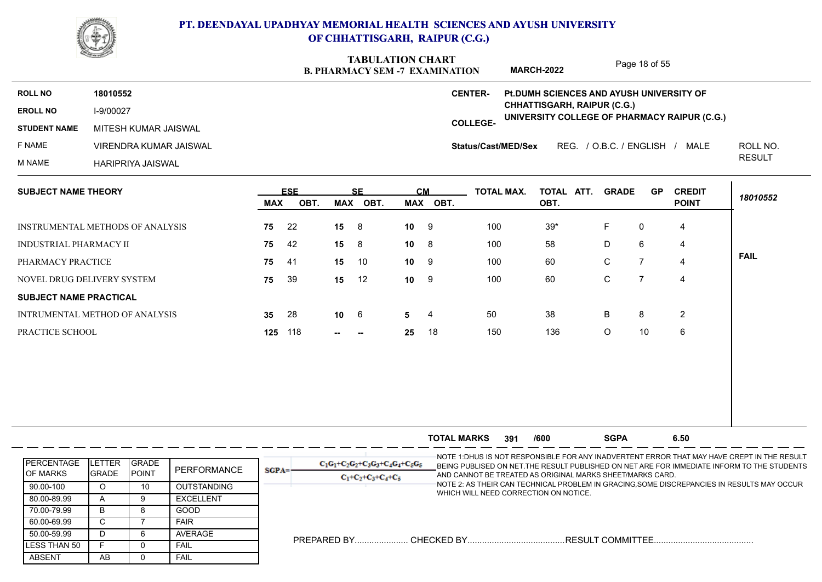

ABSENT | AB | 0 LESS THAN 50 F O 50.00-59.99 | D | 6 60.00-69.99 | C | 7

C | 7 | FAIR | |

F 0 FAIL

AB 0 FAIL

### **PT. DEENDAYAL UPADHYAY MEMORIAL HEALTH SCIENCES AND AYUSH UNIVERSITY OF CHHATTISGARH, RAIPUR (C.G.)**

### **B. PHARMACY SEM -7 EXAMINATION TABULATION CHART COLLEGE-EROLL NO ROLL NO CENTER-**Page 18 of 55 **STUDENT NAME** MITESH KUMAR JAISWAL F NAME VIRENDRA KUMAR JAISWAL M NAME HARIPRIYA JAISWAL **Status/Cast/MED/Sex** REG. / O.B.C. / ENGLISH / MALE ROLL NO. RESULT ROLL NO. **18010552 UNIVERSITY COLLEGE OF PHARMACY RAIPUR (C.G.) Pt.DUMH SCIENCES AND AYUSH UNIVERSITY OF CHHATTISGARH, RAIPUR (C.G.) MARCH-2022 SUBJECT NAME THEORY** INSTRUMENTAL METHODS OF ANALYSIS INDUSTRIAL PHARMACY II PHARMACY PRACTICE NOVEL DRUG DELIVERY SYSTEM PRACTICE SCHOOL **ESE SE CM MAX OBT. MAX OBT. MAX OBT. TOTAL MAX. TOTAL ATT. OBT. GRADE GP CREDIT POINT** 22 **15** 8 **75 75 75 35 125 10** 9 **15** 8 **15** 10 **15** 12 **10 -- 10** 9 100 39\* **10** 8 100 58 **10** 9 100 60 **10** 9 100 60 **5 25** 18 50 150 136 4 4 4 4 2 6 **TOTAL MARKS SGPA** INTRUMENTAL METHOD OF ANALYSIS **SGPA SUBJECT NAME PRACTICAL** 15 15 41 15 10  $15 \t 12$ 28 **10** 6 22 15 8 10 9<br>
42 15 8 10 8<br>
41 15 10 10 9<br>
39 15 12 10 9<br>
28 10 6 5 4<br>
118 --- 25 18 6 5 4 4 39\* 58 60 C 7 60 C 7 38 F 0 4 D 6 4 C 7 4 C 7 4 7 4 | 6 7 4 | B 8 2 | O 10 6 |  $0 \qquad 4 \qquad \qquad$ **FAIL 391 /600 SGPA 6.50 25** *18010552* NOTE 1:DHUS IS NOT RESPONSIBLE FOR ANY INADVERTENT ERROR THAT MAY HAVE CREPT IN THE RESULT BEING PUBLISED ON NET.THE RESULT PUBLISHED ON NET ARE FOR IMMEDIATE INFORM TO THE STUDENTS AND CANNOT BE TREATED AS ORIGINAL MARKS SHEET/MARKS CARD. NOTE 2: AS THEIR CAN TECHNICAL PROBLEM IN GRACING,SOME DISCREPANCIES IN RESULTS MAY OCCUR WHICH WILL NEED CORRECTION ON NOTICE. 70.00-79.99 | B | 8 80.00-89.99 | A | 9 90.00-100 | O | 10 PERCENTAGE OF MARKS **GRADE** LETTER GRADE POINT GRADE PERFORMANCE  $\begin{array}{|c|c|c|c|c|c|}\n\hline\n\text{r}_1\text{G}_1+\text{C}_2\text{G} & \text{G}_1\text{G}_1+\text{C}_2\text{G} & \text{G}_1\text{G}_1+\text{C}_2\text{G} & \text{G}_1\text{G}_1+\text{G}_2\text{G} & \text{G}_1\text{G}_1+\text{G}_2\text{G} & \text{G}_1\text{G}_1+\text{G}_2\text{G} & \text{G}_1\text{G}_1+\text{G}_2\text{G} & \text{G}_1\text{G$ O 10 OUTSTANDING A 9 EXCELLENT B 8 GOOD

PREPARED BY...................... CHECKED BY........................................RESULT COMMITTEE......................................... D | 6 | AVERAGE | \_ \_ \_ \_ \_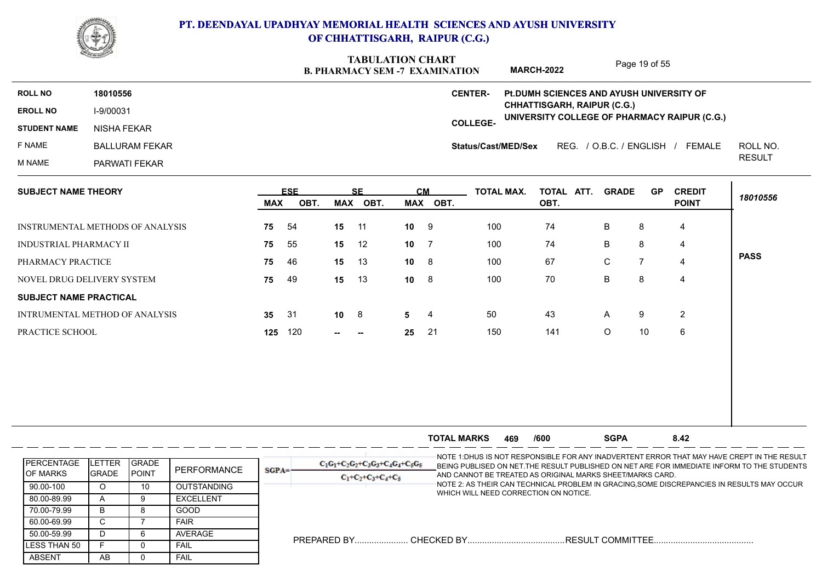

### **B. PHARMACY SEM -7 EXAMINATION TABULATION CHART**

Page 19 of 55

|                            |                       | <b>B. PHARMACY SEM -7 EXAMINATION</b>                                    |                     | <b>MARCH-2022</b>                                                           | Lange 19 OI 33                                             |               |
|----------------------------|-----------------------|--------------------------------------------------------------------------|---------------------|-----------------------------------------------------------------------------|------------------------------------------------------------|---------------|
| <b>ROLL NO</b>             | 18010556              |                                                                          | <b>CENTER-</b>      |                                                                             | Pt.DUMH SCIENCES AND AYUSH UNIVERSITY OF                   |               |
| <b>EROLL NO</b>            | I-9/00031             |                                                                          |                     | CHHATTISGARH, RAIPUR (C.G.)<br>UNIVERSITY COLLEGE OF PHARMACY RAIPUR (C.G.) |                                                            |               |
| <b>STUDENT NAME</b>        | NISHA FEKAR           |                                                                          | <b>COLLEGE-</b>     |                                                                             |                                                            |               |
| F NAME                     | <b>BALLURAM FEKAR</b> |                                                                          | Status/Cast/MED/Sex |                                                                             | REG. / O.B.C. / ENGLISH<br>FEMALE                          | ROLL NO.      |
| M NAME                     | <b>PARWATI FEKAR</b>  |                                                                          |                     |                                                                             |                                                            | <b>RESULT</b> |
| <b>SUBJECT NAME THEORY</b> |                       | <b>ESE</b><br>CМ<br>SE.<br>OBT.<br><b>MAX</b><br>MAX<br>OBT.<br>MAX OBT. |                     | <b>TOTAL MAX.</b><br>TOTAL ATT.<br>OBT.                                     | <b>GRADE</b><br><b>CREDIT</b><br><b>GP</b><br><b>POINT</b> | 18010556      |
|                            |                       |                                                                          |                     |                                                                             |                                                            |               |

| INSTRUMENTAL METHODS OF ANALYSIS | 75           | -54 | 15                | -11    | 10 <sup>1</sup> | -9   | 100 | 74  | B            | 8  | 4 |             |
|----------------------------------|--------------|-----|-------------------|--------|-----------------|------|-----|-----|--------------|----|---|-------------|
| INDUSTRIAL PHARMACY II           | 75           | -55 | 15                | 12     | 10              |      | 100 | 74  | B            | 8  | 4 |             |
| PHARMACY PRACTICE                | 75           | 46  | 15                | 13     | 10              | 8    | 100 | 67  | $\mathbf{C}$ |    | 4 | <b>PASS</b> |
| NOVEL DRUG DELIVERY SYSTEM       | 75           | 49  | 15                | 13     | 10 <sub>1</sub> | - 8  | 100 | 70  | B            | 8  | 4 |             |
| <b>SUBJECT NAME PRACTICAL</b>    |              |     |                   |        |                 |      |     |     |              |    |   |             |
| INTRUMENTAL METHOD OF ANALYSIS   | <b>35</b> 31 |     | $10 \quad 8$      |        | 5               | -4   | 50  | 43  | A            | 9  | 2 |             |
| PRACTICE SCHOOL                  | 125          | 120 | <b>Brandfield</b> | $\sim$ | 25              | - 21 | 150 | 141 | $\circ$      | 10 | 6 |             |
|                                  |              |     |                   |        |                 |      |     |     |              |    |   |             |

|                                        |                                 |                               |                    | <b>SGPA</b><br>8.42<br><b>TOTAL MARKS</b><br>/600<br>469                                                                                                                                                                                                                                                                            |
|----------------------------------------|---------------------------------|-------------------------------|--------------------|-------------------------------------------------------------------------------------------------------------------------------------------------------------------------------------------------------------------------------------------------------------------------------------------------------------------------------------|
| <b>IPERCENTAGE</b><br><b>IOF MARKS</b> | <b>ILETTER</b><br><b>IGRADE</b> | <b>IGRADE</b><br><b>POINT</b> | PERFORMANCE        | -NOTE 1:DHUS IS NOT RESPONSIBLE FOR ANY INADVERTENT ERROR THAT MAY HAVE CREPT IN THE RESULT<br>$C_1C_1+C_2C_2+C_3C_3+C_4C_4+C_5C_5$<br>BEING PUBLISED ON NET. THE RESULT PUBLISHED ON NET ARE FOR IMMEDIATE INFORM TO THE STUDENTS<br>$SGPA=$<br>AND CANNOT BE TREATED AS ORIGINAL MARKS SHEET/MARKS CARD.<br>$C_1+C_2+C_3+C_4+C_5$ |
| 90.00-100                              |                                 |                               | <b>OUTSTANDING</b> | NOTE 2: AS THEIR CAN TECHNICAL PROBLEM IN GRACING,SOME DISCREPANCIES IN RESULTS MAY OCCUR                                                                                                                                                                                                                                           |
| 80.00-89.99                            |                                 |                               | <b>EXCELLENT</b>   | WHICH WILL NEED CORRECTION ON NOTICE.                                                                                                                                                                                                                                                                                               |
| 70.00-79.99                            |                                 |                               | GOOD               |                                                                                                                                                                                                                                                                                                                                     |
| 60.00-69.99                            |                                 |                               | FAIR               |                                                                                                                                                                                                                                                                                                                                     |
| 50.00-59.99                            |                                 |                               | AVERAGE            |                                                                                                                                                                                                                                                                                                                                     |
| ILESS THAN 50                          |                                 |                               | FAIL               |                                                                                                                                                                                                                                                                                                                                     |
| <b>ABSENT</b>                          | AB                              |                               | FAIL               |                                                                                                                                                                                                                                                                                                                                     |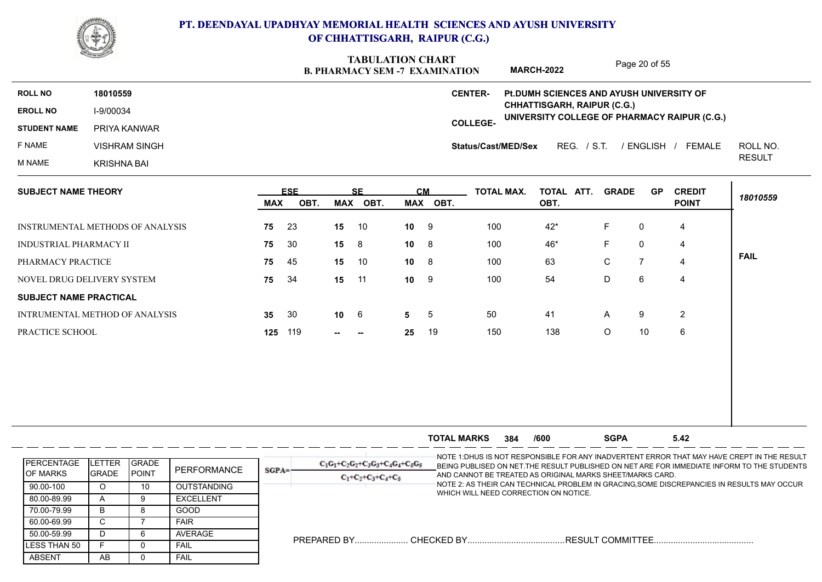

### **B. PHARMACY SEM -7 EXAMINATION TABULATION CHART**

Page 20 of 55

**MARCH-2022**

|                            |                      | <u>De e manuel delle a production de la production de la production de la production de la production de la produ</u>                                                                                    |               |
|----------------------------|----------------------|----------------------------------------------------------------------------------------------------------------------------------------------------------------------------------------------------------|---------------|
| <b>ROLL NO</b>             | 18010559             | <b>CENTER-</b><br><b>PLDUMH SCIENCES AND AYUSH UNIVERSITY OF</b>                                                                                                                                         |               |
| <b>EROLL NO</b>            | I-9/00034            | CHHATTISGARH, RAIPUR (C.G.)<br>UNIVERSITY COLLEGE OF PHARMACY RAIPUR (C.G.)                                                                                                                              |               |
| <b>STUDENT NAME</b>        | PRIYA KANWAR         | <b>COLLEGE-</b>                                                                                                                                                                                          |               |
| F NAME                     | <b>VISHRAM SINGH</b> | FEMALE<br>/ S.T.<br>/ ENGLISH<br>REG.<br>Status/Cast/MED/Sex                                                                                                                                             | ROLL NO.      |
| M NAME                     | <b>KRISHNA BAI</b>   |                                                                                                                                                                                                          | <b>RESULT</b> |
| <b>SUBJECT NAME THEORY</b> |                      | <b>ESE</b><br><b>CM</b><br>TOTAL ATT.<br><b>GP</b><br><b>CREDIT</b><br><b>TOTAL MAX.</b><br><b>GRADE</b><br><b>SF</b><br><b>POINT</b><br>OBT.<br><b>MAX</b><br>OBT.<br><b>MAX</b><br>OBT.<br>MAX<br>OBT. | 18010559      |

| INSTRUMENTAL METHODS OF ANALYSIS | 75 | -23     | 15 10        |        | $10 \quad 9$ |    | 100 | $42*$ |   | 0  | 4 |
|----------------------------------|----|---------|--------------|--------|--------------|----|-----|-------|---|----|---|
| INDUSTRIAL PHARMACY II           | 75 | -30     | $15 \quad 8$ |        | $10 \t 8$    |    | 100 | 46*   |   | 0  | 4 |
| PHARMACY PRACTICE                | 75 | -45     | 15 10        |        | $10 \quad 8$ |    | 100 | 63    | C |    | 4 |
| NOVEL DRUG DELIVERY SYSTEM       | 75 | -34     | 15 11        |        | $10 \t 9$    |    | 100 | 54    | D | 6  | 4 |
| <b>SUBJECT NAME PRACTICAL</b>    |    |         |              |        |              |    |     |       |   |    |   |
| INTRUMENTAL METHOD OF ANALYSIS   | 35 | -30     | $10 \t 6$    |        | $5\quad 5$   |    | 50  | -41   | A | 9  | 2 |
| PRACTICE SCHOOL                  |    | 125 119 | $- -$        | $\sim$ | 25           | 19 | 150 | 138   | O | 10 | 6 |
|                                  |    |         |              |        |              |    |     |       |   |    |   |

|                                        |                              |                                |                                        |          |                                      | <b>TOTAL MARKS</b>                    | 384 | /600 | <b>SGPA</b>                                               | 5.42 |                                                                                                                                                                                            |
|----------------------------------------|------------------------------|--------------------------------|----------------------------------------|----------|--------------------------------------|---------------------------------------|-----|------|-----------------------------------------------------------|------|--------------------------------------------------------------------------------------------------------------------------------------------------------------------------------------------|
| <b>IPERCENTAGE</b><br><b>IOF MARKS</b> | <b>ETTER</b><br><b>GRADE</b> | <b>IGRADE</b><br><b>IPOINT</b> | PERFORMANCE                            | $SGPA =$ | $C_1G_1+C_2G_2+C_3G_3+C_4G_4+C_5G_5$ |                                       |     |      | AND CANNOT BE TREATED AS ORIGINAL MARKS SHEET/MARKS CARD. |      | -NOTE 1:DHUS IS NOT RESPONSIBLE FOR ANY INADVERTENT ERROR THAT MAY HAVE CREPT IN THE RESULT<br>BEING PUBLISED ON NET. THE RESULT PUBLISHED ON NET ARE FOR IMMEDIATE INFORM TO THE STUDENTS |
| 90.00-100<br>80.00-89.99               |                              | 10                             | <b>OUTSTANDING</b><br><b>EXCELLENT</b> |          | $C_1+C_2+C_3+C_4+C_5$                | WHICH WILL NEED CORRECTION ON NOTICE. |     |      |                                                           |      | NOTE 2: AS THEIR CAN TECHNICAL PROBLEM IN GRACING,SOME DISCREPANCIES IN RESULTS MAY OCCUR                                                                                                  |
| 70.00-79.99<br>60.00-69.99             | B                            |                                | GOOD<br><b>FAIR</b>                    |          |                                      |                                       |     |      |                                                           |      |                                                                                                                                                                                            |
| 50.00-59.99                            | ◡                            |                                | AVERAGE                                |          |                                      |                                       |     |      |                                                           |      |                                                                                                                                                                                            |
| LESS THAN 50<br>ABSENT                 | AB                           |                                | <b>FAIL</b><br><b>FAIL</b>             |          |                                      |                                       |     |      |                                                           |      |                                                                                                                                                                                            |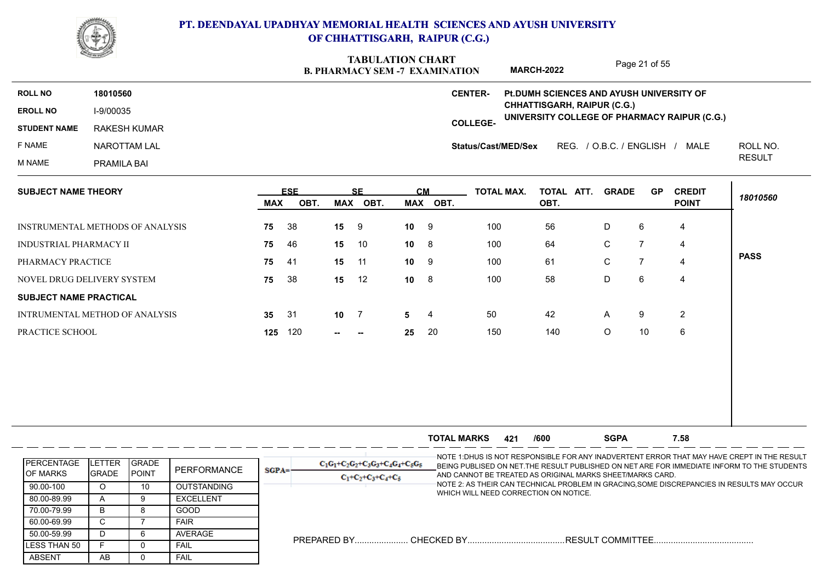

|                               | <b>CONTRACTOR</b>                | <b>TABULATION CHART</b><br>Page 21 of 55<br><b>B. PHARMACY SEM -7 EXAMINATION</b><br><b>MARCH-2022</b> |                                                                 |           |                       |               |                       |                     |                                          |              |                |                                |               |
|-------------------------------|----------------------------------|--------------------------------------------------------------------------------------------------------|-----------------------------------------------------------------|-----------|-----------------------|---------------|-----------------------|---------------------|------------------------------------------|--------------|----------------|--------------------------------|---------------|
| <b>ROLL NO</b>                | 18010560                         |                                                                                                        |                                                                 |           |                       |               |                       | <b>CENTER-</b>      | Pt.DUMH SCIENCES AND AYUSH UNIVERSITY OF |              |                |                                |               |
| <b>EROLL NO</b>               | I-9/00035                        |                                                                                                        |                                                                 |           |                       |               |                       |                     | <b>CHHATTISGARH, RAIPUR (C.G.)</b>       |              |                |                                |               |
| <b>STUDENT NAME</b>           | <b>RAKESH KUMAR</b>              |                                                                                                        | UNIVERSITY COLLEGE OF PHARMACY RAIPUR (C.G.)<br><b>COLLEGE-</b> |           |                       |               |                       |                     |                                          |              |                |                                |               |
| F NAME                        | NAROTTAM LAL                     |                                                                                                        |                                                                 |           |                       |               |                       | Status/Cast/MED/Sex |                                          |              |                | REG. / O.B.C. / ENGLISH / MALE | ROLL NO.      |
| <b>M NAME</b>                 | PRAMILA BAI                      |                                                                                                        |                                                                 |           |                       |               |                       |                     |                                          |              |                |                                | <b>RESULT</b> |
| <b>SUBJECT NAME THEORY</b>    |                                  | <b>MAX</b>                                                                                             | <b>ESE</b><br>OBT.                                              |           | <b>SF</b><br>MAX OBT. |               | <b>CM</b><br>MAX OBT. | <b>TOTAL MAX.</b>   | TOTAL ATT.<br>OBT.                       | <b>GRADE</b> | <b>GP</b>      | <b>CREDIT</b><br><b>POINT</b>  | 18010560      |
|                               |                                  |                                                                                                        |                                                                 |           |                       |               |                       |                     |                                          |              |                |                                |               |
|                               | INSTRUMENTAL METHODS OF ANALYSIS | 75                                                                                                     | 38                                                              | 15        | 9                     | 10            | 9                     | 100                 | 56                                       | D            | 6              | 4                              |               |
| INDUSTRIAL PHARMACY II        |                                  | 75                                                                                                     | 46                                                              | 15        | 10                    | 10            | 8                     | 100                 | 64                                       | $\mathsf C$  | $\overline{7}$ | 4                              |               |
| PHARMACY PRACTICE             |                                  | 75                                                                                                     | 41                                                              | 15        | 11                    | $10 \qquad 9$ |                       | 100                 | 61                                       | $\mathsf C$  | $\overline{7}$ | 4                              | <b>PASS</b>   |
|                               | NOVEL DRUG DELIVERY SYSTEM       | 75                                                                                                     | 38                                                              | 15        | 12                    | 10            | 8                     | 100                 | 58                                       | D            | 6              | 4                              |               |
| <b>SUBJECT NAME PRACTICAL</b> |                                  |                                                                                                        |                                                                 |           |                       |               |                       |                     |                                          |              |                |                                |               |
|                               | INTRUMENTAL METHOD OF ANALYSIS   | 35                                                                                                     | 31                                                              | $10 \t 7$ |                       | 5             | 4                     | 50                  | 42                                       | A            | 9              | $\overline{2}$                 |               |
|                               | PRACTICE SCHOOL                  | 125                                                                                                    | 120                                                             | −−        | $\sim$                | 25            | 20                    | 150                 | 140                                      | $\circ$      | 10             | $\,6\,$                        |               |

|                                        |                                |                                |                    | <b>SGPA</b><br>/600<br><b>TOTAL MARKS</b><br>7.58<br>421                                                                                                                                                                                                                                                                             |
|----------------------------------------|--------------------------------|--------------------------------|--------------------|--------------------------------------------------------------------------------------------------------------------------------------------------------------------------------------------------------------------------------------------------------------------------------------------------------------------------------------|
| <b>IPERCENTAGE</b><br><b>IOF MARKS</b> | <b>LETTER</b><br><b>IGRADE</b> | <b>IGRADE</b><br><b>IPOINT</b> | PERFORMANCE        | -NOTE 1:DHUS IS NOT RESPONSIBLE FOR ANY INADVERTENT ERROR THAT MAY HAVE CREPT IN THE RESULT<br>$C_1G_1+C_2G_2+C_3G_3+C_4G_4+C_5G_5$<br>BEING PUBLISED ON NET. THE RESULT PUBLISHED ON NET ARE FOR IMMEDIATE INFORM TO THE STUDENTS<br>$SGPA =$<br>AND CANNOT BE TREATED AS ORIGINAL MARKS SHEET/MARKS CARD.<br>$C_1+C_2+C_3+C_4+C_5$ |
| 90.00-100                              |                                |                                | <b>OUTSTANDING</b> | -NOTE 2: AS THEIR CAN TECHNICAL PROBLEM IN GRACING.SOME DISCREPANCIES IN RESULTS MAY OCCUR                                                                                                                                                                                                                                           |
| 80.00-89.99                            |                                |                                | <b>EXCELLENT</b>   | WHICH WILL NEED CORRECTION ON NOTICE.                                                                                                                                                                                                                                                                                                |
| 70.00-79.99                            | B.                             |                                | GOOD               |                                                                                                                                                                                                                                                                                                                                      |
| 60.00-69.99                            | U                              |                                | <b>FAIR</b>        |                                                                                                                                                                                                                                                                                                                                      |
| 50.00-59.99                            | D                              |                                | AVERAGE            | PREPARED BY CHECKED BY                                                                                                                                                                                                                                                                                                               |
| <b>ILESS THAN 50</b>                   |                                |                                | <b>FAIL</b>        |                                                                                                                                                                                                                                                                                                                                      |
| ABSENT                                 | AB.                            |                                | <b>FAIL</b>        |                                                                                                                                                                                                                                                                                                                                      |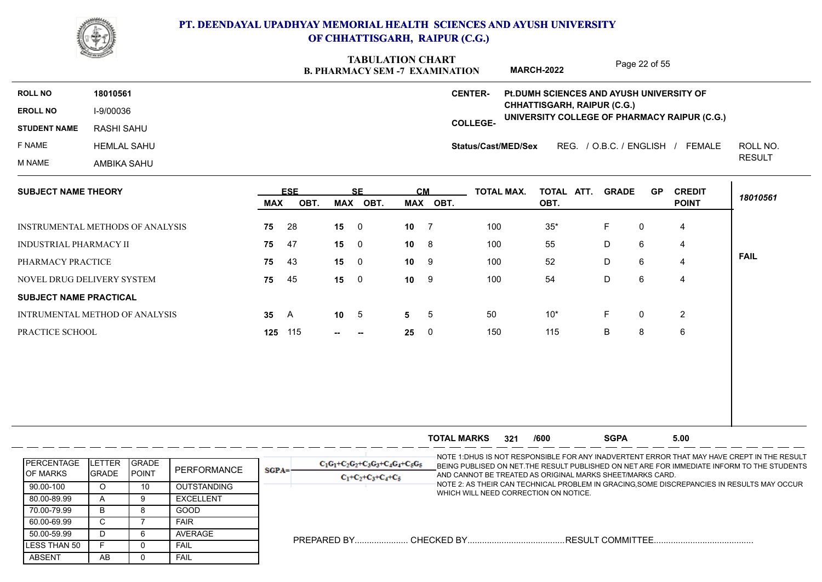

### **B. PHARMACY SEM -7 EXAMINATION TABULATION CHART**

Page 22 of 55

|                            |                    | I ay <del>o</del> ZZ UI JJ<br><b>MARCH-2022</b><br><b>B. PHARMACY SEM -7 EXAMINATION</b>                |               |
|----------------------------|--------------------|---------------------------------------------------------------------------------------------------------|---------------|
| <b>ROLL NO</b>             | 18010561           | Pt.DUMH SCIENCES AND AYUSH UNIVERSITY OF<br><b>CENTER-</b>                                              |               |
| <b>EROLL NO</b>            | I-9/00036          | CHHATTISGARH, RAIPUR (C.G.)<br>UNIVERSITY COLLEGE OF PHARMACY RAIPUR (C.G.)                             |               |
| <b>STUDENT NAME</b>        | RASHI SAHU         | <b>COLLEGE-</b>                                                                                         |               |
| F NAME                     | <b>HEMLAL SAHU</b> | REG. / O.B.C. / ENGLISH<br>FEMALE<br>Status/Cast/MED/Sex                                                | ROLL NO.      |
| M NAME                     | AMBIKA SAHU        |                                                                                                         | <b>RESULT</b> |
| <b>SUBJECT NAME THEORY</b> |                    | <b>ESE</b><br>CМ<br>TOTAL ATT.<br><b>GP</b><br>TOTAL MAX.<br><b>GRADE</b><br><b>CREDIT</b><br><b>SF</b> | 10010001      |

| <b>SUBJECT NAME THEORT</b>       |         |      |                 |                          | ww        |                | IVIAL MAA. | IVIAL AII. | שמאט - | . Or     | <b>VINLDII</b> |             |
|----------------------------------|---------|------|-----------------|--------------------------|-----------|----------------|------------|------------|--------|----------|----------------|-------------|
|                                  | MAX     | OBT. | MAX             | OBT.                     |           | MAX OBT.       |            | OBT.       |        |          | <b>POINT</b>   | 18010561    |
| INSTRUMENTAL METHODS OF ANALYSIS | 75      | -28  | 15              | - 0                      | 10        | $\overline{7}$ | 100        | $35*$      | ⊢      | 0        | 4              |             |
| INDUSTRIAL PHARMACY II           | 75      | -47  | 15              | - 0                      | $10 \t 8$ |                | 100        | 55         | D      | 6        | 4              |             |
| PHARMACY PRACTICE                | 75      | 43   | 15 <sup>1</sup> | - 0                      | $10 \t 9$ |                | 100        | 52         | D      | 6        | 4              | <b>FAIL</b> |
| NOVEL DRUG DELIVERY SYSTEM       | 75      | 45   | 15              | - 0                      | $10 \t 9$ |                | 100        | 54         | D      | 6        | 4              |             |
| <b>SUBJECT NAME PRACTICAL</b>    |         |      |                 |                          |           |                |            |            |        |          |                |             |
| INTRUMENTAL METHOD OF ANALYSIS   | 35      | A    | 10 <sup>1</sup> | -5                       | 5         | -5             | 50         | $10*$      |        | $\Omega$ | 2              |             |
| PRACTICE SCHOOL                  | 125 115 |      | --              | $\overline{\phantom{a}}$ | 25        | - 0            | 150        | 115        | B      | 8        | 6              |             |
|                                  |         |      |                 |                          |           |                |            |            |        |          |                |             |

|                                        |                        |                                |                    |          |                                                               | <b>TOTAL MARKS</b>                    | 321 | /600 | <b>SGPA</b>                                               | 5.00 |                                                                                                                                                                                            |
|----------------------------------------|------------------------|--------------------------------|--------------------|----------|---------------------------------------------------------------|---------------------------------------|-----|------|-----------------------------------------------------------|------|--------------------------------------------------------------------------------------------------------------------------------------------------------------------------------------------|
| <b>IPERCENTAGE</b><br><b>IOF MARKS</b> | LETTER<br><b>GRADE</b> | <b>IGRADE</b><br><b>IPOINT</b> | PERFORMANCE        | $SGPA =$ | $C_1G_1+C_2G_2+C_3G_3+C_4G_4+C_5G_5$<br>$C_1+C_2+C_3+C_4+C_5$ |                                       |     |      | AND CANNOT BE TREATED AS ORIGINAL MARKS SHEET/MARKS CARD. |      | -NOTE 1:DHUS IS NOT RESPONSIBLE FOR ANY INADVERTENT ERROR THAT MAY HAVE CREPT IN THE RESULT<br>BEING PUBLISED ON NET. THE RESULT PUBLISHED ON NET ARE FOR IMMEDIATE INFORM TO THE STUDENTS |
| 90.00-100                              |                        | 10                             | <b>OUTSTANDING</b> |          |                                                               |                                       |     |      |                                                           |      | NOTE 2: AS THEIR CAN TECHNICAL PROBLEM IN GRACING.SOME DISCREPANCIES IN RESULTS MAY OCCURI-                                                                                                |
| 80.00-89.99                            |                        |                                | <b>EXCELLENT</b>   |          |                                                               | WHICH WILL NEED CORRECTION ON NOTICE. |     |      |                                                           |      |                                                                                                                                                                                            |
| 70.00-79.99                            | B                      |                                | GOOD               |          |                                                               |                                       |     |      |                                                           |      |                                                                                                                                                                                            |
| 60.00-69.99                            |                        |                                | <b>FAIR</b>        |          |                                                               |                                       |     |      |                                                           |      |                                                                                                                                                                                            |
| 50.00-59.99                            |                        | b                              | AVERAGE            |          |                                                               |                                       |     |      |                                                           |      |                                                                                                                                                                                            |
| <b>ILESS THAN 50</b>                   |                        |                                | FAIL               |          |                                                               |                                       |     |      |                                                           |      |                                                                                                                                                                                            |
| ABSENT                                 | AB.                    |                                | <b>FAIL</b>        |          |                                                               |                                       |     |      |                                                           |      |                                                                                                                                                                                            |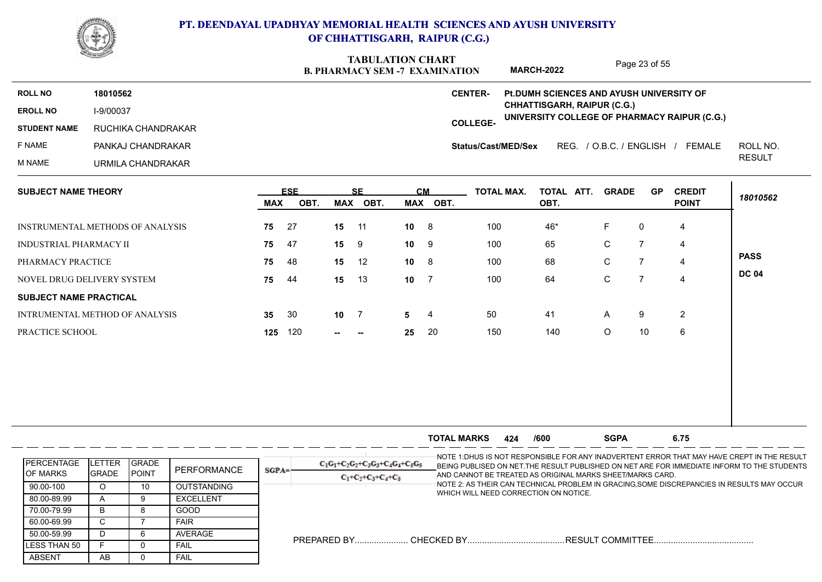

### **B. PHARMACY SEM -7 EXAMINATION TABULATION CHART MARCH-2022**

Page 23 of 55

| <b>ROLL NO</b>             | 18010562           | <b>PLDUMH SCIENCES AND AYUSH UNIVERSITY OF</b><br><b>CENTER-</b>                                               |               |
|----------------------------|--------------------|----------------------------------------------------------------------------------------------------------------|---------------|
| <b>EROLL NO</b>            | I-9/00037          | CHHATTISGARH, RAIPUR (C.G.)<br>UNIVERSITY COLLEGE OF PHARMACY RAIPUR (C.G.)                                    |               |
| <b>STUDENT NAME</b>        | RUCHIKA CHANDRAKAR | <b>COLLEGE-</b>                                                                                                |               |
| F NAME                     | PANKAJ CHANDRAKAR  | REG. / O.B.C. / ENGLISH<br>FEMALE<br>Status/Cast/MED/Sex                                                       | ROLL NO.      |
| M NAME                     | URMILA CHANDRAKAR  |                                                                                                                | <b>RESULT</b> |
| <b>SUBJECT NAME THEORY</b> |                    | <b>CM</b><br>ESE<br><b>TOTAL MAX.</b><br><b>CREDIT</b><br>SF.<br>TOTAL ATT.<br>GP.<br><b>GRADE</b>             |               |
|                            |                    | <b>DOINT</b><br><b>ODT</b><br><b>ODT</b><br><b>MAV</b><br><b>MAV</b><br><b>MAV</b><br><b>ODT</b><br><b>ODT</b> | 18010562      |

|                                  | <b>MAX</b>      | OBT. | MAX             | OBT.   |                 | MAX OBT. |     | OBT. |              |    | <b>POINT</b>   | 10010002     |
|----------------------------------|-----------------|------|-----------------|--------|-----------------|----------|-----|------|--------------|----|----------------|--------------|
| INSTRUMENTAL METHODS OF ANALYSIS | 75              | - 27 | 15              | - 11   | 10 <sub>1</sub> | - 8      | 100 | 46*  |              | 0  | 4              |              |
| INDUSTRIAL PHARMACY II           | 75              | 47   | 15              | -9     | 10 <sup>°</sup> | 9        | 100 | 65   | C.           |    | 4              |              |
| PHARMACY PRACTICE                | 75              | 48   | 15              | 12     | 10 <sub>1</sub> | 8        | 100 | 68   | $\mathbf{C}$ |    | 4              | <b>PASS</b>  |
| NOVEL DRUG DELIVERY SYSTEM       | 75              | -44  | 15              | 13     | 10              |          | 100 | 64   | C            |    | 4              | <b>DC 04</b> |
| <b>SUBJECT NAME PRACTICAL</b>    |                 |      |                 |        |                 |          |     |      |              |    |                |              |
| INTRUMENTAL METHOD OF ANALYSIS   | 35 <sub>o</sub> | - 30 | 10 <sub>7</sub> |        | $5 \t 4$        |          | 50  | 41   | A            | 9  | $\overline{2}$ |              |
| PRACTICE SCHOOL                  | 125             | 120  | $- -$           | $\sim$ | 25              | - 20     | 150 | 140  | $\circ$      | 10 | 6              |              |
|                                  |                 |      |                 |        |                 |          |     |      |              |    |                |              |

|                                        |                         |                                |                    |            |                                                               | <b>TOTAL MARKS</b>                    | 424 | /600 | <b>SGPA</b>                                               | 6.75                                                                                                                                                                                       |  |
|----------------------------------------|-------------------------|--------------------------------|--------------------|------------|---------------------------------------------------------------|---------------------------------------|-----|------|-----------------------------------------------------------|--------------------------------------------------------------------------------------------------------------------------------------------------------------------------------------------|--|
| <b>IPERCENTAGE</b><br><b>IOF MARKS</b> | LETTER<br><b>IGRADE</b> | <b>IGRADE</b><br><b>IPOINT</b> | PERFORMANCE        | $SGPA = 1$ | $C_1C_1+C_2C_2+C_3C_3+C_4C_4+C_5C_5$<br>$C_1+C_2+C_3+C_4+C_5$ |                                       |     |      | AND CANNOT BE TREATED AS ORIGINAL MARKS SHEET/MARKS CARD. | -NOTE 1:DHUS IS NOT RESPONSIBLE FOR ANY INADVERTENT ERROR THAT MAY HAVE CREPT IN THE RESULT<br>BEING PUBLISED ON NET. THE RESULT PUBLISHED ON NET ARE FOR IMMEDIATE INFORM TO THE STUDENTS |  |
| 90.00-100                              |                         | 10                             | <b>OUTSTANDING</b> |            |                                                               |                                       |     |      |                                                           | NOTE 2: AS THEIR CAN TECHNICAL PROBLEM IN GRACING.SOME DISCREPANCIES IN RESULTS MAY OCCURI-                                                                                                |  |
| 80.00-89.99                            |                         |                                | <b>EXCELLENT</b>   |            |                                                               | WHICH WILL NEED CORRECTION ON NOTICE. |     |      |                                                           |                                                                                                                                                                                            |  |
| 70.00-79.99                            |                         |                                | <b>GOOD</b>        |            |                                                               |                                       |     |      |                                                           |                                                                                                                                                                                            |  |
| 60.00-69.99                            |                         |                                | <b>FAIR</b>        |            |                                                               |                                       |     |      |                                                           |                                                                                                                                                                                            |  |
| 50.00-59.99                            |                         | n                              | AVERAGE            |            |                                                               |                                       |     |      |                                                           |                                                                                                                                                                                            |  |
| LLESS THAN 50                          |                         |                                | FAIL               |            |                                                               |                                       |     |      |                                                           |                                                                                                                                                                                            |  |
| <b>ABSENT</b>                          | AB                      |                                | FAIL               |            |                                                               |                                       |     |      |                                                           |                                                                                                                                                                                            |  |
|                                        |                         |                                |                    |            |                                                               |                                       |     |      |                                                           |                                                                                                                                                                                            |  |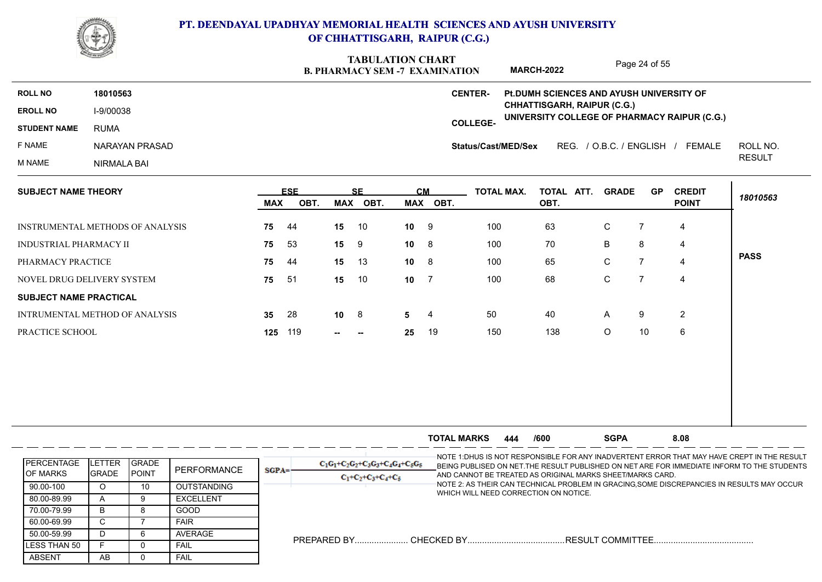

**18010563**

### **PT. DEENDAYAL UPADHYAY MEMORIAL HEALTH SCIENCES AND AYUSH UNIVERSITY OF CHHATTISGARH, RAIPUR (C.G.)**

### **B. PHARMACY SEM -7 EXAMINATION TABULATION CHART ROLL NO CENTER-**Page 24 of 55 **Pt.DUMH SCIENCES AND AYUSH UNIVERSITY OF MARCH-2022**

**EROLL NO**

**STUDENT NAME** RUMA

F NAME NARAYAN PRASAD

M NAME NIRMALA BAI

ABSENT | AB | 0 LESS THAN 50 F 0 50.00-59.99 D 6

F 0 FAIL

AB 0 FAIL

**COLLEGE-UNIVERSITY COLLEGE OF PHARMACY RAIPUR (C.G.) CHHATTISGARH, RAIPUR (C.G.)** I-9/00038

> **Status/Cast/MED/Sex** REG. / O.B.C. / ENGLISH / FEMALE ROLL NO. ROLL NO.

RESULT

| <b>SUBJECT NAME THEORY</b>                                      |                                                 |                       |                  |            | <b>ESE</b> | <b>SE</b> |                                      | CМ |                    | <b>TOTAL MAX.</b>                     | TOTAL ATT. GRADE                                          |                | <b>GP</b>      | <b>CREDIT</b>  | 18010563                                                                                                                                                                                   |
|-----------------------------------------------------------------|-------------------------------------------------|-----------------------|------------------|------------|------------|-----------|--------------------------------------|----|--------------------|---------------------------------------|-----------------------------------------------------------|----------------|----------------|----------------|--------------------------------------------------------------------------------------------------------------------------------------------------------------------------------------------|
|                                                                 |                                                 |                       |                  | <b>MAX</b> | OBT.       | MAX OBT.  |                                      |    | MAX OBT.           |                                       | OBT.                                                      |                |                | <b>POINT</b>   |                                                                                                                                                                                            |
| INSTRUMENTAL METHODS OF ANALYSIS                                |                                                 |                       |                  | 75         | 44         | 15        | 10                                   | 10 | 9                  | 100                                   | 63                                                        | $\mathsf{C}$   |                | 4              |                                                                                                                                                                                            |
| <b>INDUSTRIAL PHARMACY II</b>                                   |                                                 |                       |                  | 75         | -53        | 15        | 9                                    | 10 | 8                  | 100                                   | 70                                                        | B              | 8              | $\overline{4}$ |                                                                                                                                                                                            |
|                                                                 | PHARMACY PRACTICE<br>NOVEL DRUG DELIVERY SYSTEM |                       | 75               | 44         | 15         | 13        | 10                                   | 8  | 100                | 65                                    | $\mathsf{C}$                                              | $\overline{7}$ | $\overline{4}$ | <b>PASS</b>    |                                                                                                                                                                                            |
|                                                                 |                                                 |                       | 75               | 51         | 15         | - 10      | 10 <sup>1</sup>                      | -7 | 100                | 68                                    | $\mathsf{C}$                                              | $\overline{7}$ | $\overline{4}$ |                |                                                                                                                                                                                            |
| <b>SUBJECT NAME PRACTICAL</b><br>INTRUMENTAL METHOD OF ANALYSIS |                                                 |                       |                  |            |            |           |                                      |    |                    |                                       |                                                           |                |                |                |                                                                                                                                                                                            |
|                                                                 |                                                 |                       | 35               | 28         | 10         | -8        | 5.                                   | 4  | 50                 | 40                                    | A                                                         | 9              | $\overline{2}$ |                |                                                                                                                                                                                            |
| PRACTICE SCHOOL                                                 |                                                 |                       |                  | 125        | 119        | $-$       |                                      | 25 | 19                 | 150                                   | 138                                                       | $\circ$        | 10             | 6              |                                                                                                                                                                                            |
|                                                                 |                                                 |                       |                  |            |            |           |                                      |    | <b>TOTAL MARKS</b> | 444                                   | /600                                                      | <b>SGPA</b>    |                | 8.08           |                                                                                                                                                                                            |
|                                                                 |                                                 |                       |                  |            |            |           |                                      |    |                    |                                       |                                                           |                |                |                |                                                                                                                                                                                            |
| PERCENTAGE<br><b>IOF MARKS</b>                                  | LETTER<br><b>GRADE</b>                          | GRADE<br><b>POINT</b> | PERFORMANCE      | $SGPA = -$ |            |           | $C_1C_1+C_2C_2+C_3C_3+C_4C_4+C_5C_5$ |    |                    |                                       |                                                           |                |                |                | -NOTE 1:DHUS IS NOT RESPONSIBLE FOR ANY INADVERTENT ERROR THAT MAY HAVE CREPT IN THE RESULT<br>BEING PUBLISED ON NET. THE RESULT PUBLISHED ON NET ARE FOR IMMEDIATE INFORM TO THE STUDENTS |
| 90.00-100                                                       | $\circ$                                         | 10                    | OUTSTANDING      |            |            |           | $C_1+C_2+C_3+C_4+C_5$                |    |                    |                                       | AND CANNOT BE TREATED AS ORIGINAL MARKS SHEET/MARKS CARD. |                |                |                | NOTE 2: AS THEIR CAN TECHNICAL PROBLEM IN GRACING,SOME DISCREPANCIES IN RESULTS MAY OCCUR                                                                                                  |
| 80.00-89.99                                                     | Α                                               | 9                     | <b>EXCELLENT</b> |            |            |           |                                      |    |                    | WHICH WILL NEED CORRECTION ON NOTICE. |                                                           |                |                |                |                                                                                                                                                                                            |
| 70.00-79.99                                                     | B                                               | 8                     | GOOD             |            |            |           |                                      |    |                    |                                       |                                                           |                |                |                |                                                                                                                                                                                            |
| 60.00-69.99                                                     | $\mathsf{C}$                                    | $\overline{7}$        | <b>FAIR</b>      |            |            |           |                                      |    |                    |                                       |                                                           |                |                |                |                                                                                                                                                                                            |

PREPARED BY...................... CHECKED BY........................................RESULT COMMITTEE......................................... D | 6 | AVERAGE | \_ \_ \_ \_ \_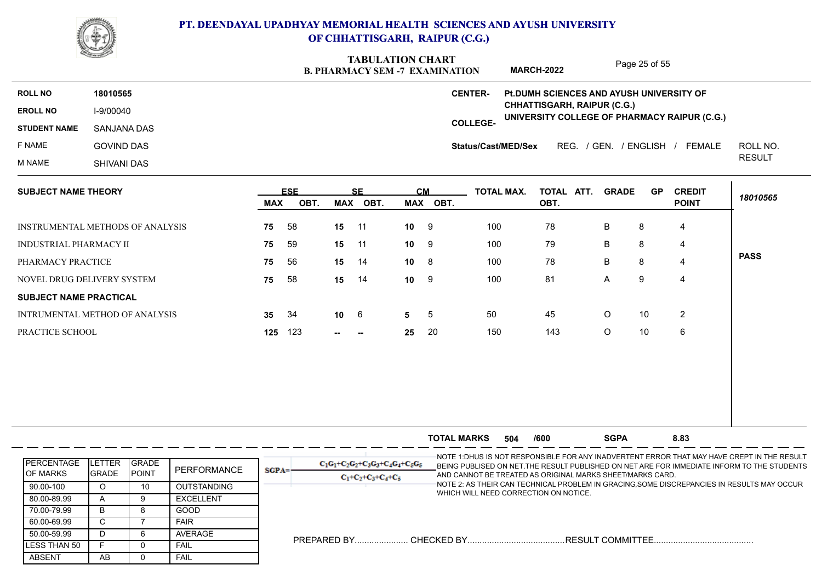

### **B. PHARMACY SEM -7 EXAMINATION TABULATION CHART**

Page 25 of 55

|                            |                    | <b>B. PHARMACY SEM -7 EXAMINATION</b>                                           |                                                                             | <b>MARCH-2022</b> |                    |                                          | Page 20 01 00 |                               |               |  |  |
|----------------------------|--------------------|---------------------------------------------------------------------------------|-----------------------------------------------------------------------------|-------------------|--------------------|------------------------------------------|---------------|-------------------------------|---------------|--|--|
| <b>ROLL NO</b>             | 18010565           |                                                                                 | <b>CENTER-</b>                                                              |                   |                    | Pt.DUMH SCIENCES AND AYUSH UNIVERSITY OF |               |                               |               |  |  |
| <b>EROLL NO</b>            | I-9/00040          |                                                                                 | CHHATTISGARH, RAIPUR (C.G.)<br>UNIVERSITY COLLEGE OF PHARMACY RAIPUR (C.G.) |                   |                    |                                          |               |                               |               |  |  |
| <b>STUDENT NAME</b>        | <b>SANJANA DAS</b> |                                                                                 | <b>COLLEGE-</b>                                                             |                   |                    |                                          |               |                               |               |  |  |
| F NAME                     | <b>GOVIND DAS</b>  |                                                                                 | Status/Cast/MED/Sex                                                         |                   | REG.               | $/$ GEN.                                 | / ENGLISH     | FEMALE                        | ROLL NO.      |  |  |
| M NAME                     | SHIVANI DAS        |                                                                                 |                                                                             |                   |                    |                                          |               |                               | <b>RESULT</b> |  |  |
| <b>SUBJECT NAME THEORY</b> |                    | <b>CM</b><br><b>ESE</b><br>SF.<br><b>MAX</b><br>OBT.<br>MAX<br>OBT.<br>MAX OBT. |                                                                             | <b>TOTAL MAX.</b> | TOTAL ATT.<br>OBT. | <b>GRADE</b>                             | <b>GP</b>     | <b>CREDIT</b><br><b>POINT</b> | 18010565      |  |  |
|                            |                    |                                                                                 |                                                                             |                   |                    |                                          |               |                               |               |  |  |

| INSTRUMENTAL METHODS OF ANALYSIS | 75  | -58 | 15                | -11    | 10              | -9  | 100 | 78  | B            | 8  | 4              |             |
|----------------------------------|-----|-----|-------------------|--------|-----------------|-----|-----|-----|--------------|----|----------------|-------------|
| INDUSTRIAL PHARMACY II           | 75  | 59  | 15                | 11     | 10 <sup>°</sup> | - 9 | 100 | 79  | B            | 8  | 4              |             |
| PHARMACY PRACTICE                | 75  | 56  | 15                | 14     | 10 <sup>°</sup> | -8  | 100 | 78  | B            | 8  | 4              | <b>PASS</b> |
| NOVEL DRUG DELIVERY SYSTEM       | 75  | -58 | 15                | 14     | 10              | 9   | 100 | 81  | $\mathsf{A}$ | 9  | 4              |             |
| <b>SUBJECT NAME PRACTICAL</b>    |     |     |                   |        |                 |     |     |     |              |    |                |             |
| INTRUMENTAL METHOD OF ANALYSIS   | 35  | -34 | 10                | - 6    | 5               | -5  | 50  | 45  | $\circ$      | 10 | $\overline{2}$ |             |
| PRACTICE SCHOOL                  | 125 | 123 | <b>Brandfield</b> | $\sim$ | 25              | -20 | 150 | 143 | O            | 10 | 6              |             |
|                                  |     |     |                   |        |                 |     |     |     |              |    |                |             |

|                                        |                         |                                |                    |          |                                                               | <b>TOTAL MARKS</b>                    | 504 | /600 | <b>SGPA</b>                                               | 8.83                                                                                                                                                                                       |
|----------------------------------------|-------------------------|--------------------------------|--------------------|----------|---------------------------------------------------------------|---------------------------------------|-----|------|-----------------------------------------------------------|--------------------------------------------------------------------------------------------------------------------------------------------------------------------------------------------|
| <b>IPERCENTAGE</b><br><b>IOF MARKS</b> | LETTER<br><b>IGRADE</b> | <b>IGRADE</b><br><b>IPOINT</b> | PERFORMANCE        | $SGPA =$ | $C_1C_1+C_2C_2+C_3C_3+C_4C_4+C_5C_5$<br>$C_1+C_2+C_3+C_4+C_5$ |                                       |     |      | AND CANNOT BE TREATED AS ORIGINAL MARKS SHEET/MARKS CARD. | -NOTE 1:DHUS IS NOT RESPONSIBLE FOR ANY INADVERTENT ERROR THAT MAY HAVE CREPT IN THE RESULT<br>BEING PUBLISED ON NET. THE RESULT PUBLISHED ON NET ARE FOR IMMEDIATE INFORM TO THE STUDENTS |
| 90.00-100                              |                         |                                | <b>OUTSTANDING</b> |          |                                                               |                                       |     |      |                                                           | NOTE 2: AS THEIR CAN TECHNICAL PROBLEM IN GRACING,SOME DISCREPANCIES IN RESULTS MAY OCCUR                                                                                                  |
| 80.00-89.99                            |                         |                                | <b>EXCELLENT</b>   |          |                                                               | WHICH WILL NEED CORRECTION ON NOTICE. |     |      |                                                           |                                                                                                                                                                                            |
| 70.00-79.99                            | в                       |                                | GOOD               |          |                                                               |                                       |     |      |                                                           |                                                                                                                                                                                            |
| 60.00-69.99                            |                         |                                | <b>FAIR</b>        |          |                                                               |                                       |     |      |                                                           |                                                                                                                                                                                            |
| 50.00-59.99                            |                         |                                | AVERAGE            |          |                                                               |                                       |     |      |                                                           |                                                                                                                                                                                            |
| <b>ILESS THAN 50</b>                   |                         |                                | <b>FAIL</b>        |          |                                                               |                                       |     |      |                                                           |                                                                                                                                                                                            |
| ABSENT                                 | AB.                     |                                | <b>FAIL</b>        |          |                                                               |                                       |     |      |                                                           |                                                                                                                                                                                            |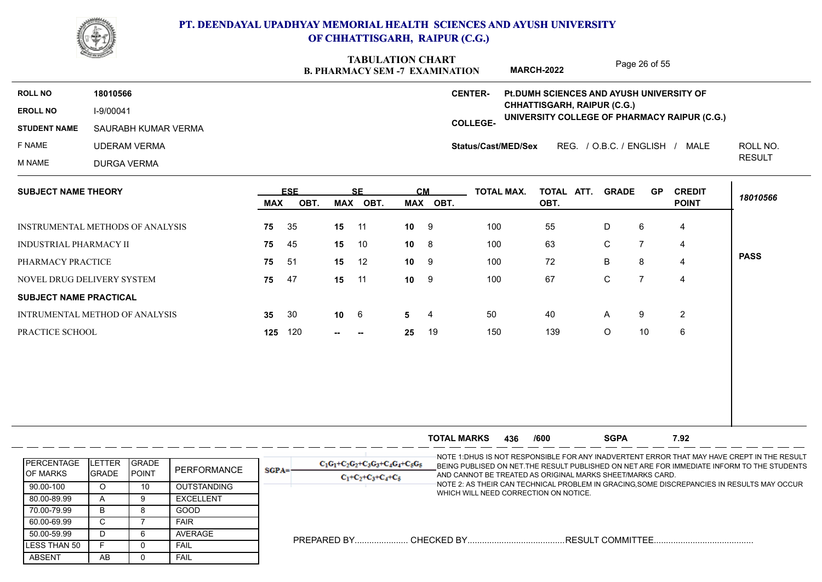

### **B. PHARMACY SEM -7 EXAMINATION TABULATION CHART COLLEGE-EROLL NO ROLL NO CENTER-**Page 26 of 55 **STUDENT NAME** SAURABH KUMAR VERMA F NAME UDERAM VERMA M NAME DURGA VERMA **Status/Cast/MED/Sex** REG. / O.B.C. / ENGLISH / MALE ROLL NO. **RESULT** ROLL NO. **18010566 UNIVERSITY COLLEGE OF PHARMACY RAIPUR (C.G.) Pt.DUMH SCIENCES AND AYUSH UNIVERSITY OF CHHATTISGARH, RAIPUR (C.G.) MARCH-2022 SUBJECT NAME THEORY** INSTRUMENTAL METHODS OF ANALYSIS INDUSTRIAL PHARMACY II PHARMACY PRACTICE NOVEL DRUG DELIVERY SYSTEM PRACTICE SCHOOL **ESE SE CM MAX OBT. MAX OBT. MAX OBT.**  $\begin{bmatrix} 0 & 0 \end{bmatrix}$  **TOTAL ATT. GRADE** GP CREDIT  $\begin{bmatrix} 0 & 0 \end{bmatrix}$ **OBT. POINT 75** 35 **75 75** 51 **75** 47 **35 125** 11 **10** 9 **15** 10 **15** 12 **15** 11 **10** 30 **-- 10** 9 100 55 **10** 8 100 63 **10** 9 100 72 **10** 9 100 67 **5** 4 **25** 19 40 150 139 4 4 4 |  $100$ 4 2 6 INTRUMENTAL METHOD OF ANALYSIS **SUBJECT NAME PRACTICAL** 45 35 15 11 10 9<br>
45 15 10 10 8<br>
51 15 12 10 9<br>
47 15 11 10 9<br>
30 10 6 5 4<br>
120 --- 25 19 6 5 4 55 63 C 7 72 67 C 7 40 D 6 4 C 7 4 B 8 4 C 7 4 8 7 4 | 7 4 | A 9 O 10 6 | 6 **PASS 25** *18010566*

|                                        |                         |                                |                    | <b>SGPA</b><br>7.92<br><b>TOTAL MARKS</b><br>/600<br>436                                                                                                                                                                                                                                                                             |
|----------------------------------------|-------------------------|--------------------------------|--------------------|--------------------------------------------------------------------------------------------------------------------------------------------------------------------------------------------------------------------------------------------------------------------------------------------------------------------------------------|
| <b>IPERCENTAGE</b><br><b>IOF MARKS</b> | ETTER.<br><b>IGRADE</b> | <b>IGRADE</b><br><b>IPOINT</b> | PERFORMANCE        | -NOTE 1:DHUS IS NOT RESPONSIBLE FOR ANY INADVERTENT ERROR THAT MAY HAVE CREPT IN THE RESULT<br>$C_1G_1+C_2G_2+C_3G_3+C_4G_4+C_5G_5$<br>BEING PUBLISED ON NET. THE RESULT PUBLISHED ON NET ARE FOR IMMEDIATE INFORM TO THE STUDENTS<br>$SGPA =$<br>AND CANNOT BE TREATED AS ORIGINAL MARKS SHEET/MARKS CARD.<br>$C_1+C_2+C_3+C_4+C_5$ |
| 90.00-100                              |                         | 10                             | <b>OUTSTANDING</b> | NOTE 2: AS THEIR CAN TECHNICAL PROBLEM IN GRACING,SOME DISCREPANCIES IN RESULTS MAY OCCUR                                                                                                                                                                                                                                            |
| 80.00-89.99                            |                         |                                | <b>EXCELLENT</b>   | WHICH WILL NEED CORRECTION ON NOTICE.                                                                                                                                                                                                                                                                                                |
| 70.00-79.99                            | B                       |                                | GOOD               |                                                                                                                                                                                                                                                                                                                                      |
| 60.00-69.99                            |                         |                                | <b>FAIR</b>        |                                                                                                                                                                                                                                                                                                                                      |
| 50.00-59.99                            |                         |                                | AVERAGE            | PREPARED BY CHECKED BY                                                                                                                                                                                                                                                                                                               |
| <b>ILESS THAN 50</b>                   |                         |                                | <b>FAIL</b>        |                                                                                                                                                                                                                                                                                                                                      |
| ABSENT                                 | AB                      |                                | <b>FAIL</b>        |                                                                                                                                                                                                                                                                                                                                      |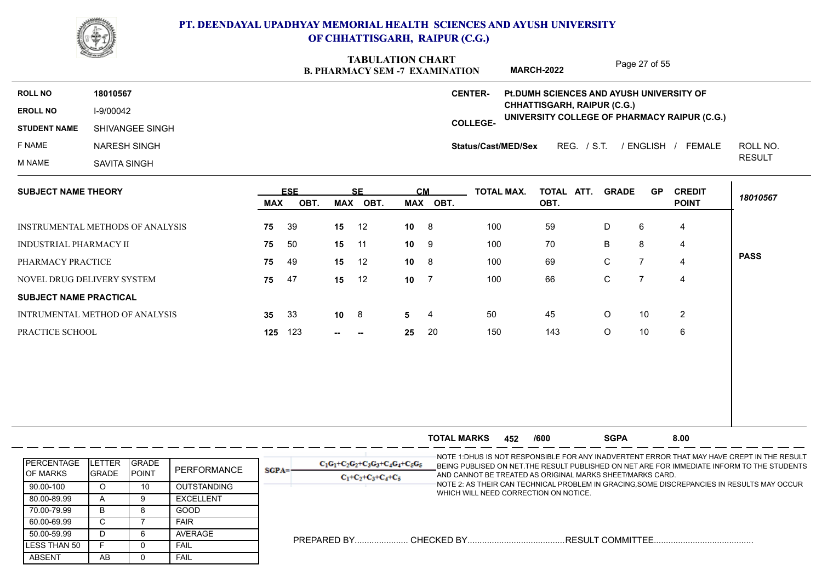

### **B. PHARMACY SEM -7 EXAMINATION TABULATION CHART MARCH-2022**

Page 27 of 55

|                            |                 | <u>De e in municipalmente diventitum e</u>                                                                                                                                                             |
|----------------------------|-----------------|--------------------------------------------------------------------------------------------------------------------------------------------------------------------------------------------------------|
| <b>ROLL NO</b>             | 18010567        | <b>PLDUMH SCIENCES AND AYUSH UNIVERSITY OF</b><br><b>CENTER-</b>                                                                                                                                       |
| <b>EROLL NO</b>            | I-9/00042       | CHHATTISGARH, RAIPUR (C.G.)<br>UNIVERSITY COLLEGE OF PHARMACY RAIPUR (C.G.)                                                                                                                            |
| <b>STUDENT NAME</b>        | SHIVANGEE SINGH | <b>COLLEGE-</b>                                                                                                                                                                                        |
| F NAME                     | NARESH SINGH    | ROLL NO.<br>REG. / S.T.<br>/ ENGLISH<br>FEMALE<br>Status/Cast/MED/Sex                                                                                                                                  |
| M NAME                     | SAVITA SINGH    | <b>RESULT</b>                                                                                                                                                                                          |
| <b>SUBJECT NAME THEORY</b> |                 | <b>CM</b><br><b>CREDIT</b><br>ESE<br><b>TOTAL MAX.</b><br>TOTAL ATT.<br><b>GRADE</b><br><b>GP</b><br>SF<br>18010567<br><b>POINT</b><br><b>MAX</b><br>OBT.<br><b>MAX</b><br>OBT.<br>OBT.<br>MAX<br>OBT. |

|                                  | <b>IIIAA</b> | <b>VDI.</b> |              |                          |                 |      |     |     |         |    | . |             |
|----------------------------------|--------------|-------------|--------------|--------------------------|-----------------|------|-----|-----|---------|----|---|-------------|
| INSTRUMENTAL METHODS OF ANALYSIS | 75           | -39         | 15           | 12                       | 10 <sup>1</sup> | - 8  | 100 | 59  | D       | 6  | 4 |             |
| <b>INDUSTRIAL PHARMACY II</b>    | 75           | 50          | 15           | 11                       | 10 <sub>1</sub> | -9   | 100 | 70  | B       | 8  | 4 |             |
| PHARMACY PRACTICE                | 75           | 49          | 15           | 12                       | 10              | -8   | 100 | 69  | C.      |    | 4 | <b>PASS</b> |
| NOVEL DRUG DELIVERY SYSTEM       | 75           | -47         | 15           | 12                       | 10              |      | 100 | 66  | C.      |    | 4 |             |
| <b>SUBJECT NAME PRACTICAL</b>    |              |             |              |                          |                 |      |     |     |         |    |   |             |
| INTRUMENTAL METHOD OF ANALYSIS   | 35           | 33          | $10 \quad 8$ |                          | 5               | -4   | 50  | 45  | $\circ$ | 10 | 2 |             |
| PRACTICE SCHOOL                  | 125          | 123         | $\sim$       | $\overline{\phantom{a}}$ | 25              | - 20 | 150 | 143 | $\circ$ | 10 | 6 |             |
|                                  |              |             |              |                          |                 |      |     |     |         |    |   |             |

|                                        |                        |                                |                    |         |                                                               | <b>TOTAL MARKS</b>                    | 452 | /600 | <b>SGPA</b>                                               | 8.00                                                                                                                                                                                       |
|----------------------------------------|------------------------|--------------------------------|--------------------|---------|---------------------------------------------------------------|---------------------------------------|-----|------|-----------------------------------------------------------|--------------------------------------------------------------------------------------------------------------------------------------------------------------------------------------------|
| <b>IPERCENTAGE</b><br><b>IOF MARKS</b> | LETTER<br><b>GRADE</b> | <b>IGRADE</b><br><b>IPOINT</b> | PERFORMANCE        | $SGPA=$ | $C_1G_1+C_2G_2+C_3G_3+C_4G_4+C_5G_5$<br>$C_1+C_2+C_3+C_4+C_5$ |                                       |     |      | AND CANNOT BE TREATED AS ORIGINAL MARKS SHEET/MARKS CARD. | -NOTE 1:DHUS IS NOT RESPONSIBLE FOR ANY INADVERTENT ERROR THAT MAY HAVE CREPT IN THE RESULT<br>BEING PUBLISED ON NET. THE RESULT PUBLISHED ON NET ARE FOR IMMEDIATE INFORM TO THE STUDENTS |
| 90.00-100                              |                        | 10                             | <b>OUTSTANDING</b> |         |                                                               |                                       |     |      |                                                           | NOTE 2: AS THEIR CAN TECHNICAL PROBLEM IN GRACING,SOME DISCREPANCIES IN RESULTS MAY OCCUR                                                                                                  |
| 80.00-89.99                            |                        |                                | <b>EXCELLENT</b>   |         |                                                               | WHICH WILL NEED CORRECTION ON NOTICE. |     |      |                                                           |                                                                                                                                                                                            |
| 70.00-79.99                            | R                      |                                | GOOD               |         |                                                               |                                       |     |      |                                                           |                                                                                                                                                                                            |
| 60.00-69.99                            |                        |                                | <b>FAIR</b>        |         |                                                               |                                       |     |      |                                                           |                                                                                                                                                                                            |
| 50.00-59.99                            |                        |                                | AVERAGE            |         |                                                               |                                       |     |      |                                                           |                                                                                                                                                                                            |
| LESS THAN 50                           |                        |                                | <b>FAIL</b>        |         |                                                               |                                       |     |      |                                                           |                                                                                                                                                                                            |
| ABSENT                                 | AB.                    |                                | <b>FAIL</b>        |         |                                                               |                                       |     |      |                                                           |                                                                                                                                                                                            |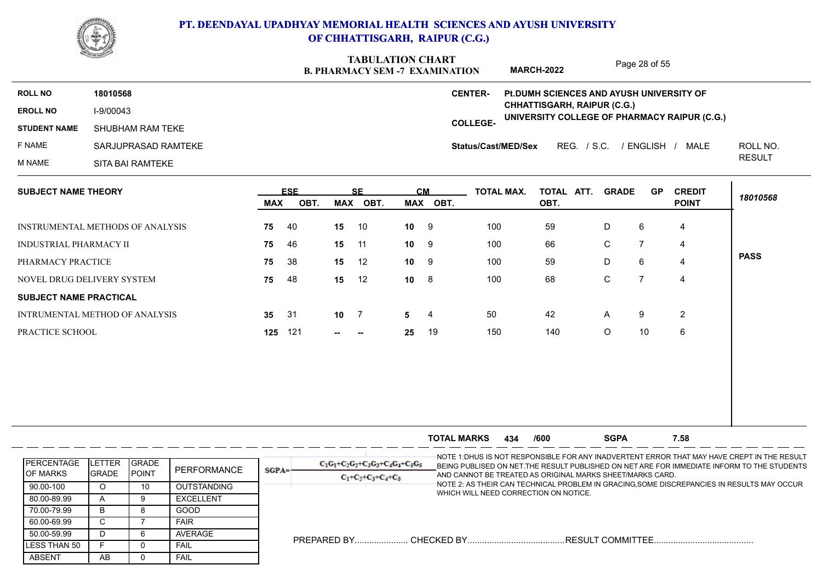

### **B. PHARMACY SEM -7 EXAMINATION TABULATION CHART COLLEGE-EROLL NO ROLL NO CENTER-**Page 28 of 55 **STUDENT NAME** SHUBHAM RAM TEKE F NAME SARJUPRASAD RAMTEKE M NAME SITA BAI RAMTEKE **Status/Cast/MED/Sex** REG. / S.C. / ENGLISH / MALE ROLL NO. **RESULT** ROLL NO. **18010568 UNIVERSITY COLLEGE OF PHARMACY RAIPUR (C.G.) Pt.DUMH SCIENCES AND AYUSH UNIVERSITY OF CHHATTISGARH, RAIPUR (C.G.) MARCH-2022 SUBJECT NAME THEORY** INSTRUMENTAL METHODS OF ANALYSIS INDUSTRIAL PHARMACY II PHARMACY PRACTICE NOVEL DRUG DELIVERY SYSTEM PRACTICE SCHOOL **ESE SE CM MAX OBT. MAX OBT. MAX OBT.**  $\begin{bmatrix} 0 & 0 \end{bmatrix}$  **TOTAL ATT. GRADE** GP CREDIT  $\begin{bmatrix} 0 & 0 \end{bmatrix}$ **OBT. POINT 75** 40 **75 75 75 35** 31 **10** 7 **5** 4 **125** 10 **10** 9 **15** 11 **15** 12 **15** 12 **-- 10** 9 100 59 **10** 9 100 66 **10** 9 100 59 **10** 8 **100** 68 **5** 4 **25** 19 42 150 140 O 10 4 4 4 |  $100$ 4 2 6 INTRUMENTAL METHOD OF ANALYSIS **SUBJECT NAME PRACTICAL** 46 12 12 40 15 10 10 9<br>
46 15 11 10 9<br>
38 15 12 10 9<br>
48 15 12 10 8<br>
31 10 7 5 4<br>
121 --- 25 19 7 5 4 59 66 59 68 C 7 42 D 6 4 C 7 4 D 6 4 C 7 4 6 7 4 | 7 4 | A 9 O 10 6 | 6 **PASS 25** *18010568*

|                                        |                          |                               |                    |          |                                                               | <b>TOTAL MARKS</b>                    | 434 | /600 | <b>SGPA</b>                                               | 7.58                                                                                                                                                                                      |
|----------------------------------------|--------------------------|-------------------------------|--------------------|----------|---------------------------------------------------------------|---------------------------------------|-----|------|-----------------------------------------------------------|-------------------------------------------------------------------------------------------------------------------------------------------------------------------------------------------|
| <b>IPERCENTAGE</b><br><b>IOF MARKS</b> | <b>LETTER</b><br>IGRADE. | <b>IGRADE</b><br><b>POINT</b> | PERFORMANCE        | $SGPA =$ | $C_1C_1+C_2C_2+C_3C_3+C_4C_4+C_5C_5$<br>$C_1+C_2+C_3+C_4+C_5$ |                                       |     |      | AND CANNOT BE TREATED AS ORIGINAL MARKS SHEET/MARKS CARD. | -NOTE 1:DHUS IS NOT RESPONSIBLE FOR ANY INADVERTENT ERROR THAT MAY HAVE CREPT IN THE RESULT<br>BEING PUBLISED ON NET THE RESULT PUBLISHED ON NET ARE FOR IMMEDIATE INFORM TO THE STUDENTS |
| 90.00-100                              |                          | 10                            | <b>OUTSTANDING</b> |          |                                                               | WHICH WILL NEED CORRECTION ON NOTICE. |     |      |                                                           | NOTE 2: AS THEIR CAN TECHNICAL PROBLEM IN GRACING,SOME DISCREPANCIES IN RESULTS MAY OCCUR                                                                                                 |
| 80.00-89.99                            |                          |                               | <b>EXCELLENT</b>   |          |                                                               |                                       |     |      |                                                           |                                                                                                                                                                                           |
| 70.00-79.99                            |                          |                               | GOOD               |          |                                                               |                                       |     |      |                                                           |                                                                                                                                                                                           |
| 60.00-69.99                            |                          |                               | <b>FAIR</b>        |          |                                                               |                                       |     |      |                                                           |                                                                                                                                                                                           |
| 50.00-59.99                            |                          |                               | <b>AVERAGE</b>     |          | PREPARED BY                                                   |                                       |     |      |                                                           |                                                                                                                                                                                           |
| LESS THAN 50                           |                          |                               | FAIL               |          |                                                               |                                       |     |      |                                                           |                                                                                                                                                                                           |
| <b>ABSENT</b>                          | AB                       |                               | FAIL               |          |                                                               |                                       |     |      |                                                           |                                                                                                                                                                                           |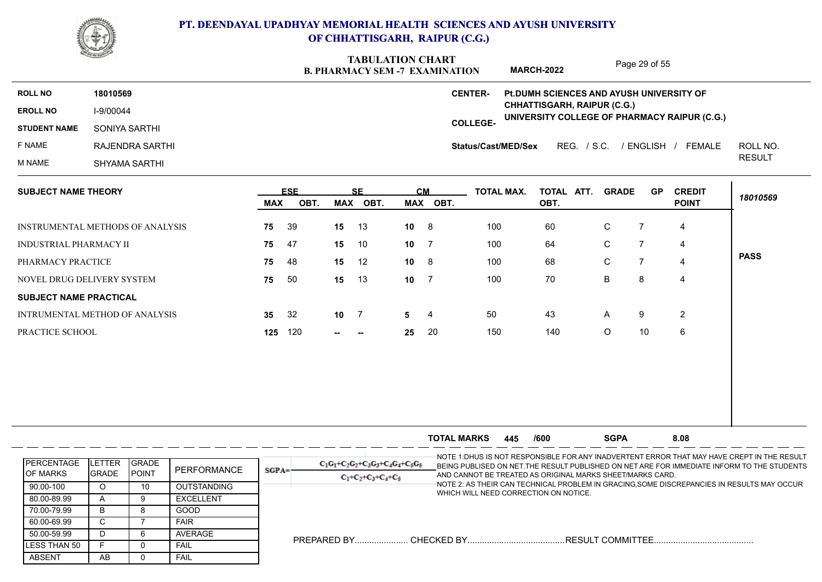

 $\sim$ 

### **PT. DEENDAYAL UPADHYAY MEMORIAL HEALTH SCIENCES AND AYUSH UNIVERSITY OF CHHATTISGARH, RAIPUR (C.G.)**

### **B. PHARMACY SEM -7 EXAMINATION TABULATION CHART** Page 29 of 55 **MARCH-2022**

| <b>SUBJECT NAME THEORY</b> |                 | <b>ESE</b> | <b>SE</b><br><b>CM</b> | <b>TOTAL MAX.</b><br>TOTAL ATT.<br><b>CREDIT</b><br><b>GRADE</b><br><b>GP</b><br>A O A A C C |
|----------------------------|-----------------|------------|------------------------|----------------------------------------------------------------------------------------------|
| M NAME                     | SHYAMA SARTHI   |            |                        | <b>RESULT</b>                                                                                |
| F NAME                     | RAJENDRA SARTHI |            |                        | ROLL NO.<br>REG. / S.C.<br>FEMALE<br>/ ENGLISH<br>Status/Cast/MED/Sex                        |
| <b>STUDENT NAME</b>        | SONIYA SARTHI   |            |                        | <b>COLLEGE-</b>                                                                              |
| <b>EROLL NO</b>            | I-9/00044       |            |                        | CHHATTISGARH, RAIPUR (C.G.)<br>UNIVERSITY COLLEGE OF PHARMACY RAIPUR (C.G.)                  |
| <b>ROLL NO</b>             | 18010569        |            |                        | <b>CENTER-</b><br>Pt.DUMH SCIENCES AND AYUSH UNIVERSITY OF                                   |
|                            |                 |            |                        |                                                                                              |

| <b>UUUULUI IMIIL IIILUINI</b>    |                 |      |                 |      | vw<br>1 V IAL 111AA. |          |     | TUIAL AII. UNADL |         | ັບເ | VIVUII         |             |
|----------------------------------|-----------------|------|-----------------|------|----------------------|----------|-----|------------------|---------|-----|----------------|-------------|
|                                  | <b>MAX</b>      | OBT. | MAX             | OBT. |                      | MAX OBT. |     | OBT.             |         |     | <b>POINT</b>   | 18010569    |
| INSTRUMENTAL METHODS OF ANALYSIS | 75              | -39  | 15              | 13   | 10 <sup>1</sup>      | - 8      | 100 | 60               | C.      |     | 4              |             |
| INDUSTRIAL PHARMACY II           | 75              | -47  | 15              | 10   | 10 <sup>°</sup>      | -7       | 100 | 64               | C.      |     | 4              |             |
| PHARMACY PRACTICE                | 75              | 48   | 15              | 12   | 10 <sub>1</sub>      | 8        | 100 | 68               | C.      |     | 4              | <b>PASS</b> |
| NOVEL DRUG DELIVERY SYSTEM       | 75              | 50   | 15              | 13   | 10                   | -7       | 100 | 70               | B       | 8   | 4              |             |
| <b>SUBJECT NAME PRACTICAL</b>    |                 |      |                 |      |                      |          |     |                  |         |     |                |             |
| INTRUMENTAL METHOD OF ANALYSIS   | 35 <sub>o</sub> | - 32 | 10 <sub>7</sub> |      | $5 \t 4$             |          | 50  | 43               | A       | 9   | $\overline{2}$ |             |
| PRACTICE SCHOOL                  | 125             | 120  | --              | --   | 25                   | -20      | 150 | 140              | $\circ$ | 10  | 6              |             |
|                                  |                 |      |                 |      |                      |          |     |                  |         |     |                |             |

|                                        |                               |               |                    |          |                                                                       | <b>TOTAL MARKS</b>                    | 445 | /600 | <b>SGPA</b>                                               | 8.08                                                                                                                                                                                       |
|----------------------------------------|-------------------------------|---------------|--------------------|----------|-----------------------------------------------------------------------|---------------------------------------|-----|------|-----------------------------------------------------------|--------------------------------------------------------------------------------------------------------------------------------------------------------------------------------------------|
| <b>IPERCENTAGE</b><br><b>IOF MARKS</b> | LETTER GRADE<br><b>IGRADE</b> | <b>IPOINT</b> | PERFORMANCE        | $SGPA =$ | $C_1C_1 + C_2C_2 + C_3C_3 + C_4C_4 + C_5C_5$<br>$C_1+C_2+C_3+C_4+C_5$ |                                       |     |      | AND CANNOT BE TREATED AS ORIGINAL MARKS SHEET/MARKS CARD. | -NOTE 1:DHUS IS NOT RESPONSIBLE FOR ANY INADVERTENT ERROR THAT MAY HAVE CREPT IN THE RESULT<br>BEING PUBLISED ON NET. THE RESULT PUBLISHED ON NET ARE FOR IMMEDIATE INFORM TO THE STUDENTS |
| 90.00-100                              |                               | 10            | <b>OUTSTANDING</b> |          |                                                                       |                                       |     |      |                                                           | NOTE 2: AS THEIR CAN TECHNICAL PROBLEM IN GRACING,SOME DISCREPANCIES IN RESULTS MAY OCCUR                                                                                                  |
| 80.00-89.99                            |                               |               | <b>EXCELLENT</b>   |          |                                                                       | WHICH WILL NEED CORRECTION ON NOTICE. |     |      |                                                           |                                                                                                                                                                                            |
| 70.00-79.99                            | в                             |               | <b>GOOD</b>        |          |                                                                       |                                       |     |      |                                                           |                                                                                                                                                                                            |
| 60.00-69.99                            |                               |               | <b>FAIR</b>        |          |                                                                       |                                       |     |      |                                                           |                                                                                                                                                                                            |
| 50.00-59.99                            |                               |               | AVERAGE            |          |                                                                       |                                       |     |      |                                                           |                                                                                                                                                                                            |
| LESS THAN 50                           |                               |               | <b>FAIL</b>        |          | PREPARED BY                                                           | . CHECKED BY                          |     |      |                                                           |                                                                                                                                                                                            |
| <b>ABSENT</b>                          | AB                            |               | <b>FAIL</b>        |          |                                                                       |                                       |     |      |                                                           |                                                                                                                                                                                            |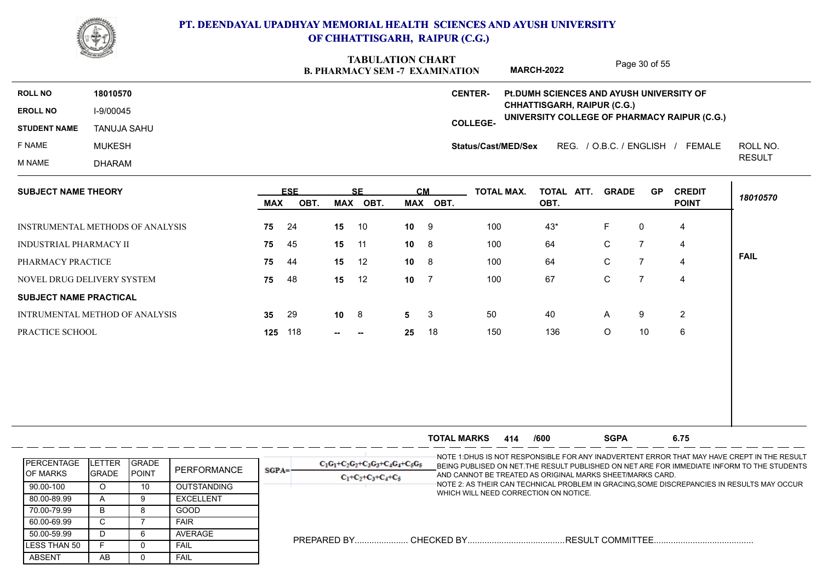

|                               |                                         |                 |                    |                 | TABULATIUN UHAKI<br><b>B. PHARMACY SEM -7 EXAMINATION</b> |    |                |                     | <b>MARCH-2022</b>                        |              | Page 30 of 55  |                                              |               |
|-------------------------------|-----------------------------------------|-----------------|--------------------|-----------------|-----------------------------------------------------------|----|----------------|---------------------|------------------------------------------|--------------|----------------|----------------------------------------------|---------------|
| <b>ROLL NO</b>                | 18010570                                |                 |                    |                 |                                                           |    |                | <b>CENTER-</b>      | Pt.DUMH SCIENCES AND AYUSH UNIVERSITY OF |              |                |                                              |               |
| <b>EROLL NO</b>               | I-9/00045                               |                 |                    |                 |                                                           |    |                |                     | <b>CHHATTISGARH, RAIPUR (C.G.)</b>       |              |                | UNIVERSITY COLLEGE OF PHARMACY RAIPUR (C.G.) |               |
| <b>STUDENT NAME</b>           | <b>TANUJA SAHU</b>                      |                 |                    |                 |                                                           |    |                | <b>COLLEGE-</b>     |                                          |              |                |                                              |               |
| F NAME                        | <b>MUKESH</b>                           |                 |                    |                 |                                                           |    |                | Status/Cast/MED/Sex |                                          |              |                | REG. / O.B.C. / ENGLISH / FEMALE             | ROLL NO.      |
| M NAME                        | <b>DHARAM</b>                           |                 |                    |                 |                                                           |    |                |                     |                                          |              |                |                                              | <b>RESULT</b> |
| <b>SUBJECT NAME THEORY</b>    |                                         | <b>MAX</b>      | <b>ESE</b><br>OBT. | <b>MAX</b>      | <b>SF</b><br>OBT.                                         |    | CМ<br>MAX OBT. | <b>TOTAL MAX.</b>   | TOTAL ATT.<br>OBT.                       | <b>GRADE</b> | <b>GP</b>      | <b>CREDIT</b><br><b>POINT</b>                | 18010570      |
|                               | <b>INSTRUMENTAL METHODS OF ANALYSIS</b> | 75              | 24                 | 15              | 10                                                        | 10 | 9              | 100                 | $43*$                                    | F            | 0              | 4                                            |               |
| <b>INDUSTRIAL PHARMACY II</b> |                                         | 75              | 45                 | 15              | 11                                                        | 10 | 8              | 100                 | 64                                       | C            | $\overline{7}$ | $\overline{4}$                               |               |
| PHARMACY PRACTICE             |                                         | 75              | 44                 | 15              | 12                                                        | 10 | 8              | 100                 | 64                                       | C.           | 7              | 4                                            | <b>FAIL</b>   |
|                               | NOVEL DRUG DELIVERY SYSTEM              | 75              | 48                 | 15              | 12                                                        | 10 | -7             | 100                 | 67                                       | C            | $\overline{7}$ | $\overline{4}$                               |               |
| <b>SUBJECT NAME PRACTICAL</b> |                                         |                 |                    |                 |                                                           |    |                |                     |                                          |              |                |                                              |               |
|                               | INTRUMENTAL METHOD OF ANALYSIS          | 35 <sub>5</sub> | 29                 | 10 <sub>1</sub> | 8                                                         | 5  | -3             | 50                  | 40                                       | A            | 9              | $\overline{2}$                               |               |
| PRACTICE SCHOOL               |                                         | 125             | 118                |                 |                                                           | 25 | 18             | 150                 | 136                                      | O            | 10             | $\,6\,$                                      |               |
|                               |                                         |                 |                    |                 |                                                           |    |                |                     |                                          |              |                |                                              |               |

|                                        |                   |                                |                  |            |                                                               | <b>TOTAL MARKS</b>                    | 414 | /600 | <b>SGPA</b>                                               | 6.75                                                                                                                                                                                       |
|----------------------------------------|-------------------|--------------------------------|------------------|------------|---------------------------------------------------------------|---------------------------------------|-----|------|-----------------------------------------------------------|--------------------------------------------------------------------------------------------------------------------------------------------------------------------------------------------|
| <b>IPERCENTAGE</b><br><b>IOF MARKS</b> | LETTER<br>IGRADE. | <b>IGRADE</b><br><b>IPOINT</b> | PERFORMANCE      | $SGPA = 1$ | $C_1G_1+C_2G_2+C_3G_3+C_4G_4+C_5G_5$<br>$C_1+C_2+C_3+C_4+C_5$ |                                       |     |      | AND CANNOT BE TREATED AS ORIGINAL MARKS SHEET/MARKS CARD. | -NOTE 1:DHUS IS NOT RESPONSIBLE FOR ANY INADVERTENT ERROR THAT MAY HAVE CREPT IN THE RESULT<br>BEING PUBLISED ON NET. THE RESULT PUBLISHED ON NET ARE FOR IMMEDIATE INFORM TO THE STUDENTS |
| 90.00-100                              |                   | 10                             | OUTSTANDING      |            |                                                               |                                       |     |      |                                                           | NOTE 2: AS THEIR CAN TECHNICAL PROBLEM IN GRACING,SOME DISCREPANCIES IN RESULTS MAY OCCUR                                                                                                  |
| 80.00-89.99                            |                   |                                | <b>EXCELLENT</b> |            |                                                               | WHICH WILL NEED CORRECTION ON NOTICE. |     |      |                                                           |                                                                                                                                                                                            |
| 70.00-79.99                            |                   |                                | GOOD             |            |                                                               |                                       |     |      |                                                           |                                                                                                                                                                                            |
| 60.00-69.99                            |                   |                                | <b>FAIR</b>      |            |                                                               |                                       |     |      |                                                           |                                                                                                                                                                                            |
| 50.00-59.99                            |                   |                                | AVERAGE          |            |                                                               |                                       |     |      |                                                           |                                                                                                                                                                                            |
| ILESS THAN 50                          |                   |                                | FAIL             |            |                                                               |                                       |     |      |                                                           |                                                                                                                                                                                            |
| <b>ABSENT</b>                          | AB                |                                | FAIL             |            |                                                               |                                       |     |      |                                                           |                                                                                                                                                                                            |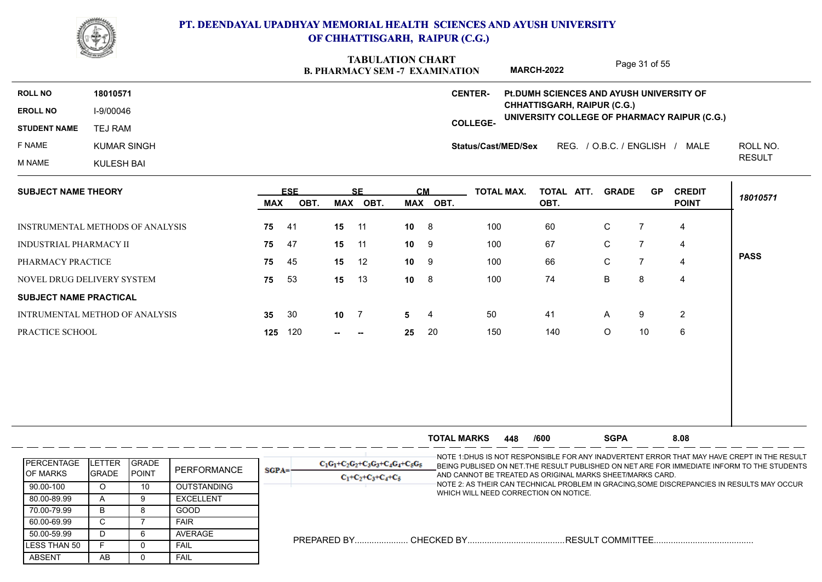

### **PT. DEENDAYAL UPADHYAY MEMORIAL HEALTH SCIENCES AND AYUSH UNIVERSITY OF CHHATTISGARH, RAIPUR (C.G.)**

### **B. PHARMACY SEM -7 EXAMINATION TABULATION CHART**

Page 31 of 55

|                               |                                  |                 |            |                 | <b>B. PHARMACY SEM -7 EXAMINATION</b> |    |           |                     | <b>MARCH-2022</b>                        |                           | .              |                                              |               |
|-------------------------------|----------------------------------|-----------------|------------|-----------------|---------------------------------------|----|-----------|---------------------|------------------------------------------|---------------------------|----------------|----------------------------------------------|---------------|
| <b>ROLL NO</b>                | 18010571                         |                 |            |                 |                                       |    |           | <b>CENTER-</b>      | Pt.DUMH SCIENCES AND AYUSH UNIVERSITY OF |                           |                |                                              |               |
| <b>EROLL NO</b>               | I-9/00046                        |                 |            |                 |                                       |    |           |                     | <b>CHHATTISGARH, RAIPUR (C.G.)</b>       |                           |                | UNIVERSITY COLLEGE OF PHARMACY RAIPUR (C.G.) |               |
| <b>STUDENT NAME</b>           | TEJ RAM                          |                 |            |                 |                                       |    |           | <b>COLLEGE-</b>     |                                          |                           |                |                                              |               |
| F NAME                        | <b>KUMAR SINGH</b>               |                 |            |                 |                                       |    |           | Status/Cast/MED/Sex |                                          | REG. / O.B.C. / ENGLISH / |                | MALE                                         | ROLL NO.      |
| M NAME                        | KULESH BAI                       |                 |            |                 |                                       |    |           |                     |                                          |                           |                |                                              | <b>RESULT</b> |
| <b>SUBJECT NAME THEORY</b>    |                                  |                 | <b>ESE</b> |                 | <b>SE</b>                             |    | <b>CM</b> | <b>TOTAL MAX.</b>   | TOTAL ATT.                               | <b>GRADE</b>              | <b>GP</b>      | <b>CREDIT</b>                                |               |
|                               |                                  | MAX             | OBT.       | <b>MAX</b>      | OBT.                                  |    | MAX OBT.  |                     | OBT.                                     |                           |                | <b>POINT</b>                                 | 18010571      |
|                               | INSTRUMENTAL METHODS OF ANALYSIS | 75              | -41        | 15              | 11                                    | 10 | - 8       | 100                 | 60                                       | C                         | $\overline{7}$ | $\overline{4}$                               |               |
| <b>INDUSTRIAL PHARMACY II</b> |                                  | 75              | 47         | 15              | 11                                    | 10 | 9         | 100                 | 67                                       | C                         | $\overline{7}$ | 4                                            |               |
| PHARMACY PRACTICE             |                                  | 75              | 45         | 15              | 12                                    | 10 | - 9       | 100                 | 66                                       | C.                        | 7              | $\overline{4}$                               | <b>PASS</b>   |
|                               | NOVEL DRUG DELIVERY SYSTEM       | 75              | 53         | 15              | 13                                    | 10 | 8         | 100                 | 74                                       | B                         | 8              | 4                                            |               |
| <b>SUBJECT NAME PRACTICAL</b> |                                  |                 |            |                 |                                       |    |           |                     |                                          |                           |                |                                              |               |
|                               | INTRUMENTAL METHOD OF ANALYSIS   | 35 <sub>5</sub> | 30         | 10 <sub>1</sub> | -7                                    | 5  | -4        | 50                  | 41                                       | A                         | 9              | $\overline{2}$                               |               |
| PRACTICE SCHOOL               |                                  | 125             | 120        | --              |                                       | 25 | 20        | 150                 | 140                                      | $\circ$                   | 10             | 6                                            |               |

|                      |                |              |                    |          |                                      | <b>TOTAL MARKS</b>                    | 448 | /600 | <b>SGPA</b>                                               | 8.08 |                                                                                             |
|----------------------|----------------|--------------|--------------------|----------|--------------------------------------|---------------------------------------|-----|------|-----------------------------------------------------------|------|---------------------------------------------------------------------------------------------|
|                      |                |              |                    |          |                                      |                                       |     |      |                                                           |      | -NOTE 1:DHUS IS NOT RESPONSIBLE FOR ANY INADVERTENT ERROR THAT MAY HAVE CREPT IN THE RESULT |
| <b>IPERCENTAGE</b>   | <b>ILETTER</b> | <b>GRADE</b> | PERFORMANCE        | $SGPA =$ | $C_1G_1+C_2G_2+C_3G_3+C_4G_4+C_5G_5$ |                                       |     |      |                                                           |      | BEING PUBLISED ON NET THE RESULT PUBLISHED ON NET ARE FOR IMMEDIATE INFORM TO THE STUDENTS  |
| <b>IOF MARKS</b>     | <b>IGRADE</b>  | <b>POINT</b> |                    |          | $C_1+C_2+C_3+C_4+C_5$                |                                       |     |      | AND CANNOT BE TREATED AS ORIGINAL MARKS SHEET/MARKS CARD. |      |                                                                                             |
| 90.00-100            | O              | 10           | <b>OUTSTANDING</b> |          |                                      | WHICH WILL NEED CORRECTION ON NOTICE. |     |      |                                                           |      | -NOTE 2: AS THEIR CAN TECHNICAL PROBLEM IN GRACING,SOME DISCREPANCIES IN RESULTS MAY OCCUR  |
| 80.00-89.99          |                |              | <b>EXCELLENT</b>   |          |                                      |                                       |     |      |                                                           |      |                                                                                             |
| 70.00-79.99          | B              |              | GOOD               |          |                                      |                                       |     |      |                                                           |      |                                                                                             |
| 60.00-69.99          |                |              | <b>FAIR</b>        |          |                                      |                                       |     |      |                                                           |      |                                                                                             |
| 50.00-59.99          | D              | 6            | AVERAGE            |          |                                      |                                       |     |      |                                                           |      |                                                                                             |
| <b>ILESS THAN 50</b> |                |              | <b>FAIL</b>        |          |                                      |                                       |     |      |                                                           |      |                                                                                             |
| ABSENT               | AB             |              | <b>FAIL</b>        |          |                                      |                                       |     |      |                                                           |      |                                                                                             |
|                      |                |              |                    |          |                                      |                                       |     |      |                                                           |      |                                                                                             |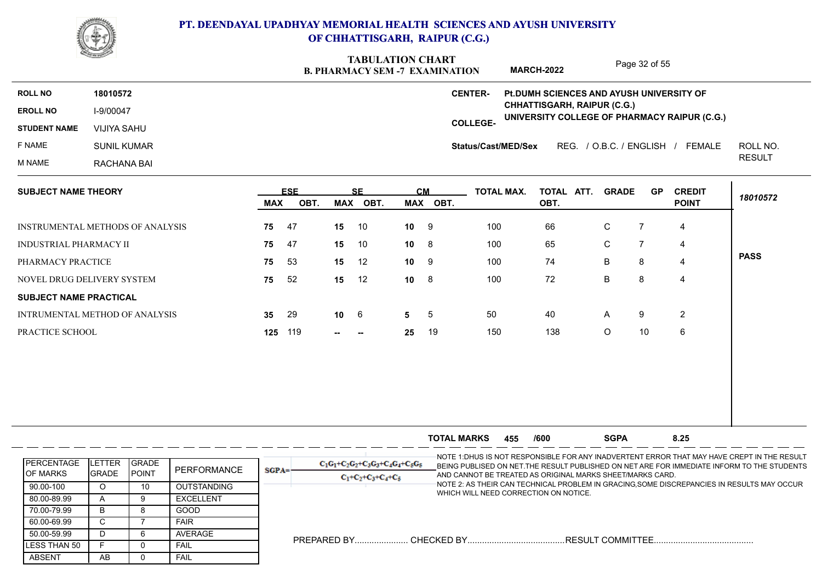

### **B. PHARMACY SEM -7 EXAMINATION TABULATION CHART**

Page 32 of 55

|                            |                    | Paye 32 UP 33<br><b>MARCH-2022</b><br><b>B. PHARMACY SEM -7 EXAMINATION</b>                                                                                                                       |               |
|----------------------------|--------------------|---------------------------------------------------------------------------------------------------------------------------------------------------------------------------------------------------|---------------|
| <b>ROLL NO</b>             | 18010572           | Pt.DUMH SCIENCES AND AYUSH UNIVERSITY OF<br><b>CENTER-</b>                                                                                                                                        |               |
| <b>EROLL NO</b>            | I-9/00047          | CHHATTISGARH, RAIPUR (C.G.)<br>UNIVERSITY COLLEGE OF PHARMACY RAIPUR (C.G.)                                                                                                                       |               |
| <b>STUDENT NAME</b>        | VIJIYA SAHU        | <b>COLLEGE-</b>                                                                                                                                                                                   |               |
| F NAME                     | <b>SUNIL KUMAR</b> | REG. / O.B.C. / ENGLISH<br>FEMALE<br><b>Status/Cast/MED/Sex</b>                                                                                                                                   | ROLL NO.      |
| M NAME                     | RACHANA BAI        |                                                                                                                                                                                                   | <b>RESULT</b> |
| <b>SUBJECT NAME THEORY</b> |                    | <b>ESE</b><br><b>CM</b><br><b>TOTAL MAX.</b><br><b>CREDIT</b><br><b>SF</b><br>TOTAL ATT.<br><b>GRADE</b><br><b>GP</b><br><b>POINT</b><br>OBT.<br><b>MAX</b><br>OBT.<br>MAX<br>OBT.<br>MAX<br>OBT. | 18010572      |
|                            |                    |                                                                                                                                                                                                   |               |

| INSTRUMENTAL METHODS OF ANALYSIS | 75              | 47  | 15           | 10     | 10 <sup>1</sup> | -9  | 100 | 66  | C  |    | 4 |             |
|----------------------------------|-----------------|-----|--------------|--------|-----------------|-----|-----|-----|----|----|---|-------------|
| <b>INDUSTRIAL PHARMACY II</b>    | 75              | -47 | 15           | 10     | 10              | -8  | 100 | 65  | C. |    | 4 |             |
| PHARMACY PRACTICE                | 75              | -53 | 15           | 12     | 10 <sup>°</sup> | -9  | 100 | 74  | B  | 8  | 4 | <b>PASS</b> |
| NOVEL DRUG DELIVERY SYSTEM       | 75              | -52 | 15           | 12     | 10 <sup>°</sup> | - 8 | 100 | 72  | B  | 8  | 4 |             |
| <b>SUBJECT NAME PRACTICAL</b>    |                 |     |              |        |                 |     |     |     |    |    |   |             |
| INTRUMENTAL METHOD OF ANALYSIS   | 35 <sub>o</sub> | -29 | $10 \quad 6$ |        | 5               | -5  | 50  | 40  | A  | 9  | 2 |             |
| PRACTICE SCHOOL                  | 125             | 119 | $-1$         | $\sim$ | 25              | 19  | 150 | 138 |    | 10 | 6 |             |
|                                  |                 |     |              |        |                 |     |     |     |    |    |   |             |

|                                       |                         |                                |                    |          |                                                               | <b>TOTAL MARKS</b>                    | 455 | /600 | <b>SGPA</b>                                               | 8.25                                                                                                                                                                                       |
|---------------------------------------|-------------------------|--------------------------------|--------------------|----------|---------------------------------------------------------------|---------------------------------------|-----|------|-----------------------------------------------------------|--------------------------------------------------------------------------------------------------------------------------------------------------------------------------------------------|
| <b>PERCENTAGE</b><br><b>IOF MARKS</b> | LETTER<br><b>IGRADE</b> | <b>IGRADE</b><br><b>IPOINT</b> | PERFORMANCE        | $SGPA =$ | $C_1C_1+C_2C_2+C_3C_3+C_4C_4+C_5C_5$<br>$C_1+C_2+C_3+C_4+C_5$ |                                       |     |      | AND CANNOT BE TREATED AS ORIGINAL MARKS SHEET/MARKS CARD. | -NOTE 1:DHUS IS NOT RESPONSIBLE FOR ANY INADVERTENT ERROR THAT MAY HAVE CREPT IN THE RESULT<br>BEING PUBLISED ON NET. THE RESULT PUBLISHED ON NET ARE FOR IMMEDIATE INFORM TO THE STUDENTS |
| 90.00-100                             |                         | 10                             | <b>OUTSTANDING</b> |          |                                                               |                                       |     |      |                                                           | NOTE 2: AS THEIR CAN TECHNICAL PROBLEM IN GRACING,SOME DISCREPANCIES IN RESULTS MAY OCCUR                                                                                                  |
| 80.00-89.99                           |                         |                                | <b>EXCELLENT</b>   |          |                                                               | WHICH WILL NEED CORRECTION ON NOTICE. |     |      |                                                           |                                                                                                                                                                                            |
| 70.00-79.99                           |                         |                                | <b>GOOD</b>        |          |                                                               |                                       |     |      |                                                           |                                                                                                                                                                                            |
| 60.00-69.99                           |                         |                                | <b>FAIR</b>        |          |                                                               |                                       |     |      |                                                           |                                                                                                                                                                                            |
| 50.00-59.99                           |                         |                                | AVERAGE            |          |                                                               |                                       |     |      |                                                           |                                                                                                                                                                                            |
| LESS THAN 50                          |                         |                                | FAIL               |          |                                                               |                                       |     |      |                                                           |                                                                                                                                                                                            |
| <b>ABSENT</b>                         | AB                      |                                | <b>FAIL</b>        |          |                                                               |                                       |     |      |                                                           |                                                                                                                                                                                            |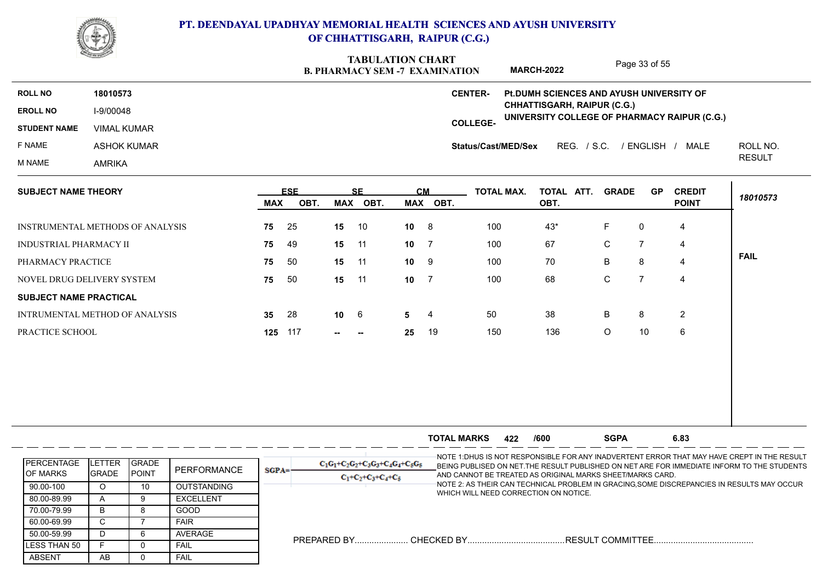

ABSENT | AB | 0 LESS THAN 50 F 0 50.00-59.99 60.00-69.99 C 7

C | 7 | FAIR | |

F 0 FAIL

AB 0 FAIL

### **PT. DEENDAYAL UPADHYAY MEMORIAL HEALTH SCIENCES AND AYUSH UNIVERSITY OF CHHATTISGARH, RAIPUR (C.G.)**

# **TABULATION CHART**

|                                         |                    |       |                    |                 |            |           | <b>IABULATION CHART</b><br><b>B. PHARMACY SEM -7 EXAMINATION</b> |               |                |                                                                                                                                                          | <b>MARCH-2022</b>                                                           |             | Page 33 of 55  |                              |               |
|-----------------------------------------|--------------------|-------|--------------------|-----------------|------------|-----------|------------------------------------------------------------------|---------------|----------------|----------------------------------------------------------------------------------------------------------------------------------------------------------|-----------------------------------------------------------------------------|-------------|----------------|------------------------------|---------------|
| <b>ROLL NO</b>                          | 18010573           |       |                    |                 |            |           |                                                                  |               |                | <b>CENTER-</b>                                                                                                                                           | Pt.DUMH SCIENCES AND AYUSH UNIVERSITY OF                                    |             |                |                              |               |
| <b>EROLL NO</b>                         | I-9/00048          |       |                    |                 |            |           |                                                                  |               |                |                                                                                                                                                          | CHHATTISGARH, RAIPUR (C.G.)<br>UNIVERSITY COLLEGE OF PHARMACY RAIPUR (C.G.) |             |                |                              |               |
| <b>STUDENT NAME</b>                     | <b>VIMAL KUMAR</b> |       |                    |                 |            |           |                                                                  |               |                | <b>COLLEGE-</b>                                                                                                                                          |                                                                             |             |                |                              |               |
| F NAME                                  | <b>ASHOK KUMAR</b> |       |                    |                 |            |           |                                                                  |               |                | <b>Status/Cast/MED/Sex</b>                                                                                                                               |                                                                             |             |                | REG. / S.C. / ENGLISH / MALE | ROLL NO.      |
| M NAME                                  | <b>AMRIKA</b>      |       |                    |                 |            |           |                                                                  |               |                |                                                                                                                                                          |                                                                             |             |                |                              | <b>RESULT</b> |
| <b>SUBJECT NAME THEORY</b>              |                    |       |                    |                 | <b>ESE</b> |           | <b>SE</b>                                                        |               | <b>CM</b>      | <b>TOTAL MAX.</b>                                                                                                                                        | TOTAL ATT. GRADE                                                            |             | <b>GP</b>      | <b>CREDIT</b>                | 18010573      |
|                                         |                    |       |                    | <b>MAX</b>      | OBT.       |           | MAX OBT.                                                         |               | MAX OBT.       |                                                                                                                                                          | OBT.                                                                        |             |                | <b>POINT</b>                 |               |
| <b>INSTRUMENTAL METHODS OF ANALYSIS</b> |                    |       |                    | 75              | 25         | 15        | 10                                                               | 10            | 8              | 100                                                                                                                                                      | $43*$                                                                       | F           | $\Omega$       | 4                            |               |
| INDUSTRIAL PHARMACY II                  |                    |       |                    | 75              | 49         | 15        | $-11$                                                            | 10            | $\overline{7}$ | 100                                                                                                                                                      | 67                                                                          | C           | $\overline{7}$ | 4                            |               |
| PHARMACY PRACTICE                       |                    |       |                    | 75              | 50         | 15        | 11                                                               | $10 \qquad 9$ |                | 100                                                                                                                                                      | 70                                                                          | B           | 8              | 4                            | <b>FAIL</b>   |
| NOVEL DRUG DELIVERY SYSTEM              |                    |       |                    | 75              | 50         | 15        | 11                                                               | $10 \t 7$     |                | 100                                                                                                                                                      | 68                                                                          | $\mathbf C$ | $\overline{7}$ | 4                            |               |
| <b>SUBJECT NAME PRACTICAL</b>           |                    |       |                    |                 |            |           |                                                                  |               |                |                                                                                                                                                          |                                                                             |             |                |                              |               |
| INTRUMENTAL METHOD OF ANALYSIS          |                    |       |                    | 35 <sub>5</sub> | 28         | $10 \t 6$ |                                                                  | 5             | $\overline{4}$ | 50                                                                                                                                                       | 38                                                                          | B           | 8              | $\overline{2}$               |               |
| PRACTICE SCHOOL                         |                    |       |                    | 125             | 117        |           |                                                                  | 25            | 19             | 150                                                                                                                                                      | 136                                                                         | $\circ$     | 10             | 6                            |               |
|                                         |                    |       |                    |                 |            |           |                                                                  |               |                |                                                                                                                                                          |                                                                             |             |                |                              |               |
|                                         |                    |       |                    |                 |            |           |                                                                  |               |                |                                                                                                                                                          |                                                                             |             |                |                              |               |
|                                         |                    |       |                    |                 |            |           |                                                                  |               |                |                                                                                                                                                          |                                                                             |             |                |                              |               |
|                                         |                    |       |                    |                 |            |           |                                                                  |               |                |                                                                                                                                                          |                                                                             |             |                |                              |               |
|                                         |                    |       |                    |                 |            |           |                                                                  |               |                |                                                                                                                                                          |                                                                             |             |                |                              |               |
|                                         |                    |       |                    |                 |            |           |                                                                  |               |                | <b>TOTAL MARKS</b><br>422                                                                                                                                | /600                                                                        | <b>SGPA</b> |                | 6.83                         |               |
| <b>PERCENTAGE</b>                       | <b>LETTER</b>      | GRADE |                    |                 |            |           | $C_1C_1+C_2C_2+C_3C_3+C_4C_4+C_5C_5$                             |               |                | NOTE 1:DHUS IS NOT RESPONSIBLE FOR ANY INADVERTENT ERROR THAT MAY HAVE CREPT IN THE RESULT                                                               |                                                                             |             |                |                              |               |
| OF MARKS                                | <b>GRADE</b>       | POINT | PERFORMANCE        | $SGPA =$        |            |           | $C_1 + C_2 + C_3 + C_4 + C_5$                                    |               |                | BEING PUBLISED ON NET. THE RESULT PUBLISHED ON NET ARE FOR IMMEDIATE INFORM TO THE STUDENTS<br>AND CANNOT BE TREATED AS ORIGINAL MARKS SHEET/MARKS CARD. |                                                                             |             |                |                              |               |
| $90.00 - 100$                           | $\circ$            | 10    | <b>OUTSTANDING</b> |                 |            |           |                                                                  |               |                | NOTE 2: AS THEIR CAN TECHNICAL PROBLEM IN GRACING, SOME DISCREPANCIES IN RESULTS MAY OCCUR<br>WHICH WILL NEED CORRECTION ON NOTICE.                      |                                                                             |             |                |                              |               |
| 80.00-89.99                             | A                  | 9     | <b>EXCELLENT</b>   |                 |            |           |                                                                  |               |                |                                                                                                                                                          |                                                                             |             |                |                              |               |
| 70.00-79.99                             | B                  | 8     | <b>GOOD</b>        |                 |            |           |                                                                  |               |                |                                                                                                                                                          |                                                                             |             |                |                              |               |

PREPARED BY...................... CHECKED BY........................................RESULT COMMITTEE......................................... D | 6 | AVERAGE | \_ \_ \_ \_ \_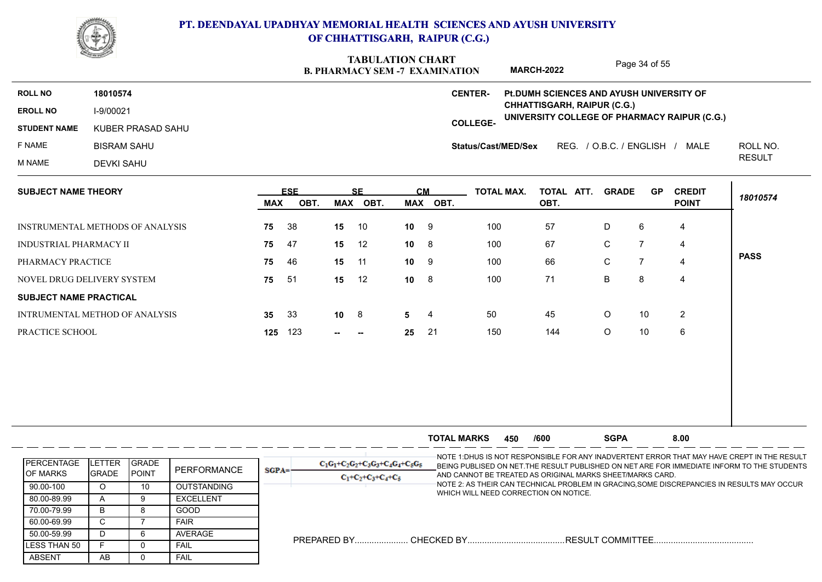

|                               | <b>CONTROL</b>                   |            |            |    | <b>TABULATION CHART</b><br><b>B. PHARMACY SEM -7 EXAMINATION</b> |           |          |                           | <b>MARCH-2022</b>                                                           |              | Page 34 of 55  |                                |               |
|-------------------------------|----------------------------------|------------|------------|----|------------------------------------------------------------------|-----------|----------|---------------------------|-----------------------------------------------------------------------------|--------------|----------------|--------------------------------|---------------|
| <b>ROLL NO</b>                | 18010574                         |            |            |    |                                                                  |           |          | <b>CENTER-</b>            | Pt.DUMH SCIENCES AND AYUSH UNIVERSITY OF                                    |              |                |                                |               |
| <b>EROLL NO</b>               | I-9/00021                        |            |            |    |                                                                  |           |          |                           | CHHATTISGARH, RAIPUR (C.G.)<br>UNIVERSITY COLLEGE OF PHARMACY RAIPUR (C.G.) |              |                |                                |               |
| <b>STUDENT NAME</b>           | KUBER PRASAD SAHU                |            |            |    |                                                                  |           |          | <b>COLLEGE-</b>           |                                                                             |              |                |                                |               |
| F NAME                        | <b>BISRAM SAHU</b>               |            |            |    |                                                                  |           |          | Status/Cast/MED/Sex       |                                                                             |              |                | REG. / O.B.C. / ENGLISH / MALE | ROLL NO.      |
| M NAME                        | <b>DEVKI SAHU</b>                |            |            |    |                                                                  |           |          |                           |                                                                             |              |                |                                | <b>RESULT</b> |
| <b>SUBJECT NAME THEORY</b>    |                                  |            | <b>ESE</b> |    | <b>SE</b>                                                        | <b>CM</b> |          | <b>TOTAL MAX.</b>         | TOTAL ATT.                                                                  | <b>GRADE</b> | <b>GP</b>      | <b>CREDIT</b>                  | 18010574      |
|                               |                                  | <b>MAX</b> | OBT.       |    | MAX OBT.                                                         |           | MAX OBT. |                           | OBT.                                                                        |              |                | <b>POINT</b>                   |               |
|                               | INSTRUMENTAL METHODS OF ANALYSIS | 75         | 38         | 15 | 10                                                               | 10        | - 9      | 100                       | 57                                                                          | D            | 6              | $\overline{4}$                 |               |
| INDUSTRIAL PHARMACY II        |                                  | 75         | 47         | 15 | 12                                                               | 10        | -8       | 100                       | 67                                                                          | $\mathsf{C}$ | $\overline{7}$ | $\overline{4}$                 |               |
| PHARMACY PRACTICE             |                                  | 75         | 46         | 15 | 11                                                               | 10        | 9        | 100                       | 66                                                                          | $\mathbf C$  | $\overline{7}$ | 4                              | <b>PASS</b>   |
|                               | NOVEL DRUG DELIVERY SYSTEM       | 75         | 51         | 15 | 12                                                               | 10        | 8        | 100                       | 71                                                                          | $\sf B$      | 8              | $\overline{4}$                 |               |
| <b>SUBJECT NAME PRACTICAL</b> |                                  |            |            |    |                                                                  |           |          |                           |                                                                             |              |                |                                |               |
|                               | INTRUMENTAL METHOD OF ANALYSIS   | 35         | 33         | 10 | 8                                                                | 5         | 4        | 50                        | 45                                                                          | $\circ$      | 10             | $\overline{2}$                 |               |
| PRACTICE SCHOOL               |                                  | 125        | 123        |    |                                                                  | 25        | 21       | 150                       | 144                                                                         | $\circ$      | 10             | $\,6\,$                        |               |
|                               |                                  |            |            |    |                                                                  |           |          |                           |                                                                             |              |                |                                |               |
|                               |                                  |            |            |    |                                                                  |           |          |                           |                                                                             |              |                |                                |               |
|                               |                                  |            |            |    |                                                                  |           |          |                           |                                                                             |              |                |                                |               |
|                               |                                  |            |            |    |                                                                  |           |          |                           |                                                                             |              |                |                                |               |
|                               |                                  |            |            |    |                                                                  |           |          |                           |                                                                             |              |                |                                |               |
|                               |                                  |            |            |    |                                                                  |           |          | <b>TOTAL MARKS</b><br>450 | /600                                                                        | <b>SGPA</b>  |                | 8.00                           |               |

|                    |               |               |                    |          |                                      | -NOTE 1:DHUS IS NOT RESPONSIBLE FOR ANY INADVERTENT ERROR THAT MAY HAVE CREPT IN THE RESULT                                        |
|--------------------|---------------|---------------|--------------------|----------|--------------------------------------|------------------------------------------------------------------------------------------------------------------------------------|
| <b>IPERCENTAGE</b> | LETTER        | <b>IGRADE</b> | PERFORMANCE        | $SGPA =$ | $C_1G_1+C_2G_2+C_3G_3+C_4G_4+C_5G_5$ | BEING PUBLISED ON NET THE RESULT PUBLISHED ON NET ARE FOR IMMEDIATE INFORM TO THE STUDENTS                                         |
| <b>IOF MARKS</b>   | <b>IGRADE</b> | I POIN1       |                    |          | $C_1+C_2+C_3+C_4+C_5$                | AND CANNOT BE TREATED AS ORIGINAL MARKS SHEET/MARKS CARD.                                                                          |
| 90.00-100          |               |               | <b>OUTSTANDING</b> |          |                                      | NOTE 2: AS THEIR CAN TECHNICAL PROBLEM IN GRACING,SOME DISCREPANCIES IN RESULTS MAY OCCUR<br>WHICH WILL NEED CORRECTION ON NOTICE. |
| 80.00-89.99        |               |               | <b>EXCELLENT</b>   |          |                                      |                                                                                                                                    |
| 70.00-79.99        |               |               | GOOD               |          |                                      |                                                                                                                                    |
| 60.00-69.99        |               |               | <b>FAIR</b>        |          |                                      |                                                                                                                                    |
| 50.00-59.99        |               |               | AVERAGE            |          | PREPARED BY                          |                                                                                                                                    |
| LESS THAN 50       |               |               | FAIL               |          |                                      |                                                                                                                                    |
| ABSENT             | AB            |               | FAIL               |          |                                      |                                                                                                                                    |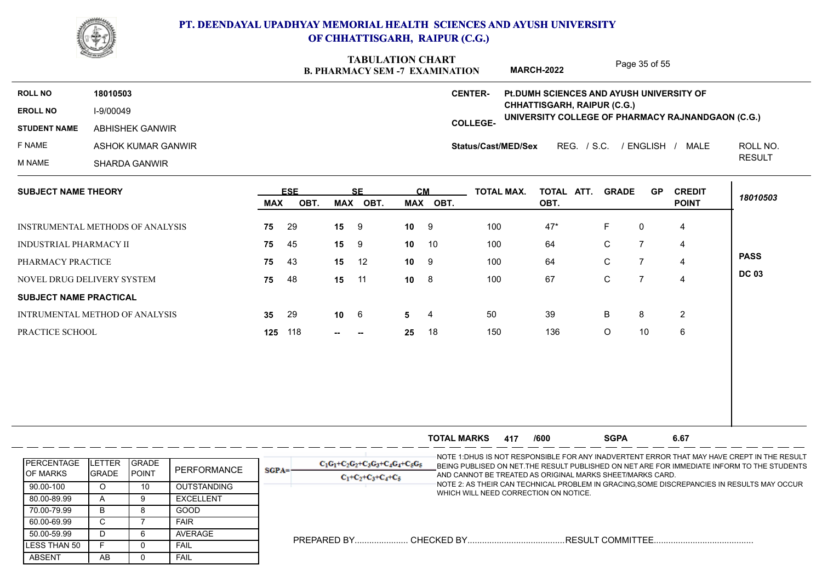

|                               |                                         |            |            |            | TADULAHUN UHANI<br><b>B. PHARMACY SEM -7 EXAMINATION</b> |                 |           |                     | <b>MARCH-2022</b>                                                                       |              | Page 35 of 55  |                |               |
|-------------------------------|-----------------------------------------|------------|------------|------------|----------------------------------------------------------|-----------------|-----------|---------------------|-----------------------------------------------------------------------------------------|--------------|----------------|----------------|---------------|
| <b>ROLL NO</b>                | 18010503                                |            |            |            |                                                          |                 |           | <b>CENTER-</b>      | Pt. DUMH SCIENCES AND AYUSH UNIVERSITY OF                                               |              |                |                |               |
| <b>EROLL NO</b>               | I-9/00049                               |            |            |            |                                                          |                 |           |                     | <b>CHHATTISGARH, RAIPUR (C.G.)</b><br>UNIVERSITY COLLEGE OF PHARMACY RAJNANDGAON (C.G.) |              |                |                |               |
| <b>STUDENT NAME</b>           | ABHISHEK GANWIR                         |            |            |            |                                                          |                 |           | <b>COLLEGE-</b>     |                                                                                         |              |                |                |               |
| F NAME                        | ASHOK KUMAR GANWIR                      |            |            |            |                                                          |                 |           | Status/Cast/MED/Sex | REG. / S.C.                                                                             |              | / ENGLISH /    | MALE           | ROLL NO.      |
| M NAME                        | <b>SHARDA GANWIR</b>                    |            |            |            |                                                          |                 |           |                     |                                                                                         |              |                |                | <b>RESULT</b> |
| <b>SUBJECT NAME THEORY</b>    |                                         |            | <b>ESE</b> |            | <b>SF</b>                                                |                 | <b>CM</b> | <b>TOTAL MAX.</b>   | TOTAL ATT.                                                                              | <b>GRADE</b> | <b>GP</b>      | <b>CREDIT</b>  |               |
|                               |                                         | <b>MAX</b> | OBT.       | <b>MAX</b> | OBT.                                                     |                 | MAX OBT.  |                     | OBT.                                                                                    |              |                | <b>POINT</b>   | 18010503      |
|                               | <b>INSTRUMENTAL METHODS OF ANALYSIS</b> | 75         | 29         | 15         | -9                                                       | 10 <sup>1</sup> | 9         | 100                 | $47*$                                                                                   | F            | 0              | 4              |               |
| <b>INDUSTRIAL PHARMACY II</b> |                                         | 75         | 45         | 15         | 9                                                        | 10              | 10        | 100                 | 64                                                                                      | C            | $\overline{7}$ | 4              |               |
| PHARMACY PRACTICE             |                                         | 75         | 43         | 15         | 12                                                       | 10              | 9         | 100                 | 64                                                                                      | $\mathsf{C}$ | $\overline{7}$ | $\overline{4}$ | <b>PASS</b>   |
|                               | NOVEL DRUG DELIVERY SYSTEM              | 75         | 48         | 15         | 11                                                       | 10              | 8         | 100                 | 67                                                                                      | $\mathbf C$  | $\overline{7}$ | 4              | <b>DC 03</b>  |
| <b>SUBJECT NAME PRACTICAL</b> |                                         |            |            |            |                                                          |                 |           |                     |                                                                                         |              |                |                |               |
|                               | INTRUMENTAL METHOD OF ANALYSIS          | 35         | 29         | $10 \t 6$  |                                                          | 5 <sup>5</sup>  | -4        | 50                  | 39                                                                                      | B            | 8              | $\overline{2}$ |               |
|                               |                                         |            |            |            |                                                          |                 |           |                     |                                                                                         |              |                |                |               |

|                                       |                                |                                |                    |          |                                                               | <b>TOTAL MARKS</b>                    | 417 | /600 | <b>SGPA</b>                                               | 6.67                                                                                                                                                                                       |
|---------------------------------------|--------------------------------|--------------------------------|--------------------|----------|---------------------------------------------------------------|---------------------------------------|-----|------|-----------------------------------------------------------|--------------------------------------------------------------------------------------------------------------------------------------------------------------------------------------------|
| <b>PERCENTAGE</b><br><b>IOF MARKS</b> | <b>ETTER</b><br><b>I</b> GRADE | <b>IGRADE</b><br><b>IPOINT</b> | PERFORMANCE        | $SGPA =$ | $C_1G_1+C_2G_2+C_3G_3+C_4G_4+C_5G_5$<br>$C_1+C_2+C_3+C_4+C_5$ |                                       |     |      | AND CANNOT BE TREATED AS ORIGINAL MARKS SHEET/MARKS CARD. | -NOTE 1:DHUS IS NOT RESPONSIBLE FOR ANY INADVERTENT ERROR THAT MAY HAVE CREPT IN THE RESULT<br>BEING PUBLISED ON NET. THE RESULT PUBLISHED ON NET ARE FOR IMMEDIATE INFORM TO THE STUDENTS |
| 90.00-100                             |                                | 10                             | <b>OUTSTANDING</b> |          |                                                               | WHICH WILL NEED CORRECTION ON NOTICE. |     |      |                                                           | NOTE 2: AS THEIR CAN TECHNICAL PROBLEM IN GRACING,SOME DISCREPANCIES IN RESULTS MAY OCCUR                                                                                                  |
| 80.00-89.99                           |                                |                                | <b>EXCELLENT</b>   |          |                                                               |                                       |     |      |                                                           |                                                                                                                                                                                            |
| 70.00-79.99                           | ь.                             |                                | GOOD               |          |                                                               |                                       |     |      |                                                           |                                                                                                                                                                                            |
| 60.00-69.99                           | U                              |                                | <b>FAIR</b>        |          |                                                               |                                       |     |      |                                                           |                                                                                                                                                                                            |
| 50.00-59.99                           |                                |                                | AVERAGE            |          |                                                               |                                       |     |      |                                                           |                                                                                                                                                                                            |
| LESS THAN 50                          |                                |                                | <b>FAIL</b>        |          |                                                               |                                       |     |      |                                                           |                                                                                                                                                                                            |
| ABSENT                                | AB.                            |                                | <b>FAIL</b>        |          |                                                               |                                       |     |      |                                                           |                                                                                                                                                                                            |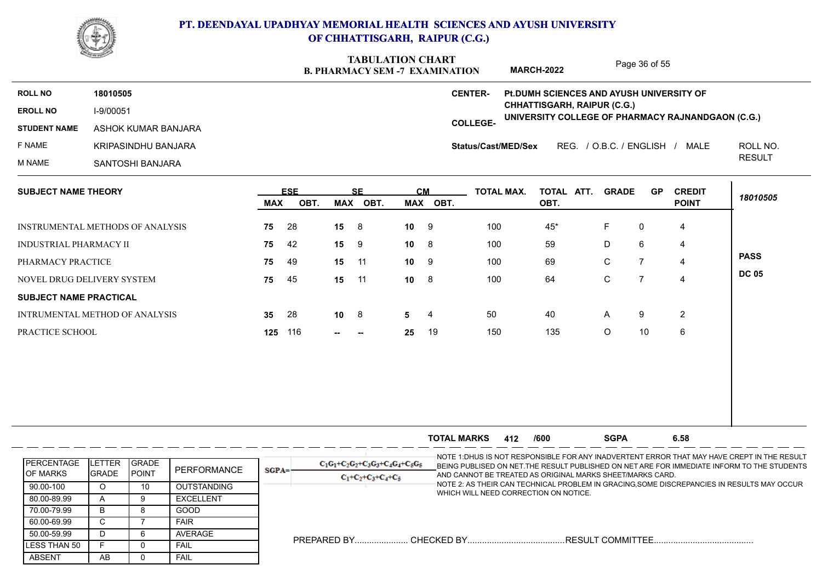

|                               |                                  |            |            | TABULATION CHART<br><b>B. PHARMACY SEM -7 EXAMINATION</b> |           |           |          | <b>MARCH-2022</b>   |                                                                                         | Page 36 of 55 |                |                                |               |
|-------------------------------|----------------------------------|------------|------------|-----------------------------------------------------------|-----------|-----------|----------|---------------------|-----------------------------------------------------------------------------------------|---------------|----------------|--------------------------------|---------------|
| <b>ROLL NO</b>                | 18010505                         |            |            |                                                           |           |           |          | <b>CENTER-</b>      | Pt.DUMH SCIENCES AND AYUSH UNIVERSITY OF                                                |               |                |                                |               |
| <b>EROLL NO</b>               | I-9/00051                        |            |            |                                                           |           |           |          |                     | <b>CHHATTISGARH, RAIPUR (C.G.)</b><br>UNIVERSITY COLLEGE OF PHARMACY RAJNANDGAON (C.G.) |               |                |                                |               |
| <b>STUDENT NAME</b>           | ASHOK KUMAR BANJARA              |            |            |                                                           |           |           |          | <b>COLLEGE-</b>     |                                                                                         |               |                |                                |               |
| F NAME                        | KRIPASINDHU BANJARA              |            |            |                                                           |           |           |          | Status/Cast/MED/Sex |                                                                                         |               |                | REG. / O.B.C. / ENGLISH / MALE | ROLL NO.      |
| M NAME                        | SANTOSHI BANJARA                 |            |            |                                                           |           |           |          |                     |                                                                                         |               |                |                                | <b>RESULT</b> |
| <b>SUBJECT NAME THEORY</b>    |                                  |            | <b>ESE</b> |                                                           | <b>SF</b> | CM        |          | <b>TOTAL MAX.</b>   | TOTAL ATT.                                                                              | <b>GRADE</b>  | <b>GP</b>      | <b>CREDIT</b>                  | 18010505      |
|                               |                                  | <b>MAX</b> | OBT.       |                                                           | MAX OBT.  |           | MAX OBT. |                     | OBT.                                                                                    |               |                | <b>POINT</b>                   |               |
|                               | INSTRUMENTAL METHODS OF ANALYSIS | 75         | 28         | $15 \t 8$                                                 |           | 10        | 9        | 100                 | $45*$                                                                                   | F             | 0              | 4                              |               |
| <b>INDUSTRIAL PHARMACY II</b> |                                  | 75         | 42         | $15 \qquad 9$                                             |           | 10        | 8        | 100                 | 59                                                                                      | D             | 6              | 4                              |               |
| PHARMACY PRACTICE             |                                  | 75         | 49         | 15 11                                                     |           | 10        | 9        | 100                 | 69                                                                                      | $\mathsf C$   | $\overline{7}$ | 4                              | <b>PASS</b>   |
|                               | NOVEL DRUG DELIVERY SYSTEM       | 75         | 45         | 15                                                        | 11        | $10 \t 8$ |          | 100                 | 64                                                                                      | $\mathsf C$   | $\overline{7}$ | 4                              | <b>DC 05</b>  |
| <b>SUBJECT NAME PRACTICAL</b> |                                  |            |            |                                                           |           |           |          |                     |                                                                                         |               |                |                                |               |
|                               | INTRUMENTAL METHOD OF ANALYSIS   | 35         | 28         | $10 \t 8$                                                 |           | 5         | 4        | 50                  | 40                                                                                      | A             | 9              | $\overline{2}$                 |               |
|                               | PRACTICE SCHOOL                  | 125        | 116        | −−                                                        | $\sim$    | 25        | 19       | 150                 | 135                                                                                     | $\mathsf O$   | 10             | $\,6\,$                        |               |

|                                        |                         |                                |                    |          |                                                               | <b>TOTAL MARKS</b>                    | 412 | /600 | <b>SGPA</b>                                               | 6.58                                                                                                                                                                                       |
|----------------------------------------|-------------------------|--------------------------------|--------------------|----------|---------------------------------------------------------------|---------------------------------------|-----|------|-----------------------------------------------------------|--------------------------------------------------------------------------------------------------------------------------------------------------------------------------------------------|
| <b>IPERCENTAGE</b><br><b>IOF MARKS</b> | <b>LETTER</b><br>IGRADE | <b>IGRADE</b><br><b>IPOINT</b> | PERFORMANCE        | $SGPA =$ | $C_1C_1+C_2C_2+C_3C_3+C_4C_4+C_5C_5$<br>$C_1+C_2+C_3+C_4+C_5$ |                                       |     |      | AND CANNOT BE TREATED AS ORIGINAL MARKS SHEET/MARKS CARD. | -NOTE 1:DHUS IS NOT RESPONSIBLE FOR ANY INADVERTENT ERROR THAT MAY HAVE CREPT IN THE RESULT<br>BEING PUBLISED ON NET. THE RESULT PUBLISHED ON NET ARE FOR IMMEDIATE INFORM TO THE STUDENTS |
| 90.00-100                              |                         |                                | <b>OUTSTANDING</b> |          |                                                               |                                       |     |      |                                                           | NOTE 2: AS THEIR CAN TECHNICAL PROBLEM IN GRACING,SOME DISCREPANCIES IN RESULTS MAY OCCUR                                                                                                  |
| 80.00-89.99                            |                         |                                | <b>EXCELLENT</b>   |          |                                                               | WHICH WILL NEED CORRECTION ON NOTICE. |     |      |                                                           |                                                                                                                                                                                            |
| 70.00-79.99                            | В                       |                                | GOOD               |          |                                                               |                                       |     |      |                                                           |                                                                                                                                                                                            |
| 60.00-69.99                            |                         |                                | <b>FAIR</b>        |          |                                                               |                                       |     |      |                                                           |                                                                                                                                                                                            |
| 50.00-59.99                            |                         |                                | AVERAGE            |          | PREPARED BY.                                                  | CHECKED BY                            |     |      |                                                           |                                                                                                                                                                                            |
| <b>ILESS THAN 50</b>                   |                         |                                | <b>FAIL</b>        |          |                                                               |                                       |     |      |                                                           |                                                                                                                                                                                            |
| ABSENT                                 | AB.                     |                                | <b>FAIL</b>        |          |                                                               |                                       |     |      |                                                           |                                                                                                                                                                                            |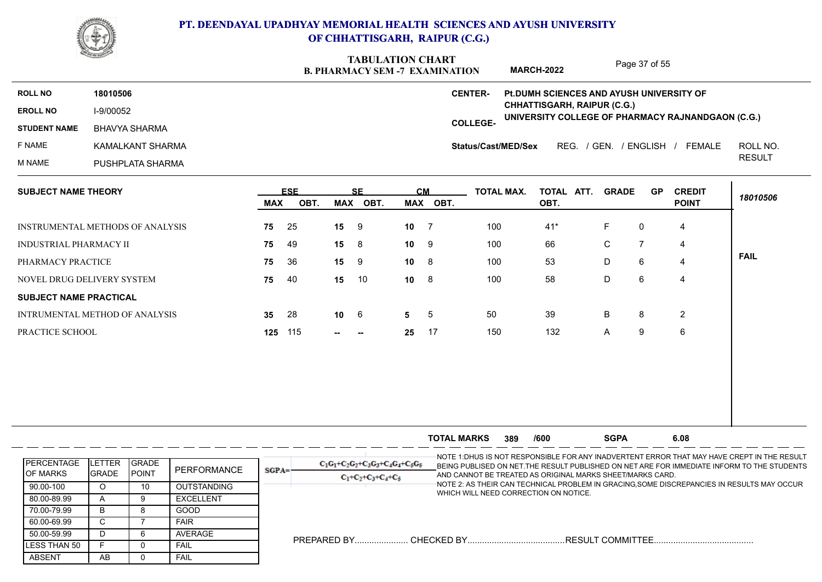

### **B. PHARMACY SEM -7 EXAMINATION TABULATION CHART MARCH-2022**

Page 37 of 55

| <b>ROLL NO</b>             | 18010506         | <b>CENTER-</b><br><b>Pt.DUMH SCIENCES AND AYUSH UNIVERSITY OF</b>                           |
|----------------------------|------------------|---------------------------------------------------------------------------------------------|
| <b>EROLL NO</b>            | I-9/00052        | CHHATTISGARH, RAIPUR (C.G.)<br>UNIVERSITY COLLEGE OF PHARMACY RAJNANDGAON (C.G.)            |
| <b>STUDENT NAME</b>        | BHAVYA SHARMA    | <b>COLLEGE-</b>                                                                             |
| F NAME                     | KAMALKANT SHARMA | ROLL NO.<br>/ ENGLISH<br>FEMALE<br>REG.<br>/ GEN.<br>Status/Cast/MED/Sex                    |
| M NAME                     | PUSHPLATA SHARMA | <b>RESULT</b>                                                                               |
| <b>SUBJECT NAME THEORY</b> |                  | CМ<br><b>TOTAL MAX.</b><br><b>GRADE</b><br><b>GP</b><br><b>CREDIT</b><br>FSF<br>TOTAL ATT.  |
|                            |                  | 18010506<br><b>POINT</b><br><b>MAX</b><br>OBT.<br><b>MAX</b><br>OBT.<br>OBT.<br>MAX<br>OBT. |

|                                  | <b>MAA</b> | UDI. | <b>MAA</b> | UD I.                    |              | WAA UDI. |     | UDI.  |   |              | <b>FUINI</b> |
|----------------------------------|------------|------|------------|--------------------------|--------------|----------|-----|-------|---|--------------|--------------|
| INSTRUMENTAL METHODS OF ANALYSIS | 75         | - 25 | 15         | - 9                      | $10 \quad 7$ |          | 100 | $41*$ |   | $\mathbf{0}$ | 4            |
| INDUSTRIAL PHARMACY II           | 75         | 49   | 15         | $_{\rm 8}$               | $10 \quad 9$ |          | 100 | 66    | C |              | 4            |
| PHARMACY PRACTICE                | 75         | 36   | 15         | - 9                      | $10 \quad 8$ |          | 100 | 53    | D | 6            | 4            |
| NOVEL DRUG DELIVERY SYSTEM       | 75         | -40  | 15         | 10                       | $10 \quad 8$ |          | 100 | 58    | D | 6            | 4            |
| <b>SUBJECT NAME PRACTICAL</b>    |            |      |            |                          |              |          |     |       |   |              |              |
| INTRUMENTAL METHOD OF ANALYSIS   | 35         | 28   | $10 \t 6$  |                          | $5\quad 5$   |          | 50  | 39    | B | 8            | 2            |
| PRACTICE SCHOOL                  | 125 115    |      | $-$        | $\overline{\phantom{a}}$ | 25 17        |          | 150 | 132   | A | 9            | 6            |
|                                  |            |      |            |                          |              |          |     |       |   |              |              |

|                                        |                          |                              |                                        |          |                                                               | <b>TOTAL MARKS</b>                    | 389 | /600 | <b>SGPA</b>                                               | 6.08                                                                                                                                                                                       |
|----------------------------------------|--------------------------|------------------------------|----------------------------------------|----------|---------------------------------------------------------------|---------------------------------------|-----|------|-----------------------------------------------------------|--------------------------------------------------------------------------------------------------------------------------------------------------------------------------------------------|
| <b>IPERCENTAGE</b><br><b>IOF MARKS</b> | LETTER<br><b>I</b> GRADE | <b>GRADE</b><br><b>POINT</b> | PERFORMANCE                            | $SGPA =$ | $C_1C_1+C_2C_2+C_3C_3+C_4C_4+C_5C_5$<br>$C_1+C_2+C_3+C_4+C_5$ |                                       |     |      | AND CANNOT BE TREATED AS ORIGINAL MARKS SHEET/MARKS CARD. | -NOTE 1:DHUS IS NOT RESPONSIBLE FOR ANY INADVERTENT ERROR THAT MAY HAVE CREPT IN THE RESULT<br>BEING PUBLISED ON NET. THE RESULT PUBLISHED ON NET ARE FOR IMMEDIATE INFORM TO THE STUDENTS |
| 90.00-100<br>80.00-89.99               |                          | 10                           | <b>OUTSTANDING</b><br><b>EXCELLENT</b> |          |                                                               | WHICH WILL NEED CORRECTION ON NOTICE. |     |      |                                                           | NOTE 2: AS THEIR CAN TECHNICAL PROBLEM IN GRACING,SOME DISCREPANCIES IN RESULTS MAY OCCUR                                                                                                  |
| 70.00-79.99                            | <sub>B</sub>             |                              | <b>GOOD</b>                            |          |                                                               |                                       |     |      |                                                           |                                                                                                                                                                                            |
| 60.00-69.99<br>50.00-59.99             | D.                       |                              | <b>FAIR</b><br>AVERAGE                 |          |                                                               |                                       |     |      |                                                           |                                                                                                                                                                                            |
| <b>ILESS THAN 50</b>                   |                          |                              | FAIL                                   |          |                                                               |                                       |     |      | RESULT COMMITTEE                                          |                                                                                                                                                                                            |
| <b>ABSENT</b>                          | AB                       |                              | <b>FAIL</b>                            |          |                                                               |                                       |     |      |                                                           |                                                                                                                                                                                            |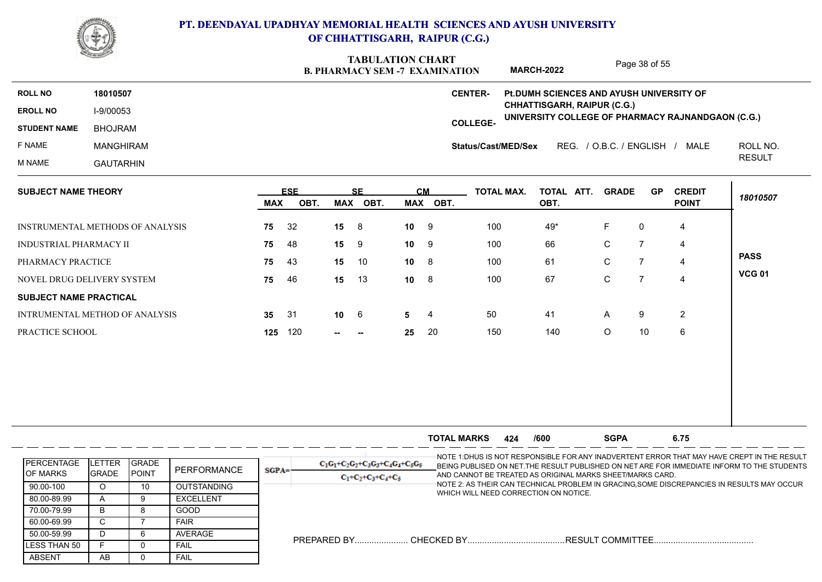

| <b>ROLL NO</b><br>18010507<br><b>CENTER-</b><br>Pt.DUMH SCIENCES AND AYUSH UNIVERSITY OF<br>CHHATTISGARH, RAIPUR (C.G.)<br>I-9/00053<br><b>EROLL NO</b><br>COLLEGE-<br><b>BHOJRAM</b><br><b>STUDENT NAME</b><br>F NAME<br>REG. / O.B.C. / ENGLISH / MALE<br><b>MANGHIRAM</b><br><b>Status/Cast/MED/Sex</b><br>M NAME<br><b>GAUTARHIN</b><br><b>ESE</b><br><b>SE</b><br><b>CM</b><br><b>TOTAL MAX.</b><br>TOTAL ATT. GRADE<br><b>SUBJECT NAME THEORY</b><br>GP<br><b>CREDIT</b><br>MAX OBT.<br>MAX OBT.<br>OBT.<br><b>MAX</b><br>OBT.<br><b>POINT</b><br>F<br>49*<br>INSTRUMENTAL METHODS OF ANALYSIS<br>32<br>15<br>8<br>10<br>9<br>100<br>0<br>75<br>4<br>$\mathbf C$<br>10<br>9<br>100<br>66<br>$\overline{7}$<br>INDUSTRIAL PHARMACY II<br>75<br>48<br>15<br>9<br>4<br>61<br>C<br>$\overline{7}$<br>PHARMACY PRACTICE<br>43<br>10<br>8<br>100<br>75<br>15<br>10<br>$\overline{4}$<br>${\bf C}$<br>$\overline{7}$<br>100<br>67<br>NOVEL DRUG DELIVERY SYSTEM<br>75<br>46<br>15<br>13<br>10<br>8<br>4<br><b>SUBJECT NAME PRACTICAL</b><br>$\overline{2}$<br>INTRUMENTAL METHOD OF ANALYSIS<br>35 <sub>5</sub><br>31<br>10<br>$6\phantom{1}6$<br>50<br>41<br>9<br>A<br>5<br>4 | UNIVERSITY COLLEGE OF PHARMACY RAJNANDGAON (C.G.)<br>140<br>$\circ$<br>6<br>120<br>20<br>150<br>10<br>125<br>25<br>--<br>$\sim$ | <b>STATISTICS</b> | <b>TABULATION CHART</b><br>Page 38 of 55<br><b>MARCH-2022</b><br><b>B. PHARMACY SEM -7 EXAMINATION</b> |  |  |  |  |  |  |  |  |  |  |  |               |
|-------------------------------------------------------------------------------------------------------------------------------------------------------------------------------------------------------------------------------------------------------------------------------------------------------------------------------------------------------------------------------------------------------------------------------------------------------------------------------------------------------------------------------------------------------------------------------------------------------------------------------------------------------------------------------------------------------------------------------------------------------------------------------------------------------------------------------------------------------------------------------------------------------------------------------------------------------------------------------------------------------------------------------------------------------------------------------------------------------------------------------------------------------------------------------|---------------------------------------------------------------------------------------------------------------------------------|-------------------|--------------------------------------------------------------------------------------------------------|--|--|--|--|--|--|--|--|--|--|--|---------------|
|                                                                                                                                                                                                                                                                                                                                                                                                                                                                                                                                                                                                                                                                                                                                                                                                                                                                                                                                                                                                                                                                                                                                                                               |                                                                                                                                 |                   |                                                                                                        |  |  |  |  |  |  |  |  |  |  |  |               |
|                                                                                                                                                                                                                                                                                                                                                                                                                                                                                                                                                                                                                                                                                                                                                                                                                                                                                                                                                                                                                                                                                                                                                                               |                                                                                                                                 |                   |                                                                                                        |  |  |  |  |  |  |  |  |  |  |  |               |
|                                                                                                                                                                                                                                                                                                                                                                                                                                                                                                                                                                                                                                                                                                                                                                                                                                                                                                                                                                                                                                                                                                                                                                               |                                                                                                                                 |                   |                                                                                                        |  |  |  |  |  |  |  |  |  |  |  |               |
|                                                                                                                                                                                                                                                                                                                                                                                                                                                                                                                                                                                                                                                                                                                                                                                                                                                                                                                                                                                                                                                                                                                                                                               |                                                                                                                                 |                   |                                                                                                        |  |  |  |  |  |  |  |  |  |  |  | ROLL NO.      |
|                                                                                                                                                                                                                                                                                                                                                                                                                                                                                                                                                                                                                                                                                                                                                                                                                                                                                                                                                                                                                                                                                                                                                                               |                                                                                                                                 |                   |                                                                                                        |  |  |  |  |  |  |  |  |  |  |  | <b>RESULT</b> |
|                                                                                                                                                                                                                                                                                                                                                                                                                                                                                                                                                                                                                                                                                                                                                                                                                                                                                                                                                                                                                                                                                                                                                                               |                                                                                                                                 |                   |                                                                                                        |  |  |  |  |  |  |  |  |  |  |  | 18010507      |
|                                                                                                                                                                                                                                                                                                                                                                                                                                                                                                                                                                                                                                                                                                                                                                                                                                                                                                                                                                                                                                                                                                                                                                               |                                                                                                                                 |                   |                                                                                                        |  |  |  |  |  |  |  |  |  |  |  |               |
|                                                                                                                                                                                                                                                                                                                                                                                                                                                                                                                                                                                                                                                                                                                                                                                                                                                                                                                                                                                                                                                                                                                                                                               |                                                                                                                                 |                   |                                                                                                        |  |  |  |  |  |  |  |  |  |  |  |               |
|                                                                                                                                                                                                                                                                                                                                                                                                                                                                                                                                                                                                                                                                                                                                                                                                                                                                                                                                                                                                                                                                                                                                                                               |                                                                                                                                 |                   |                                                                                                        |  |  |  |  |  |  |  |  |  |  |  |               |
|                                                                                                                                                                                                                                                                                                                                                                                                                                                                                                                                                                                                                                                                                                                                                                                                                                                                                                                                                                                                                                                                                                                                                                               |                                                                                                                                 |                   |                                                                                                        |  |  |  |  |  |  |  |  |  |  |  | <b>PASS</b>   |
|                                                                                                                                                                                                                                                                                                                                                                                                                                                                                                                                                                                                                                                                                                                                                                                                                                                                                                                                                                                                                                                                                                                                                                               |                                                                                                                                 |                   |                                                                                                        |  |  |  |  |  |  |  |  |  |  |  | <b>VCG 01</b> |
|                                                                                                                                                                                                                                                                                                                                                                                                                                                                                                                                                                                                                                                                                                                                                                                                                                                                                                                                                                                                                                                                                                                                                                               |                                                                                                                                 |                   |                                                                                                        |  |  |  |  |  |  |  |  |  |  |  |               |
|                                                                                                                                                                                                                                                                                                                                                                                                                                                                                                                                                                                                                                                                                                                                                                                                                                                                                                                                                                                                                                                                                                                                                                               |                                                                                                                                 |                   |                                                                                                        |  |  |  |  |  |  |  |  |  |  |  |               |
| PRACTICE SCHOOL                                                                                                                                                                                                                                                                                                                                                                                                                                                                                                                                                                                                                                                                                                                                                                                                                                                                                                                                                                                                                                                                                                                                                               |                                                                                                                                 |                   |                                                                                                        |  |  |  |  |  |  |  |  |  |  |  |               |
|                                                                                                                                                                                                                                                                                                                                                                                                                                                                                                                                                                                                                                                                                                                                                                                                                                                                                                                                                                                                                                                                                                                                                                               |                                                                                                                                 |                   |                                                                                                        |  |  |  |  |  |  |  |  |  |  |  |               |

|                                        |                                 |                                |                    |         |                                                               | <b>TOTAL MARKS</b>                    | 424 | /600 | <b>SGPA</b>                                               | 6.75                                                                                       |                                                                                                                                                                                            |
|----------------------------------------|---------------------------------|--------------------------------|--------------------|---------|---------------------------------------------------------------|---------------------------------------|-----|------|-----------------------------------------------------------|--------------------------------------------------------------------------------------------|--------------------------------------------------------------------------------------------------------------------------------------------------------------------------------------------|
| <b>IPERCENTAGE</b><br><b>IOF MARKS</b> | <b>ILETTER</b><br><b>IGRADE</b> | <b>IGRADE</b><br><b>IPOINT</b> | PERFORMANCE        | $SGPA=$ | $C_1C_1+C_2C_2+C_3C_3+C_4C_4+C_5C_5$<br>$C_1+C_2+C_3+C_4+C_5$ |                                       |     |      | AND CANNOT BE TREATED AS ORIGINAL MARKS SHEET/MARKS CARD. |                                                                                            | -NOTE 1:DHUS IS NOT RESPONSIBLE FOR ANY INADVERTENT ERROR THAT MAY HAVE CREPT IN THE RESULT<br>BEING PUBLISED ON NET. THE RESULT PUBLISHED ON NET ARE FOR IMMEDIATE INFORM TO THE STUDENTS |
| 90.00-100                              |                                 |                                | <b>OUTSTANDING</b> |         |                                                               | WHICH WILL NEED CORRECTION ON NOTICE. |     |      |                                                           | -NOTE 2: AS THEIR CAN TECHNICAL PROBLEM IN GRACING.SOME DISCREPANCIES IN RESULTS MAY OCCUR |                                                                                                                                                                                            |
| 80.00-89.99                            |                                 |                                | <b>EXCELLENT</b>   |         |                                                               |                                       |     |      |                                                           |                                                                                            |                                                                                                                                                                                            |
| 70.00-79.99                            |                                 |                                | GOOD               |         |                                                               |                                       |     |      |                                                           |                                                                                            |                                                                                                                                                                                            |
| 60.00-69.99                            |                                 |                                | <b>FAIR</b>        |         |                                                               |                                       |     |      |                                                           |                                                                                            |                                                                                                                                                                                            |
| 50.00-59.99                            |                                 |                                | AVERAGE            |         |                                                               |                                       |     |      |                                                           |                                                                                            |                                                                                                                                                                                            |
| LLESS THAN 50                          |                                 |                                | FAIL               |         |                                                               |                                       |     |      |                                                           |                                                                                            |                                                                                                                                                                                            |
| ABSENT                                 | AB                              |                                | FAIL               |         |                                                               |                                       |     |      |                                                           |                                                                                            |                                                                                                                                                                                            |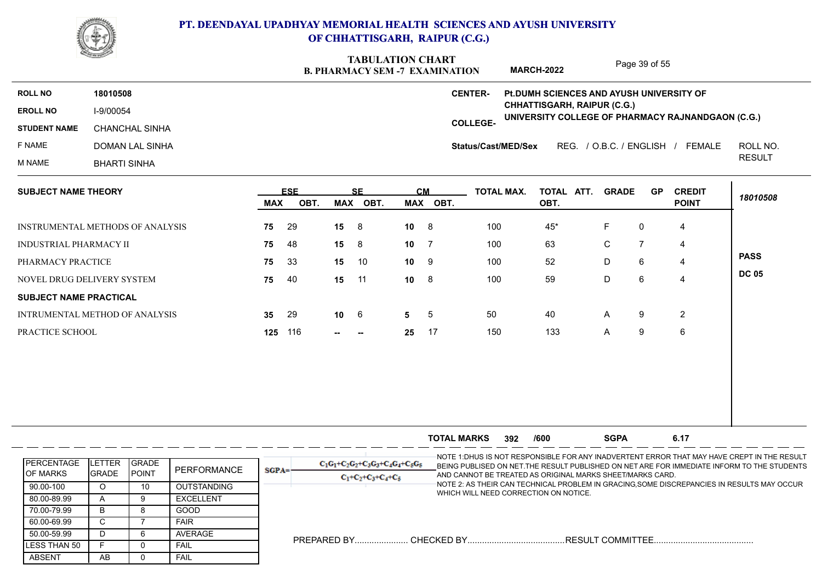

 $\sim$ 

### **PT. DEENDAYAL UPADHYAY MEMORIAL HEALTH SCIENCES AND AYUSH UNIVERSITY OF CHHATTISGARH, RAIPUR (C.G.)**

### **B. PHARMACY SEM -7 EXAMINATION TABULATION CHART**

Page 39 of 55

|                            |                     | Lays of 33<br><b>MARCH-2022</b><br><b>B. PHARMACY SEM -7 EXAMINATION</b>                                                                                                                    |               |
|----------------------------|---------------------|---------------------------------------------------------------------------------------------------------------------------------------------------------------------------------------------|---------------|
| <b>ROLL NO</b>             | 18010508            | <b>CENTER-</b><br>Pt.DUMH SCIENCES AND AYUSH UNIVERSITY OF                                                                                                                                  |               |
| <b>EROLL NO</b>            | I-9/00054           | <b>CHHATTISGARH, RAIPUR (C.G.)</b><br>UNIVERSITY COLLEGE OF PHARMACY RAJNANDGAON (C.G.)                                                                                                     |               |
| <b>STUDENT NAME</b>        | CHANCHAL SINHA      | <b>COLLEGE-</b>                                                                                                                                                                             |               |
| F NAME                     | DOMAN LAL SINHA     | REG. / O.B.C. / ENGLISH<br>FEMALE<br>Status/Cast/MED/Sex                                                                                                                                    | ROLL NO.      |
| M NAME                     | <b>BHARTI SINHA</b> |                                                                                                                                                                                             | <b>RESULT</b> |
|                            |                     | <b>SF</b>                                                                                                                                                                                   |               |
| <b>SUBJECT NAME THEORY</b> |                     | <b>ESE</b><br>TOTAL ATT.<br><b>CREDIT</b><br>CМ<br><b>TOTAL MAX.</b><br><b>GRADE</b><br><b>GP</b><br><b>POINT</b><br><b>ORT</b><br><b>MAY</b><br>MAY ORT<br>MAY<br><b>ORT</b><br><b>ORT</b> | 18010508      |

|                                  | <b>MAX</b> | OBT. | <b>MAX</b> | OBT. | MAX             | OBT. |     | OBT. |   |   | <b>POINT</b> |              |
|----------------------------------|------------|------|------------|------|-----------------|------|-----|------|---|---|--------------|--------------|
| INSTRUMENTAL METHODS OF ANALYSIS | 75         | -29  | 15         | - 8  | 10 <sub>1</sub> | 8    | 100 | 45*  |   | 0 | 4            |              |
| INDUSTRIAL PHARMACY II           | 75         | 48   | 15         | - 8  | 10              |      | 100 | 63   | C |   |              |              |
| PHARMACY PRACTICE                | 75         | -33  | 15         | 10   | 10 <sup>°</sup> |      | 100 | 52   | D |   | 4            | <b>PASS</b>  |
|                                  |            |      |            |      |                 | 9    |     |      |   | 6 | 4            | <b>DC 05</b> |
| NOVEL DRUG DELIVERY SYSTEM       | 75         | 40   | 15         | -11  | 10 <sup>°</sup> | 8    | 100 | 59   | D | 6 | 4            |              |
| <b>SUBJECT NAME PRACTICAL</b>    |            |      |            |      |                 |      |     |      |   |   |              |              |
| INTRUMENTAL METHOD OF ANALYSIS   | 35         | -29  | $10 \t 6$  |      | 5               | - 5  | 50  | 40   | A | 9 | 2            |              |
| PRACTICE SCHOOL                  | 125        | 116  | --         | --   | 25              | - 17 | 150 | 133  | A | 9 | 6            |              |
|                                  |            |      |            |      |                 |      |     |      |   |   |              |              |

|                                        |                        |                                |                    | <b>SGPA</b><br>6.17<br><b>TOTAL MARKS</b><br>/600<br>392                                                                                                                                                                                                                                                                             |
|----------------------------------------|------------------------|--------------------------------|--------------------|--------------------------------------------------------------------------------------------------------------------------------------------------------------------------------------------------------------------------------------------------------------------------------------------------------------------------------------|
| <b>IPERCENTAGE</b><br><b>IOF MARKS</b> | ETTER.<br><b>GRADE</b> | <b>IGRADE</b><br><b>IPOINT</b> | PERFORMANCE        | -NOTE 1:DHUS IS NOT RESPONSIBLE FOR ANY INADVERTENT ERROR THAT MAY HAVE CREPT IN THE RESULT<br>$C_1G_1+C_2G_2+C_3G_3+C_4G_4+C_5G_5$<br>BEING PUBLISED ON NET. THE RESULT PUBLISHED ON NET ARE FOR IMMEDIATE INFORM TO THE STUDENTS<br>$SGPA =$<br>AND CANNOT BE TREATED AS ORIGINAL MARKS SHEET/MARKS CARD.<br>$C_1+C_2+C_3+C_4+C_5$ |
| 90.00-100                              |                        | 10                             | <b>OUTSTANDING</b> | NOTE 2: AS THEIR CAN TECHNICAL PROBLEM IN GRACING.SOME DISCREPANCIES IN RESULTS MAY OCCURI-                                                                                                                                                                                                                                          |
| 80.00-89.99                            |                        | 9                              | <b>EXCELLENT</b>   | WHICH WILL NEED CORRECTION ON NOTICE.                                                                                                                                                                                                                                                                                                |
| 70.00-79.99                            | B                      |                                | GOOD               |                                                                                                                                                                                                                                                                                                                                      |
| 60.00-69.99                            |                        |                                | <b>FAIR</b>        |                                                                                                                                                                                                                                                                                                                                      |
| 50.00-59.99                            |                        |                                | AVERAGE            |                                                                                                                                                                                                                                                                                                                                      |
| <b>ILESS THAN 50</b>                   |                        |                                | <b>FAIL</b>        |                                                                                                                                                                                                                                                                                                                                      |
| <b>ABSENT</b>                          | AB.                    |                                | <b>FAIL</b>        |                                                                                                                                                                                                                                                                                                                                      |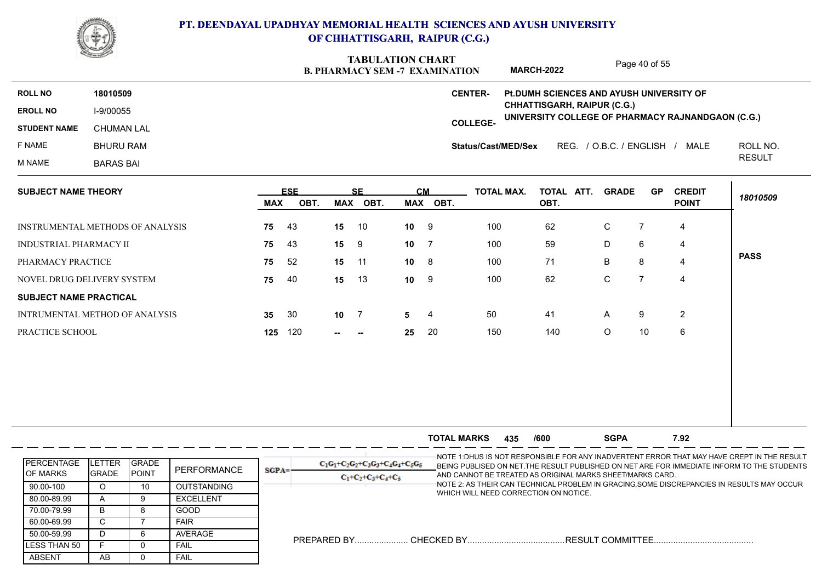

## **TABULATION CHART**

|                            |                                  |            |                    |                 | TABULATION CHART  |                 | <b>B. PHARMACY SEM -7 EXAMINATION</b> |                     | <b>MARCH-2022</b>                         |                           | Page 40 of 55  |                                                   |               |
|----------------------------|----------------------------------|------------|--------------------|-----------------|-------------------|-----------------|---------------------------------------|---------------------|-------------------------------------------|---------------------------|----------------|---------------------------------------------------|---------------|
| <b>ROLL NO</b>             | 18010509                         |            |                    |                 |                   |                 |                                       | <b>CENTER-</b>      | Pt. DUMH SCIENCES AND AYUSH UNIVERSITY OF |                           |                |                                                   |               |
| <b>EROLL NO</b>            | I-9/00055                        |            |                    |                 |                   |                 |                                       |                     | CHHATTISGARH, RAIPUR (C.G.)               |                           |                | UNIVERSITY COLLEGE OF PHARMACY RAJNANDGAON (C.G.) |               |
| <b>STUDENT NAME</b>        | <b>CHUMAN LAL</b>                |            |                    |                 |                   |                 |                                       | <b>COLLEGE-</b>     |                                           |                           |                |                                                   |               |
| F NAME                     | <b>BHURU RAM</b>                 |            |                    |                 |                   |                 |                                       | Status/Cast/MED/Sex |                                           | REG. / O.B.C. / ENGLISH / |                | MALE                                              | ROLL NO.      |
| M NAME                     | <b>BARAS BAI</b>                 |            |                    |                 |                   |                 |                                       |                     |                                           |                           |                |                                                   | <b>RESULT</b> |
| <b>SUBJECT NAME THEORY</b> |                                  | <b>MAX</b> | <b>ESE</b><br>OBT. | MAX             | <b>SF</b><br>OBT. | <b>CM</b>       | MAX OBT.                              | <b>TOTAL MAX.</b>   | TOTAL ATT.<br>OBT.                        | <b>GRADE</b>              | <b>GP</b>      | <b>CREDIT</b><br><b>POINT</b>                     | 18010509      |
|                            |                                  |            |                    |                 |                   |                 |                                       |                     |                                           |                           |                |                                                   |               |
|                            | INSTRUMENTAL METHODS OF ANALYSIS | 75         | -43                | 15              | -10               | 10 <sup>1</sup> | -9                                    | 100                 | 62                                        | $\mathsf{C}$              |                | $\overline{4}$                                    |               |
| INDUSTRIAL PHARMACY II     |                                  | 75         | 43                 | 15 <sub>1</sub> | 9                 | 10 <sup>°</sup> | - 7                                   | 100                 | 59                                        | D                         | 6              | 4                                                 |               |
| PHARMACY PRACTICE          | 75                               | 52         | 15                 | 11              | 10 <sup>°</sup>   | -8              | 100                                   | 71                  | B                                         | 8                         | $\overline{4}$ | <b>PASS</b>                                       |               |

|                                | <b>INSTRUMENTAL METHODS OF ANALYSIS</b> |                |                    |            |         |              |                                      |    |                    |          |                                                           |             |                |      |                                                                                             |
|--------------------------------|-----------------------------------------|----------------|--------------------|------------|---------|--------------|--------------------------------------|----|--------------------|----------|-----------------------------------------------------------|-------------|----------------|------|---------------------------------------------------------------------------------------------|
| <b>INDUSTRIAL PHARMACY II</b>  |                                         |                |                    | 75         | 43      | 15           | 9                                    | 10 | -7                 | 100      | 59                                                        | D           | 6              | 4    |                                                                                             |
| PHARMACY PRACTICE              |                                         |                |                    | 75         | 52      | 15           | 11                                   | 10 | - 8                | 100      | 71                                                        | B           | 8              | 4    | <b>PASS</b>                                                                                 |
| NOVEL DRUG DELIVERY SYSTEM     |                                         |                |                    | 75         | 40      | 15           | 13                                   | 10 | 9                  | 100      | 62                                                        | $\mathsf C$ | $\overline{7}$ | 4    |                                                                                             |
| <b>SUBJECT NAME PRACTICAL</b>  |                                         |                |                    |            |         |              |                                      |    |                    |          |                                                           |             |                |      |                                                                                             |
| INTRUMENTAL METHOD OF ANALYSIS |                                         |                |                    | 35         | -30     | $10 \quad 7$ |                                      | 5. | 4                  | 50       | 41                                                        | A           | 9              | 2    |                                                                                             |
| PRACTICE SCHOOL                |                                         |                |                    |            | 125 120 |              | $\overline{\phantom{a}}$             | 25 | 20                 | 150      | 140                                                       | $\circ$     | 10             | 6    |                                                                                             |
|                                |                                         |                |                    |            |         |              |                                      |    |                    |          |                                                           |             |                |      |                                                                                             |
|                                |                                         |                |                    |            |         |              |                                      |    |                    |          |                                                           |             |                |      |                                                                                             |
|                                |                                         |                |                    |            |         |              |                                      |    |                    |          |                                                           |             |                |      |                                                                                             |
|                                |                                         |                |                    |            |         |              |                                      |    |                    |          |                                                           |             |                |      |                                                                                             |
|                                |                                         |                |                    |            |         |              |                                      |    |                    |          |                                                           |             |                |      |                                                                                             |
|                                |                                         |                |                    |            |         |              |                                      |    |                    |          |                                                           |             |                |      |                                                                                             |
|                                |                                         |                |                    |            |         |              |                                      |    |                    |          |                                                           |             |                |      |                                                                                             |
|                                |                                         |                |                    |            |         |              |                                      |    |                    |          |                                                           |             |                |      |                                                                                             |
|                                |                                         |                |                    |            |         |              |                                      |    | <b>TOTAL MARKS</b> | 435 /600 |                                                           | <b>SGPA</b> |                | 7.92 |                                                                                             |
|                                |                                         |                |                    |            |         |              |                                      |    |                    |          |                                                           |             |                |      | -NOTE 1:DHUS IS NOT RESPONSIBLE FOR ANY INADVERTENT ERROR THAT MAY HAVE CREPT IN THE RESULT |
| PERCENTAGE<br><b>OF MARKS</b>  | LETTER GRADE<br>GRADE                   | POINT          | PERFORMANCE        | $SGPA = -$ |         |              | $C_1G_1+C_2G_2+C_3G_3+C_4G_4+C_5G_5$ |    |                    |          | AND CANNOT BE TREATED AS ORIGINAL MARKS SHEET/MARKS CARD. |             |                |      | BEING PUBLISED ON NET. THE RESULT PUBLISHED ON NET ARE FOR IMMEDIATE INFORM TO THE STUDENTS |
| 90.00-100                      | $\circ$                                 | 10             | <b>OUTSTANDING</b> |            |         |              | $C_1 + C_2 + C_3 + C_4 + C_5$        |    |                    |          |                                                           |             |                |      | NOTE 2: AS THEIR CAN TECHNICAL PROBLEM IN GRACING, SOME DISCREPANCIES IN RESULTS MAY OCCUR  |
| 80.00-89.99                    | $\overline{A}$                          | 9              | <b>EXCELLENT</b>   |            |         |              |                                      |    |                    |          | WHICH WILL NEED CORRECTION ON NOTICE.                     |             |                |      |                                                                                             |
| 70.00-79.99                    | B                                       | 8              | <b>GOOD</b>        |            |         |              |                                      |    |                    |          |                                                           |             |                |      |                                                                                             |
| 60.00-69.99                    | C                                       | $\overline{7}$ | <b>FAIR</b>        |            |         |              |                                      |    |                    |          |                                                           |             |                |      |                                                                                             |
| 50.00-59.99                    | D                                       | 6              | AVERAGE            |            |         |              |                                      |    |                    |          |                                                           |             |                |      |                                                                                             |
| <b>LESS THAN 50</b>            | F.                                      | $\mathbf 0$    | <b>FAIL</b>        |            |         |              |                                      |    |                    |          |                                                           |             |                |      |                                                                                             |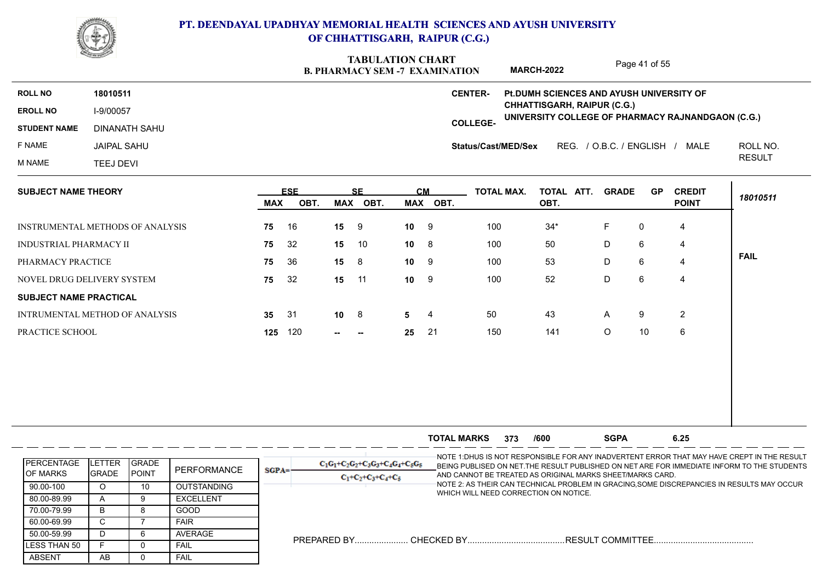

|                               |                                  | TABULATION CHART<br><b>MARCH-2022</b><br><b>B. PHARMACY SEM -7 EXAMINATION</b> |            |                 |           |           |           |                     |                                                                                         | Page 41 of 55             |           |                |               |
|-------------------------------|----------------------------------|--------------------------------------------------------------------------------|------------|-----------------|-----------|-----------|-----------|---------------------|-----------------------------------------------------------------------------------------|---------------------------|-----------|----------------|---------------|
| <b>ROLL NO</b>                | 18010511                         |                                                                                |            |                 |           |           |           | <b>CENTER-</b>      | Pt.DUMH SCIENCES AND AYUSH UNIVERSITY OF                                                |                           |           |                |               |
| <b>EROLL NO</b>               | I-9/00057                        |                                                                                |            |                 |           |           |           |                     | <b>CHHATTISGARH, RAIPUR (C.G.)</b><br>UNIVERSITY COLLEGE OF PHARMACY RAJNANDGAON (C.G.) |                           |           |                |               |
| <b>STUDENT NAME</b>           | <b>DINANATH SAHU</b>             |                                                                                |            |                 |           |           |           | <b>COLLEGE-</b>     |                                                                                         |                           |           |                |               |
| F NAME                        | <b>JAIPAL SAHU</b>               |                                                                                |            |                 |           |           |           | Status/Cast/MED/Sex |                                                                                         | REG. / O.B.C. / ENGLISH / |           | MALE           | ROLL NO.      |
| M NAME                        | <b>TEEJ DEVI</b>                 |                                                                                |            |                 |           |           |           |                     |                                                                                         |                           |           |                | <b>RESULT</b> |
| <b>SUBJECT NAME THEORY</b>    |                                  |                                                                                | <b>ESE</b> |                 | <b>SF</b> |           | <b>CM</b> | <b>TOTAL MAX.</b>   | TOTAL ATT.                                                                              | <b>GRADE</b>              | <b>GP</b> | <b>CREDIT</b>  | 18010511      |
|                               |                                  | <b>MAX</b>                                                                     | OBT.       | MAX             | OBT.      |           | MAX OBT.  |                     | OBT.                                                                                    |                           |           | <b>POINT</b>   |               |
|                               | INSTRUMENTAL METHODS OF ANALYSIS | 75                                                                             | 16         | 15              | 9         | 10        | 9         | 100                 | $34*$                                                                                   | F.                        | 0         | 4              |               |
| <b>INDUSTRIAL PHARMACY II</b> |                                  | 75                                                                             | 32         | 15              | 10        | $10 \t 8$ |           | 100                 | 50                                                                                      | D                         | 6         | 4              |               |
| PHARMACY PRACTICE             |                                  | 75                                                                             | 36         | 15 <sub>1</sub> | - 8       | 10        | 9         | 100                 | 53                                                                                      | D                         | 6         | 4              | <b>FAIL</b>   |
|                               | NOVEL DRUG DELIVERY SYSTEM       | 75                                                                             | 32         | 15              | 11        | 10        | 9         | 100                 | 52                                                                                      | D                         | 6         | 4              |               |
| <b>SUBJECT NAME PRACTICAL</b> |                                  |                                                                                |            |                 |           |           |           |                     |                                                                                         |                           |           |                |               |
|                               | INTRUMENTAL METHOD OF ANALYSIS   | 35                                                                             | 31         | $10 \quad 8$    |           | 5         | 4         | 50                  | 43                                                                                      | $\mathsf{A}$              | 9         | $\overline{2}$ |               |
| PRACTICE SCHOOL               |                                  | 125                                                                            | 120        | --              |           | 25        | 21        | 150                 | 141                                                                                     | O                         | 10        | 6              |               |

| NOVEL DRUG DELIVERY SYSTEM     | 75  | 32  | 15  |       | 10 | -9 | 100 | 52              |  | 4  |
|--------------------------------|-----|-----|-----|-------|----|----|-----|-----------------|--|----|
| <b>SUBJECT NAME PRACTICAL</b>  |     |     |     |       |    |    |     |                 |  |    |
| INTRUMENTAL METHOD OF ANALYSIS | 35  |     | 10  |       |    |    | 50  | 43              |  |    |
| PRACTICE SCHOOL                | 125 | 120 | $-$ | $- -$ | 25 |    | 150 | 14 <sup>1</sup> |  | h. |

|                                        |                                       |               |                                 |          |                                                               | <b>TOTAL MARKS</b>                    | 373 | /600 | <b>SGPA</b>                                               | 6.25                                                                                                                                                                                       |
|----------------------------------------|---------------------------------------|---------------|---------------------------------|----------|---------------------------------------------------------------|---------------------------------------|-----|------|-----------------------------------------------------------|--------------------------------------------------------------------------------------------------------------------------------------------------------------------------------------------|
| <b>IPERCENTAGE</b><br><b>IOF MARKS</b> | <b>ILETTER GRADE</b><br><b>IGRADE</b> | <b>IPOINT</b> | PERFORMANCE                     | $SGPA =$ | $C_1C_1+C_2C_2+C_3C_3+C_4C_4+C_5C_5$<br>$C_1+C_2+C_3+C_4+C_5$ |                                       |     |      | AND CANNOT BE TREATED AS ORIGINAL MARKS SHEET/MARKS CARD. | -NOTE 1:DHUS IS NOT RESPONSIBLE FOR ANY INADVERTENT ERROR THAT MAY HAVE CREPT IN THE RESULT<br>BEING PUBLISED ON NET. THE RESULT PUBLISHED ON NET ARE FOR IMMEDIATE INFORM TO THE STUDENTS |
| 90.00-100<br>80.00-89.99               |                                       | 10            | OUTSTANDING<br><b>EXCELLENT</b> |          |                                                               | WHICH WILL NEED CORRECTION ON NOTICE. |     |      |                                                           | NOTE 2: AS THEIR CAN TECHNICAL PROBLEM IN GRACING,SOME DISCREPANCIES IN RESULTS MAY OCCUR                                                                                                  |
| 70.00-79.99                            | в                                     |               | GOOD                            |          |                                                               |                                       |     |      |                                                           |                                                                                                                                                                                            |
| 60.00-69.99<br>50.00-59.99             |                                       | n             | <b>FAIR</b><br>AVERAGE          |          |                                                               |                                       |     |      |                                                           |                                                                                                                                                                                            |
| ILESS THAN 50                          |                                       |               | <b>FAIL</b>                     |          | <b>PREPARED BY</b>                                            |                                       |     |      |                                                           |                                                                                                                                                                                            |
| <b>ABSENT</b>                          | AB                                    |               | <b>FAIL</b>                     |          |                                                               |                                       |     |      |                                                           |                                                                                                                                                                                            |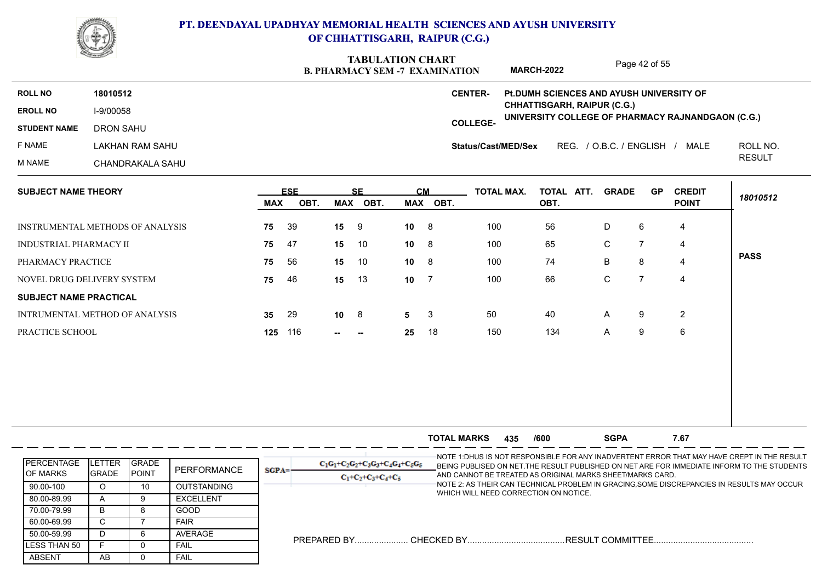

|                               | <b>COMMERCIAL COMMERCIAL COMMERCIAL COMMERCIAL COMMERCIAL COMMERCIAL COMMERCIAL COMMERCIAL COMMERCIAL COMMERCIAL COMMERCIAL COMMERCIAL COMMERCIAL COMMERCIAL COMMERCIAL COMMERCIAL COMMERCIAL COMMERCIAL COMMERCIAL COMMERCIAL C</b> |            |            |     | <b>TABULATION CHART</b><br><b>B. PHARMACY SEM -7 EXAMINATION</b> |           |                |                                                                                                                                                                                           | <b>MARCH-2022</b>                                                                |              | Page 42 of 55  |                                |               |
|-------------------------------|--------------------------------------------------------------------------------------------------------------------------------------------------------------------------------------------------------------------------------------|------------|------------|-----|------------------------------------------------------------------|-----------|----------------|-------------------------------------------------------------------------------------------------------------------------------------------------------------------------------------------|----------------------------------------------------------------------------------|--------------|----------------|--------------------------------|---------------|
| <b>ROLL NO</b>                | 18010512                                                                                                                                                                                                                             |            |            |     |                                                                  |           |                | <b>CENTER-</b>                                                                                                                                                                            | Pt.DUMH SCIENCES AND AYUSH UNIVERSITY OF                                         |              |                |                                |               |
| <b>EROLL NO</b>               | I-9/00058                                                                                                                                                                                                                            |            |            |     |                                                                  |           |                |                                                                                                                                                                                           | CHHATTISGARH, RAIPUR (C.G.)<br>UNIVERSITY COLLEGE OF PHARMACY RAJNANDGAON (C.G.) |              |                |                                |               |
| <b>STUDENT NAME</b>           | <b>DRON SAHU</b>                                                                                                                                                                                                                     |            |            |     |                                                                  |           |                | <b>COLLEGE-</b>                                                                                                                                                                           |                                                                                  |              |                |                                |               |
| F NAME                        | <b>LAKHAN RAM SAHU</b>                                                                                                                                                                                                               |            |            |     |                                                                  |           |                | <b>Status/Cast/MED/Sex</b>                                                                                                                                                                |                                                                                  |              |                | REG. / O.B.C. / ENGLISH / MALE | ROLL NO.      |
| M NAME                        | CHANDRAKALA SAHU                                                                                                                                                                                                                     |            |            |     |                                                                  |           |                |                                                                                                                                                                                           |                                                                                  |              |                |                                | <b>RESULT</b> |
| <b>SUBJECT NAME THEORY</b>    |                                                                                                                                                                                                                                      |            | <b>ESE</b> |     | <b>SE</b>                                                        | <b>CM</b> |                | <b>TOTAL MAX.</b>                                                                                                                                                                         | TOTAL ATT.                                                                       | <b>GRADE</b> | <b>GP</b>      | <b>CREDIT</b>                  | 18010512      |
|                               |                                                                                                                                                                                                                                      | <b>MAX</b> | OBT.       |     | MAX OBT.                                                         |           | MAX OBT.       |                                                                                                                                                                                           | OBT.                                                                             |              |                | <b>POINT</b>                   |               |
|                               | <b>INSTRUMENTAL METHODS OF ANALYSIS</b>                                                                                                                                                                                              | 75         | 39         | 15  | 9                                                                | 10        | -8             | 100                                                                                                                                                                                       | 56                                                                               | D            | 6              | 4                              |               |
| INDUSTRIAL PHARMACY II        |                                                                                                                                                                                                                                      | 75         | 47         | 15  | 10                                                               | 10        | 8              | 100                                                                                                                                                                                       | 65                                                                               | $\mathsf C$  | $\overline{7}$ | 4                              |               |
| PHARMACY PRACTICE             |                                                                                                                                                                                                                                      | 75         | 56         | 15  | 10                                                               | 10        | 8              | 100                                                                                                                                                                                       | 74                                                                               | B            | 8              | $\overline{4}$                 | <b>PASS</b>   |
|                               | NOVEL DRUG DELIVERY SYSTEM                                                                                                                                                                                                           | 75         | 46         | 15  | 13                                                               | 10        | $\overline{7}$ | 100                                                                                                                                                                                       | 66                                                                               | $\mathsf C$  | $\overline{7}$ | $\overline{4}$                 |               |
| <b>SUBJECT NAME PRACTICAL</b> |                                                                                                                                                                                                                                      |            |            |     |                                                                  |           |                |                                                                                                                                                                                           |                                                                                  |              |                |                                |               |
|                               | INTRUMENTAL METHOD OF ANALYSIS                                                                                                                                                                                                       | 35         | 29         | 10  | 8                                                                | 5.        | 3              | 50                                                                                                                                                                                        | 40                                                                               | A            | 9              | 2                              |               |
| PRACTICE SCHOOL               |                                                                                                                                                                                                                                      | 125        | 116        | $-$ | --                                                               | 25        | 18             | 150                                                                                                                                                                                       | 134                                                                              | Α            | 9              | $\,6\,$                        |               |
|                               |                                                                                                                                                                                                                                      |            |            |     |                                                                  |           |                |                                                                                                                                                                                           |                                                                                  |              |                |                                |               |
|                               |                                                                                                                                                                                                                                      |            |            |     |                                                                  |           |                |                                                                                                                                                                                           |                                                                                  |              |                |                                |               |
|                               |                                                                                                                                                                                                                                      |            |            |     |                                                                  |           |                |                                                                                                                                                                                           |                                                                                  |              |                |                                |               |
|                               |                                                                                                                                                                                                                                      |            |            |     |                                                                  |           |                |                                                                                                                                                                                           |                                                                                  |              |                |                                |               |
|                               |                                                                                                                                                                                                                                      |            |            |     |                                                                  |           |                |                                                                                                                                                                                           |                                                                                  |              |                |                                |               |
|                               |                                                                                                                                                                                                                                      |            |            |     |                                                                  |           |                | <b>TOTAL MARKS</b><br>435                                                                                                                                                                 | /600                                                                             | <b>SGPA</b>  |                | 7.67                           |               |
|                               | PERCENTAGE LETTER GRADE                                                                                                                                                                                                              |            |            |     | $C_1C_1+C_2C_2+C_3C_3+C_4C_4+C_5C_5$                             |           |                | NOTE 1:DHUS IS NOT RESPONSIBLE FOR ANY INADVERTENT ERROR THAT MAY HAVE CREPT IN THE RESULT<br>BEING PUBLISED ON NET THE RESULT PUBLISHED ON NET ARE FOR IMMEDIATE INFORM TO THE STUDENTS. |                                                                                  |              |                |                                |               |

| <b>PERCENTAGE</b> | <b>ILETTER</b> | IGRADE        | PERFORMANCE        | $SGPA=$ | $C_1G_1+C_2G_2+C_3G_3+C_4G_4+C_5G_5$ | BEING PUBLISED ON NET. THE RESULT PUBLISHED ON NET ARE FOR IMMEDIATE INFORM TO THE STUDENTS                                        |
|-------------------|----------------|---------------|--------------------|---------|--------------------------------------|------------------------------------------------------------------------------------------------------------------------------------|
| <b>OF MARKS</b>   | <b>I</b> GRADE | <b>IPOINT</b> |                    |         | $C_1+C_2+C_3+C_4+C_5$                | AND CANNOT BE TREATED AS ORIGINAL MARKS SHEET/MARKS CARD.                                                                          |
| 90.00-100         |                |               | <b>OUTSTANDING</b> |         |                                      | NOTE 2: AS THEIR CAN TECHNICAL PROBLEM IN GRACING.SOME DISCREPANCIES IN RESULTS MAY OCCUR<br>WHICH WILL NEED CORRECTION ON NOTICE. |
| 80.00-89.99       |                |               | EXCELLENT          |         |                                      |                                                                                                                                    |
| 70.00-79.99       |                |               | GOOD               |         |                                      |                                                                                                                                    |
| 60.00-69.99       |                |               | <b>FAIR</b>        |         |                                      |                                                                                                                                    |
| 50.00-59.99       |                |               | AVERAGE            |         | PREPARED BY                          | CHECKED BY<br>RESULT COMMITTEE                                                                                                     |
| LESS THAN 50      |                |               | FAIL               |         |                                      |                                                                                                                                    |
| <b>ABSENT</b>     | AB.            |               | <b>FAIL</b>        |         |                                      |                                                                                                                                    |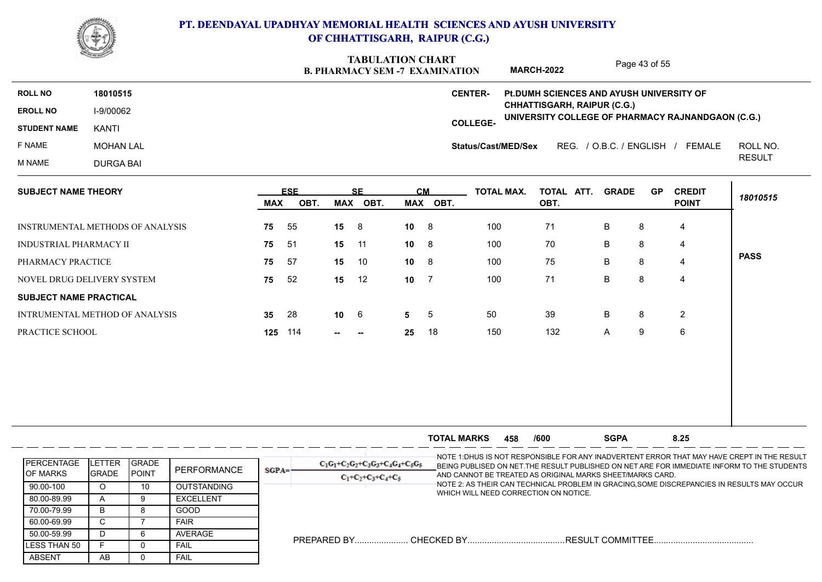

|                               | <u>Change</u>                    |                                                                      |            |           | <b>TABULATION CHART</b><br><b>B. PHARMACY SEM -7 EXAMINATION</b> |             |                |                            | <b>MARCH-2022</b>                        |              | Page 43 of 55 |                         |             |
|-------------------------------|----------------------------------|----------------------------------------------------------------------|------------|-----------|------------------------------------------------------------------|-------------|----------------|----------------------------|------------------------------------------|--------------|---------------|-------------------------|-------------|
| <b>ROLL NO</b>                | 18010515                         |                                                                      |            |           |                                                                  |             |                | <b>CENTER-</b>             | Pt.DUMH SCIENCES AND AYUSH UNIVERSITY OF |              |               |                         |             |
| <b>EROLL NO</b>               | I-9/00062                        |                                                                      |            |           |                                                                  |             |                |                            | CHHATTISGARH, RAIPUR (C.G.)              |              |               |                         |             |
| <b>STUDENT NAME</b>           | <b>KANTI</b>                     | UNIVERSITY COLLEGE OF PHARMACY RAJNANDGAON (C.G.)<br><b>COLLEGE-</b> |            |           |                                                                  |             |                |                            |                                          |              |               |                         |             |
| F NAME                        | <b>MOHAN LAL</b>                 |                                                                      |            |           |                                                                  |             |                | <b>Status/Cast/MED/Sex</b> | REG. / O.B.C. / ENGLISH /                |              |               | FEMALE                  | ROLL NO.    |
| M NAME                        | <b>DURGA BAI</b>                 |                                                                      |            |           |                                                                  |             |                |                            |                                          |              | <b>RESULT</b> |                         |             |
| <b>SUBJECT NAME THEORY</b>    |                                  |                                                                      | <b>ESE</b> |           | <b>SE</b>                                                        | CM          |                | <b>TOTAL MAX.</b>          | TOTAL ATT.                               | <b>GRADE</b> | <b>GP</b>     | <b>CREDIT</b>           |             |
|                               |                                  | <b>MAX</b>                                                           | OBT.       |           | MAX OBT.                                                         |             | MAX OBT.       |                            | OBT.                                     |              |               | <b>POINT</b>            | 18010515    |
|                               | INSTRUMENTAL METHODS OF ANALYSIS | 75                                                                   | 55         | 15        | 8                                                                | 10          | 8              | 100                        | 71                                       | B            | 8             | 4                       |             |
| INDUSTRIAL PHARMACY II        |                                  | 75                                                                   | 51         | 15        | 11                                                               | 10          | 8              | 100                        | 70                                       | $\sf B$      | 8             | 4                       |             |
| PHARMACY PRACTICE             |                                  | 75                                                                   | 57         | 15        | 10                                                               | 10          | - 8            | 100                        | 75                                       | B            | 8             | $\overline{4}$          | <b>PASS</b> |
|                               | NOVEL DRUG DELIVERY SYSTEM       | 75                                                                   | 52         | 15        | 12                                                               | 10          | $\overline{7}$ | 100                        | 71                                       | $\sf B$      | $\,8\,$       | $\overline{\mathbf{4}}$ |             |
| <b>SUBJECT NAME PRACTICAL</b> |                                  |                                                                      |            |           |                                                                  |             |                |                            |                                          |              |               |                         |             |
|                               | INTRUMENTAL METHOD OF ANALYSIS   | 35 <sub>5</sub>                                                      | 28         | $10 \t 6$ |                                                                  | $5\qquad 5$ |                | 50                         | 39                                       | B            | 8             | 2                       |             |
|                               | PRACTICE SCHOOL                  | 125                                                                  | 114        | $-$       | $\sim$                                                           | 25          | 18             | 150                        | 132                                      | A            | 9             | $6\phantom{.}6$         |             |

|                                         |                          |                                |                    |          |                                                                       | <b>TOTAL MARKS</b>                    | 458 | /600 | <b>SGPA</b>                                               | 8.25                                                                                                                                                                                       |
|-----------------------------------------|--------------------------|--------------------------------|--------------------|----------|-----------------------------------------------------------------------|---------------------------------------|-----|------|-----------------------------------------------------------|--------------------------------------------------------------------------------------------------------------------------------------------------------------------------------------------|
| <b>I</b> PERCENTAGE<br><b>IOF MARKS</b> | LETTER<br><b>I</b> GRADE | <b>IGRADE</b><br><b>IPOINT</b> | PERFORMANCE        | $SGPA =$ | $C_1C_1 + C_2C_2 + C_3C_3 + C_4C_4 + C_5C_5$<br>$C_1+C_2+C_3+C_4+C_5$ |                                       |     |      | AND CANNOT BE TREATED AS ORIGINAL MARKS SHEET/MARKS CARD. | -NOTE 1:DHUS IS NOT RESPONSIBLE FOR ANY INADVERTENT ERROR THAT MAY HAVE CREPT IN THE RESULT<br>BEING PUBLISED ON NET. THE RESULT PUBLISHED ON NET ARE FOR IMMEDIATE INFORM TO THE STUDENTS |
| 90.00-100                               |                          | 10                             | <b>OUTSTANDING</b> |          |                                                                       | WHICH WILL NEED CORRECTION ON NOTICE. |     |      |                                                           | NOTE 2: AS THEIR CAN TECHNICAL PROBLEM IN GRACING,SOME DISCREPANCIES IN RESULTS MAY OCCUR                                                                                                  |
| 80.00-89.99                             |                          |                                | <b>EXCELLENT</b>   |          |                                                                       |                                       |     |      |                                                           |                                                                                                                                                                                            |
| 70.00-79.99                             |                          |                                | <b>GOOD</b>        |          |                                                                       |                                       |     |      |                                                           |                                                                                                                                                                                            |
| 60.00-69.99                             |                          |                                | <b>FAIR</b>        |          |                                                                       |                                       |     |      |                                                           |                                                                                                                                                                                            |
| 50.00-59.99                             |                          |                                | AVERAGE            |          |                                                                       |                                       |     |      |                                                           |                                                                                                                                                                                            |
| ILESS THAN 50                           |                          |                                | FAIL               |          |                                                                       |                                       |     |      |                                                           |                                                                                                                                                                                            |
| <b>ABSENT</b>                           | AB                       |                                | <b>FAIL</b>        |          |                                                                       |                                       |     |      |                                                           |                                                                                                                                                                                            |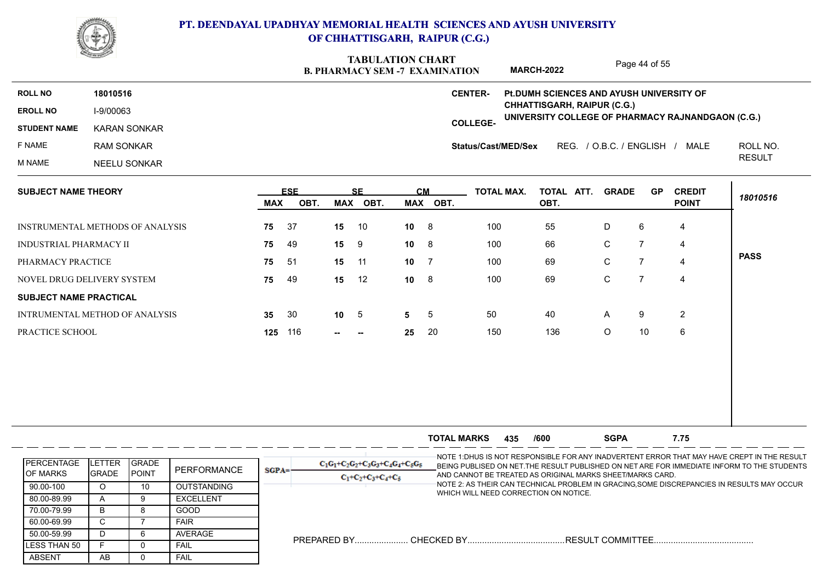

|                               | <b>CONTROL</b>                         |                   |            |               | <b>TABULATION CHART</b><br><b>B. PHARMACY SEM -7 EXAMINATION</b> |           |                    |                                                                                                                                                                                           | <b>MARCH-2022</b>                                                                |              | Page 44 of 55  |                                |               |
|-------------------------------|----------------------------------------|-------------------|------------|---------------|------------------------------------------------------------------|-----------|--------------------|-------------------------------------------------------------------------------------------------------------------------------------------------------------------------------------------|----------------------------------------------------------------------------------|--------------|----------------|--------------------------------|---------------|
| <b>ROLL NO</b>                | 18010516                               |                   |            |               |                                                                  |           |                    | <b>CENTER-</b>                                                                                                                                                                            | Pt.DUMH SCIENCES AND AYUSH UNIVERSITY OF                                         |              |                |                                |               |
| <b>EROLL NO</b>               | I-9/00063                              |                   |            |               |                                                                  |           |                    |                                                                                                                                                                                           | CHHATTISGARH, RAIPUR (C.G.)<br>UNIVERSITY COLLEGE OF PHARMACY RAJNANDGAON (C.G.) |              |                |                                |               |
| <b>STUDENT NAME</b>           | <b>KARAN SONKAR</b>                    |                   |            |               |                                                                  |           |                    | <b>COLLEGE-</b>                                                                                                                                                                           |                                                                                  |              |                |                                |               |
| F NAME                        | <b>RAM SONKAR</b>                      |                   |            |               |                                                                  |           |                    | Status/Cast/MED/Sex                                                                                                                                                                       |                                                                                  |              |                | REG. / O.B.C. / ENGLISH / MALE | ROLL NO.      |
| <b>M NAME</b>                 | <b>NEELU SONKAR</b>                    |                   |            |               |                                                                  |           |                    |                                                                                                                                                                                           |                                                                                  |              |                |                                | <b>RESULT</b> |
|                               | <b>SUBJECT NAME THEORY</b>             |                   | <b>ESE</b> |               | <b>SE</b>                                                        | <b>CM</b> |                    | <b>TOTAL MAX.</b>                                                                                                                                                                         | TOTAL ATT.                                                                       | <b>GRADE</b> | <b>GP</b>      | <b>CREDIT</b>                  | 18010516      |
|                               |                                        | <b>MAX</b>        | OBT.       |               | MAX OBT.                                                         |           | MAX OBT.           |                                                                                                                                                                                           | OBT.                                                                             |              |                | <b>POINT</b>                   |               |
|                               | INSTRUMENTAL METHODS OF ANALYSIS       | 75                | 37         | 15            | 10                                                               | 10        | 8                  | 100                                                                                                                                                                                       | 55                                                                               | D            | 6              | 4                              |               |
| INDUSTRIAL PHARMACY II        |                                        | 75                | 49         | $15 \qquad 9$ |                                                                  | 10        | 8                  | 100                                                                                                                                                                                       | 66                                                                               | C            | 7              | 4                              |               |
| PHARMACY PRACTICE             |                                        | 75                | 51         | 15 11         |                                                                  | 10        | -7                 | 100                                                                                                                                                                                       | 69                                                                               | $\mathbf C$  | $\overline{7}$ | 4                              | <b>PASS</b>   |
|                               | NOVEL DRUG DELIVERY SYSTEM             | 75                | 49         | 15            | 12                                                               | 10        | 8                  | 100                                                                                                                                                                                       | 69                                                                               | $\mathsf C$  | $\overline{7}$ | $\overline{4}$                 |               |
| <b>SUBJECT NAME PRACTICAL</b> |                                        |                   |            |               |                                                                  |           |                    |                                                                                                                                                                                           |                                                                                  |              |                |                                |               |
|                               | INTRUMENTAL METHOD OF ANALYSIS         | 35                | 30         | $10 \quad 5$  |                                                                  | 5         | -5                 | 50                                                                                                                                                                                        | 40                                                                               | Α            | 9              | $\overline{2}$                 |               |
| PRACTICE SCHOOL               |                                        |                   | 125 116    |               |                                                                  | 25        | 20                 | 150                                                                                                                                                                                       | 136                                                                              | O            | 10             | 6                              |               |
|                               |                                        |                   |            |               |                                                                  |           |                    |                                                                                                                                                                                           |                                                                                  |              |                |                                |               |
|                               |                                        |                   |            |               |                                                                  |           |                    |                                                                                                                                                                                           |                                                                                  |              |                |                                |               |
|                               |                                        |                   |            |               |                                                                  |           |                    |                                                                                                                                                                                           |                                                                                  |              |                |                                |               |
|                               |                                        |                   |            |               |                                                                  |           |                    |                                                                                                                                                                                           |                                                                                  |              |                |                                |               |
|                               |                                        |                   |            |               |                                                                  |           | <b>TOTAL MARKS</b> | 435                                                                                                                                                                                       | /600                                                                             | <b>SGPA</b>  |                | 7.75                           |               |
|                               |                                        |                   |            |               |                                                                  |           |                    |                                                                                                                                                                                           |                                                                                  |              |                |                                |               |
| PERCENTAGE                    | <b>LETTER</b><br>GRADE<br>DEDEODMANICE | <b>CONTRACTOR</b> |            |               | $C_1G_1+C_2G_2+C_3G_3+C_4G_4+C_5G_5$                             |           |                    | NOTE 1:DHUS IS NOT RESPONSIBLE FOR ANY INADVERTENT ERROR THAT MAY HAVE CREPT IN THE RESULT<br>BEING PUBLISED ON NET. THE RESULT PUBLISHED ON NET ARE FOR IMMEDIATE INFORM TO THE STUDENTS |                                                                                  |              |                |                                |               |

|                     |               |               | PERFORMANCE      | BEING PUBLISED ON NETTHE RESULT PUBLISHED ON NET ARE FOR IMMEDIATE INFORM TO THE STUDENTS<br>$SGPA=$                                |
|---------------------|---------------|---------------|------------------|-------------------------------------------------------------------------------------------------------------------------------------|
| <b>OF MARKS</b>     | <b>IGRADE</b> | <b>IPOINT</b> |                  | AND CANNOT BE TREATED AS ORIGINAL MARKS SHEET/MARKS CARD.<br>$C_1+C_2+C_3+C_4+C_5$                                                  |
| 90.00-100           |               |               | OUTSTANDING      | -NOTE 2: AS THEIR CAN TECHNICAL PROBLEM IN GRACING,SOME DISCREPANCIES IN RESULTS MAY OCCUR<br>WHICH WILL NEED CORRECTION ON NOTICE. |
| 80.00-89.99         |               |               | <b>EXCELLENT</b> |                                                                                                                                     |
| 70.00-79.99         |               |               | GOOD             |                                                                                                                                     |
| 60.00-69.99         |               |               | <b>FAIR</b>      |                                                                                                                                     |
| 50.00-59.99         |               |               | AVERAGE          |                                                                                                                                     |
| <b>LESS THAN 50</b> |               |               | <b>FAIL</b>      |                                                                                                                                     |
| <b>ABSENT</b>       | AB.           |               | <b>FAIL</b>      |                                                                                                                                     |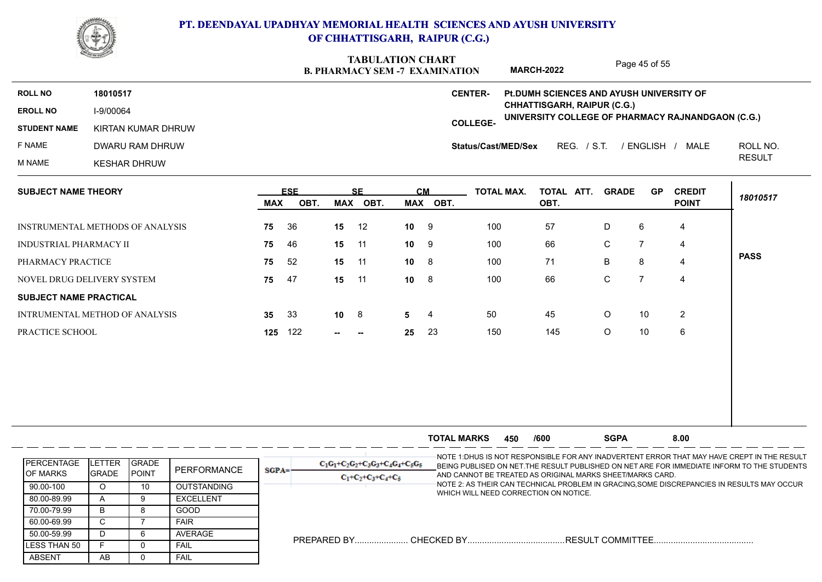

|                               |                                  | TADULAHUN UHANI<br>Page 45 of 55<br><b>MARCH-2022</b><br><b>B. PHARMACY SEM -7 EXAMINATION</b> |            |           |        |           |      |                            |                                          |               |              |                |                                                   |             |
|-------------------------------|----------------------------------|------------------------------------------------------------------------------------------------|------------|-----------|--------|-----------|------|----------------------------|------------------------------------------|---------------|--------------|----------------|---------------------------------------------------|-------------|
| <b>ROLL NO</b>                | 18010517                         |                                                                                                |            |           |        |           |      | <b>CENTER-</b>             | Pt.DUMH SCIENCES AND AYUSH UNIVERSITY OF |               |              |                |                                                   |             |
| <b>EROLL NO</b>               | I-9/00064                        |                                                                                                |            |           |        |           |      |                            | <b>CHHATTISGARH, RAIPUR (C.G.)</b>       |               |              |                | UNIVERSITY COLLEGE OF PHARMACY RAJNANDGAON (C.G.) |             |
| <b>STUDENT NAME</b>           | KIRTAN KUMAR DHRUW               |                                                                                                |            |           |        |           |      | <b>COLLEGE-</b>            |                                          |               |              |                |                                                   |             |
| F NAME                        | DWARU RAM DHRUW                  |                                                                                                |            |           |        |           |      | <b>Status/Cast/MED/Sex</b> |                                          | REG. / S.T.   |              | / ENGLISH /    | MALE                                              | ROLL NO.    |
| M NAME                        | <b>KESHAR DHRUW</b>              |                                                                                                |            |           |        |           |      |                            |                                          | <b>RESULT</b> |              |                |                                                   |             |
| <b>SUBJECT NAME THEORY</b>    |                                  |                                                                                                | <b>ESE</b> |           | SE.    | <b>CM</b> |      | <b>TOTAL MAX.</b>          | TOTAL ATT.                               |               | <b>GRADE</b> | <b>GP</b>      | <b>CREDIT</b>                                     | 18010517    |
|                               |                                  | <b>MAX</b>                                                                                     | OBT.       | MAX       | OBT.   | MAX       | OBT. |                            | OBT.                                     |               |              |                | <b>POINT</b>                                      |             |
|                               | INSTRUMENTAL METHODS OF ANALYSIS | 75                                                                                             | 36         | 15        | 12     | 10        | -9   | 100                        | 57                                       | D             |              | 6              | 4                                                 |             |
| <b>INDUSTRIAL PHARMACY II</b> |                                  | 75                                                                                             | 46         | 15 11     |        | 10        | -9   | 100                        | 66                                       | C             |              | $\overline{7}$ | 4                                                 |             |
| PHARMACY PRACTICE             |                                  | 75                                                                                             | 52         | 15        | $-11$  | 10        | 8    | 100                        | 71                                       | B             |              | 8              | 4                                                 | <b>PASS</b> |
|                               | NOVEL DRUG DELIVERY SYSTEM       | 75                                                                                             | 47         | 15        | $-11$  | 10        | 8    | 100                        | 66                                       | $\mathsf C$   |              | $\overline{7}$ | 4                                                 |             |
| <b>SUBJECT NAME PRACTICAL</b> |                                  |                                                                                                |            |           |        |           |      |                            |                                          |               |              |                |                                                   |             |
|                               | INTRUMENTAL METHOD OF ANALYSIS   | 35                                                                                             | 33         | $10 \t 8$ |        | 5         | 4    | 50                         | 45                                       | O             |              | 10             | $\overline{2}$                                    |             |
| PRACTICE SCHOOL               |                                  | 125                                                                                            | 122        | --        | $\sim$ | 25        | 23   | 150                        | 145                                      | O             |              | 10             | 6                                                 |             |

|                                        |                                 |                               |                    |          |                                                               | <b>TOTAL MARKS</b>                    | 450 | /600 | <b>SGPA</b>                                               | 8.00                                                                                                                                                                                       |
|----------------------------------------|---------------------------------|-------------------------------|--------------------|----------|---------------------------------------------------------------|---------------------------------------|-----|------|-----------------------------------------------------------|--------------------------------------------------------------------------------------------------------------------------------------------------------------------------------------------|
| <b>IPERCENTAGE</b><br><b>IOF MARKS</b> | <b>ILETTER</b><br><b>IGRADE</b> | <b>IGRADE</b><br><b>POINT</b> | PERFORMANCE        | $SGPA =$ | $C_1C_1+C_2C_2+C_3C_3+C_4C_4+C_5C_5$<br>$C_1+C_2+C_3+C_4+C_5$ |                                       |     |      | AND CANNOT BE TREATED AS ORIGINAL MARKS SHEET/MARKS CARD. | -NOTE 1:DHUS IS NOT RESPONSIBLE FOR ANY INADVERTENT ERROR THAT MAY HAVE CREPT IN THE RESULT<br>BEING PUBLISED ON NET. THE RESULT PUBLISHED ON NET ARE FOR IMMEDIATE INFORM TO THE STUDENTS |
| 90.00-100                              |                                 | τυ.                           | <b>OUTSTANDING</b> |          |                                                               |                                       |     |      |                                                           | NOTE 2: AS THEIR CAN TECHNICAL PROBLEM IN GRACING,SOME DISCREPANCIES IN RESULTS MAY OCCUR                                                                                                  |
| 80.00-89.99                            |                                 |                               | <b>EXCELLENT</b>   |          |                                                               | WHICH WILL NEED CORRECTION ON NOTICE. |     |      |                                                           |                                                                                                                                                                                            |
| 70.00-79.99                            | B                               |                               | GOOD               |          |                                                               |                                       |     |      |                                                           |                                                                                                                                                                                            |
| 60.00-69.99                            |                                 |                               | FAIR               |          |                                                               |                                       |     |      |                                                           |                                                                                                                                                                                            |
| 50.00-59.99                            |                                 |                               | AVERAGE            |          |                                                               |                                       |     |      |                                                           |                                                                                                                                                                                            |
| ILESS THAN 50                          |                                 |                               | FAIL               |          |                                                               |                                       |     |      |                                                           |                                                                                                                                                                                            |
| <b>ABSENT</b>                          | AB                              |                               | FAIL               |          |                                                               |                                       |     |      |                                                           |                                                                                                                                                                                            |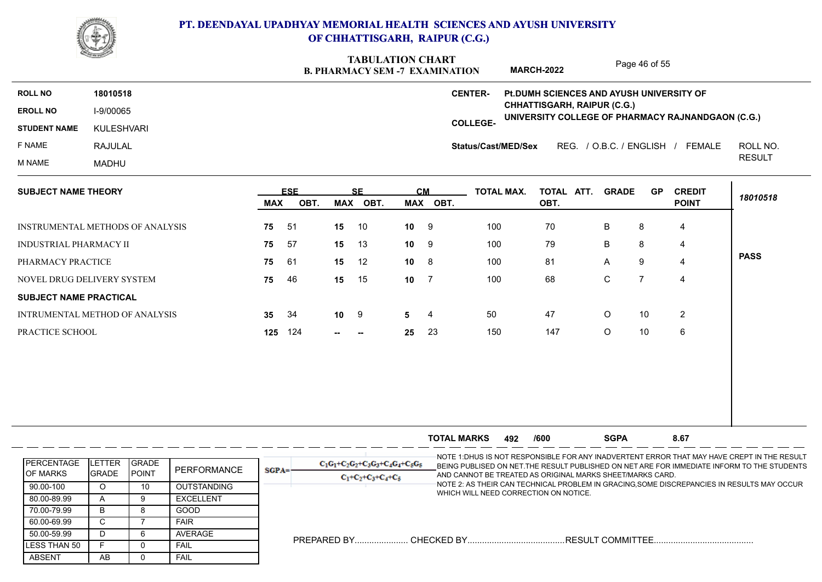

|                               |                                  |            |            |                                                                                                                                                                                                                                                                                                                                                                                      | TABULATION CHART<br><b>B. PHARMACY SEM -7 EXAMINATION</b> |                          |          |                     | <b>MARCH-2022</b>                        |                    | Page 46 of 55 |                                                   |               |
|-------------------------------|----------------------------------|------------|------------|--------------------------------------------------------------------------------------------------------------------------------------------------------------------------------------------------------------------------------------------------------------------------------------------------------------------------------------------------------------------------------------|-----------------------------------------------------------|--------------------------|----------|---------------------|------------------------------------------|--------------------|---------------|---------------------------------------------------|---------------|
| <b>ROLL NO</b>                | 18010518                         |            |            |                                                                                                                                                                                                                                                                                                                                                                                      |                                                           |                          |          | <b>CENTER-</b>      | Pt.DUMH SCIENCES AND AYUSH UNIVERSITY OF |                    |               |                                                   |               |
| <b>EROLL NO</b>               | I-9/00065                        |            |            |                                                                                                                                                                                                                                                                                                                                                                                      |                                                           |                          |          |                     | CHHATTISGARH, RAIPUR (C.G.)              |                    |               | UNIVERSITY COLLEGE OF PHARMACY RAJNANDGAON (C.G.) |               |
| <b>STUDENT NAME</b>           | <b>KULESHVARI</b>                |            |            |                                                                                                                                                                                                                                                                                                                                                                                      |                                                           |                          |          | <b>COLLEGE-</b>     |                                          |                    |               |                                                   |               |
| F NAME                        | <b>RAJULAL</b>                   |            |            |                                                                                                                                                                                                                                                                                                                                                                                      |                                                           |                          |          | Status/Cast/MED/Sex | REG.                                     | / O.B.C. / ENGLISH |               | FEMALE                                            | ROLL NO.      |
| M NAME                        | MADHU                            |            |            |                                                                                                                                                                                                                                                                                                                                                                                      |                                                           |                          |          |                     |                                          |                    |               |                                                   | <b>RESULT</b> |
| <b>SUBJECT NAME THEORY</b>    |                                  |            | <b>ESE</b> |                                                                                                                                                                                                                                                                                                                                                                                      | <b>SF</b>                                                 | <b>CM</b>                |          | <b>TOTAL MAX.</b>   | TOTAL ATT.                               | <b>GRADE</b>       | <b>GP</b>     | <b>CREDIT</b>                                     |               |
|                               |                                  | <b>MAX</b> | OBT.       | MAX                                                                                                                                                                                                                                                                                                                                                                                  | OBT.                                                      |                          | MAX OBT. |                     | OBT.                                     |                    |               | <b>POINT</b>                                      | 18010518      |
|                               | INSTRUMENTAL METHODS OF ANALYSIS | 75         | -51        | 15                                                                                                                                                                                                                                                                                                                                                                                   | 10                                                        | 10                       | 9        | 100                 | 70                                       | B                  | 8             | 4                                                 |               |
| <b>INDUSTRIAL PHARMACY II</b> |                                  | 75         | 57         | 15                                                                                                                                                                                                                                                                                                                                                                                   | 13                                                        | 10 <sup>1</sup>          | 9        | 100                 | 79                                       | B                  | 8             | 4                                                 |               |
| PHARMACY PRACTICE             |                                  | 75         | -61        | 15                                                                                                                                                                                                                                                                                                                                                                                   | 12                                                        | 10 <sup>1</sup>          | 8        | 100                 | 81                                       | A                  | 9             | 4                                                 | <b>PASS</b>   |
|                               | MAURE BBUG BELBURDY AUGHBLE      | -- 10      |            | $\overline{a}$ $\overline{a}$ $\overline{a}$ $\overline{a}$ $\overline{a}$ $\overline{a}$ $\overline{a}$ $\overline{a}$ $\overline{a}$ $\overline{a}$ $\overline{a}$ $\overline{a}$ $\overline{a}$ $\overline{a}$ $\overline{a}$ $\overline{a}$ $\overline{a}$ $\overline{a}$ $\overline{a}$ $\overline{a}$ $\overline{a}$ $\overline{a}$ $\overline{a}$ $\overline{a}$ $\overline{$ |                                                           | $\overline{\phantom{a}}$ |          | $\sqrt{2}$          | $\sim$                                   | $\sim$             |               |                                                   |               |

| <b>OUDJEDI INAME INEURI</b>             |     | -u   |                 |        |                 | уш       | IVIAL IIIAA. | $1917L$ $711.$ | <b>VIVADL</b> | ັບເ | VIVUVII        |             |
|-----------------------------------------|-----|------|-----------------|--------|-----------------|----------|--------------|----------------|---------------|-----|----------------|-------------|
|                                         | MAX | OBT. | MAX             | OBT.   |                 | MAX OBT. |              | OBT.           |               |     | <b>POINT</b>   | 18010518    |
| <b>INSTRUMENTAL METHODS OF ANALYSIS</b> | 75  | -51  | 15              | 10     | 10 <sup>°</sup> | - 9      | 100          | 70             | B             | 8   | 4              |             |
| <b>INDUSTRIAL PHARMACY II</b>           | 75  | -57  | 15              | 13     | 10              | - 9      | 100          | 79             | B             | 8   | 4              |             |
| PHARMACY PRACTICE                       | 75  | -61  | 15              | 12     | 10              | -8       | 100          | 81             | $\mathsf{A}$  | 9   | 4              | <b>PASS</b> |
| NOVEL DRUG DELIVERY SYSTEM              | 75  | -46  | 15              | 15     | 10              | -7       | 100          | 68             | C             | 7   | 4              |             |
| <b>SUBJECT NAME PRACTICAL</b>           |     |      |                 |        |                 |          |              |                |               |     |                |             |
| INTRUMENTAL METHOD OF ANALYSIS          | 35  | -34  | 10 <sup>1</sup> | - 9    | 5               | -4       | 50           | 47             | O             | 10  | $\overline{2}$ |             |
| PRACTICE SCHOOL                         | 125 | 124  | $\sim$          | $\sim$ | 25              | - 23     | 150          | 147            | O             | 10  | 6              |             |
|                                         |     |      |                 |        |                 |          |              |                |               |     |                |             |
|                                         |     |      |                 |        |                 |          |              |                |               |     |                |             |

|                                        |                        |                                |                    | <b>SGPA</b><br>8.67<br><b>TOTAL MARKS</b><br>/600<br>492                                                                                                                                                                                                                                                                            |
|----------------------------------------|------------------------|--------------------------------|--------------------|-------------------------------------------------------------------------------------------------------------------------------------------------------------------------------------------------------------------------------------------------------------------------------------------------------------------------------------|
| <b>IPERCENTAGE</b><br><b>IOF MARKS</b> | ETTER.<br><b>GRADE</b> | <b>IGRADE</b><br><b>IPOINT</b> | PERFORMANCE        | -NOTE 1:DHUS IS NOT RESPONSIBLE FOR ANY INADVERTENT ERROR THAT MAY HAVE CREPT IN THE RESULT<br>$C_1G_1+C_2G_2+C_3G_3+C_4G_4+C_5G_5$<br>BEING PUBLISED ON NET. THE RESULT PUBLISHED ON NET ARE FOR IMMEDIATE INFORM TO THE STUDENTS<br>$SGPA=$<br>AND CANNOT BE TREATED AS ORIGINAL MARKS SHEET/MARKS CARD.<br>$C_1+C_2+C_3+C_4+C_5$ |
| 90.00-100                              |                        | 10                             | <b>OUTSTANDING</b> | NOTE 2: AS THEIR CAN TECHNICAL PROBLEM IN GRACING,SOME DISCREPANCIES IN RESULTS MAY OCCUR                                                                                                                                                                                                                                           |
| 80.00-89.99                            |                        |                                | <b>EXCELLENT</b>   | WHICH WILL NEED CORRECTION ON NOTICE.                                                                                                                                                                                                                                                                                               |
| 70.00-79.99                            | B                      |                                | GOOD               |                                                                                                                                                                                                                                                                                                                                     |
| 60.00-69.99                            |                        |                                | <b>FAIR</b>        |                                                                                                                                                                                                                                                                                                                                     |
| 50.00-59.99                            |                        | <sub>n</sub>                   | <b>AVERAGE</b>     |                                                                                                                                                                                                                                                                                                                                     |
| <b>ILESS THAN 50</b>                   |                        |                                | <b>FAIL</b>        |                                                                                                                                                                                                                                                                                                                                     |
| ABSENT                                 | AB.                    |                                | <b>FAIL</b>        |                                                                                                                                                                                                                                                                                                                                     |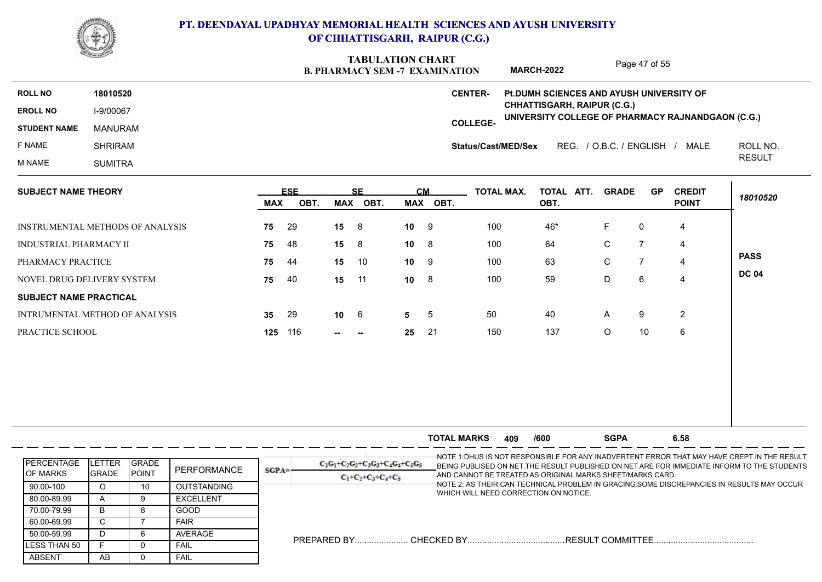

|                               |                                         |            |            |           | TABULATION CHART<br><b>B. PHARMACY SEM -7 EXAMINATION</b> |                 |           |                     | <b>MARCH-2022</b> |                                          | Page 47 of 55  |                                                   |               |
|-------------------------------|-----------------------------------------|------------|------------|-----------|-----------------------------------------------------------|-----------------|-----------|---------------------|-------------------|------------------------------------------|----------------|---------------------------------------------------|---------------|
| <b>ROLL NO</b>                | 18010520                                |            |            |           |                                                           |                 |           | <b>CENTER-</b>      |                   | Pt.DUMH SCIENCES AND AYUSH UNIVERSITY OF |                |                                                   |               |
| <b>EROLL NO</b>               | I-9/00067                               |            |            |           |                                                           |                 |           |                     |                   | CHHATTISGARH, RAIPUR (C.G.)              |                | UNIVERSITY COLLEGE OF PHARMACY RAJNANDGAON (C.G.) |               |
| <b>STUDENT NAME</b>           | <b>MANURAM</b>                          |            |            |           |                                                           |                 |           | <b>COLLEGE-</b>     |                   |                                          |                |                                                   |               |
| F NAME                        | <b>SHRIRAM</b>                          |            |            |           |                                                           |                 |           | Status/Cast/MED/Sex |                   | REG. / O.B.C. / ENGLISH /                |                | MALE                                              | ROLL NO.      |
| M NAME                        | <b>SUMITRA</b>                          |            |            |           |                                                           |                 |           |                     |                   |                                          |                |                                                   | <b>RESULT</b> |
| <b>SUBJECT NAME THEORY</b>    |                                         |            | <b>ESE</b> |           | <b>SE</b>                                                 |                 | <b>CM</b> | <b>TOTAL MAX.</b>   | <b>TOTAL</b>      | ATT.<br><b>GRADE</b>                     | <b>GP</b>      | <b>CREDIT</b>                                     | 18010520      |
|                               |                                         | <b>MAX</b> | OBT.       | MAX       | OBT.                                                      |                 | MAX OBT.  |                     | OBT.              |                                          |                | <b>POINT</b>                                      |               |
|                               | <b>INSTRUMENTAL METHODS OF ANALYSIS</b> | 75         | 29         | 15        | -8                                                        | 10              | 9         | 100                 | 46*               | F.                                       | 0              | 4                                                 |               |
| <b>INDUSTRIAL PHARMACY II</b> |                                         | 75         | 48         | 15        | - 8                                                       | 10              | 8         | 100                 | 64                | $\mathsf{C}$                             | $\overline{7}$ | $\overline{4}$                                    |               |
| PHARMACY PRACTICE             |                                         | 75         | 44         | 15        | 10                                                        | 10 <sup>1</sup> | 9         | 100                 | 63                | C                                        | $\overline{7}$ | 4                                                 | <b>PASS</b>   |
|                               | NOVEL DRUG DELIVERY SYSTEM              | 75         | 40         | 15        | 11                                                        | 10              | 8         | 100                 | 59                | D                                        | 6              | 4                                                 | <b>DC 04</b>  |
| <b>SUBJECT NAME PRACTICAL</b> |                                         |            |            |           |                                                           |                 |           |                     |                   |                                          |                |                                                   |               |
|                               | INTRUMENTAL METHOD OF ANALYSIS          | 35         | 29         | $10 \t 6$ |                                                           | 5               | -5        | 50                  | 40                | A                                        | 9              | $\overline{2}$                                    |               |
| PRACTICE SCHOOL               |                                         | 125        | 116        | -- - -    | $\overline{\phantom{a}}$                                  | 25              | 21        | 150                 | 137               | $\circ$                                  | 10             | 6                                                 |               |

| NUVEL DRUG DELIVERT STSTEM     | 75  | —4∨ | 15. |     | ΊU | טטו | ບອ  |    |   |  |
|--------------------------------|-----|-----|-----|-----|----|-----|-----|----|---|--|
| <b>SUBJECT NAME PRACTICAL</b>  |     |     |     |     |    |     |     |    |   |  |
| INTRUMENTAL METHOD OF ANALYSIS | 35  | 29  | 10  |     |    | 50  | 40  |    |   |  |
| PRACTICE SCHOOL                | 125 | 116 | $-$ | --- | 25 | 150 | 137 | 10 | n |  |

|                                        |                         |                                |                    |            |                                                               | <b>TOTAL MARKS</b>                    | 409 | /600 | <b>SGPA</b>                                               | 6.58 |                                                                                                                                                                                            |
|----------------------------------------|-------------------------|--------------------------------|--------------------|------------|---------------------------------------------------------------|---------------------------------------|-----|------|-----------------------------------------------------------|------|--------------------------------------------------------------------------------------------------------------------------------------------------------------------------------------------|
| <b>IPERCENTAGE</b><br><b>IOF MARKS</b> | LETTER<br><b>IGRADE</b> | <b>IGRADE</b><br><b>IPOINT</b> | PERFORMANCE        | $SGPA = 1$ | $C_1C_1+C_2C_2+C_3C_3+C_4C_4+C_5C_5$<br>$C_1+C_2+C_3+C_4+C_5$ |                                       |     |      | AND CANNOT BE TREATED AS ORIGINAL MARKS SHEET/MARKS CARD. |      | -NOTE 1:DHUS IS NOT RESPONSIBLE FOR ANY INADVERTENT ERROR THAT MAY HAVE CREPT IN THE RESULT<br>BEING PUBLISED ON NET. THE RESULT PUBLISHED ON NET ARE FOR IMMEDIATE INFORM TO THE STUDENTS |
| 90.00-100                              |                         | 10                             | <b>OUTSTANDING</b> |            |                                                               |                                       |     |      |                                                           |      | NOTE 2: AS THEIR CAN TECHNICAL PROBLEM IN GRACING,SOME DISCREPANCIES IN RESULTS MAY OCCUR                                                                                                  |
| 80.00-89.99                            |                         |                                | <b>EXCELLENT</b>   |            |                                                               | WHICH WILL NEED CORRECTION ON NOTICE. |     |      |                                                           |      |                                                                                                                                                                                            |
| 70.00-79.99                            | B.                      |                                | GOOD               |            |                                                               |                                       |     |      |                                                           |      |                                                                                                                                                                                            |
| 60.00-69.99                            | $\sim$                  |                                | <b>FAIR</b>        |            |                                                               |                                       |     |      |                                                           |      |                                                                                                                                                                                            |
| 50.00-59.99                            |                         |                                | AVERAGE            |            |                                                               |                                       |     |      | $\_$ RESULT COMMITTEE.                                    |      |                                                                                                                                                                                            |
| LESS THAN 50                           |                         |                                | FAIL               |            |                                                               |                                       |     |      |                                                           |      |                                                                                                                                                                                            |
| <b>ABSENT</b>                          | AB                      |                                | <b>FAIL</b>        |            |                                                               |                                       |     |      |                                                           |      |                                                                                                                                                                                            |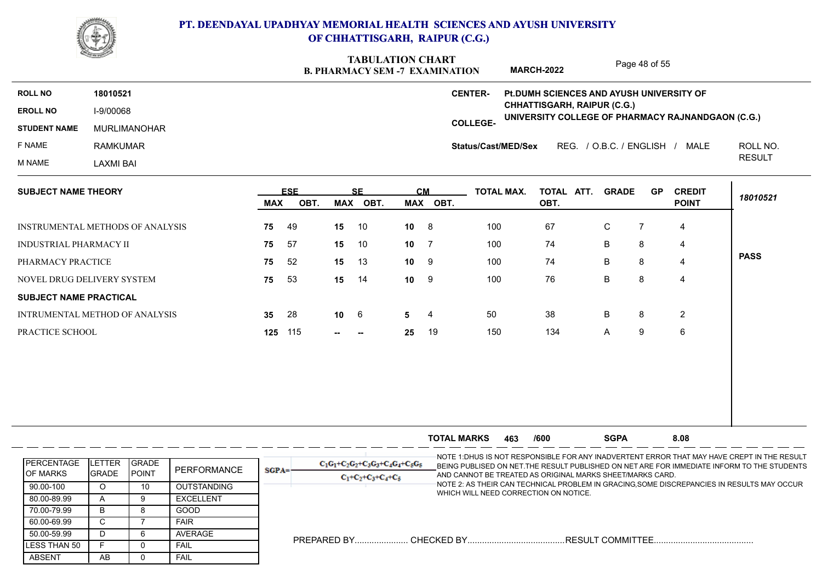

|                               |                                  |            |            |           | TADULAHUN UHANI<br><b>B. PHARMACY SEM -7 EXAMINATION</b> |           |          |                     | <b>MARCH-2022</b>                  |                           | Page 48 of 55  |                                                   |               |
|-------------------------------|----------------------------------|------------|------------|-----------|----------------------------------------------------------|-----------|----------|---------------------|------------------------------------|---------------------------|----------------|---------------------------------------------------|---------------|
| <b>ROLL NO</b>                | 18010521                         |            |            |           |                                                          |           |          | <b>CENTER-</b>      |                                    |                           |                | Pt.DUMH SCIENCES AND AYUSH UNIVERSITY OF          |               |
| <b>EROLL NO</b>               | I-9/00068                        |            |            |           |                                                          |           |          |                     | <b>CHHATTISGARH, RAIPUR (C.G.)</b> |                           |                | UNIVERSITY COLLEGE OF PHARMACY RAJNANDGAON (C.G.) |               |
| <b>STUDENT NAME</b>           | <b>MURLIMANOHAR</b>              |            |            |           |                                                          |           |          | <b>COLLEGE-</b>     |                                    |                           |                |                                                   |               |
| F NAME                        | <b>RAMKUMAR</b>                  |            |            |           |                                                          |           |          | Status/Cast/MED/Sex |                                    | REG. / O.B.C. / ENGLISH / |                | MALE                                              | ROLL NO.      |
| M NAME                        | <b>LAXMI BAI</b>                 |            |            |           |                                                          |           |          |                     |                                    |                           |                |                                                   | <b>RESULT</b> |
| <b>SUBJECT NAME THEORY</b>    |                                  |            | <b>ESE</b> |           | <b>SF</b>                                                | <b>CM</b> |          | <b>TOTAL MAX.</b>   | TOTAL ATT.                         | <b>GRADE</b>              | <b>GP</b>      | <b>CREDIT</b>                                     | 18010521      |
|                               |                                  | <b>MAX</b> | OBT.       | MAX       | OBT.                                                     |           | MAX OBT. |                     | OBT.                               |                           |                | <b>POINT</b>                                      |               |
|                               | INSTRUMENTAL METHODS OF ANALYSIS | 75         | 49         | 15        | 10                                                       | $10 \t 8$ |          | 100                 | 67                                 | $\mathsf{C}$              | $\overline{7}$ | 4                                                 |               |
| <b>INDUSTRIAL PHARMACY II</b> |                                  | 75         | 57         | 15        | 10                                                       | $10 \t 7$ |          | 100                 | 74                                 | B                         | 8              | 4                                                 |               |
| PHARMACY PRACTICE             |                                  | 75         | 52         | 15        | 13                                                       | 10        | 9        | 100                 | 74                                 | B                         | 8              | 4                                                 | <b>PASS</b>   |
|                               | NOVEL DRUG DELIVERY SYSTEM       | 75         | 53         | 15        | 14                                                       | 10        | 9        | 100                 | 76                                 | B                         | 8              | 4                                                 |               |
| <b>SUBJECT NAME PRACTICAL</b> |                                  |            |            |           |                                                          |           |          |                     |                                    |                           |                |                                                   |               |
|                               | INTRUMENTAL METHOD OF ANALYSIS   | 35         | 28         | $10 \t 6$ |                                                          | 5         | 4        | 50                  | 38                                 | B                         | 8              | 2                                                 |               |
| PRACTICE SCHOOL               |                                  | 125        | 115        | --        |                                                          | 25        | 19       | 150                 | 134                                | Α                         | 9              | 6                                                 |               |

|                                        |                               |                                |                    |          |                                                               | <b>TOTAL MARKS</b>                    | 463 | /600 | <b>SGPA</b>                                               | 8.08                                                                                                                                                                                       |
|----------------------------------------|-------------------------------|--------------------------------|--------------------|----------|---------------------------------------------------------------|---------------------------------------|-----|------|-----------------------------------------------------------|--------------------------------------------------------------------------------------------------------------------------------------------------------------------------------------------|
| <b>IPERCENTAGE</b><br><b>IOF MARKS</b> | <b>ETTER</b><br><b>IGRADE</b> | <b>IGRADE</b><br><b>IPOINT</b> | PERFORMANCE        | $SGPA =$ | $C_1C_1+C_2C_2+C_3C_3+C_4C_4+C_5C_5$<br>$C_1+C_2+C_3+C_4+C_5$ |                                       |     |      | AND CANNOT BE TREATED AS ORIGINAL MARKS SHEET/MARKS CARD. | -NOTE 1:DHUS IS NOT RESPONSIBLE FOR ANY INADVERTENT ERROR THAT MAY HAVE CREPT IN THE RESULT<br>BEING PUBLISED ON NET. THE RESULT PUBLISHED ON NET ARE FOR IMMEDIATE INFORM TO THE STUDENTS |
| 90.00-100                              |                               |                                | <b>OUTSTANDING</b> |          |                                                               | WHICH WILL NEED CORRECTION ON NOTICE. |     |      |                                                           | NOTE 2: AS THEIR CAN TECHNICAL PROBLEM IN GRACING,SOME DISCREPANCIES IN RESULTS MAY OCCUR                                                                                                  |
| 80.00-89.99                            |                               |                                | <b>EXCELLENT</b>   |          |                                                               |                                       |     |      |                                                           |                                                                                                                                                                                            |
| 70.00-79.99                            | ь.                            |                                | GOOD               |          |                                                               |                                       |     |      |                                                           |                                                                                                                                                                                            |
| 60.00-69.99                            |                               |                                | <b>FAIR</b>        |          |                                                               |                                       |     |      |                                                           |                                                                                                                                                                                            |
| 50.00-59.99                            |                               |                                | AVERAGE            |          |                                                               |                                       |     |      |                                                           |                                                                                                                                                                                            |
| <b>ILESS THAN 50</b>                   |                               |                                | <b>FAIL</b>        |          |                                                               |                                       |     |      |                                                           |                                                                                                                                                                                            |
| ABSENT                                 | AB.                           |                                | <b>FAIL</b>        |          |                                                               |                                       |     |      |                                                           |                                                                                                                                                                                            |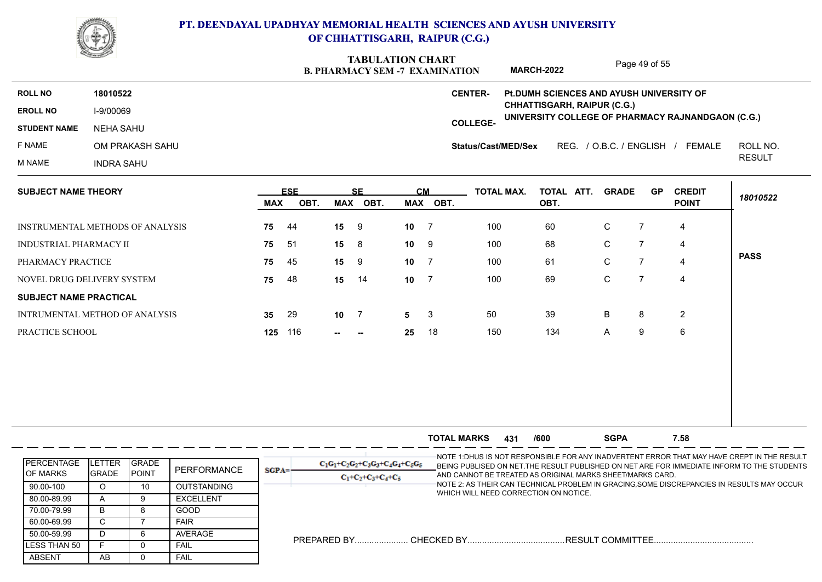

### **PT. DEENDAYAL UPADHYAY MEMORIAL HEALTH SCIENCES AND AYUSH UNIVERSITY OF CHHATTISGARH, RAIPUR (C.G.)**

### **B. BILADMACY SEM -7 EVAMINATION TABULATION CHART**

Page 49 of 55

|                            |                                  |                                  | <b>B. PHARMACY SEM -7 EXAMINATION</b> |                       |                     | <b>MARCH-2022</b> |                                          |                    | Lays 49 OL 33 |                                                   |               |
|----------------------------|----------------------------------|----------------------------------|---------------------------------------|-----------------------|---------------------|-------------------|------------------------------------------|--------------------|---------------|---------------------------------------------------|---------------|
| <b>ROLL NO</b>             | 18010522                         |                                  |                                       |                       | <b>CENTER-</b>      |                   | Pt.DUMH SCIENCES AND AYUSH UNIVERSITY OF |                    |               |                                                   |               |
| <b>EROLL NO</b>            | I-9/00069                        |                                  |                                       |                       |                     |                   | CHHATTISGARH, RAIPUR (C.G.)              |                    |               | UNIVERSITY COLLEGE OF PHARMACY RAJNANDGAON (C.G.) |               |
| <b>STUDENT NAME</b>        | NEHA SAHU                        |                                  |                                       |                       | <b>COLLEGE-</b>     |                   |                                          |                    |               |                                                   |               |
| F NAME                     | OM PRAKASH SAHU                  |                                  |                                       |                       | Status/Cast/MED/Sex |                   | REG.                                     | / O.B.C. / ENGLISH |               | FEMALE                                            | ROLL NO.      |
| M NAME                     | INDRA SAHU                       |                                  |                                       |                       |                     |                   |                                          |                    |               |                                                   | <b>RESULT</b> |
| <b>SUBJECT NAME THEORY</b> |                                  | <b>FSF</b><br><b>MAX</b><br>OBT. | <b>SF</b><br>MAX<br>OBT.              | <b>CM</b><br>MAX OBT. |                     | <b>TOTAL MAX.</b> | TOTAL ATT.<br>OBT.                       | <b>GRADE</b>       | <b>GP</b>     | <b>CREDIT</b><br><b>POINT</b>                     | 18010522      |
|                            | INSTRUMENTAL METHODS OF ANALYSIS | -44<br>75                        | 15<br>-9                              | 10                    | 100                 |                   | 60                                       | C.                 |               | -4                                                |               |

| INSTRUMENTAL METHODS OF ANALYSIS      |                       |                      |                            | 75         | 44      |           |                                      |                 |                    |     |                                                           |             |                |                |                                                                                             |  |
|---------------------------------------|-----------------------|----------------------|----------------------------|------------|---------|-----------|--------------------------------------|-----------------|--------------------|-----|-----------------------------------------------------------|-------------|----------------|----------------|---------------------------------------------------------------------------------------------|--|
| <b>INDUSTRIAL PHARMACY II</b>         |                       |                      |                            | 75         | -51     | 15        | 8                                    | 10 <sup>1</sup> | 9                  | 100 | 68                                                        | $\mathsf C$ | 7              | 4              |                                                                                             |  |
| PHARMACY PRACTICE                     |                       |                      |                            | 75         | 45      | 15        | 9                                    | 10              | -7                 | 100 | 61                                                        | $\mathsf C$ | $\overline{7}$ | 4              | <b>PASS</b>                                                                                 |  |
| NOVEL DRUG DELIVERY SYSTEM            |                       |                      |                            | 75         | 48      | 15        | 14                                   | 10              | -7                 | 100 | 69                                                        | $\mathsf C$ | $\overline{7}$ | $\overline{4}$ |                                                                                             |  |
| <b>SUBJECT NAME PRACTICAL</b>         |                       |                      |                            |            |         |           |                                      |                 |                    |     |                                                           |             |                |                |                                                                                             |  |
| <b>INTRUMENTAL METHOD OF ANALYSIS</b> |                       |                      |                            | 35         | 29      | $10 \t 7$ |                                      | 5 <sup>5</sup>  | 3                  | 50  | 39                                                        | B           | 8              | $\overline{2}$ |                                                                                             |  |
| PRACTICE SCHOOL                       |                       |                      |                            |            | 125 116 |           |                                      | 25              | 18                 | 150 | 134                                                       | A           | 9              | 6              |                                                                                             |  |
|                                       |                       |                      |                            |            |         |           |                                      |                 |                    |     |                                                           |             |                |                |                                                                                             |  |
|                                       |                       |                      |                            |            |         |           |                                      |                 |                    |     |                                                           |             |                |                |                                                                                             |  |
|                                       |                       |                      |                            |            |         |           |                                      |                 | <b>TOTAL MARKS</b> | 431 | /600                                                      | <b>SGPA</b> |                | 7.58           |                                                                                             |  |
|                                       |                       |                      |                            |            |         |           |                                      |                 |                    |     |                                                           |             |                |                | NOTE 1:DHUS IS NOT RESPONSIBLE FOR ANY INADVERTENT ERROR THAT MAY HAVE CREPT IN THE RESULT  |  |
| PERCENTAGE<br><b>OF MARKS</b>         | LETTER GRADE<br>GRADE | <b>IPOINT</b>        | PERFORMANCE                | $SGPA = -$ |         |           | $C_1C_1+C_2C_2+C_3C_3+C_4C_4+C_5C_5$ |                 |                    |     | AND CANNOT BE TREATED AS ORIGINAL MARKS SHEET/MARKS CARD. |             |                |                | BEING PUBLISED ON NET. THE RESULT PUBLISHED ON NET ARE FOR IMMEDIATE INFORM TO THE STUDENTS |  |
| 90.00-100                             | $\Omega$              | 10                   | <b>OUTSTANDING</b>         |            |         |           | $C_1 + C_2 + C_3 + C_4 + C_5$        |                 |                    |     |                                                           |             |                |                | NOTE 2: AS THEIR CAN TECHNICAL PROBLEM IN GRACING, SOME DISCREPANCIES IN RESULTS MAY OCCUR  |  |
| 80.00-89.99                           | A                     | 9                    | <b>EXCELLENT</b>           |            |         |           |                                      |                 |                    |     | WHICH WILL NEED CORRECTION ON NOTICE.                     |             |                |                |                                                                                             |  |
| 70.00-79.99                           | B                     | 8                    | <b>GOOD</b>                |            |         |           |                                      |                 |                    |     |                                                           |             |                |                |                                                                                             |  |
| 60.00-69.99                           | C                     | $\overline{7}$       | <b>FAIR</b>                |            |         |           |                                      |                 |                    |     |                                                           |             |                |                |                                                                                             |  |
| 50.00-59.99                           | D.                    | 6                    | AVERAGE                    |            |         |           |                                      |                 |                    |     |                                                           |             |                |                |                                                                                             |  |
| <b>LESS THAN 50</b><br><b>ABSENT</b>  | F.<br>AB              | $\Omega$<br>$\Omega$ | <b>FAIL</b><br><b>FAIL</b> |            |         |           |                                      |                 |                    |     |                                                           |             |                |                |                                                                                             |  |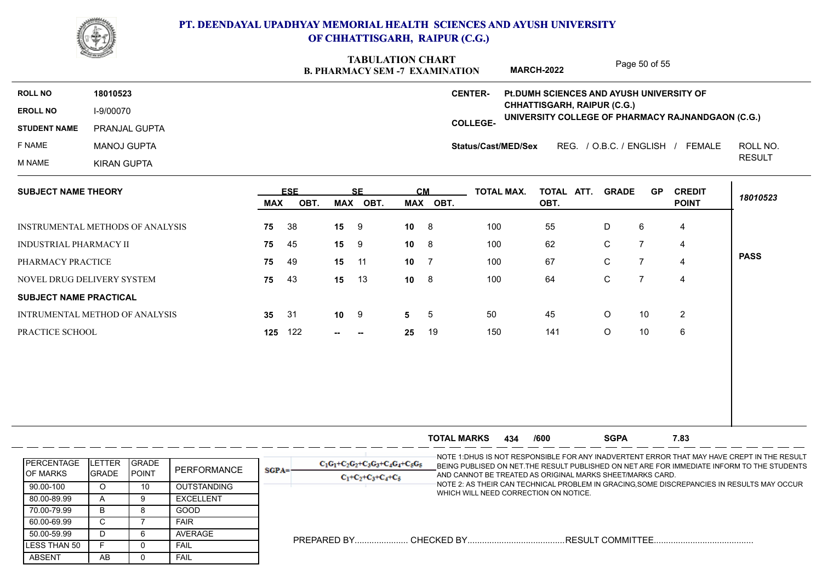

### **PT. DEENDAYAL UPADHYAY MEMORIAL HEALTH SCIENCES AND AYUSH UNIVERSITY OF CHHATTISGARH, RAIPUR (C.G.)**

## **TABULATION CHART**

Page 50 of 55

|                               |                                  |     |                    |                 |                   |                 | <b>B. PHARMACY SEM -7 EXAMINATION</b> |                            | <b>MARCH-2022</b>                        |            |                           | $\cdot$ ago oo o $\cdot$ oo |                                                   |               |
|-------------------------------|----------------------------------|-----|--------------------|-----------------|-------------------|-----------------|---------------------------------------|----------------------------|------------------------------------------|------------|---------------------------|-----------------------------|---------------------------------------------------|---------------|
| <b>ROLL NO</b>                | 18010523                         |     |                    |                 |                   |                 |                                       | <b>CENTER-</b>             | Pt.DUMH SCIENCES AND AYUSH UNIVERSITY OF |            |                           |                             |                                                   |               |
| <b>EROLL NO</b>               | I-9/00070                        |     |                    |                 |                   |                 |                                       |                            | CHHATTISGARH, RAIPUR (C.G.)              |            |                           |                             | UNIVERSITY COLLEGE OF PHARMACY RAJNANDGAON (C.G.) |               |
| <b>STUDENT NAME</b>           | <b>PRANJAL GUPTA</b>             |     |                    |                 |                   |                 |                                       | <b>COLLEGE-</b>            |                                          |            |                           |                             |                                                   |               |
| F NAME                        | <b>MANOJ GUPTA</b>               |     |                    |                 |                   |                 |                                       | <b>Status/Cast/MED/Sex</b> |                                          |            | REG. / O.B.C. / ENGLISH / |                             | FEMALE                                            | ROLL NO.      |
| M NAME                        | KIRAN GUPTA                      |     |                    |                 |                   |                 |                                       |                            |                                          |            |                           |                             |                                                   | <b>RESULT</b> |
| <b>SUBJECT NAME THEORY</b>    |                                  | MAX | <b>ESE</b><br>OBT. | MAX             | <b>SF</b><br>OBT. | <b>CM</b>       | MAX OBT.                              | <b>TOTAL MAX.</b>          | OBT.                                     | TOTAL ATT. | <b>GRADE</b>              | GP.                         | <b>CREDIT</b><br><b>POINT</b>                     | 18010523      |
|                               | INSTRUMENTAL METHODS OF ANALYSIS | 75  | 38                 | 15 <sup>1</sup> | -9                | 10 <sup>1</sup> | - 8                                   | 100                        | 55                                       |            | D                         | 6                           | 4                                                 |               |
| <b>INDUSTRIAL PHARMACY II</b> |                                  | 75  | 45                 | 15              | 9                 | 10              | 8                                     | 100                        | 62                                       |            | C.                        |                             | 4                                                 |               |

|                                      | INSTRUMENTAL METHODS OF ANALYSIS |                      |                            |            | -38 |               | $15 \quad 9$                         | $10 \quad 8$ |                    | 100 | 55                                                        |              |                |                |                                                                                                                                                                                                                                                                                         |
|--------------------------------------|----------------------------------|----------------------|----------------------------|------------|-----|---------------|--------------------------------------|--------------|--------------------|-----|-----------------------------------------------------------|--------------|----------------|----------------|-----------------------------------------------------------------------------------------------------------------------------------------------------------------------------------------------------------------------------------------------------------------------------------------|
| <b>INDUSTRIAL PHARMACY II</b>        |                                  |                      |                            | 75         | 45  | $15 \qquad 9$ |                                      | 10           | - 8                | 100 | 62                                                        | C            | $\overline{7}$ | 4              |                                                                                                                                                                                                                                                                                         |
| PHARMACY PRACTICE                    |                                  |                      |                            | 75         | 49  |               | 15 11                                | 10           | $\overline{7}$     | 100 | 67                                                        | $\mathsf{C}$ | $\overline{7}$ | 4              | <b>PASS</b>                                                                                                                                                                                                                                                                             |
| NOVEL DRUG DELIVERY SYSTEM           |                                  |                      |                            | 75         | 43  | 15            | 13                                   | 10           | - 8                | 100 | 64                                                        | $\mathsf C$  | $\overline{7}$ | 4              |                                                                                                                                                                                                                                                                                         |
| <b>SUBJECT NAME PRACTICAL</b>        |                                  |                      |                            |            |     |               |                                      |              |                    |     |                                                           |              |                |                |                                                                                                                                                                                                                                                                                         |
| INTRUMENTAL METHOD OF ANALYSIS       |                                  |                      |                            | 35         | 31  | $10 \quad 9$  |                                      |              |                    | 50  | 45                                                        | $\circ$      | 10             | $\overline{2}$ |                                                                                                                                                                                                                                                                                         |
|                                      |                                  |                      |                            |            |     |               |                                      | 5            | 5                  |     |                                                           |              |                |                |                                                                                                                                                                                                                                                                                         |
| PRACTICE SCHOOL                      |                                  |                      |                            | 125        | 122 | $\sim$        | $-$                                  | 25           | 19                 | 150 | 141                                                       | $\circ$      | 10             | 6              |                                                                                                                                                                                                                                                                                         |
|                                      |                                  |                      |                            |            |     |               |                                      |              |                    |     |                                                           |              |                |                |                                                                                                                                                                                                                                                                                         |
|                                      |                                  |                      |                            |            |     |               |                                      |              | <b>TOTAL MARKS</b> | 434 | /600                                                      | <b>SGPA</b>  |                | 7.83           |                                                                                                                                                                                                                                                                                         |
| <b>PERCENTAGE</b>                    | <b>LETTER</b>                    | GRADE                |                            |            |     |               |                                      |              |                    |     |                                                           |              |                |                |                                                                                                                                                                                                                                                                                         |
| OF MARKS                             | GRADE                            | POINT                | PERFORMANCE                | $SGPA = -$ |     |               | $C_1G_1+C_2G_2+C_3G_3+C_4G_4+C_5G_5$ |              |                    |     | AND CANNOT BE TREATED AS ORIGINAL MARKS SHEET/MARKS CARD. |              |                |                |                                                                                                                                                                                                                                                                                         |
| 90.00-100                            | $\circ$                          | 10                   | <b>OUTSTANDING</b>         |            |     |               | $C_1 + C_2 + C_3 + C_4 + C_5$        |              |                    |     |                                                           |              |                |                |                                                                                                                                                                                                                                                                                         |
| 80.00-89.99                          | A                                | 9                    | <b>EXCELLENT</b>           |            |     |               |                                      |              |                    |     | WHICH WILL NEED CORRECTION ON NOTICE.                     |              |                |                |                                                                                                                                                                                                                                                                                         |
| 70.00-79.99                          | B                                | 8                    | GOOD                       |            |     |               |                                      |              |                    |     |                                                           |              |                |                |                                                                                                                                                                                                                                                                                         |
| 60.00-69.99                          | $\mathsf{C}$                     | $\overline{7}$       | <b>FAIR</b>                |            |     |               |                                      |              |                    |     |                                                           |              |                |                |                                                                                                                                                                                                                                                                                         |
| 50.00-59.99                          | D                                | 6                    | <b>AVERAGE</b>             |            |     |               |                                      |              |                    |     |                                                           |              |                |                |                                                                                                                                                                                                                                                                                         |
| <b>LESS THAN 50</b><br><b>ABSENT</b> | F.<br>AB                         | $\Omega$<br>$\Omega$ | <b>FAIL</b><br><b>FAIL</b> |            |     |               |                                      |              |                    |     |                                                           |              |                |                | NOTE 1:DHUS IS NOT RESPONSIBLE FOR ANY INADVERTENT ERROR THAT MAY HAVE CREPT IN THE RESULT<br>BEING PUBLISED ON NET. THE RESULT PUBLISHED ON NET ARE FOR IMMEDIATE INFORM TO THE STUDENTS<br>NOTE 2: AS THEIR CAN TECHNICAL PROBLEM IN GRACING, SOME DISCREPANCIES IN RESULTS MAY OCCUR |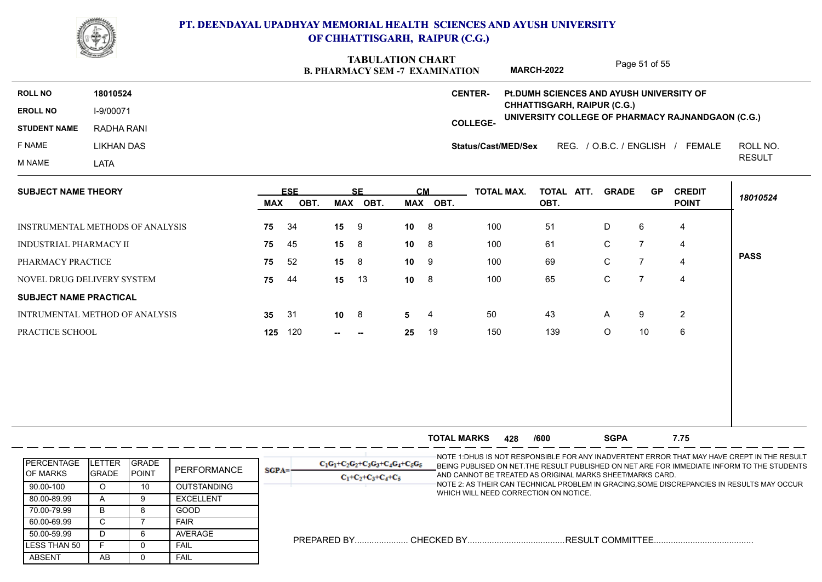

### **PT. DEENDAYAL UPADHYAY MEMORIAL HEALTH SCIENCES AND AYUSH UNIVERSITY OF CHHATTISGARH, RAIPUR (C.G.)**

### **B. PHARMACY SEM -7 EXAMINATION TABULATION CHART**

Page 51 of 55

|                               |                                         |            |            |                 | <b>B. PHARMACY SEM -7 EXAMINATION</b> |           |                |                     | <b>MARCH-2022</b>                         |                         | Page 31 OF 33  |                                                   |               |
|-------------------------------|-----------------------------------------|------------|------------|-----------------|---------------------------------------|-----------|----------------|---------------------|-------------------------------------------|-------------------------|----------------|---------------------------------------------------|---------------|
| <b>ROLL NO</b>                | 18010524                                |            |            |                 |                                       |           |                | <b>CENTER-</b>      | Pt. DUMH SCIENCES AND AYUSH UNIVERSITY OF |                         |                |                                                   |               |
| <b>EROLL NO</b>               | I-9/00071                               |            |            |                 |                                       |           |                |                     | CHHATTISGARH, RAIPUR (C.G.)               |                         |                | UNIVERSITY COLLEGE OF PHARMACY RAJNANDGAON (C.G.) |               |
| <b>STUDENT NAME</b>           | RADHA RANI                              |            |            |                 |                                       |           |                | <b>COLLEGE-</b>     |                                           |                         |                |                                                   |               |
| F NAME                        | LIKHAN DAS                              |            |            |                 |                                       |           |                | Status/Cast/MED/Sex |                                           | REG. / O.B.C. / ENGLISH |                | FEMALE                                            | ROLL NO.      |
| M NAME                        | LATA                                    |            |            |                 |                                       |           |                |                     |                                           |                         |                |                                                   | <b>RESULT</b> |
| <b>SUBJECT NAME THEORY</b>    |                                         |            | <b>ESE</b> |                 | <b>SE</b>                             | <b>CM</b> |                | <b>TOTAL MAX.</b>   | TOTAL ATT.                                | <b>GRADE</b>            | <b>GP</b>      | <b>CREDIT</b>                                     | 18010524      |
|                               |                                         | <b>MAX</b> | OBT.       | <b>MAX</b>      | OBT.                                  |           | MAX OBT.       |                     | OBT.                                      |                         |                | <b>POINT</b>                                      |               |
|                               | <b>INSTRUMENTAL METHODS OF ANALYSIS</b> | 75         | 34         | 15              | 9                                     | 10        | 8              | 100                 | 51                                        | D                       | 6              | $\overline{4}$                                    |               |
| <b>INDUSTRIAL PHARMACY II</b> |                                         | 75         | 45         | 15              | 8                                     | 10        | -8             | 100                 | 61                                        | $\mathsf{C}$            | $\overline{7}$ | $\overline{4}$                                    |               |
| PHARMACY PRACTICE             |                                         | 75         | 52         | 15              | 8                                     | 10        | 9              | 100                 | 69                                        | $\mathsf C$             | $\overline{7}$ | 4                                                 | <b>PASS</b>   |
|                               | NOVEL DRUG DELIVERY SYSTEM              | 75         | 44         | 15              | 13                                    | 10        | 8              | 100                 | 65                                        | C                       | $\overline{7}$ | 4                                                 |               |
| <b>SUBJECT NAME PRACTICAL</b> |                                         |            |            |                 |                                       |           |                |                     |                                           |                         |                |                                                   |               |
|                               | INTRUMENTAL METHOD OF ANALYSIS          | 35         | 31         | 10 <sub>1</sub> | 8                                     | 5         | $\overline{4}$ | 50                  | 43                                        | Α                       | 9              | $\overline{2}$                                    |               |
| PRACTICE SCHOOL               |                                         | 125        | 120        | --              | $\overline{\phantom{a}}$              | 25        | 19             | 150                 | 139                                       | O                       | 10             | 6                                                 |               |

|                   | INTRUMENTAL METHOD OF ANALYSIS |                |                    | 35         | 31  | $10 \t 8$ |                                      | 5. |    | 50                   | 43                                                        | A       | 9  | 2    |                                                                                             |
|-------------------|--------------------------------|----------------|--------------------|------------|-----|-----------|--------------------------------------|----|----|----------------------|-----------------------------------------------------------|---------|----|------|---------------------------------------------------------------------------------------------|
| PRACTICE SCHOOL   |                                |                |                    | 125        | 120 |           | $\sim$                               | 25 | 19 | 150                  | 139                                                       | $\circ$ | 10 | 6    |                                                                                             |
|                   |                                |                |                    |            |     |           |                                      |    |    |                      |                                                           |         |    |      |                                                                                             |
|                   |                                |                |                    |            |     |           |                                      |    |    |                      |                                                           |         |    |      |                                                                                             |
|                   |                                |                |                    |            |     |           |                                      |    |    |                      |                                                           |         |    |      |                                                                                             |
|                   |                                |                |                    |            |     |           |                                      |    |    |                      |                                                           |         |    |      |                                                                                             |
|                   |                                |                |                    |            |     |           |                                      |    |    |                      |                                                           |         |    |      |                                                                                             |
|                   |                                |                |                    |            |     |           |                                      |    |    |                      |                                                           |         |    |      |                                                                                             |
|                   |                                |                |                    |            |     |           |                                      |    |    |                      |                                                           |         |    |      |                                                                                             |
|                   |                                |                |                    |            |     |           |                                      |    |    | TOTAL MARKS 428 /600 |                                                           | SGPA    |    | 7.75 |                                                                                             |
|                   |                                |                |                    |            |     |           |                                      |    |    |                      |                                                           |         |    |      | -NOTE 1:DHUS IS NOT RESPONSIBLE FOR ANY INADVERTENT ERROR THAT MAY HAVE CREPT IN THE RESULT |
| <b>PERCENTAGE</b> | <b>LETTER</b>                  | GRADE          | PERFORMANCE        | $SGPA = -$ |     |           | $C_1G_1+C_2G_2+C_3G_3+C_4G_4+C_5G_5$ |    |    |                      |                                                           |         |    |      |                                                                                             |
| OF MARKS          | <b>I</b> GRADE                 | POINT          |                    |            |     |           |                                      |    |    |                      |                                                           |         |    |      | BEING PUBLISED ON NET. THE RESULT PUBLISHED ON NET ARE FOR IMMEDIATE INFORM TO THE STUDENTS |
|                   |                                |                |                    |            |     |           | $C_1 + C_2 + C_3 + C_4 + C_5$        |    |    |                      | AND CANNOT BE TREATED AS ORIGINAL MARKS SHEET/MARKS CARD. |         |    |      |                                                                                             |
| 90.00-100         | $\circ$                        | 10             | <b>OUTSTANDING</b> |            |     |           |                                      |    |    |                      |                                                           |         |    |      | NOTE 2: AS THEIR CAN TECHNICAL PROBLEM IN GRACING,SOME DISCREPANCIES IN RESULTS MAY OCCUR   |
| 80.00-89.99       | A                              | 9              | <b>EXCELLENT</b>   |            |     |           |                                      |    |    |                      | WHICH WILL NEED CORRECTION ON NOTICE.                     |         |    |      |                                                                                             |
| 70.00-79.99       | B                              | 8              | GOOD               |            |     |           |                                      |    |    |                      |                                                           |         |    |      |                                                                                             |
| 60.00-69.99       | $\mathbf{C}$                   | $\overline{7}$ | <b>FAIR</b>        |            |     |           |                                      |    |    |                      |                                                           |         |    |      |                                                                                             |
| 50.00-59.99       | D                              | 6              | AVERAGE            |            |     |           |                                      |    |    |                      |                                                           |         |    |      |                                                                                             |
| LESS THAN 50      | E.                             | $\Omega$       | <b>FAIL</b>        |            |     |           |                                      |    |    |                      |                                                           |         |    |      |                                                                                             |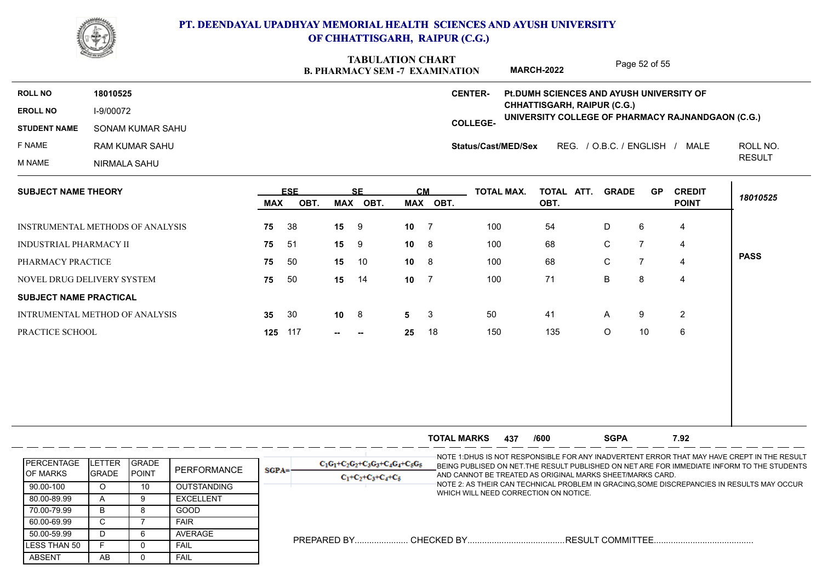

|                               |                                  |            |            |    | IADULAHUN UHANI<br><b>B. PHARMACY SEM -7 EXAMINATION</b> |    |                |                     | <b>MARCH-2022</b>                                                                |               | Page 52 of 55  |                                |             |
|-------------------------------|----------------------------------|------------|------------|----|----------------------------------------------------------|----|----------------|---------------------|----------------------------------------------------------------------------------|---------------|----------------|--------------------------------|-------------|
| <b>ROLL NO</b>                | 18010525                         |            |            |    |                                                          |    |                | <b>CENTER-</b>      | Pt. DUMH SCIENCES AND AYUSH UNIVERSITY OF                                        |               |                |                                |             |
| <b>EROLL NO</b>               | I-9/00072                        |            |            |    |                                                          |    |                |                     | CHHATTISGARH, RAIPUR (C.G.)<br>UNIVERSITY COLLEGE OF PHARMACY RAJNANDGAON (C.G.) |               |                |                                |             |
| <b>STUDENT NAME</b>           | SONAM KUMAR SAHU                 |            |            |    |                                                          |    |                | <b>COLLEGE-</b>     |                                                                                  |               |                |                                |             |
| F NAME                        | <b>RAM KUMAR SAHU</b>            |            |            |    |                                                          |    |                | Status/Cast/MED/Sex |                                                                                  |               |                | REG. / O.B.C. / ENGLISH / MALE | ROLL NO.    |
| M NAME                        | NIRMALA SAHU                     |            |            |    |                                                          |    |                |                     |                                                                                  | <b>RESULT</b> |                |                                |             |
| <b>SUBJECT NAME THEORY</b>    |                                  |            | <b>ESE</b> |    | <b>SE</b>                                                |    | CM             | <b>TOTAL MAX.</b>   | TOTAL ATT.                                                                       | <b>GRADE</b>  | <b>GP</b>      | <b>CREDIT</b>                  | 18010525    |
|                               |                                  | <b>MAX</b> | OBT.       |    | MAX OBT.                                                 |    | MAX OBT.       |                     | OBT.                                                                             |               |                | <b>POINT</b>                   |             |
|                               | INSTRUMENTAL METHODS OF ANALYSIS | 75         | 38         | 15 | 9                                                        | 10 | $\overline{7}$ | 100                 | 54                                                                               | D             | 6              | 4                              |             |
| <b>INDUSTRIAL PHARMACY II</b> |                                  | 75         | 51         | 15 | 9                                                        | 10 | 8              | 100                 | 68                                                                               | $\mathsf C$   | $\overline{7}$ | 4                              |             |
| PHARMACY PRACTICE             |                                  | 75         | 50         | 15 | 10                                                       | 10 | - 8            | 100                 | 68                                                                               | $\mathsf C$   | $\overline{7}$ | $\overline{4}$                 | <b>PASS</b> |
|                               | NOVEL DRUG DELIVERY SYSTEM       | 75         | 50         | 15 | 14                                                       | 10 | -7             | 100                 | 71                                                                               | $\sf B$       | 8              | 4                              |             |
| <b>SUBJECT NAME PRACTICAL</b> |                                  |            |            |    |                                                          |    |                |                     |                                                                                  |               |                |                                |             |
|                               |                                  |            | 30         | 10 | 8                                                        | 5  | 3              | 50                  | 41                                                                               | A             | 9              | $\overline{2}$                 |             |
|                               | INTRUMENTAL METHOD OF ANALYSIS   | 35         |            |    |                                                          |    |                |                     |                                                                                  |               |                |                                |             |

|                                        |                        |                                |                    |          |                                                               | TOTAL MARKS                           | 437 | /600 | <b>SGPA</b>                                               | 7.92 |                                                                                                                                                                                            |
|----------------------------------------|------------------------|--------------------------------|--------------------|----------|---------------------------------------------------------------|---------------------------------------|-----|------|-----------------------------------------------------------|------|--------------------------------------------------------------------------------------------------------------------------------------------------------------------------------------------|
| <b>IPERCENTAGE</b><br><b>IOF MARKS</b> | ETTER.<br><b>GRADE</b> | <b>IGRADE</b><br><b>IPOINT</b> | PERFORMANCE        | $SGPA =$ | $C_1G_1+C_2G_2+C_3G_3+C_4G_4+C_5G_5$<br>$C_1+C_2+C_3+C_4+C_5$ |                                       |     |      | AND CANNOT BE TREATED AS ORIGINAL MARKS SHEET/MARKS CARD. |      | -NOTE 1:DHUS IS NOT RESPONSIBLE FOR ANY INADVERTENT ERROR THAT MAY HAVE CREPT IN THE RESULT<br>BEING PUBLISED ON NET. THE RESULT PUBLISHED ON NET ARE FOR IMMEDIATE INFORM TO THE STUDENTS |
| 90.00-100                              | $\circ$                | 10                             | <b>OUTSTANDING</b> |          |                                                               |                                       |     |      |                                                           |      | NOTE 2: AS THEIR CAN TECHNICAL PROBLEM IN GRACING,SOME DISCREPANCIES IN RESULTS MAY OCCUR                                                                                                  |
| 80.00-89.99                            | $\sqrt{ }$             |                                | EXCELLENT          |          |                                                               | WHICH WILL NEED CORRECTION ON NOTICE. |     |      |                                                           |      |                                                                                                                                                                                            |
| 70.00-79.99                            | B                      |                                | GOOD               |          |                                                               |                                       |     |      |                                                           |      |                                                                                                                                                                                            |
| 60.00-69.99                            | ◡                      |                                | <b>FAIR</b>        |          |                                                               |                                       |     |      |                                                           |      |                                                                                                                                                                                            |
| 50.00-59.99                            |                        |                                | AVERAGE            |          |                                                               |                                       |     |      |                                                           |      |                                                                                                                                                                                            |
| ILESS THAN 50                          |                        |                                | FAIL               |          |                                                               |                                       |     |      |                                                           |      |                                                                                                                                                                                            |
| ABSENT                                 | AB                     |                                | <b>FAIL</b>        |          |                                                               |                                       |     |      |                                                           |      |                                                                                                                                                                                            |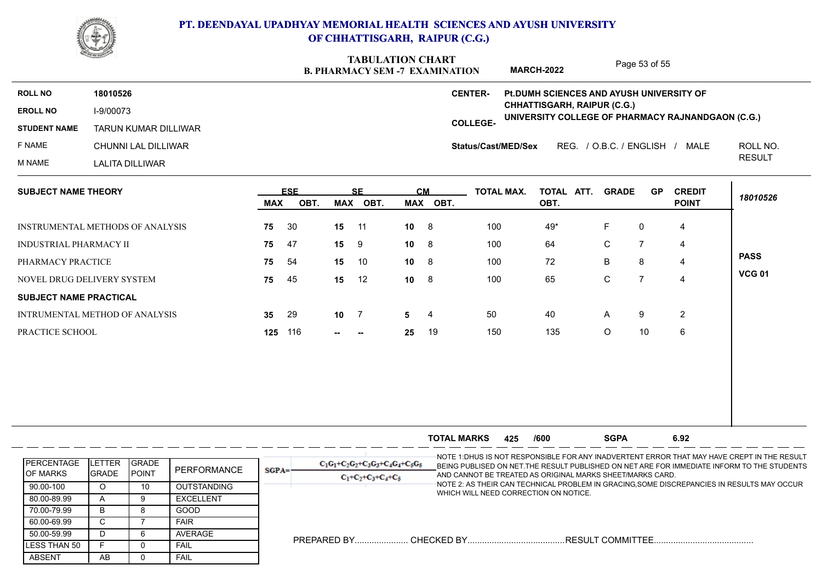

|                               |                                  |                 |            |            | TADULATION UHANI<br><b>B. PHARMACY SEM -7 EXAMINATION</b> |         |           |                            | <b>MARCH-2022</b>                                                                       |                           | Page 53 of 55  |                |               |
|-------------------------------|----------------------------------|-----------------|------------|------------|-----------------------------------------------------------|---------|-----------|----------------------------|-----------------------------------------------------------------------------------------|---------------------------|----------------|----------------|---------------|
| <b>ROLL NO</b>                | 18010526                         |                 |            |            |                                                           |         |           | <b>CENTER-</b>             | Pt. DUMH SCIENCES AND AYUSH UNIVERSITY OF                                               |                           |                |                |               |
| <b>EROLL NO</b>               | I-9/00073                        |                 |            |            |                                                           |         |           |                            | <b>CHHATTISGARH, RAIPUR (C.G.)</b><br>UNIVERSITY COLLEGE OF PHARMACY RAJNANDGAON (C.G.) |                           |                |                |               |
| <b>STUDENT NAME</b>           | <b>TARUN KUMAR DILLIWAR</b>      |                 |            |            |                                                           |         |           | <b>COLLEGE-</b>            |                                                                                         |                           |                |                |               |
| F NAME                        | CHUNNI LAL DILLIWAR              |                 |            |            |                                                           |         |           | <b>Status/Cast/MED/Sex</b> |                                                                                         | REG. / O.B.C. / ENGLISH / |                | MALE           | ROLL NO.      |
| M NAME                        | <b>LALITA DILLIWAR</b>           |                 |            |            |                                                           |         |           |                            |                                                                                         |                           |                |                | <b>RESULT</b> |
| <b>SUBJECT NAME THEORY</b>    |                                  |                 | <b>ESE</b> |            | <b>SF</b>                                                 |         | <b>CM</b> | <b>TOTAL MAX.</b>          | TOTAL ATT.                                                                              | <b>GRADE</b>              | <b>GP</b>      | <b>CREDIT</b>  |               |
|                               |                                  | <b>MAX</b>      | OBT.       | <b>MAX</b> | OBT.                                                      |         | MAX OBT.  |                            | OBT.                                                                                    |                           |                | <b>POINT</b>   | 18010526      |
|                               | INSTRUMENTAL METHODS OF ANALYSIS | 75              | 30         | 15         | 11                                                        | 10      | 8         | 100                        | 49*                                                                                     | F                         | 0              | 4              |               |
| <b>INDUSTRIAL PHARMACY II</b> |                                  | 75              | 47         | 15         | 9                                                         | 10      | 8         | 100                        | 64                                                                                      | C                         | $\overline{7}$ | $\overline{4}$ |               |
| PHARMACY PRACTICE             |                                  | 75              | 54         | 15         | 10                                                        | 10      | - 8       | 100                        | 72                                                                                      | B                         | 8              | 4              | <b>PASS</b>   |
|                               | NOVEL DRUG DELIVERY SYSTEM       | 75              | 45         | 15         | 12                                                        | 10      | 8         | 100                        | 65                                                                                      | $\mathsf C$               | $\overline{7}$ | $\overline{4}$ | <b>VCG 01</b> |
| <b>SUBJECT NAME PRACTICAL</b> |                                  |                 |            |            |                                                           |         |           |                            |                                                                                         |                           |                |                |               |
|                               | INTRUMENTAL METHOD OF ANALYSIS   | 35 <sub>5</sub> | 29         | 10         | -7                                                        | $5 \t4$ |           | 50                         | 40                                                                                      | $\mathsf{A}$              | 9              | 2              |               |
|                               |                                  |                 |            |            |                                                           |         |           |                            |                                                                                         |                           |                |                |               |

|                                        |                         |                              |                    |          |                                                               | <b>TOTAL MARKS</b>                    | 425 | /600 | <b>SGPA</b>                                               | 6.92 |                                                                                                                                                                                            |
|----------------------------------------|-------------------------|------------------------------|--------------------|----------|---------------------------------------------------------------|---------------------------------------|-----|------|-----------------------------------------------------------|------|--------------------------------------------------------------------------------------------------------------------------------------------------------------------------------------------|
| <b>IPERCENTAGE</b><br><b>IOF MARKS</b> | LETTER<br><b>IGRADE</b> | <b>SRADE</b><br><b>POINT</b> | PERFORMANCE        | $SGPA =$ | $C_1G_1+C_2G_2+C_3G_3+C_4G_4+C_5G_5$<br>$C_1+C_2+C_3+C_4+C_5$ |                                       |     |      | AND CANNOT BE TREATED AS ORIGINAL MARKS SHEET/MARKS CARD. |      | -NOTE 1:DHUS IS NOT RESPONSIBLE FOR ANY INADVERTENT ERROR THAT MAY HAVE CREPT IN THE RESULT<br>BEING PUBLISED ON NET. THE RESULT PUBLISHED ON NET ARE FOR IMMEDIATE INFORM TO THE STUDENTS |
| 90.00-100                              | O                       | 10                           | <b>OUTSTANDING</b> |          |                                                               |                                       |     |      |                                                           |      | NOTE 2: AS THEIR CAN TECHNICAL PROBLEM IN GRACING,SOME DISCREPANCIES IN RESULTS MAY OCCUR                                                                                                  |
| 80.00-89.99                            |                         |                              | <b>EXCELLENT</b>   |          |                                                               | WHICH WILL NEED CORRECTION ON NOTICE. |     |      |                                                           |      |                                                                                                                                                                                            |
| 70.00-79.99                            | B.                      |                              | GOOD               |          |                                                               |                                       |     |      |                                                           |      |                                                                                                                                                                                            |
| 60.00-69.99                            |                         |                              | <b>FAIR</b>        |          |                                                               |                                       |     |      |                                                           |      |                                                                                                                                                                                            |
| 50.00-59.99                            |                         |                              | AVERAGE            |          |                                                               |                                       |     |      |                                                           |      |                                                                                                                                                                                            |
| ILESS THAN 50                          |                         |                              | <b>FAIL</b>        |          |                                                               |                                       |     |      |                                                           |      |                                                                                                                                                                                            |
| ABSENT                                 | AB                      |                              | <b>FAIL</b>        |          |                                                               |                                       |     |      |                                                           |      |                                                                                                                                                                                            |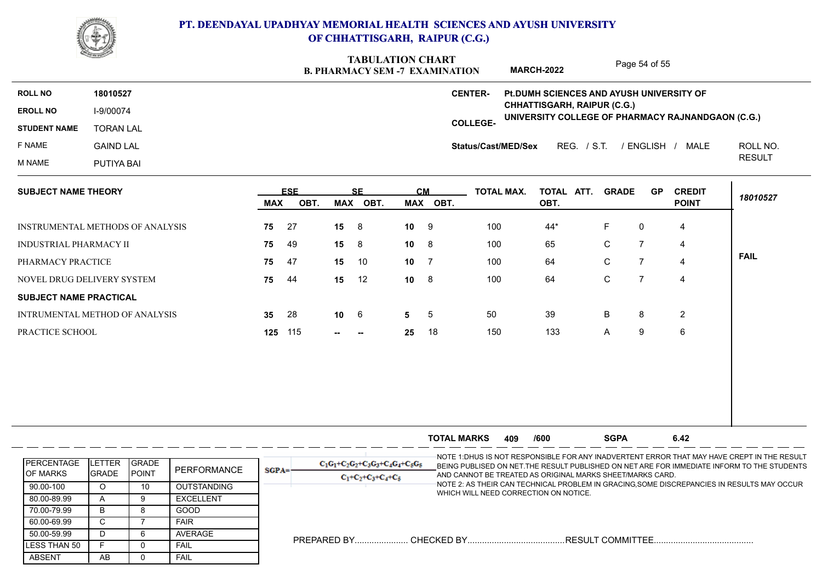

|                               | <b>CARLO AND AND IN</b>          |            |                    |           | <b>TABULATION CHART</b> |           | <b>B. PHARMACY SEM -7 EXAMINATION</b> |                     | <b>MARCH-2022</b>                         |              | Page 54 of 55  |                                                   |               |
|-------------------------------|----------------------------------|------------|--------------------|-----------|-------------------------|-----------|---------------------------------------|---------------------|-------------------------------------------|--------------|----------------|---------------------------------------------------|---------------|
| <b>ROLL NO</b>                | 18010527                         |            |                    |           |                         |           |                                       | <b>CENTER-</b>      | Pt. DUMH SCIENCES AND AYUSH UNIVERSITY OF |              |                |                                                   |               |
| <b>EROLL NO</b>               | I-9/00074                        |            |                    |           |                         |           |                                       |                     | CHHATTISGARH, RAIPUR (C.G.)               |              |                | UNIVERSITY COLLEGE OF PHARMACY RAJNANDGAON (C.G.) |               |
| <b>STUDENT NAME</b>           | <b>TORAN LAL</b>                 |            |                    |           |                         |           |                                       | <b>COLLEGE-</b>     |                                           |              |                |                                                   |               |
| F NAME                        | <b>GAIND LAL</b>                 |            |                    |           |                         |           |                                       | Status/Cast/MED/Sex |                                           |              |                | REG. / S.T. / ENGLISH / MALE                      | ROLL NO.      |
| M NAME                        | PUTIYA BAI                       |            |                    |           |                         |           |                                       |                     |                                           |              |                |                                                   | <b>RESULT</b> |
| <b>SUBJECT NAME THEORY</b>    |                                  | <b>MAX</b> | <b>ESE</b><br>OBT. |           | <b>SE</b><br>MAX OBT.   | <b>CM</b> | MAX OBT.                              | <b>TOTAL MAX.</b>   | TOTAL ATT.<br>OBT.                        | <b>GRADE</b> | <b>GP</b>      | <b>CREDIT</b><br><b>POINT</b>                     | 18010527      |
|                               | INSTRUMENTAL METHODS OF ANALYSIS | 75         | 27                 | 15        | 8                       | 10        | 9                                     | 100                 | 44*                                       | $\mathsf F$  | 0              | 4                                                 |               |
| <b>INDUSTRIAL PHARMACY II</b> |                                  | 75         | 49                 | 15        | -8                      | 10        | 8                                     | 100                 | 65                                        | C            | $\overline{7}$ | 4                                                 |               |
| PHARMACY PRACTICE             |                                  | 75         | 47                 | 15        | 10                      | 10        | 7                                     | 100                 | 64                                        | $\mathsf C$  | $\overline{7}$ | 4                                                 | <b>FAIL</b>   |
|                               | NOVEL DRUG DELIVERY SYSTEM       | 75         | 44                 | 15        | 12                      | 10        | -8                                    | 100                 | 64                                        | $\mathsf C$  | $\overline{7}$ | $\overline{\mathbf{4}}$                           |               |
| <b>SUBJECT NAME PRACTICAL</b> |                                  |            |                    |           |                         |           |                                       |                     |                                           |              |                |                                                   |               |
|                               | INTRUMENTAL METHOD OF ANALYSIS   | 35         | 28                 | $10 \t 6$ |                         | 5         | 5                                     | 50                  | 39                                        | B            | 8              | $\overline{2}$                                    |               |
|                               | PRACTICE SCHOOL                  | 125        | 115                | $\sim$    | $\sim$                  | 25        | 18                                    | 150                 | 133                                       | Α            | 9              | $\,6\,$                                           |               |

|                                 |                          |                                |                    | 6.42<br><b>TOTAL MARKS</b><br><b>SGPA</b><br>/600<br>409                                                                                                                                                                                                                                                                             |
|---------------------------------|--------------------------|--------------------------------|--------------------|--------------------------------------------------------------------------------------------------------------------------------------------------------------------------------------------------------------------------------------------------------------------------------------------------------------------------------------|
| <b>IPERCENTAGE</b><br>IOF MARKS | LETTER<br><b>I</b> GRADE | <b>IGRADE</b><br><b>IPOINT</b> | PERFORMANCE        | -NOTE 1:DHUS IS NOT RESPONSIBLE FOR ANY INADVERTENT ERROR THAT MAY HAVE CREPT IN THE RESULT<br>$C_1G_1+C_2G_2+C_3G_3+C_4G_4+C_5G_5$<br>BEING PUBLISED ON NET. THE RESULT PUBLISHED ON NET ARE FOR IMMEDIATE INFORM TO THE STUDENTS<br>$SGPA =$<br>AND CANNOT BE TREATED AS ORIGINAL MARKS SHEET/MARKS CARD.<br>$C_1+C_2+C_3+C_4+C_5$ |
| 90.00-100                       |                          | 10                             | <b>OUTSTANDING</b> | NOTE 2: AS THEIR CAN TECHNICAL PROBLEM IN GRACING,SOME DISCREPANCIES IN RESULTS MAY OCCUR                                                                                                                                                                                                                                            |
| 80.00-89.99                     | $\mathbf{\mathsf{m}}$    |                                | <b>EXCELLENT</b>   | WHICH WILL NEED CORRECTION ON NOTICE.                                                                                                                                                                                                                                                                                                |
| 70.00-79.99                     | B                        |                                | GOOD               |                                                                                                                                                                                                                                                                                                                                      |
| 60.00-69.99                     | ◡                        |                                | <b>FAIR</b>        |                                                                                                                                                                                                                                                                                                                                      |
| 50.00-59.99                     |                          |                                | AVERAGE            |                                                                                                                                                                                                                                                                                                                                      |
| LESS THAN 50                    |                          |                                | <b>FAIL</b>        |                                                                                                                                                                                                                                                                                                                                      |
| <b>ABSENT</b>                   | AB                       |                                | <b>FAIL</b>        |                                                                                                                                                                                                                                                                                                                                      |